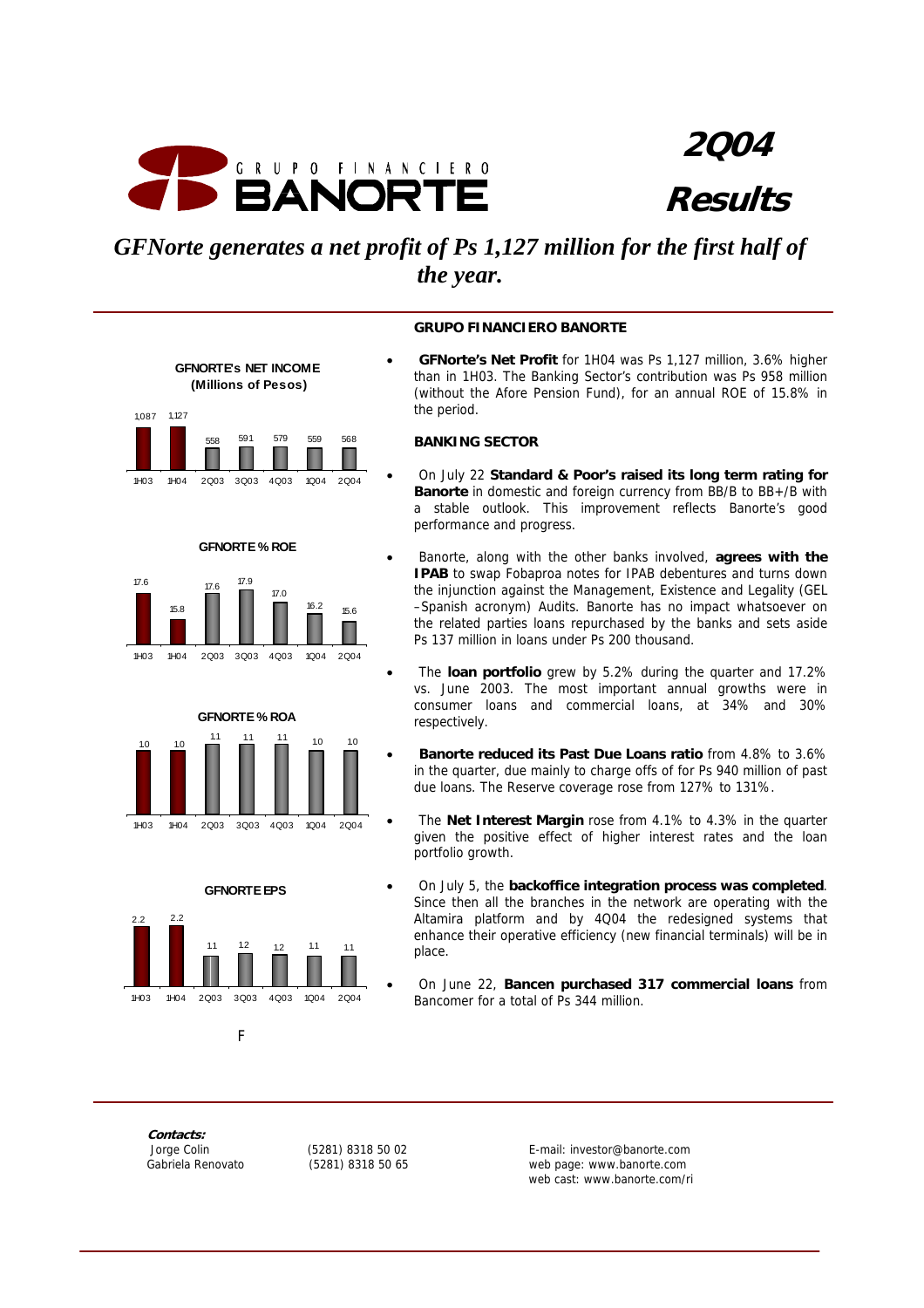

**2Q04 Results**

# *GFNorte generates a net profit of Ps 1,127 million for the first half of the year.*

# **GFNORTE's NET INCOME (Millions of Pesos)** 1,087 1,127 558 591 579 559 568 1H03 1H04 2Q03 3Q03 4Q03 1Q04 2Q04









# **GRUPO FINANCIERO BANORTE**

• **GFNorte's Net Profit** for 1H04 was Ps 1,127 million, 3.6% higher than in 1H03. The Banking Sector's contribution was Ps 958 million (without the Afore Pension Fund), for an annual ROE of 15.8% in the period.

#### **BANKING SECTOR**

- On July 22 **Standard & Poor's raised its long term rating for Banorte** in domestic and foreign currency from BB/B to BB+/B with a stable outlook. This improvement reflects Banorte's good performance and progress.
- Banorte, along with the other banks involved, **agrees with the IPAB** to swap Fobaproa notes for IPAB debentures and turns down the injunction against the Management, Existence and Legality (GEL –Spanish acronym) Audits. Banorte has no impact whatsoever on the related parties loans repurchased by the banks and sets aside Ps 137 million in loans under Ps 200 thousand.
- The **loan portfolio** grew by 5.2% during the quarter and 17.2% vs. June 2003. The most important annual growths were in consumer loans and commercial loans, at 34% and 30% respectively.
- **Banorte reduced its Past Due Loans ratio** from 4.8% to 3.6% in the quarter, due mainly to charge offs of for Ps 940 million of past due loans. The Reserve coverage rose from 127% to 131%.
- The **Net Interest Margin** rose from 4.1% to 4.3% in the quarter given the positive effect of higher interest rates and the loan portfolio growth.
- On July 5, the **backoffice integration process was completed**. Since then all the branches in the network are operating with the Altamira platform and by 4Q04 the redesigned systems that enhance their operative efficiency (new financial terminals) will be in place.
- On June 22, **Bancen purchased 317 commercial loans** from Bancomer for a total of Ps 344 million.

**Contacts:** 

Fig. 1. The Contract of Fig.

 Jorge Colin (5281) 8318 50 02 E-mail: investor@banorte.com web page: www.banorte.com web cast: www.banorte.com/ri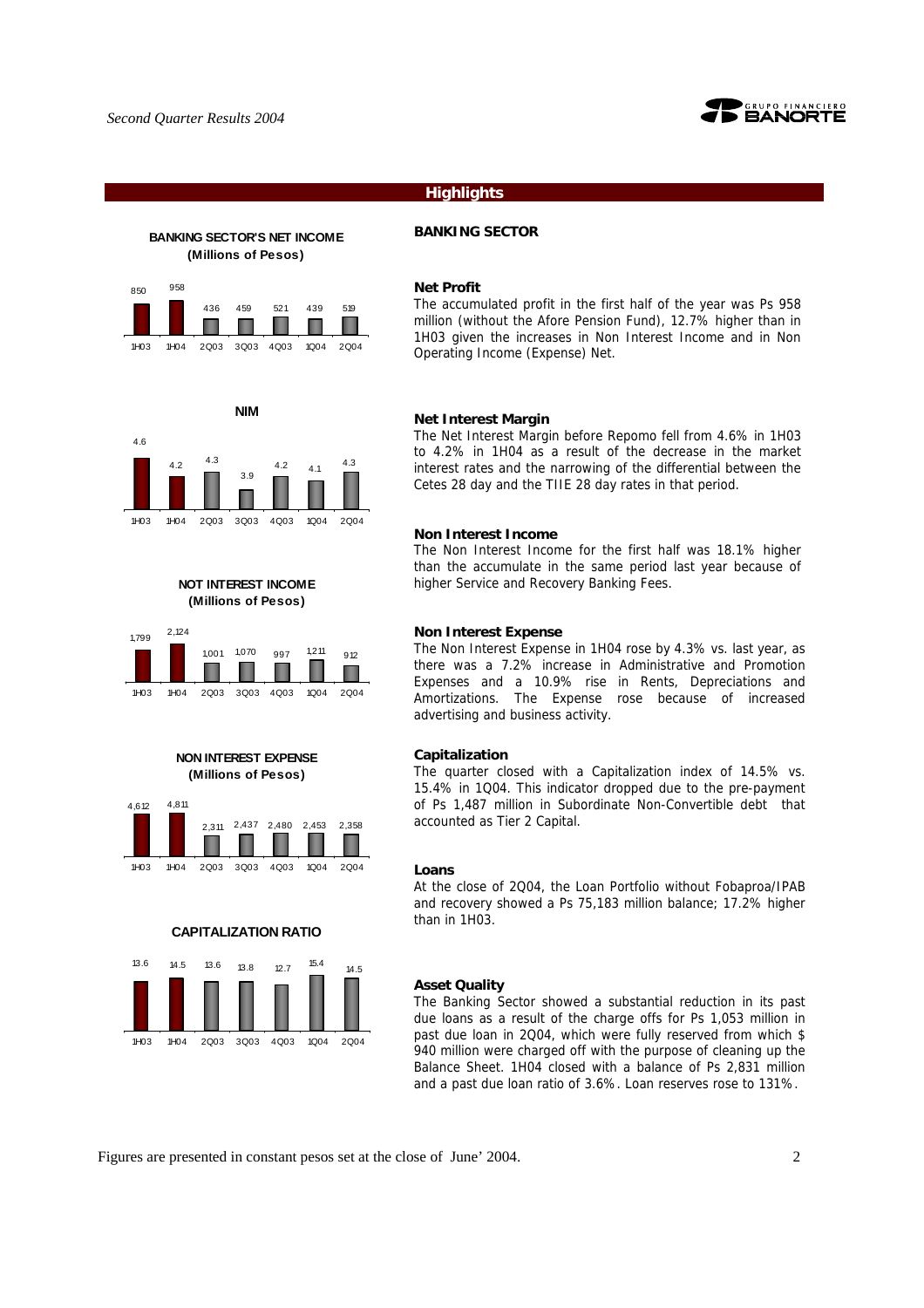

### **Highlights**

# **BANKING SECTOR'S NET INCOME (Millions of Pesos)**





#### **Net Profit**

The accumulated profit in the first half of the year was Ps 958 million (without the Afore Pension Fund), 12.7% higher than in 1H03 given the increases in Non Interest Income and in Non Operating Income (Expense) Net.

#### **Net Interest Margin**

The Net Interest Margin before Repomo fell from 4.6% in 1H03 to 4.2% in 1H04 as a result of the decrease in the market interest rates and the narrowing of the differential between the Cetes 28 day and the TIIE 28 day rates in that period.

#### **Non Interest Income**

The Non Interest Income for the first half was 18.1% higher than the accumulate in the same period last year because of higher Service and Recovery Banking Fees.

#### **Non Interest Expense**

The Non Interest Expense in 1H04 rose by 4.3% vs. last year, as there was a 7.2% increase in Administrative and Promotion Expenses and a 10.9% rise in Rents, Depreciations and Amortizations. The Expense rose because of increased advertising and business activity.

#### **Capitalization**

The quarter closed with a Capitalization index of 14.5% vs. 15.4% in 1Q04. This indicator dropped due to the pre-payment of Ps 1,487 million in Subordinate Non-Convertible debt that accounted as Tier 2 Capital.

#### **Loans**

At the close of 2Q04, the Loan Portfolio without Fobaproa/IPAB and recovery showed a Ps 75,183 million balance; 17.2% higher than in 1H03.

#### **Asset Quality**

The Banking Sector showed a substantial reduction in its past due loans as a result of the charge offs for Ps 1,053 million in past due loan in 2Q04, which were fully reserved from which \$ 940 million were charged off with the purpose of cleaning up the Balance Sheet. 1H04 closed with a balance of Ps 2,831 million and a past due loan ratio of 3.6%. Loan reserves rose to 131%.



# **NIM**  $4.3$



4.6

4,612 4,811





**NON INTEREST EXPENSE (Millions of Pesos)**

1H03 1H04 2Q03 3Q03 4Q03 1Q04 2Q04

**CAPITALIZATION RATIO**

13.6 14.5 13.6 13.8 12.7 <sup>15.4</sup> 14.5

1H03 1H04 2Q03 3Q03 4Q03 1Q04 2Q04

2,311 2,437 2,480 2,453 2,358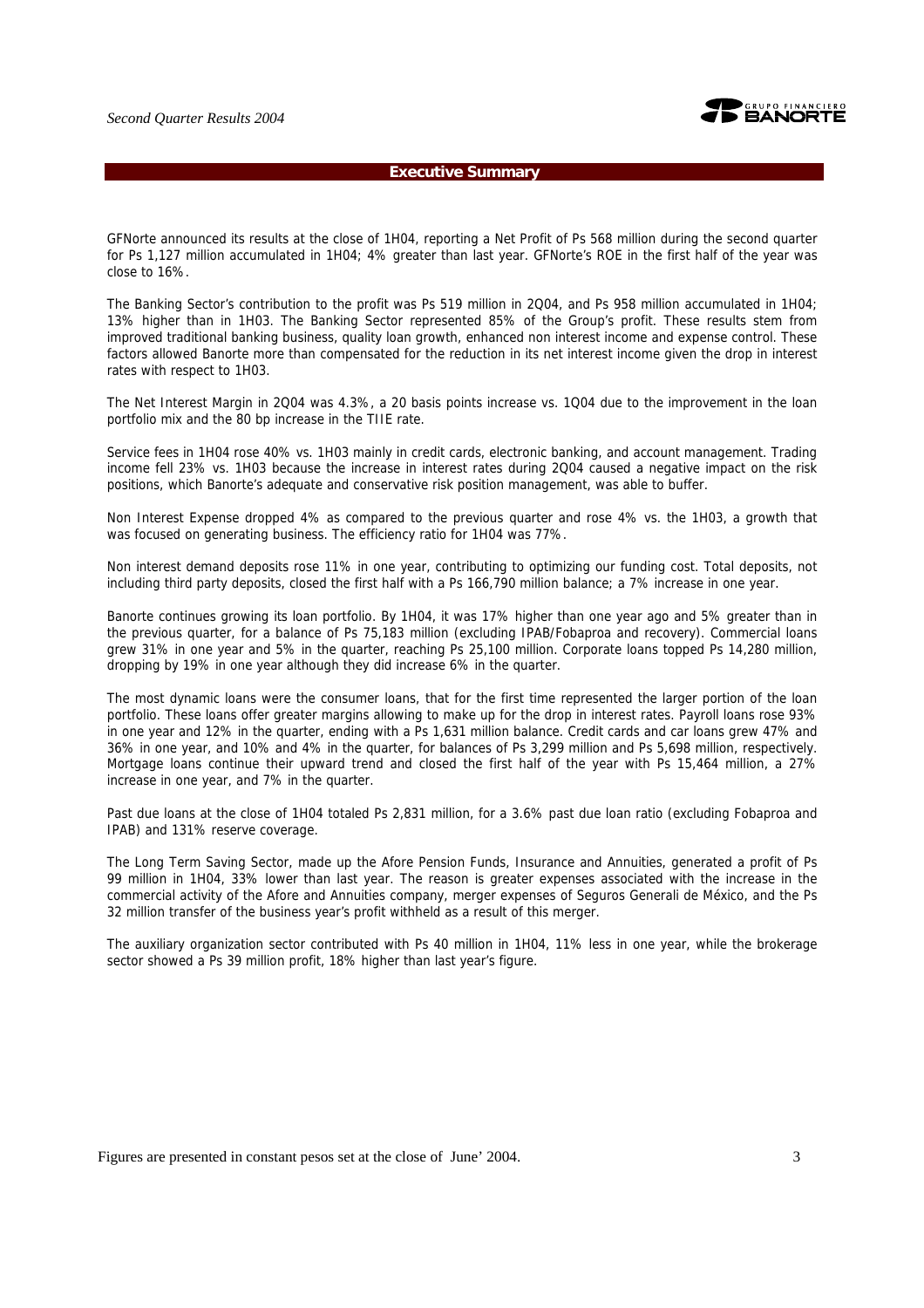

#### **Executive Summary**

GFNorte announced its results at the close of 1H04, reporting a Net Profit of Ps 568 million during the second quarter for Ps 1,127 million accumulated in 1H04; 4% greater than last year. GFNorte's ROE in the first half of the year was close to 16%.

The Banking Sector's contribution to the profit was Ps 519 million in 2Q04, and Ps 958 million accumulated in 1H04; 13% higher than in 1H03. The Banking Sector represented 85% of the Group's profit. These results stem from improved traditional banking business, quality loan growth, enhanced non interest income and expense control. These factors allowed Banorte more than compensated for the reduction in its net interest income given the drop in interest rates with respect to 1H03.

The Net Interest Margin in 2Q04 was 4.3%, a 20 basis points increase vs. 1Q04 due to the improvement in the loan portfolio mix and the 80 bp increase in the TIIE rate.

Service fees in 1H04 rose 40% vs. 1H03 mainly in credit cards, electronic banking, and account management. Trading income fell 23% vs. 1H03 because the increase in interest rates during 2Q04 caused a negative impact on the risk positions, which Banorte's adequate and conservative risk position management, was able to buffer.

Non Interest Expense dropped 4% as compared to the previous quarter and rose 4% vs. the 1H03, a growth that was focused on generating business. The efficiency ratio for 1H04 was 77%.

Non interest demand deposits rose 11% in one year, contributing to optimizing our funding cost. Total deposits, not including third party deposits, closed the first half with a Ps 166,790 million balance; a 7% increase in one year.

Banorte continues growing its loan portfolio. By 1H04, it was 17% higher than one year ago and 5% greater than in the previous quarter, for a balance of Ps 75,183 million (excluding IPAB/Fobaproa and recovery). Commercial loans grew 31% in one year and 5% in the quarter, reaching Ps 25,100 million. Corporate loans topped Ps 14,280 million, dropping by 19% in one year although they did increase 6% in the quarter.

The most dynamic loans were the consumer loans, that for the first time represented the larger portion of the loan portfolio. These loans offer greater margins allowing to make up for the drop in interest rates. Payroll loans rose 93% in one year and 12% in the quarter, ending with a Ps 1,631 million balance. Credit cards and car loans grew 47% and 36% in one year, and 10% and 4% in the quarter, for balances of Ps 3,299 million and Ps 5,698 million, respectively. Mortgage loans continue their upward trend and closed the first half of the year with Ps 15,464 million, a 27% increase in one year, and 7% in the quarter.

Past due loans at the close of 1H04 totaled Ps 2,831 million, for a 3.6% past due loan ratio (excluding Fobaproa and IPAB) and 131% reserve coverage.

The Long Term Saving Sector, made up the Afore Pension Funds, Insurance and Annuities, generated a profit of Ps 99 million in 1H04, 33% lower than last year. The reason is greater expenses associated with the increase in the commercial activity of the Afore and Annuities company, merger expenses of Seguros Generali de México, and the Ps 32 million transfer of the business year's profit withheld as a result of this merger.

The auxiliary organization sector contributed with Ps 40 million in 1H04, 11% less in one year, while the brokerage sector showed a Ps 39 million profit, 18% higher than last year's figure.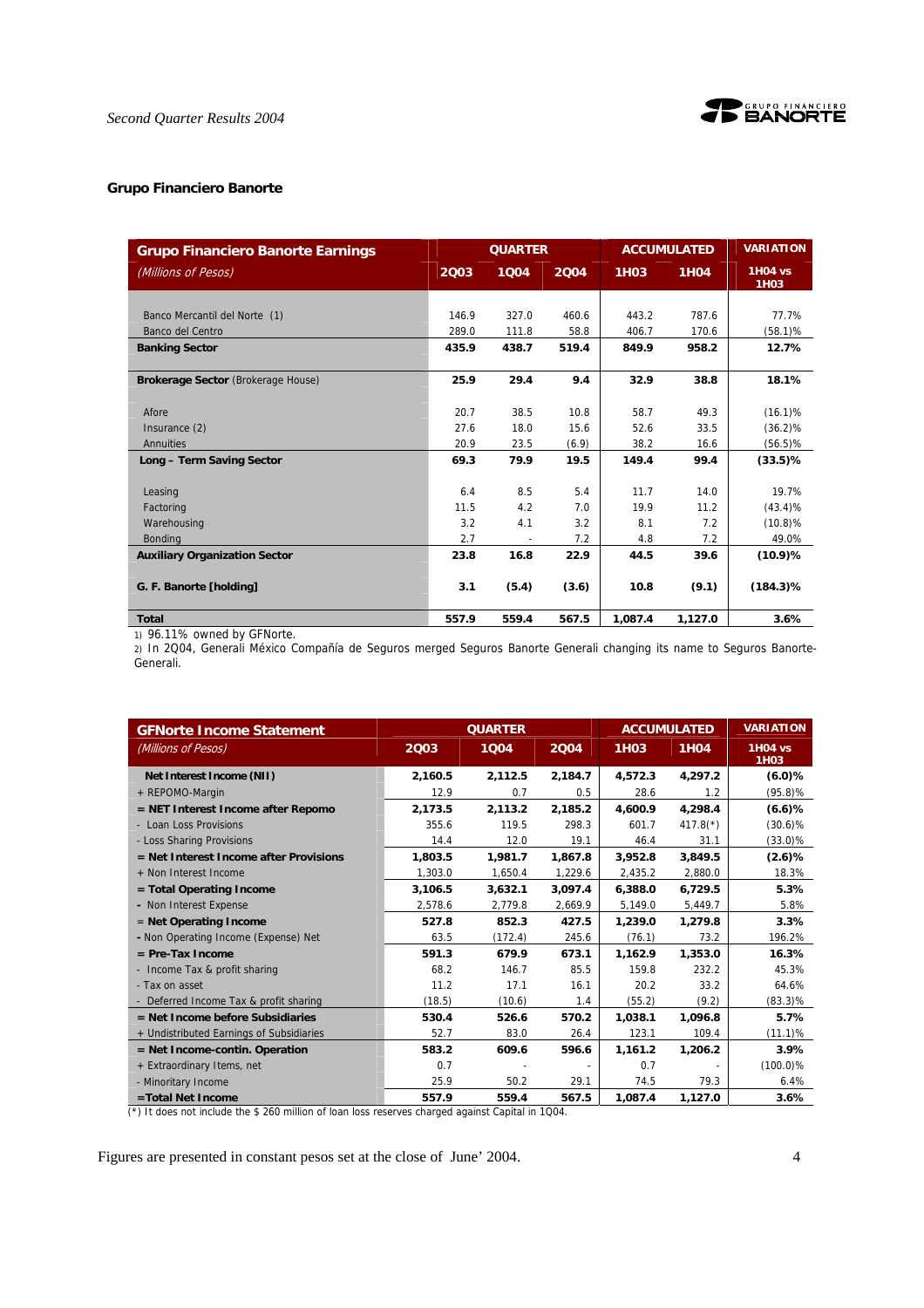

#### **Grupo Financiero Banorte**

| <b>Grupo Financiero Banorte Earnings</b> | <b>QUARTER</b> |       |       |             | <b>ACCUMULATED</b> | <b>VARIATION</b>                    |
|------------------------------------------|----------------|-------|-------|-------------|--------------------|-------------------------------------|
| (Millions of Pesos)                      | 2003           | 1004  | 2004  | <b>1H03</b> | <b>1H04</b>        | <b>1H04 vs</b><br>1H <sub>0</sub> 3 |
|                                          |                |       |       |             |                    |                                     |
| Banco Mercantil del Norte (1)            | 146.9          | 327.0 | 460.6 | 443.2       | 787.6              | 77.7%                               |
| Banco del Centro                         | 289.0          | 111.8 | 58.8  | 406.7       | 170.6              | $(58.1)$ %                          |
| <b>Banking Sector</b>                    | 435.9          | 438.7 | 519.4 | 849.9       | 958.2              | 12.7%                               |
| Brokerage Sector (Brokerage House)       | 25.9           | 29.4  | 9.4   | 32.9        | 38.8               | 18.1%                               |
| Afore                                    | 20.7           | 38.5  | 10.8  | 58.7        | 49.3               | $(16.1)\%$                          |
| Insurance (2)                            | 27.6           | 18.0  | 15.6  | 52.6        | 33.5               | $(36.2)\%$                          |
| Annuities                                | 20.9           | 23.5  | (6.9) | 38.2        | 16.6               | $(56.5)\%$                          |
| Long - Term Saving Sector                | 69.3           | 79.9  | 19.5  | 149.4       | 99.4               | $(33.5)$ %                          |
| Leasing                                  | 6.4            | 8.5   | 5.4   | 11.7        | 14.0               | 19.7%                               |
| Factoring                                | 11.5           | 4.2   | 7.0   | 19.9        | 11.2               | $(43.4)\%$                          |
| Warehousing                              | 3.2            | 4.1   | 3.2   | 8.1         | 7.2                | $(10.8)\%$                          |
| <b>Bonding</b>                           | 2.7            |       | 7.2   | 4.8         | 7.2                | 49.0%                               |
| <b>Auxiliary Organization Sector</b>     | 23.8           | 16.8  | 22.9  | 44.5        | 39.6               | $(10.9)$ %                          |
| G. F. Banorte [holding]                  | 3.1            | (5.4) | (3.6) | 10.8        | (9.1)              | $(184.3)\%$                         |
| <b>Total</b>                             | 557.9          | 559.4 | 567.5 | 1,087.4     | 1,127.0            | 3.6%                                |

1) 96.11% owned by GFNorte.

2) In 2Q04, Generali México Compañía de Seguros merged Seguros Banorte Generali changing its name to Seguros Banorte-Generali.

| <b>GFNorte Income Statement</b>          |         | <b>QUARTER</b> |         |             | <b>ACCUMULATED</b> | <b>VARIATION</b>              |
|------------------------------------------|---------|----------------|---------|-------------|--------------------|-------------------------------|
| (Millions of Pesos)                      | 2003    | 1004           | 2004    | <b>1H03</b> | <b>1H04</b>        | <b>1H04 vs</b><br><b>1H03</b> |
| Net Interest Income (NII)                | 2.160.5 | 2,112.5        | 2.184.7 | 4,572.3     | 4.297.2            | $(6.0)$ %                     |
| + REPOMO-Margin                          | 12.9    | 0.7            | 0.5     | 28.6        | 1.2                | (95.8)%                       |
| $=$ NET Interest Income after Repomo     | 2,173.5 | 2,113.2        | 2,185.2 | 4,600.9     | 4,298.4            | $(6.6)$ %                     |
| - Loan Loss Provisions                   | 355.6   | 119.5          | 298.3   | 601.7       | $417.8(*)$         | $(30.6)\%$                    |
| - Loss Sharing Provisions                | 14.4    | 12.0           | 19.1    | 46.4        | 31.1               | $(33.0)\%$                    |
| = Net Interest Income after Provisions   | 1,803.5 | 1,981.7        | 1,867.8 | 3,952.8     | 3,849.5            | $(2.6)$ %                     |
| + Non Interest Income                    | 1,303.0 | 1,650.4        | 1,229.6 | 2,435.2     | 2,880.0            | 18.3%                         |
| $=$ Total Operating Income               | 3,106.5 | 3.632.1        | 3.097.4 | 6,388.0     | 6,729.5            | 5.3%                          |
| - Non Interest Expense                   | 2,578.6 | 2,779.8        | 2,669.9 | 5,149.0     | 5,449.7            | 5.8%                          |
| $=$ Net Operating Income                 | 527.8   | 852.3          | 427.5   | 1,239.0     | 1.279.8            | 3.3%                          |
| - Non Operating Income (Expense) Net     | 63.5    | (172.4)        | 245.6   | (76.1)      | 73.2               | 196.2%                        |
| $=$ Pre-Tax Income                       | 591.3   | 679.9          | 673.1   | 1,162.9     | 1,353.0            | 16.3%                         |
| - Income Tax & profit sharing            | 68.2    | 146.7          | 85.5    | 159.8       | 232.2              | 45.3%                         |
| - Tax on asset                           | 11.2    | 17.1           | 16.1    | 20.2        | 33.2               | 64.6%                         |
| - Deferred Income Tax & profit sharing   | (18.5)  | (10.6)         | 1.4     | (55.2)      | (9.2)              | $(83.3)\%$                    |
| $=$ Net Income before Subsidiaries       | 530.4   | 526.6          | 570.2   | 1.038.1     | 1.096.8            | 5.7%                          |
| + Undistributed Earnings of Subsidiaries | 52.7    | 83.0           | 26.4    | 123.1       | 109.4              | (11.1)%                       |
| $=$ Net Income-contin. Operation         | 583.2   | 609.6          | 596.6   | 1,161.2     | 1,206.2            | 3.9%                          |
| + Extraordinary Items, net               | 0.7     |                |         | 0.7         |                    | $(100.0)\%$                   |
| - Minoritary Income                      | 25.9    | 50.2           | 29.1    | 74.5        | 79.3               | 6.4%                          |
| =Total Net Income                        | 557.9   | 559.4          | 567.5   | 1,087.4     | 1,127.0            | 3.6%                          |

(\*) It does not include the \$ 260 million of loan loss reserves charged against Capital in 1Q04.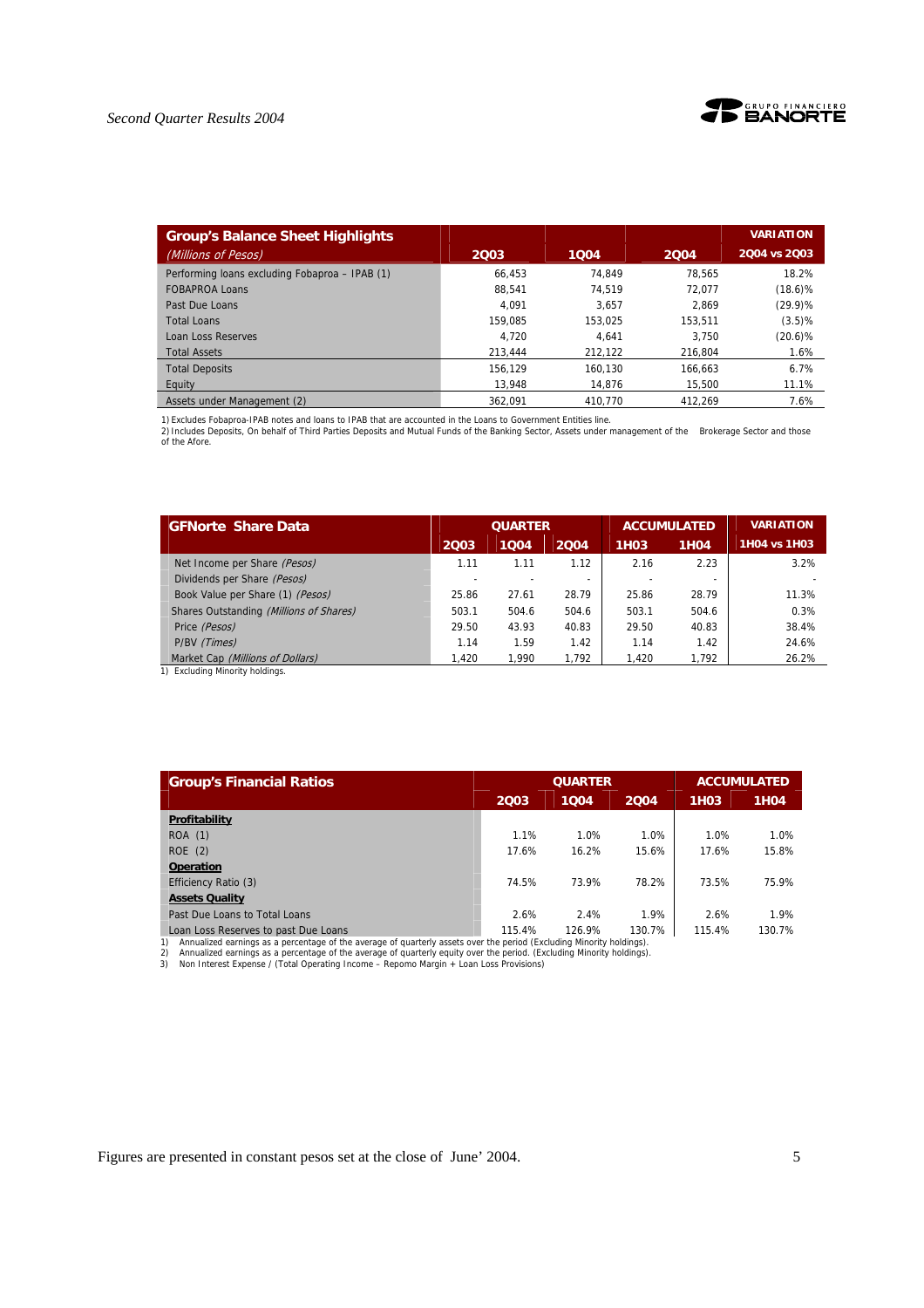



| <b>Group's Balance Sheet Highlights</b>        |         |         |         | <b>VARIATION</b> |
|------------------------------------------------|---------|---------|---------|------------------|
| (Millions of Pesos)                            | 2003    | 1004    | 2004    | 2004 vs 2003     |
| Performing loans excluding Fobaproa - IPAB (1) | 66.453  | 74.849  | 78.565  | 18.2%            |
| <b>FOBAPROA Loans</b>                          | 88.541  | 74.519  | 72.077  | $(18.6)\%$       |
| Past Due Loans                                 | 4.091   | 3.657   | 2.869   | $(29.9)\%$       |
| <b>Total Loans</b>                             | 159,085 | 153.025 | 153.511 | (3.5)%           |
| <b>Loan Loss Reserves</b>                      | 4.720   | 4.641   | 3.750   | $(20.6)$ %       |
| <b>Total Assets</b>                            | 213.444 | 212.122 | 216.804 | 1.6%             |
| <b>Total Deposits</b>                          | 156.129 | 160.130 | 166.663 | 6.7%             |
| Equity                                         | 13.948  | 14.876  | 15.500  | 11.1%            |
| Assets under Management (2)                    | 362.091 | 410.770 | 412.269 | 7.6%             |

1) Excludes Fobaproa-IPAB notes and loans to IPAB that are accounted in the Loans to Government Entities line.

2) Includes Deposits, On behalf of Third Parties Deposits and Mutual Funds of the Banking Sector, Assets under management of the Brokerage Sector and those of the Afore.

| <b>GFNorte Share Data</b>               | <b>QUARTER</b> |       |                          |                   | <b>ACCUMULATED</b> | <b>VARIATION</b> |
|-----------------------------------------|----------------|-------|--------------------------|-------------------|--------------------|------------------|
|                                         | 2003           | 1004  | 2004                     | 1H <sub>0</sub> 3 | 1H <sub>04</sub>   | 1H04 vs 1H03     |
| Net Income per Share (Pesos)            | 1.11           | 1.11  | 1.12                     | 2.16              | 2.23               | 3.2%             |
| Dividends per Share (Pesos)             |                |       | $\overline{\phantom{a}}$ |                   | -                  |                  |
| Book Value per Share (1) (Pesos)        | 25.86          | 27.61 | 28.79                    | 25.86             | 28.79              | 11.3%            |
| Shares Outstanding (Millions of Shares) | 503.1          | 504.6 | 504.6                    | 503.1             | 504.6              | 0.3%             |
| Price (Pesos)                           | 29.50          | 43.93 | 40.83                    | 29.50             | 40.83              | 38.4%            |
| P/BV (Times)                            | 1.14           | 1.59  | 1.42                     | 1.14              | 1.42               | 24.6%            |
| Market Cap (Millions of Dollars)        | 1.420          | 1.990 | 1.792                    | 1.420             | 1.792              | 26.2%            |

1) Excluding Minority holdings.

| <b>Group's Financial Ratios</b>                                                                                                                                 |        | <b>QUARTER</b> |        | <b>ACCUMULATED</b> |                  |  |
|-----------------------------------------------------------------------------------------------------------------------------------------------------------------|--------|----------------|--------|--------------------|------------------|--|
|                                                                                                                                                                 | 2003   | 1004           | 2004   | 1H03               | 1H <sub>04</sub> |  |
| Profitability                                                                                                                                                   |        |                |        |                    |                  |  |
| <b>ROA</b> (1)                                                                                                                                                  | 1.1%   | 1.0%           | 1.0%   | 1.0%               | 1.0%             |  |
| ROE(2)                                                                                                                                                          | 17.6%  | 16.2%          | 15.6%  | 17.6%              | 15.8%            |  |
| <b>Operation</b>                                                                                                                                                |        |                |        |                    |                  |  |
| Efficiency Ratio (3)                                                                                                                                            | 74.5%  | 73.9%          | 78.2%  | 73.5%              | 75.9%            |  |
| <b>Assets Quality</b>                                                                                                                                           |        |                |        |                    |                  |  |
| Past Due Loans to Total Loans                                                                                                                                   | 2.6%   | 2.4%           | 1.9%   | 2.6%               | 1.9%             |  |
| Loan Loss Reserves to past Due Loans<br>1) Appualized ostpings as a persentage of the average of quarterly assets over the period (Eveluding Minority boldings) | 115.4% | 126.9%         | 130.7% | 115.4%             | 130.7%           |  |

1) Annualized earnings as a percentage of the average of quarterly assets over the period (Excluding Minority holdings).<br>2) Annualized earnings as a percentage of the average of quarterly equity over the period. (Excluding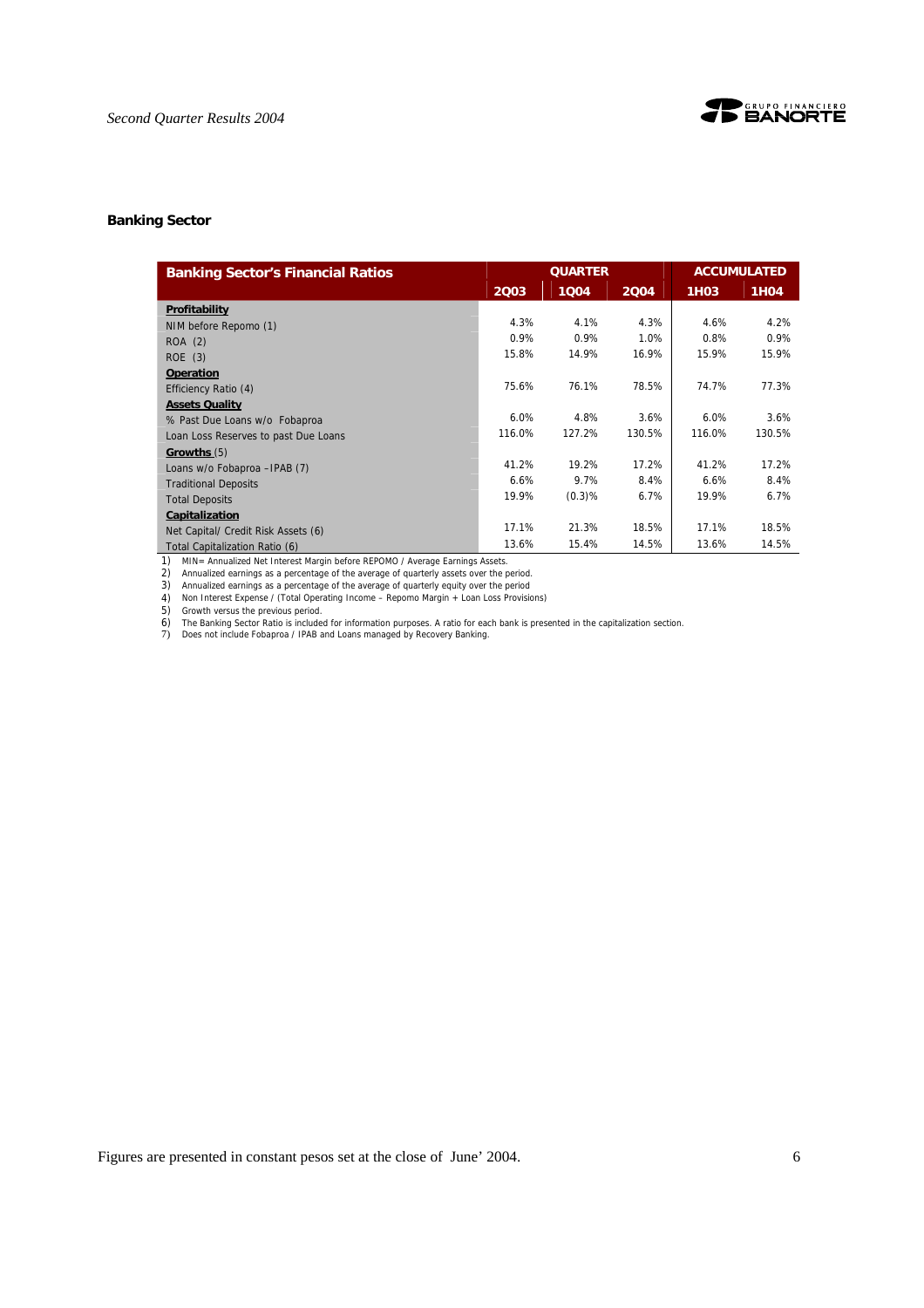

#### **Banking Sector**

| <b>Banking Sector's Financial Ratios</b> |        | <b>QUARTER</b> |        | <b>ACCUMULATED</b> |             |  |
|------------------------------------------|--------|----------------|--------|--------------------|-------------|--|
|                                          | 2003   | 1004           | 2004   | <b>1H03</b>        | <b>1H04</b> |  |
| Profitability                            |        |                |        |                    |             |  |
| NIM before Repomo (1)                    | 4.3%   | 4.1%           | 4.3%   | 4.6%               | 4.2%        |  |
| ROA (2)                                  | 0.9%   | 0.9%           | 1.0%   | 0.8%               | 0.9%        |  |
| ROE(3)                                   | 15.8%  | 14.9%          | 16.9%  | 15.9%              | 15.9%       |  |
| <b>Operation</b>                         |        |                |        |                    |             |  |
| Efficiency Ratio (4)                     | 75.6%  | 76.1%          | 78.5%  | 74.7%              | 77.3%       |  |
| <b>Assets Quality</b>                    |        |                |        |                    |             |  |
| % Past Due Loans w/o Fobaproa            | 6.0%   | 4.8%           | 3.6%   | 6.0%               | 3.6%        |  |
| Loan Loss Reserves to past Due Loans     | 116.0% | 127.2%         | 130.5% | 116.0%             | 130.5%      |  |
| Growths (5)                              |        |                |        |                    |             |  |
| Loans w/o Fobaproa - IPAB (7)            | 41.2%  | 19.2%          | 17.2%  | 41.2%              | 17.2%       |  |
| <b>Traditional Deposits</b>              | 6.6%   | 9.7%           | 8.4%   | 6.6%               | 8.4%        |  |
| <b>Total Deposits</b>                    | 19.9%  | (0.3)%         | 6.7%   | 19.9%              | 6.7%        |  |
| Capitalization                           |        |                |        |                    |             |  |
| Net Capital/ Credit Risk Assets (6)      | 17.1%  | 21.3%          | 18.5%  | 17.1%              | 18.5%       |  |
| Total Capitalization Ratio (6)           | 13.6%  | 15.4%          | 14.5%  | 13.6%              | 14.5%       |  |

1) MIN= Annualized Net Interest Margin before REPOMO / Average Earnings Assets. 2) Annualized earnings as a percentage of the average of quarterly assets over the period.

3) Annualized earnings as a percentage of the average of quarterly equity over the period 4) Non Interest Expense / (Total Operating Income – Repomo Margin + Loan Loss Provisions)

5) Growth versus the previous period.

6) The Banking Sector Ratio is included for information purposes. A ratio for each bank is presented in the capitalization section. 7) Does not include Fobaproa / IPAB and Loans managed by Recovery Banking.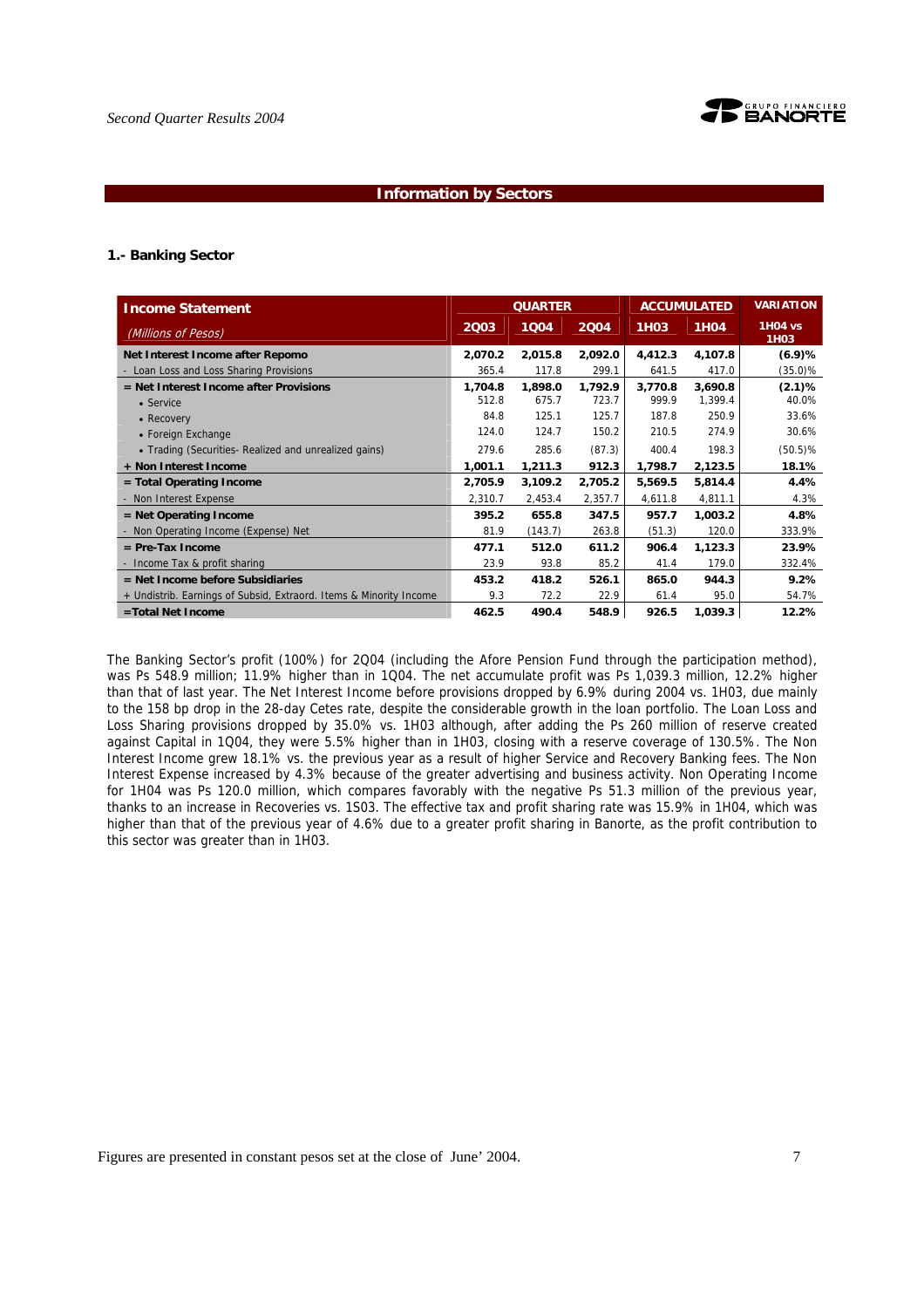

#### **Information by Sectors**

#### **1.- Banking Sector**

|                                                                    |         | <b>QUARTER</b> |         |             | <b>ACCUMULATED</b> | <b>VARIATION</b>                    |
|--------------------------------------------------------------------|---------|----------------|---------|-------------|--------------------|-------------------------------------|
| <b>Income Statement</b>                                            |         |                |         |             |                    |                                     |
| (Millions of Pesos)                                                | 2003    | 1004           | 2004    | <b>1H03</b> | <b>1H04</b>        | <b>1H04 vs</b><br>1H <sub>0</sub> 3 |
| Net Interest Income after Repomo                                   | 2,070.2 | 2,015.8        | 2,092.0 | 4,412.3     | 4,107.8            | (6.9)%                              |
| - Loan Loss and Loss Sharing Provisions                            | 365.4   | 117.8          | 299.1   | 641.5       | 417.0              | (35.0)%                             |
| = Net Interest Income after Provisions                             | 1.704.8 | 1,898.0        | 1.792.9 | 3.770.8     | 3,690.8            | (2.1)%                              |
| • Service                                                          | 512.8   | 675.7          | 723.7   | 999.9       | 1,399.4            | 40.0%                               |
| • Recovery                                                         | 84.8    | 125.1          | 125.7   | 187.8       | 250.9              | 33.6%                               |
| • Foreign Exchange                                                 | 124.0   | 124.7          | 150.2   | 210.5       | 274.9              | 30.6%                               |
| • Trading (Securities- Realized and unrealized gains)              | 279.6   | 285.6          | (87.3)  | 400.4       | 198.3              | $(50.5)\%$                          |
| + Non Interest Income                                              | 1,001.1 | 1,211.3        | 912.3   | 1,798.7     | 2,123.5            | 18.1%                               |
| $=$ Total Operating Income                                         | 2,705.9 | 3,109.2        | 2,705.2 | 5,569.5     | 5,814.4            | 4.4%                                |
| - Non Interest Expense                                             | 2,310.7 | 2,453.4        | 2,357.7 | 4,611.8     | 4,811.1            | 4.3%                                |
| $=$ Net Operating Income                                           | 395.2   | 655.8          | 347.5   | 957.7       | 1,003.2            | 4.8%                                |
| - Non Operating Income (Expense) Net                               | 81.9    | (143.7)        | 263.8   | (51.3)      | 120.0              | 333.9%                              |
| $=$ Pre-Tax Income                                                 | 477.1   | 512.0          | 611.2   | 906.4       | 1,123.3            | 23.9%                               |
| - Income Tax & profit sharing                                      | 23.9    | 93.8           | 85.2    | 41.4        | 179.0              | 332.4%                              |
| $=$ Net Income before Subsidiaries                                 | 453.2   | 418.2          | 526.1   | 865.0       | 944.3              | 9.2%                                |
| + Undistrib. Earnings of Subsid, Extraord. Items & Minority Income | 9.3     | 72.2           | 22.9    | 61.4        | 95.0               | 54.7%                               |
| =Total Net Income                                                  | 462.5   | 490.4          | 548.9   | 926.5       | 1,039.3            | 12.2%                               |

The Banking Sector's profit (100%) for 2Q04 (including the Afore Pension Fund through the participation method), was Ps 548.9 million; 11.9% higher than in 1Q04. The net accumulate profit was Ps 1,039.3 million, 12.2% higher than that of last year. The Net Interest Income before provisions dropped by 6.9% during 2004 vs. 1H03, due mainly to the 158 bp drop in the 28-day Cetes rate, despite the considerable growth in the loan portfolio. The Loan Loss and Loss Sharing provisions dropped by 35.0% vs. 1H03 although, after adding the Ps 260 million of reserve created against Capital in 1Q04, they were 5.5% higher than in 1H03, closing with a reserve coverage of 130.5%. The Non Interest Income grew 18.1% vs. the previous year as a result of higher Service and Recovery Banking fees. The Non Interest Expense increased by 4.3% because of the greater advertising and business activity. Non Operating Income for 1H04 was Ps 120.0 million, which compares favorably with the negative Ps 51.3 million of the previous year, thanks to an increase in Recoveries vs. 1S03. The effective tax and profit sharing rate was 15.9% in 1H04, which was higher than that of the previous year of 4.6% due to a greater profit sharing in Banorte, as the profit contribution to this sector was greater than in 1H03.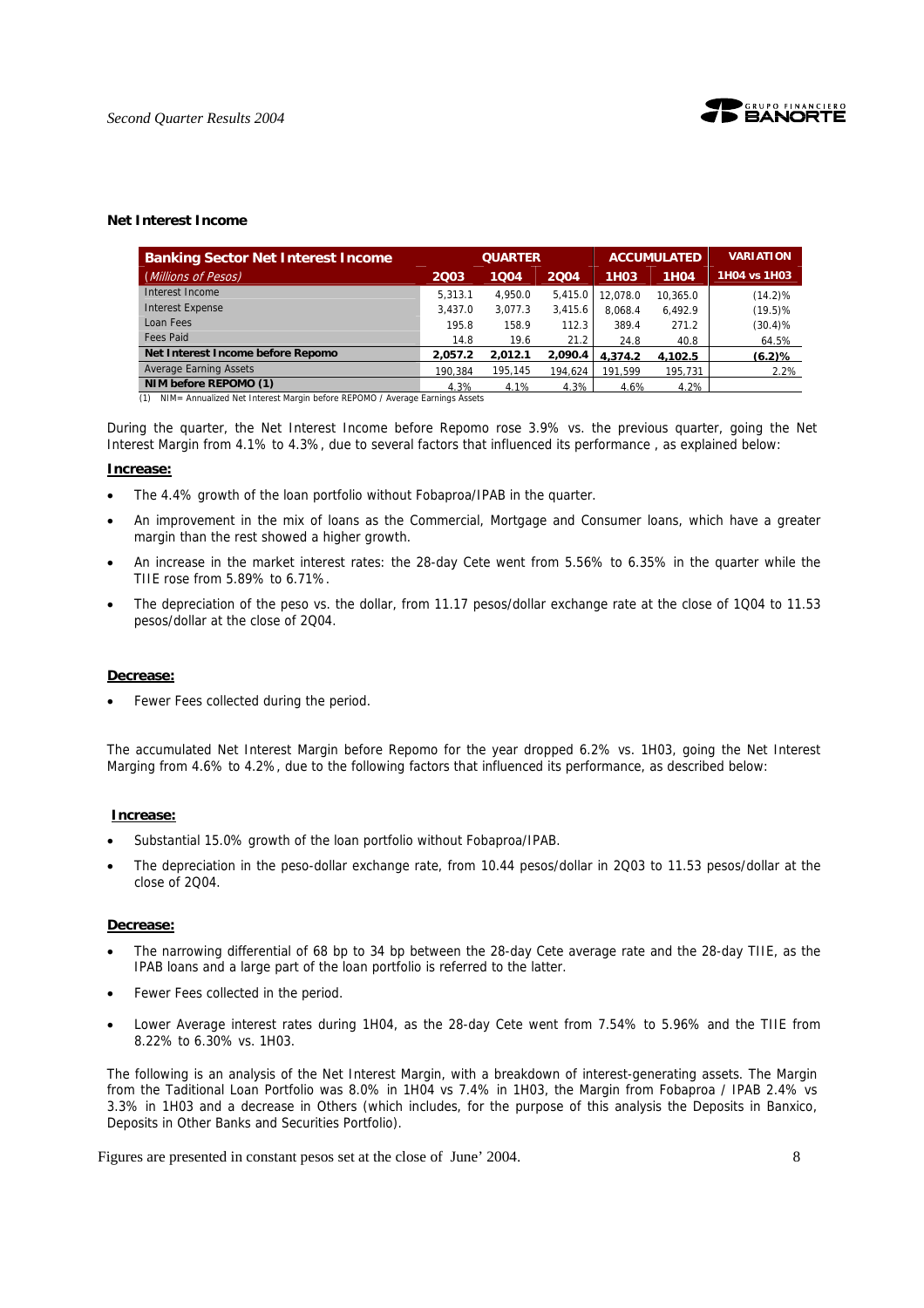

#### **Net Interest Income**

| <b>Banking Sector Net Interest Income</b>                                          |         | <b>QUARTER</b> |         |                   | <b>ACCUMULATED</b> | <b>VARIATION</b> |
|------------------------------------------------------------------------------------|---------|----------------|---------|-------------------|--------------------|------------------|
| (Millions of Pesos)                                                                | 2003    | 1004           | 2004    | 1H <sub>0</sub> 3 | <b>1H04</b>        | 1H04 vs 1H03     |
| Interest Income                                                                    | 5.313.1 | 4.950.0        | 5.415.0 | 12.078.0          | 10.365.0           | $(14.2)\%$       |
| <b>Interest Expense</b>                                                            | 3.437.0 | 3.077.3        | 3.415.6 | 8.068.4           | 6.492.9            | $(19.5)\%$       |
| Loan Fees                                                                          | 195.8   | 158.9          | 112.3   | 389.4             | 271.2              | $(30.4)\%$       |
| <b>Fees Paid</b>                                                                   | 14.8    | 19.6           | 21.2    | 24.8              | 40.8               | 64.5%            |
| Net Interest Income before Repomo                                                  | 2,057.2 | 2,012.1        | 2.090.4 | 4.374.2           | 4.102.5            | (6.2)%           |
| <b>Average Earning Assets</b>                                                      | 190.384 | 195,145        | 194.624 | 191.599           | 195.731            | 2.2%             |
| NIM before REPOMO (1)                                                              | 4.3%    | 4.1%           | 4.3%    | 4.6%              | 4.2%               |                  |
| NIM= Annualized Net Interest Margin before REPOMO / Average Earnings Assets<br>(1) |         |                |         |                   |                    |                  |

During the quarter, the Net Interest Income before Repomo rose 3.9% vs. the previous quarter, going the Net Interest Margin from 4.1% to 4.3%, due to several factors that influenced its performance , as explained below:

#### **Increase:**

- The 4.4% growth of the loan portfolio without Fobaproa/IPAB in the quarter.
- An improvement in the mix of loans as the Commercial, Mortgage and Consumer loans, which have a greater margin than the rest showed a higher growth.
- An increase in the market interest rates: the 28-day Cete went from 5.56% to 6.35% in the quarter while the TIIE rose from 5.89% to 6.71%.
- The depreciation of the peso vs. the dollar, from 11.17 pesos/dollar exchange rate at the close of 1Q04 to 11.53 pesos/dollar at the close of 2Q04.

#### **Decrease:**

Fewer Fees collected during the period.

The accumulated Net Interest Margin before Repomo for the year dropped 6.2% vs. 1H03, going the Net Interest Marging from 4.6% to 4.2%, due to the following factors that influenced its performance, as described below:

#### **Increase:**

- Substantial 15.0% growth of the loan portfolio without Fobaproa/IPAB.
- The depreciation in the peso-dollar exchange rate, from 10.44 pesos/dollar in 2Q03 to 11.53 pesos/dollar at the close of 2Q04.

#### **Decrease:**

- The narrowing differential of 68 bp to 34 bp between the 28-day Cete average rate and the 28-day TIIE, as the IPAB loans and a large part of the loan portfolio is referred to the latter.
- Fewer Fees collected in the period.
- Lower Average interest rates during 1H04, as the 28-day Cete went from 7.54% to 5.96% and the TIIE from 8.22% to 6.30% vs. 1H03.

The following is an analysis of the Net Interest Margin, with a breakdown of interest-generating assets. The Margin from the Taditional Loan Portfolio was 8.0% in 1H04 vs 7.4% in 1H03, the Margin from Fobaproa / IPAB 2.4% vs 3.3% in 1H03 and a decrease in Others (which includes, for the purpose of this analysis the Deposits in Banxico, Deposits in Other Banks and Securities Portfolio).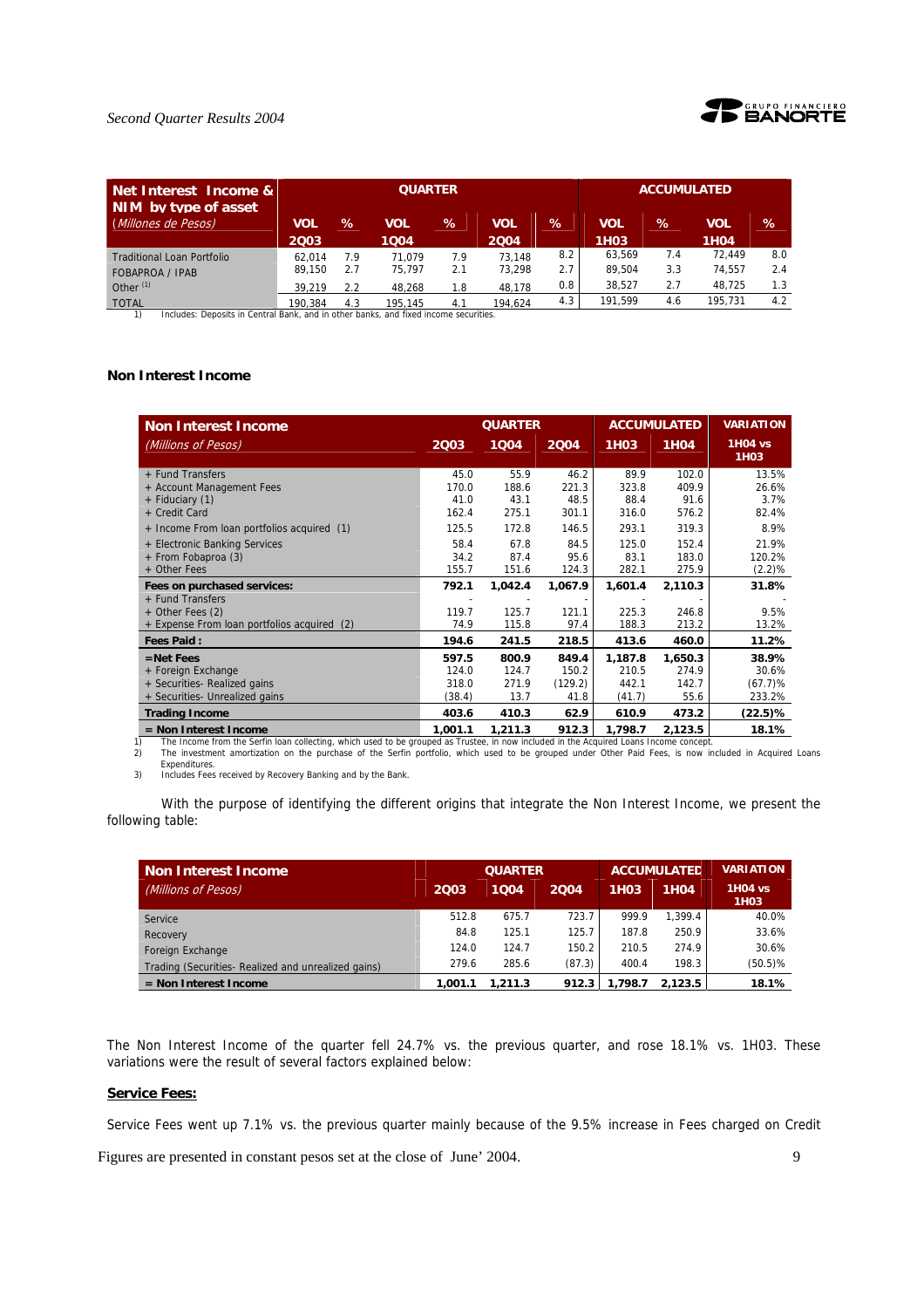

### *Second Quarter Results 2004*

| Net Interest Income &<br>NIM by type of asset                                                        |                            |                   | <b>QUARTER</b>             |                   | <b>ACCUMULATED</b>         |                   |                                 |                   |                            |                   |
|------------------------------------------------------------------------------------------------------|----------------------------|-------------------|----------------------------|-------------------|----------------------------|-------------------|---------------------------------|-------------------|----------------------------|-------------------|
| (Millones de Pesos)                                                                                  | <b>VOL</b><br>2003         | $\%$              | VOL<br>1004                | $\%$              | <b>VOL</b><br>2004         | $\%$              | <b>VOL</b><br>1H <sub>0</sub> 3 | %                 | <b>VOL</b><br><b>1H04</b>  | %                 |
| <b>Traditional Loan Portfolio</b><br><b>FOBAPROA / IPAB</b><br>Other $(1)$                           | 62.014<br>89.150<br>39.219 | 7.9<br>2.7<br>2.2 | 71.079<br>75.797<br>48.268 | 7.9<br>2.1<br>1.8 | 73.148<br>73.298<br>48.178 | 8.2<br>2.7<br>0.8 | 63.569<br>89.504<br>38.527      | 7.4<br>3.3<br>2.7 | 72.449<br>74.557<br>48.725 | 8.0<br>2.4<br>1.3 |
| <b>TOTAL</b><br>Includes: Deposits in Central Bank, and in other banks, and fixed income securities. | 190.384                    | 4.3               | 195.145                    | 4.1               | 194.624                    | 4.3               | 191.599                         | 4.6               | 195.731                    | 4.2               |

#### **Non Interest Income**

| <b>Non Interest Income</b>                  |         | <b>QUARTER</b> |         |             | <b>ACCUMULATED</b> | <b>VARIATION</b> |  |
|---------------------------------------------|---------|----------------|---------|-------------|--------------------|------------------|--|
| (Millions of Pesos)                         | 2Q03    | 1004           | 2004    | <b>1H03</b> | <b>1H04</b>        | 1H04 vs<br>1H03  |  |
| + Fund Transfers                            | 45.0    | 55.9           | 46.2    | 89.9        | 102.0              | 13.5%            |  |
| + Account Management Fees                   | 170.0   | 188.6          | 221.3   | 323.8       | 409.9              | 26.6%            |  |
| + Fiduciary (1)                             | 41.0    | 43.1           | 48.5    | 88.4        | 91.6               | 3.7%             |  |
| + Credit Card                               | 162.4   | 275.1          | 301.1   | 316.0       | 576.2              | 82.4%            |  |
| + Income From loan portfolios acquired (1)  | 125.5   | 172.8          | 146.5   | 293.1       | 319.3              | 8.9%             |  |
| + Electronic Banking Services               | 58.4    | 67.8           | 84.5    | 125.0       | 152.4              | 21.9%            |  |
| + From Fobaproa (3)                         | 34.2    | 87.4           | 95.6    | 83.1        | 183.0              | 120.2%           |  |
| + Other Fees                                | 155.7   | 151.6          | 124.3   | 282.1       | 275.9              | $(2.2)\%$        |  |
| Fees on purchased services:                 | 792.1   | 1,042.4        | 1,067.9 | 1,601.4     | 2,110.3            | 31.8%            |  |
| + Fund Transfers                            |         |                |         |             |                    |                  |  |
| + Other Fees (2)                            | 119.7   | 125.7          | 121.1   | 225.3       | 246.8              | 9.5%             |  |
| + Expense From loan portfolios acquired (2) | 74.9    | 115.8          | 97.4    | 188.3       | 213.2              | 13.2%            |  |
| <b>Fees Paid:</b>                           | 194.6   | 241.5          | 218.5   | 413.6       | 460.0              | 11.2%            |  |
| $=$ Net Fees                                | 597.5   | 800.9          | 849.4   | 1,187.8     | 1,650.3            | 38.9%            |  |
| + Foreign Exchange                          | 124.0   | 124.7          | 150.2   | 210.5       | 274.9              | 30.6%            |  |
| + Securities- Realized gains                | 318.0   | 271.9          | (129.2) | 442.1       | 142.7              | $(67.7)$ %       |  |
| + Securities- Unrealized gains              | (38.4)  | 13.7           | 41.8    | (41.7)      | 55.6               | 233.2%           |  |
| <b>Trading Income</b>                       | 403.6   | 410.3          | 62.9    | 610.9       | 473.2              | (22.5)%          |  |
| $=$ Non Interest Income                     | 1,001.1 | 1,211.3        | 912.3   | 1.798.7     | 2,123.5            | 18.1%            |  |

Expenditures. 3) Includes Fees received by Recovery Banking and by the Bank.

With the purpose of identifying the different origins that integrate the Non Interest Income, we present the following table:

| Non Interest Income                                |         | <b>QUARTER</b> |        |                   | <b>ACCUMULATED</b> | <b>VARIATION</b>                    |
|----------------------------------------------------|---------|----------------|--------|-------------------|--------------------|-------------------------------------|
| (Millions of Pesos)                                | 2003    | 1004           | 2004   | 1H <sub>0</sub> 3 | 1H <sub>04</sub>   | <b>1H04 vs</b><br>1H <sub>0</sub> 3 |
| Service                                            | 512.8   | 675.7          | 723.7  | 999.9             | 1.399.4            | 40.0%                               |
| Recovery                                           | 84.8    | 125.1          | 125.7  | 187.8             | 250.9              | 33.6%                               |
| Foreign Exchange                                   | 124.0   | 124.7          | 150.2  | 210.5             | 274.9              | 30.6%                               |
| Trading (Securities-Realized and unrealized gains) | 279.6   | 285.6          | (87.3) | 400.4             | 198.3              | $(50.5)$ %                          |
| $=$ Non Interest Income                            | 1.001.1 | 1.211.3        | 912.3  | 1.798.7           | 2.123.5            | 18.1%                               |

The Non Interest Income of the quarter fell 24.7% vs. the previous quarter, and rose 18.1% vs. 1H03. These variations were the result of several factors explained below:

#### **Service Fees:**

Service Fees went up 7.1% vs. the previous quarter mainly because of the 9.5% increase in Fees charged on Credit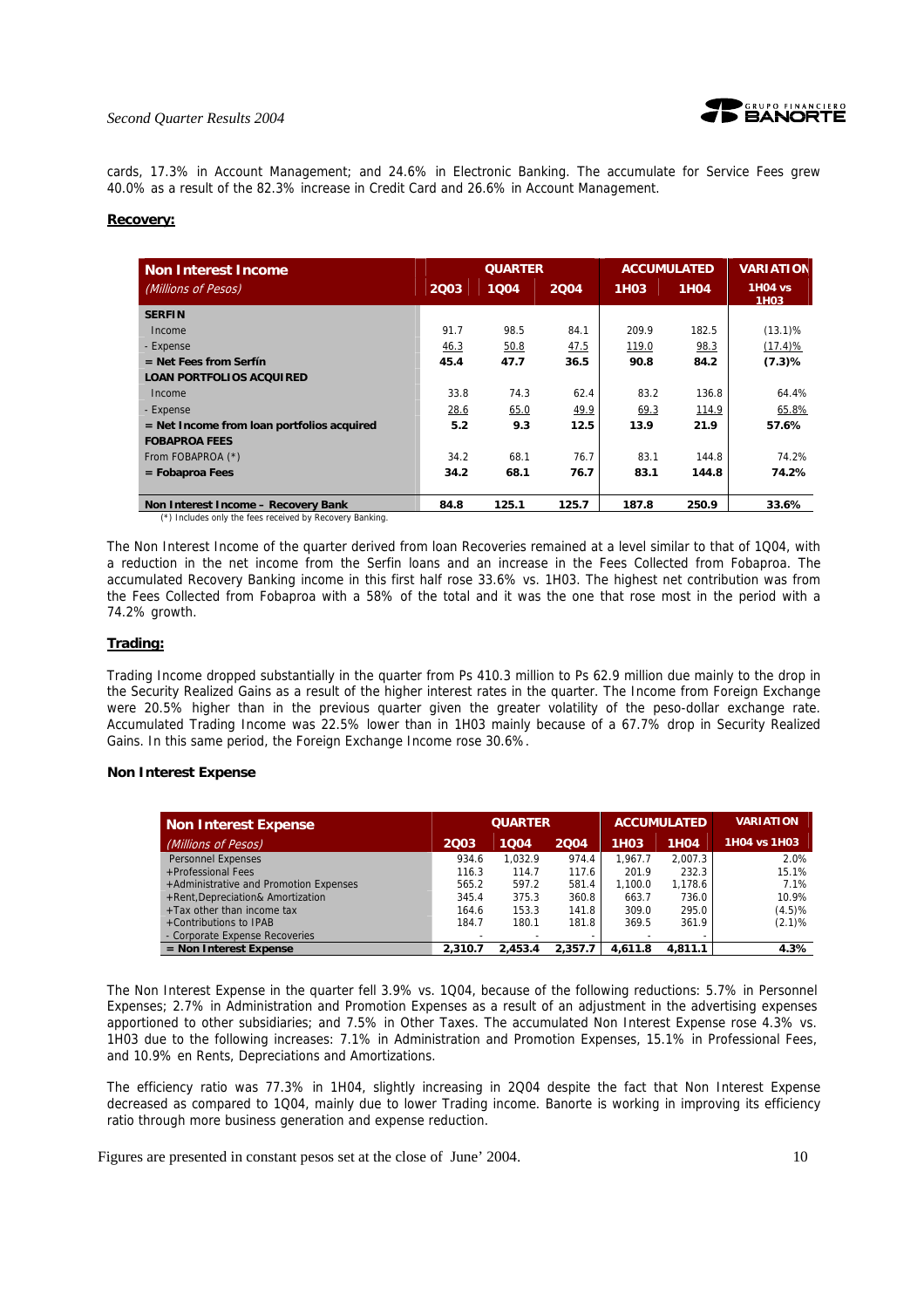#### *Second Quarter Results 2004*



cards, 17.3% in Account Management; and 24.6% in Electronic Banking. The accumulate for Service Fees grew 40.0% as a result of the 82.3% increase in Credit Card and 26.6% in Account Management.

#### **Recovery:**

| <b>Non Interest Income</b>                   |      | <b>QUARTER</b> |       |                   | <b>ACCUMULATED</b> | <b>VARIATION</b>                    |
|----------------------------------------------|------|----------------|-------|-------------------|--------------------|-------------------------------------|
| (Millions of Pesos)                          | 2003 | 1004           | 2004  | 1H <sub>0</sub> 3 | <b>1H04</b>        | <b>1H04 vs</b><br>1H <sub>0</sub> 3 |
| <b>SERFIN</b>                                |      |                |       |                   |                    |                                     |
| Income                                       | 91.7 | 98.5           | 84.1  | 209.9             | 182.5              | $(13.1)$ %                          |
| - Expense                                    | 46.3 | 50.8           | 47.5  | 119.0             | 98.3               | $(17.4)$ %                          |
| $=$ Net Fees from Serfín                     | 45.4 | 47.7           | 36.5  | 90.8              | 84.2               | (7.3)%                              |
| <b>LOAN PORTFOLIOS ACQUIRED</b>              |      |                |       |                   |                    |                                     |
| Income                                       | 33.8 | 74.3           | 62.4  | 83.2              | 136.8              | 64.4%                               |
| - Expense                                    | 28.6 | 65.0           | 49.9  | 69.3              | 114.9              | 65.8%                               |
| $=$ Net Income from loan portfolios acquired | 5.2  | 9.3            | 12.5  | 13.9              | 21.9               | 57.6%                               |
| <b>FOBAPROA FEES</b>                         |      |                |       |                   |                    |                                     |
| From FOBAPROA (*)                            | 34.2 | 68.1           | 76.7  | 83.1              | 144.8              | 74.2%                               |
| $=$ Fobaproa Fees                            | 34.2 | 68.1           | 76.7  | 83.1              | 144.8              | 74.2%                               |
|                                              |      |                |       |                   |                    |                                     |
| Non Interest Income - Recovery Bank          | 84.8 | 125.1          | 125.7 | 187.8             | 250.9              | 33.6%                               |

(\*) Includes only the fees received by Recovery Banking.

The Non Interest Income of the quarter derived from loan Recoveries remained at a level similar to that of 1Q04, with a reduction in the net income from the Serfin loans and an increase in the Fees Collected from Fobaproa. The accumulated Recovery Banking income in this first half rose 33.6% vs. 1H03. The highest net contribution was from the Fees Collected from Fobaproa with a 58% of the total and it was the one that rose most in the period with a 74.2% growth.

#### **Trading:**

Trading Income dropped substantially in the quarter from Ps 410.3 million to Ps 62.9 million due mainly to the drop in the Security Realized Gains as a result of the higher interest rates in the quarter. The Income from Foreign Exchange were 20.5% higher than in the previous quarter given the greater volatility of the peso-dollar exchange rate. Accumulated Trading Income was 22.5% lower than in 1H03 mainly because of a 67.7% drop in Security Realized Gains. In this same period, the Foreign Exchange Income rose 30.6%.

#### **Non Interest Expense**

| Non Interest Expense                   |         | <b>QUARTER</b> |         |                   | <b>ACCUMULATED</b> | <b>VARIATION</b> |
|----------------------------------------|---------|----------------|---------|-------------------|--------------------|------------------|
| (Millions of Pesos)                    | 2003    | 1004           | 2004    | 1H <sub>0</sub> 3 | <b>1H04</b>        | 1H04 vs 1H03     |
| <b>Personnel Expenses</b>              | 934.6   | 1.032.9        | 974.4   | 1.967.7           | 2.007.3            | 2.0%             |
| +Professional Fees                     | 116.3   | 114.7          | 117.6   | 201.9             | 232.3              | 15.1%            |
| +Administrative and Promotion Expenses | 565.2   | 597.2          | 581.4   | 1.100.0           | 1.178.6            | 7.1%             |
| +Rent, Depreciation& Amortization      | 345.4   | 375.3          | 360.8   | 663.7             | 736.0              | 10.9%            |
| $+$ Tax other than income tax          | 164.6   | 153.3          | 141.8   | 309.0             | 295.0              | (4.5)%           |
| +Contributions to IPAB                 | 184.7   | 180.1          | 181.8   | 369.5             | 361.9              | (2.1)%           |
| - Corporate Expense Recoveries         |         |                |         |                   |                    |                  |
| $=$ Non Interest Expense               | 2.310.7 | 2,453.4        | 2.357.7 | 4.611.8           | 4,811.1            | 4.3%             |

The Non Interest Expense in the quarter fell 3.9% vs. 1Q04, because of the following reductions: 5.7% in Personnel Expenses; 2.7% in Administration and Promotion Expenses as a result of an adjustment in the advertising expenses apportioned to other subsidiaries; and 7.5% in Other Taxes. The accumulated Non Interest Expense rose 4.3% vs. 1H03 due to the following increases: 7.1% in Administration and Promotion Expenses, 15.1% in Professional Fees, and 10.9% en Rents, Depreciations and Amortizations.

The efficiency ratio was 77.3% in 1H04, slightly increasing in 2Q04 despite the fact that Non Interest Expense decreased as compared to 1Q04, mainly due to lower Trading income. Banorte is working in improving its efficiency ratio through more business generation and expense reduction.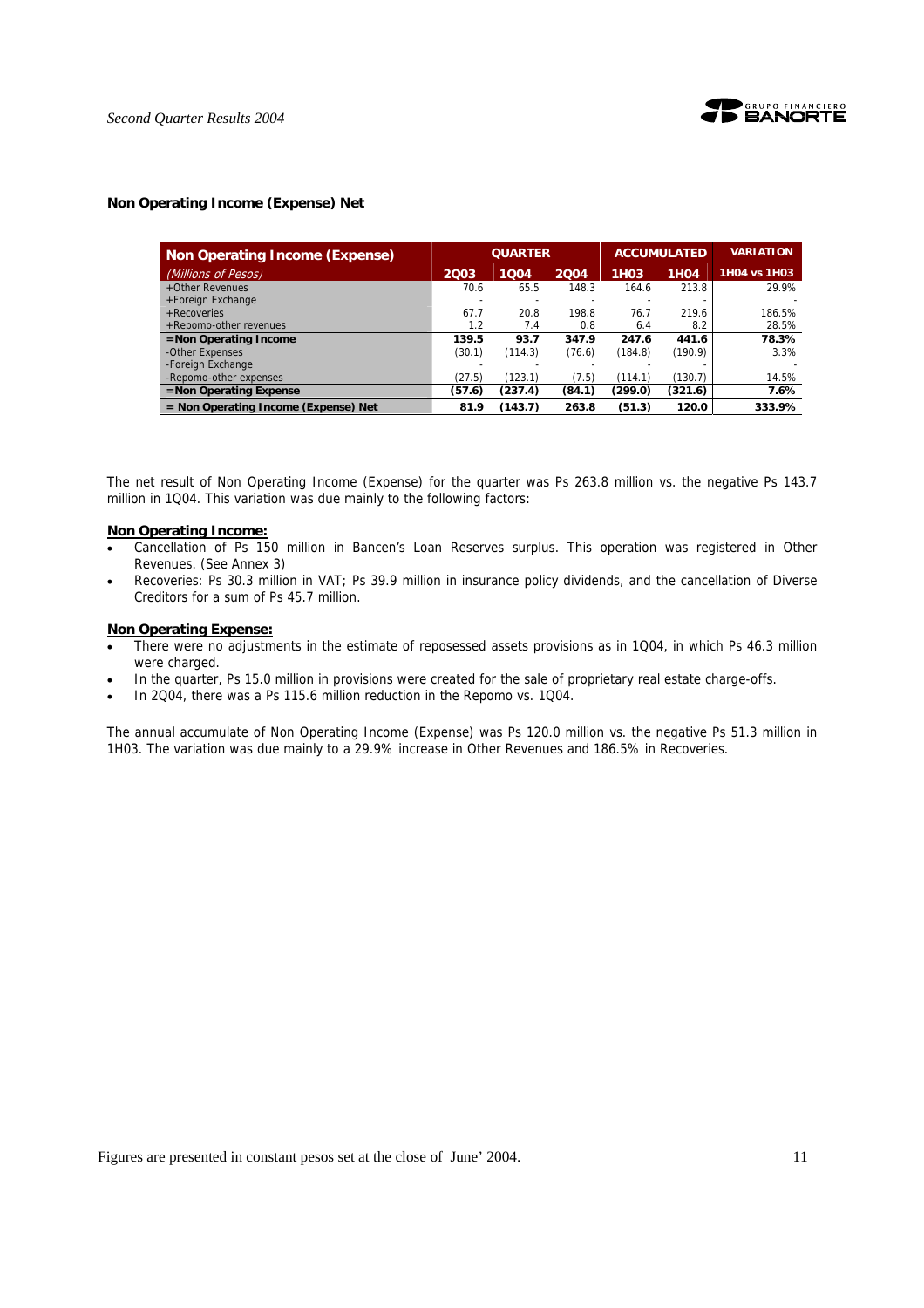#### **Non Operating Income (Expense) Net**

| <b>Non Operating Income (Expense)</b> |        | <b>QUARTER</b> |        |             | <b>ACCUMULATED</b> | <b>VARIATION</b> |
|---------------------------------------|--------|----------------|--------|-------------|--------------------|------------------|
| (Millions of Pesos)                   | 2003   | 1004           | 2004   | <b>1H03</b> | <b>1H04</b>        | 1H04 vs 1H03     |
| +Other Revenues                       | 70.6   | 65.5           | 148.3  | 164.6       | 213.8              | 29.9%            |
| +Foreign Exchange                     |        |                |        |             |                    |                  |
| $+$ Recoveries                        | 67.7   | 20.8           | 198.8  | 76.7        | 219.6              | 186.5%           |
| +Repomo-other revenues                | 1.2    | 7.4            | 0.8    | 6.4         | 8.2                | 28.5%            |
| $=$ Non Operating Income              | 139.5  | 93.7           | 347.9  | 247.6       | 441.6              | 78.3%            |
| -Other Expenses                       | (30.1) | (114.3)        | (76.6) | (184.8)     | (190.9)            | 3.3%             |
| -Foreign Exchange                     |        |                |        |             |                    |                  |
| -Repomo-other expenses                | (27.5) | (123.1)        | (7.5)  | (114.1)     | (130.7)            | 14.5%            |
| $=$ Non Operating Expense             | (57.6) | (237.4)        | (84.1) | (299.0)     | (321.6)            | 7.6%             |
| = Non Operating Income (Expense) Net  | 81.9   | (143.7)        | 263.8  | (51.3)      | 120.0              | 333.9%           |

The net result of Non Operating Income (Expense) for the quarter was Ps 263.8 million vs. the negative Ps 143.7 million in 1Q04. This variation was due mainly to the following factors:

#### **Non Operating Income:**

- Cancellation of Ps 150 million in Bancen's Loan Reserves surplus. This operation was registered in Other Revenues. (See Annex 3)
- Recoveries: Ps 30.3 million in VAT; Ps 39.9 million in insurance policy dividends, and the cancellation of Diverse Creditors for a sum of Ps 45.7 million.

#### **Non Operating Expense:**

- There were no adjustments in the estimate of reposessed assets provisions as in 1Q04, in which Ps 46.3 million were charged.
- In the quarter, Ps 15.0 million in provisions were created for the sale of proprietary real estate charge-offs.
- In 2Q04, there was a Ps 115.6 million reduction in the Repomo vs. 1Q04.

The annual accumulate of Non Operating Income (Expense) was Ps 120.0 million vs. the negative Ps 51.3 million in 1H03. The variation was due mainly to a 29.9% increase in Other Revenues and 186.5% in Recoveries.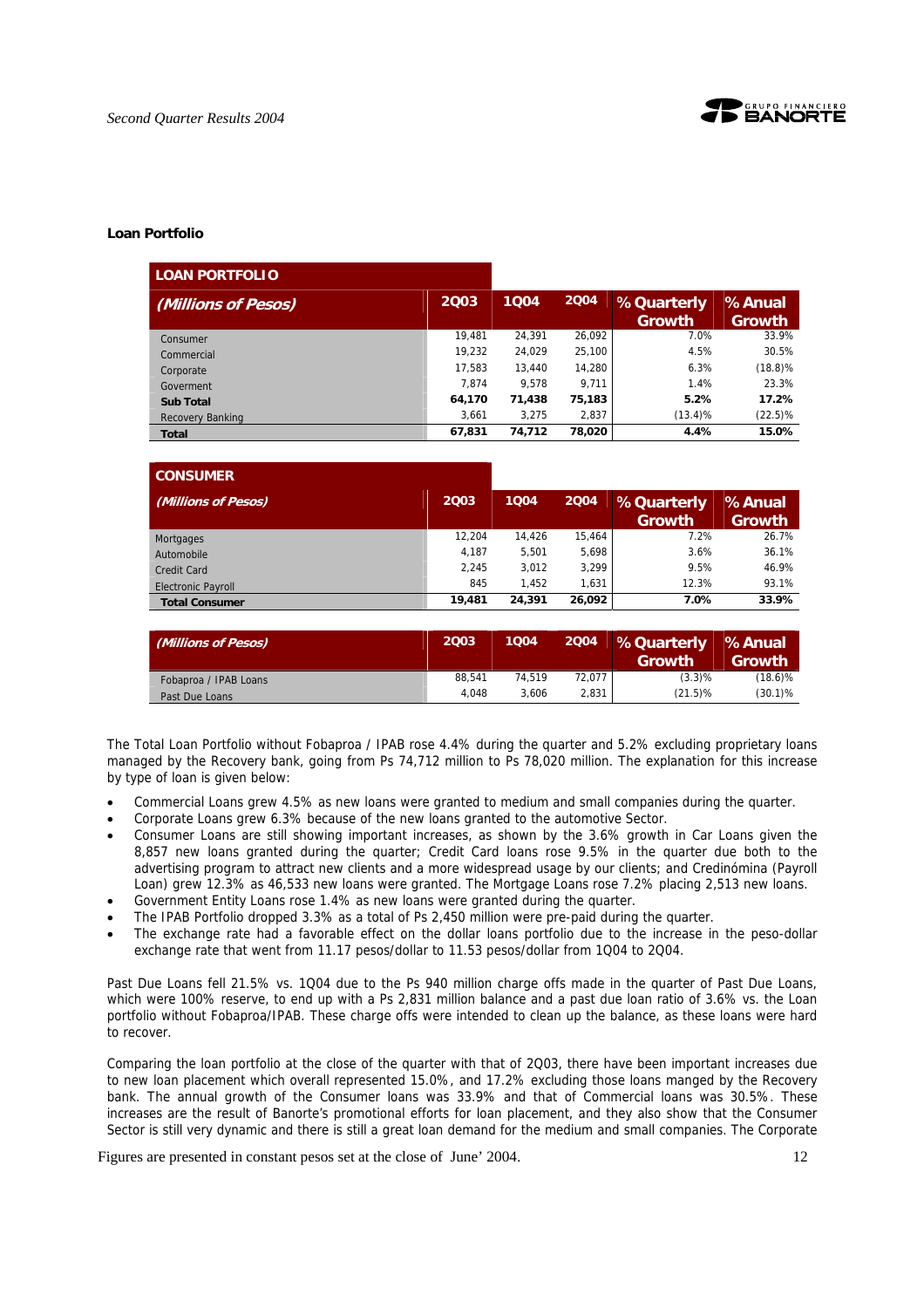

#### **Loan Portfolio**

| <b>LOAN PORTFOLIO</b> |        |        |        |                             |                         |
|-----------------------|--------|--------|--------|-----------------------------|-------------------------|
| (Millions of Pesos)   | 2003   | 1004   | 2004   | <b>%Quarterly</b><br>Growth | %Anual<br><b>Growth</b> |
| Consumer              | 19.481 | 24.391 | 26.092 | 7.0%                        | 33.9%                   |
| Commercial            | 19.232 | 24.029 | 25,100 | 4.5%                        | 30.5%                   |
| Corporate             | 17.583 | 13,440 | 14,280 | 6.3%                        | $(18.8)$ %              |
| Goverment             | 7.874  | 9.578  | 9.711  | 1.4%                        | 23.3%                   |
| <b>Sub Total</b>      | 64,170 | 71,438 | 75,183 | 5.2%                        | 17.2%                   |
| Recovery Banking      | 3.661  | 3.275  | 2,837  | $(13.4)\%$                  | $(22.5)\%$              |
| <b>Total</b>          | 67,831 | 74,712 | 78,020 | 4.4%                        | 15.0%                   |

| <b>CONSUMER</b>           |        |        |        |                   |               |
|---------------------------|--------|--------|--------|-------------------|---------------|
| (Millions of Pesos)       | 2003   | 1004   | 2004   | <b>%Quarterly</b> | %Anual        |
|                           |        |        |        | Growth            | <b>Growth</b> |
| Mortgages                 | 12.204 | 14.426 | 15.464 | 7.2%              | 26.7%         |
| Automobile                | 4.187  | 5.501  | 5,698  | 3.6%              | 36.1%         |
| Credit Card               | 2,245  | 3.012  | 3.299  | 9.5%              | 46.9%         |
| <b>Electronic Payroll</b> | 845    | 1.452  | 1.631  | 12.3%             | 93.1%         |
| <b>Total Consumer</b>     | 19,481 | 24.391 | 26,092 | 7.0%              | 33.9%         |

| (Millions of Pesos)   | 2003   | 1004   | 2004   | <b>M</b> SQuarterly<br>Growth | %Anual<br>Growth |
|-----------------------|--------|--------|--------|-------------------------------|------------------|
| Fobaproa / IPAB Loans | 88.541 | 74.519 | 72.077 | (3.3)%                        | $(18.6)\%$       |
| Past Due Loans        | 4.048  | 3.606  | 2.831  | $(21.5)\%$                    | $(30.1)\%$       |

The Total Loan Portfolio without Fobaproa / IPAB rose 4.4% during the quarter and 5.2% excluding proprietary loans managed by the Recovery bank, going from Ps 74,712 million to Ps 78,020 million. The explanation for this increase by type of loan is given below:

- Commercial Loans grew 4.5% as new loans were granted to medium and small companies during the quarter.
- Corporate Loans grew 6.3% because of the new loans granted to the automotive Sector.
- Consumer Loans are still showing important increases, as shown by the 3.6% growth in Car Loans given the 8,857 new loans granted during the quarter; Credit Card loans rose 9.5% in the quarter due both to the advertising program to attract new clients and a more widespread usage by our clients; and Credinómina (Payroll Loan) grew 12.3% as 46,533 new loans were granted. The Mortgage Loans rose 7.2% placing 2,513 new loans.
- Government Entity Loans rose 1.4% as new loans were granted during the quarter.
- The IPAB Portfolio dropped 3.3% as a total of Ps 2,450 million were pre-paid during the quarter.
- The exchange rate had a favorable effect on the dollar loans portfolio due to the increase in the peso-dollar exchange rate that went from 11.17 pesos/dollar to 11.53 pesos/dollar from 1Q04 to 2Q04.

Past Due Loans fell 21.5% vs. 1Q04 due to the Ps 940 million charge offs made in the quarter of Past Due Loans, which were 100% reserve, to end up with a Ps 2,831 million balance and a past due loan ratio of 3.6% vs. the Loan portfolio without Fobaproa/IPAB. These charge offs were intended to clean up the balance, as these loans were hard to recover.

Comparing the loan portfolio at the close of the quarter with that of 2Q03, there have been important increases due to new loan placement which overall represented 15.0%, and 17.2% excluding those loans manged by the Recovery bank. The annual growth of the Consumer loans was 33.9% and that of Commercial loans was 30.5%. These increases are the result of Banorte's promotional efforts for loan placement, and they also show that the Consumer Sector is still very dynamic and there is still a great loan demand for the medium and small companies. The Corporate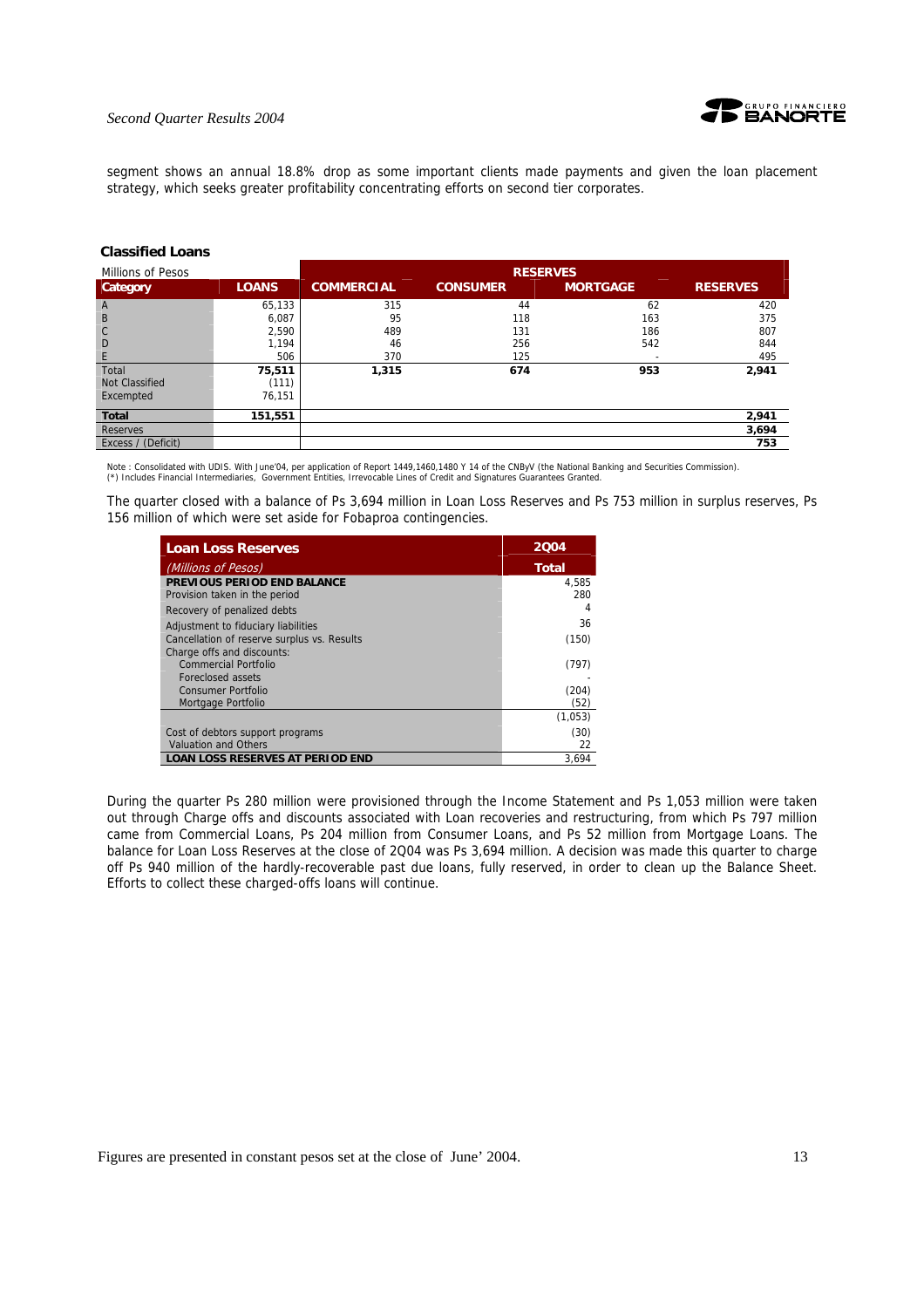

#### *Second Quarter Results 2004*

segment shows an annual 18.8% drop as some important clients made payments and given the loan placement strategy, which seeks greater profitability concentrating efforts on second tier corporates.

| Millions of Pesos  |              | <b>RESERVES</b>   |                 |                 |                 |  |
|--------------------|--------------|-------------------|-----------------|-----------------|-----------------|--|
| Category           | <b>LOANS</b> | <b>COMMERCIAL</b> | <b>CONSUMER</b> | <b>MORTGAGE</b> | <b>RESERVES</b> |  |
| $\overline{A}$     | 65,133       | 315               | 44              | 62              | 420             |  |
| B                  | 6,087        | 95                | 118             | 163             | 375             |  |
| $\mathsf{C}$       | 2,590        | 489               | 131             | 186             | 807             |  |
| D                  | 1,194        | 46                | 256             | 542             | 844             |  |
| E                  | 506          | 370               | 125             |                 | 495             |  |
| Total              | 75,511       | 1,315             | 674             | 953             | 2,941           |  |
| Not Classified     | (111)        |                   |                 |                 |                 |  |
| Excempted          | 76,151       |                   |                 |                 |                 |  |
| <b>Total</b>       | 151,551      |                   |                 |                 | 2,941           |  |
| <b>Reserves</b>    |              |                   |                 |                 | 3,694           |  |
| Excess / (Deficit) |              |                   |                 |                 | 753             |  |

### **Classified Loans**

Note : Consolidated with UDIS. With June'04, per application of Report 1449,1460,1480 Y 14 of the CNByV (the National Banking and Securities Commission).<br>(\*) Includes Financial Intermediaries, Government Entities, Irrevoc

The quarter closed with a balance of Ps 3,694 million in Loan Loss Reserves and Ps 753 million in surplus reserves, Ps 156 million of which were set aside for Fobaproa contingencies.

| <b>Loan Loss Reserves</b>                   | 2004         |
|---------------------------------------------|--------------|
| (Millions of Pesos)                         | <b>Total</b> |
| PREVIOUS PERIOD END BALANCE                 | 4,585        |
| Provision taken in the period               | 280          |
| Recovery of penalized debts                 | 4            |
| Adjustment to fiduciary liabilities         | 36           |
| Cancellation of reserve surplus vs. Results | (150)        |
| Charge offs and discounts:                  |              |
| Commercial Portfolio                        | (797)        |
| Foreclosed assets                           |              |
| Consumer Portfolio                          | (204)        |
| Mortgage Portfolio                          | (52)         |
|                                             | (1,053)      |
| Cost of debtors support programs            | (30)         |
| <b>Valuation and Others</b>                 | 22           |
| <b>LOAN LOSS RESERVES AT PERIOD END</b>     | 3.694        |

During the quarter Ps 280 million were provisioned through the Income Statement and Ps 1,053 million were taken out through Charge offs and discounts associated with Loan recoveries and restructuring, from which Ps 797 million came from Commercial Loans, Ps 204 million from Consumer Loans, and Ps 52 million from Mortgage Loans. The balance for Loan Loss Reserves at the close of 2Q04 was Ps 3,694 million. A decision was made this quarter to charge off Ps 940 million of the hardly-recoverable past due loans, fully reserved, in order to clean up the Balance Sheet. Efforts to collect these charged-offs loans will continue.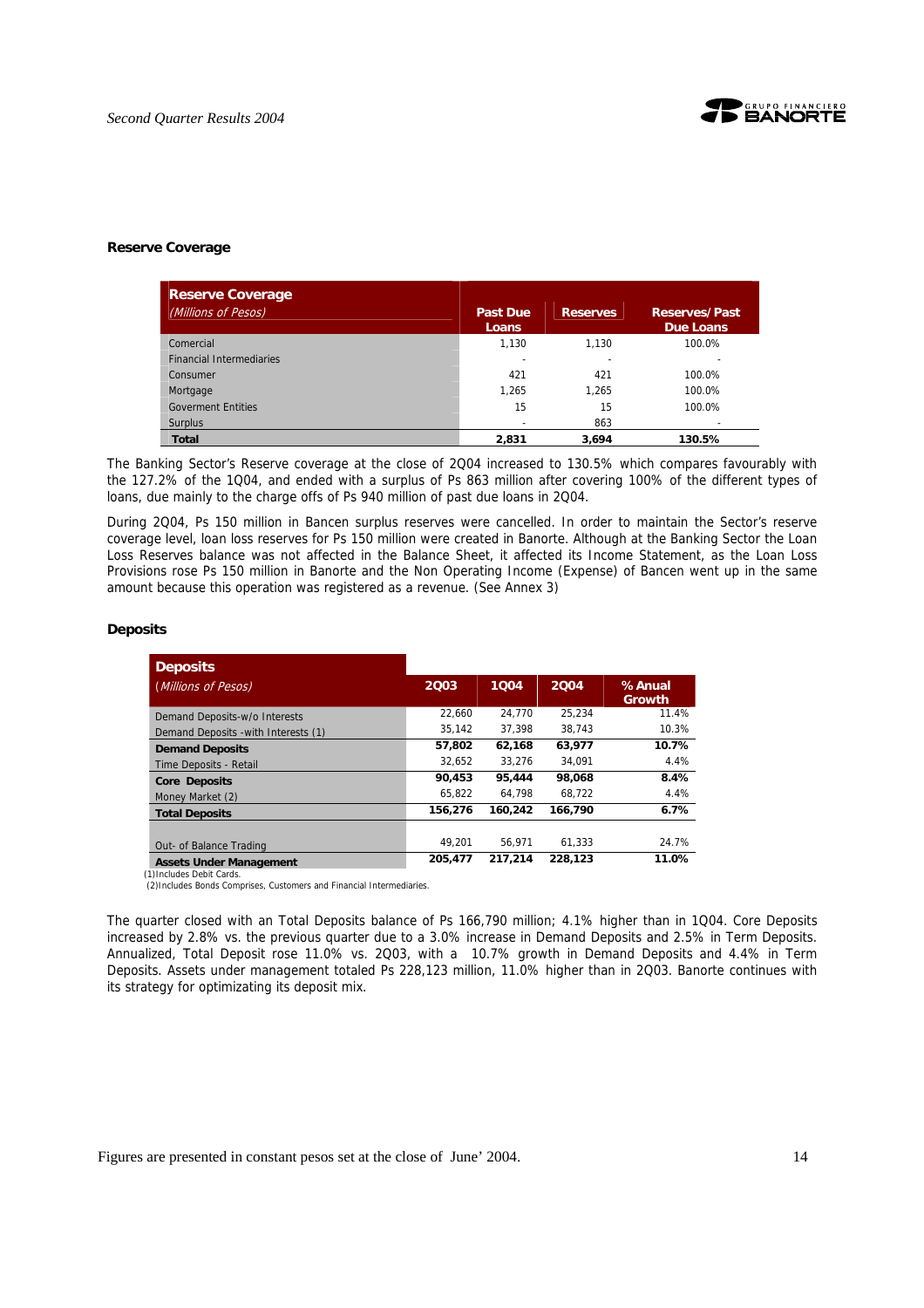

#### **Reserve Coverage**

| <b>Reserve Coverage</b>         |                          |                 |                                   |
|---------------------------------|--------------------------|-----------------|-----------------------------------|
| (Millions of Pesos)             | <b>Past Due</b><br>Loans | <b>Reserves</b> | <b>Reserves/Past</b><br>Due Loans |
| Comercial                       | 1,130                    | 1.130           | 100.0%                            |
| <b>Financial Intermediaries</b> |                          |                 |                                   |
| Consumer                        | 421                      | 421             | 100.0%                            |
| Mortgage                        | 1,265                    | 1.265           | 100.0%                            |
| <b>Goverment Entities</b>       | 15                       | 15              | 100.0%                            |
| <b>Surplus</b>                  |                          | 863             |                                   |
| <b>Total</b>                    | 2,831                    | 3.694           | 130.5%                            |

The Banking Sector's Reserve coverage at the close of 2Q04 increased to 130.5% which compares favourably with the 127.2% of the 1Q04, and ended with a surplus of Ps 863 million after covering 100% of the different types of loans, due mainly to the charge offs of Ps 940 million of past due loans in 2Q04.

During 2Q04, Ps 150 million in Bancen surplus reserves were cancelled. In order to maintain the Sector's reserve coverage level, loan loss reserves for Ps 150 million were created in Banorte. Although at the Banking Sector the Loan Loss Reserves balance was not affected in the Balance Sheet, it affected its Income Statement, as the Loan Loss Provisions rose Ps 150 million in Banorte and the Non Operating Income (Expense) of Bancen went up in the same amount because this operation was registered as a revenue. (See Annex 3)

#### **Deposits**

| <b>Deposits</b>                                             |         |         |         |                  |
|-------------------------------------------------------------|---------|---------|---------|------------------|
| (Millions of Pesos)                                         | 2003    | 1004    | 2004    | %Anual<br>Growth |
| Demand Deposits-w/o Interests                               | 22.660  | 24.770  | 25.234  | 11.4%            |
| Demand Deposits - with Interests (1)                        | 35.142  | 37.398  | 38.743  | 10.3%            |
| <b>Demand Deposits</b>                                      | 57,802  | 62,168  | 63,977  | 10.7%            |
| Time Deposits - Retail                                      | 32.652  | 33.276  | 34.091  | 4.4%             |
| <b>Core Deposits</b>                                        | 90,453  | 95,444  | 98,068  | 8.4%             |
| Money Market (2)                                            | 65.822  | 64.798  | 68.722  | 4.4%             |
| <b>Total Deposits</b>                                       | 156,276 | 160,242 | 166,790 | 6.7%             |
| Out- of Balance Trading                                     | 49.201  | 56.971  | 61.333  | 24.7%            |
| <b>Assets Under Management</b><br>(1) Includes Debit Cards. | 205.477 | 217.214 | 228.123 | 11.0%            |

(2)Includes Bonds Comprises, Customers and Financial Intermediaries.

The quarter closed with an Total Deposits balance of Ps 166,790 million; 4.1% higher than in 1Q04. Core Deposits increased by 2.8% vs. the previous quarter due to a 3.0% increase in Demand Deposits and 2.5% in Term Deposits. Annualized, Total Deposit rose 11.0% vs. 2Q03, with a 10.7% growth in Demand Deposits and 4.4% in Term Deposits. Assets under management totaled Ps 228,123 million, 11.0% higher than in 2Q03. Banorte continues with its strategy for optimizating its deposit mix.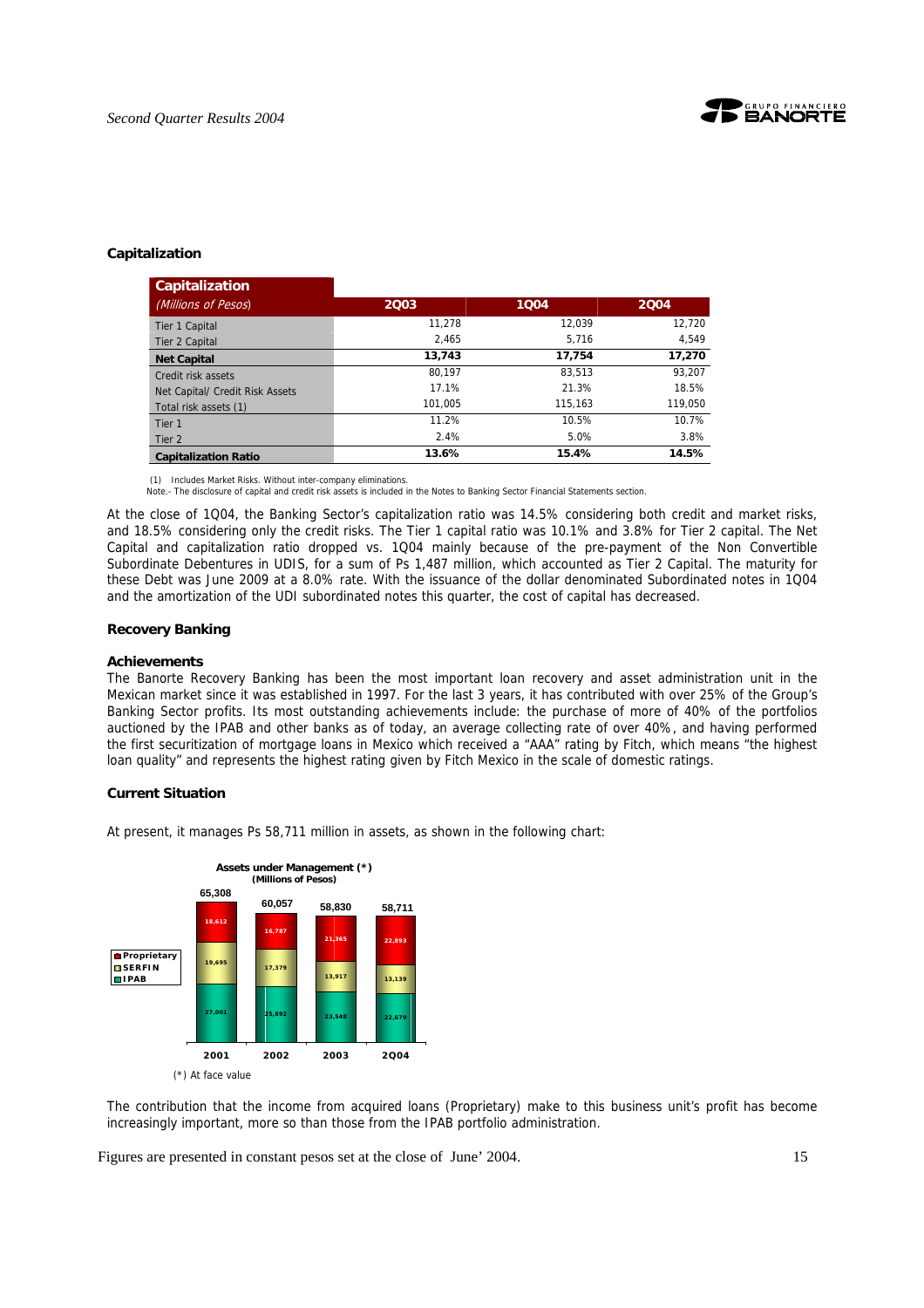

#### **Capitalization**

| Capitalization                  |         |         |         |
|---------------------------------|---------|---------|---------|
| (Millions of Pesos)             | 2003    | 1004    | 2004    |
| Tier 1 Capital                  | 11.278  | 12.039  | 12,720  |
| Tier 2 Capital                  | 2.465   | 5.716   | 4.549   |
| <b>Net Capital</b>              | 13.743  | 17.754  | 17,270  |
| Credit risk assets              | 80.197  | 83.513  | 93,207  |
| Net Capital/ Credit Risk Assets | 17.1%   | 21.3%   | 18.5%   |
| Total risk assets (1)           | 101.005 | 115.163 | 119,050 |
| Tier <sub>1</sub>               | 11.2%   | 10.5%   | 10.7%   |
| Tier 2                          | 2.4%    | 5.0%    | 3.8%    |
| <b>Capitalization Ratio</b>     | 13.6%   | 15.4%   | 14.5%   |

(1) Includes Market Risks. Without inter-company eliminations.

Note.- The disclosure of capital and credit risk assets is included in the Notes to Banking Sector Financial Statements section.

At the close of 1Q04, the Banking Sector's capitalization ratio was 14.5% considering both credit and market risks, and 18.5% considering only the credit risks. The Tier 1 capital ratio was 10.1% and 3.8% for Tier 2 capital. The Net Capital and capitalization ratio dropped vs. 1Q04 mainly because of the pre-payment of the Non Convertible Subordinate Debentures in UDIS, for a sum of Ps 1,487 million, which accounted as Tier 2 Capital. The maturity for these Debt was June 2009 at a 8.0% rate. With the issuance of the dollar denominated Subordinated notes in 1Q04 and the amortization of the UDI subordinated notes this quarter, the cost of capital has decreased.

#### **Recovery Banking**

#### **Achievements**

The Banorte Recovery Banking has been the most important loan recovery and asset administration unit in the Mexican market since it was established in 1997. For the last 3 years, it has contributed with over 25% of the Group's Banking Sector profits. Its most outstanding achievements include: the purchase of more of 40% of the portfolios auctioned by the IPAB and other banks as of today, an average collecting rate of over 40%, and having performed the first securitization of mortgage loans in Mexico which received a "AAA" rating by Fitch, which means "the highest loan quality" and represents the highest rating given by Fitch Mexico in the scale of domestic ratings.

#### **Current Situation**

At present, it manages Ps 58,711 million in assets, as shown in the following chart:



The contribution that the income from acquired loans (Proprietary) make to this business unit's profit has become increasingly important, more so than those from the IPAB portfolio administration.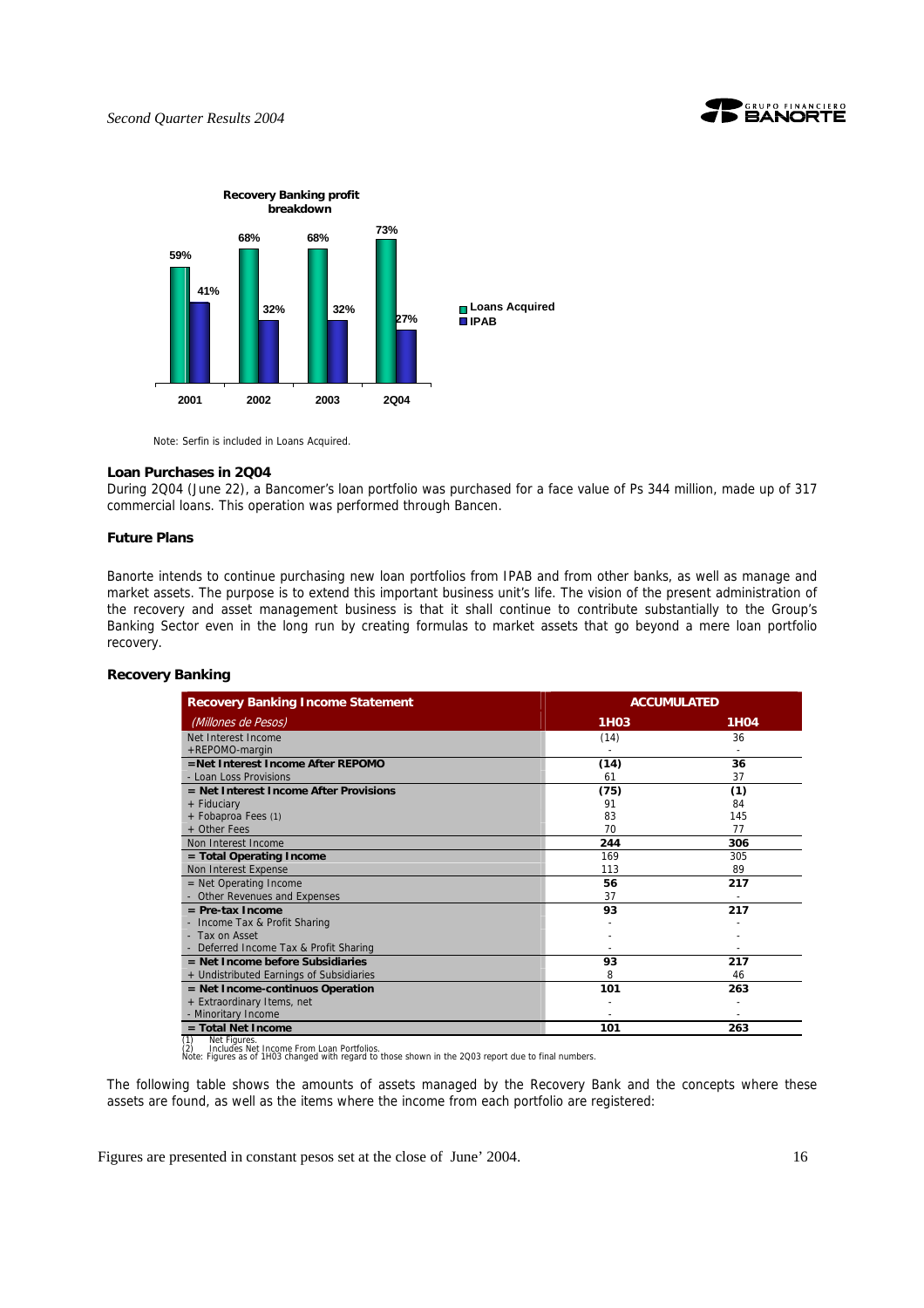





Note: Serfin is included in Loans Acquired.

#### **Loan Purchases in 2Q04**

During 2Q04 (June 22), a Bancomer's loan portfolio was purchased for a face value of Ps 344 million, made up of 317 commercial loans. This operation was performed through Bancen.

#### **Future Plans**

Banorte intends to continue purchasing new loan portfolios from IPAB and from other banks, as well as manage and market assets. The purpose is to extend this important business unit's life. The vision of the present administration of the recovery and asset management business is that it shall continue to contribute substantially to the Group's Banking Sector even in the long run by creating formulas to market assets that go beyond a mere loan portfolio recovery.

#### **Recovery Banking**

| <b>1H03</b><br>(14)<br>(14)<br>61<br>(75)<br>91<br>83<br>70<br>244<br>169 | <b>1H04</b><br>36<br>36<br>37<br>(1)<br>84<br>145<br>77<br>306<br>305                                |
|---------------------------------------------------------------------------|------------------------------------------------------------------------------------------------------|
|                                                                           |                                                                                                      |
|                                                                           |                                                                                                      |
|                                                                           |                                                                                                      |
|                                                                           |                                                                                                      |
|                                                                           |                                                                                                      |
|                                                                           |                                                                                                      |
|                                                                           |                                                                                                      |
|                                                                           |                                                                                                      |
|                                                                           |                                                                                                      |
|                                                                           |                                                                                                      |
|                                                                           |                                                                                                      |
| 113                                                                       | 89                                                                                                   |
| 56                                                                        | 217                                                                                                  |
| 37                                                                        |                                                                                                      |
| 93                                                                        | 217                                                                                                  |
|                                                                           |                                                                                                      |
|                                                                           |                                                                                                      |
|                                                                           |                                                                                                      |
| 93                                                                        | 217                                                                                                  |
| 8                                                                         | 46                                                                                                   |
| 101                                                                       | 263                                                                                                  |
|                                                                           |                                                                                                      |
|                                                                           |                                                                                                      |
| 101                                                                       | 263                                                                                                  |
|                                                                           | Note: Figures as of 1H03 changed with regard to those shown in the 2Q03 report due to final numbers. |

The following table shows the amounts of assets managed by the Recovery Bank and the concepts where these assets are found, as well as the items where the income from each portfolio are registered: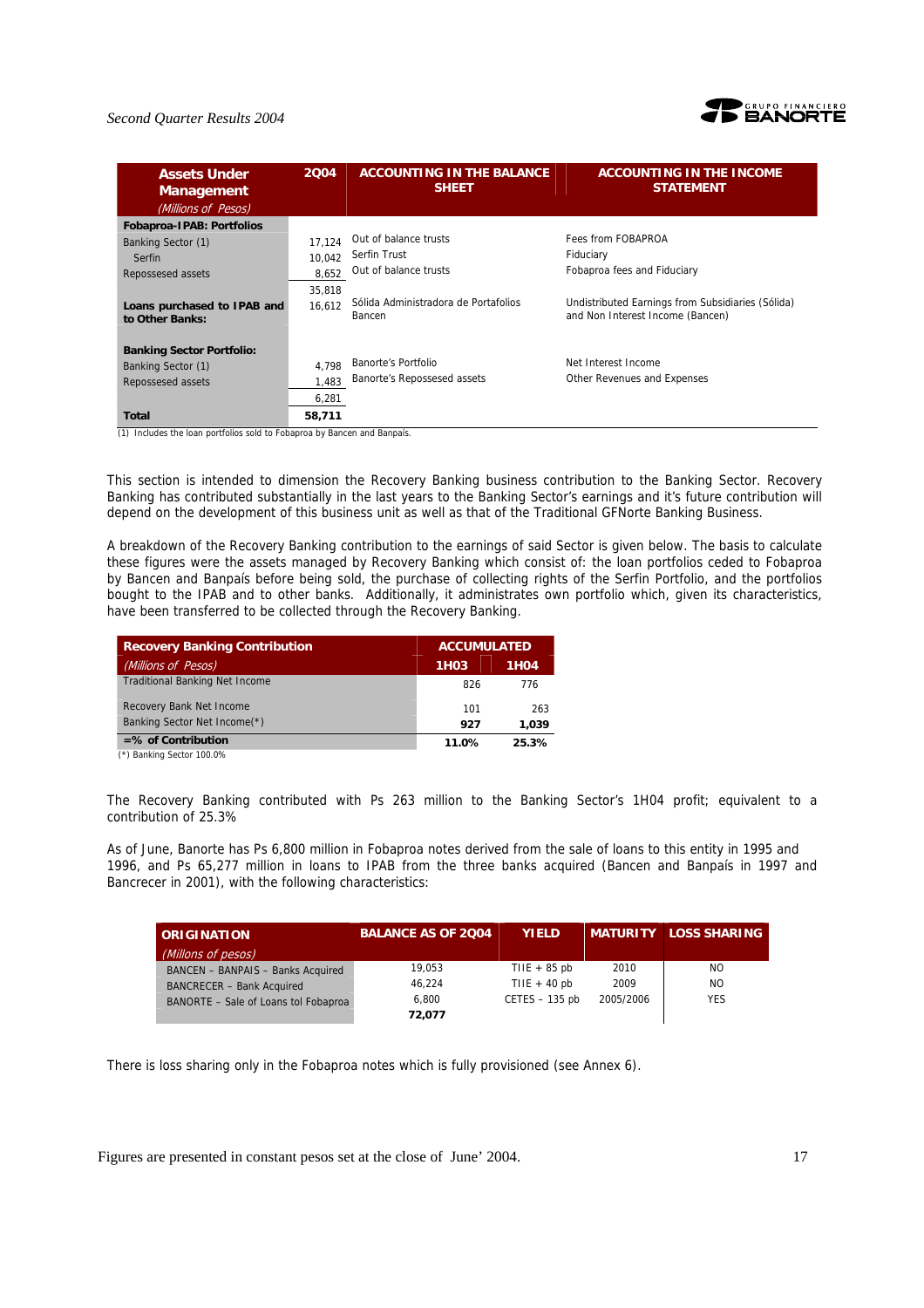#### *Second Quarter Results 2004*



| <b>Assets Under</b><br><b>Management</b><br>(Millions of Pesos) | 2004             | <b>ACCOUNTING IN THE BALANCE</b><br><b>SHEET</b> | <b>ACCOUNTING IN THE INCOME</b><br><b>STATEMENT</b>                                   |
|-----------------------------------------------------------------|------------------|--------------------------------------------------|---------------------------------------------------------------------------------------|
| <b>Fobaproa-IPAB: Portfolios</b>                                |                  |                                                  |                                                                                       |
| Banking Sector (1)                                              | 17.124           | Out of balance trusts                            | Fees from FOBAPROA                                                                    |
| Serfin                                                          | 10.042           | Serfin Trust                                     | Fiduciary                                                                             |
| Repossesed assets                                               | 8.652            | Out of balance trusts                            | Fobaproa fees and Fiduciary                                                           |
| Loans purchased to IPAB and<br>to Other Banks:                  | 35,818<br>16.612 | Sólida Administradora de Portafolios<br>Bancen   | Undistributed Earnings from Subsidiaries (Sólida)<br>and Non Interest Income (Bancen) |
| <b>Banking Sector Portfolio:</b>                                |                  |                                                  |                                                                                       |
| Banking Sector (1)                                              | 4.798            | Banorte's Portfolio                              | Net Interest Income                                                                   |
| Repossesed assets                                               | 1.483            | Banorte's Repossesed assets                      | Other Revenues and Expenses                                                           |
|                                                                 | 6,281            |                                                  |                                                                                       |
| Total                                                           | 58,711           |                                                  |                                                                                       |

(1) Includes the loan portfolios sold to Fobaproa by Bancen and Banpaís.

This section is intended to dimension the Recovery Banking business contribution to the Banking Sector. Recovery Banking has contributed substantially in the last years to the Banking Sector's earnings and it's future contribution will depend on the development of this business unit as well as that of the Traditional GFNorte Banking Business.

A breakdown of the Recovery Banking contribution to the earnings of said Sector is given below. The basis to calculate these figures were the assets managed by Recovery Banking which consist of: the loan portfolios ceded to Fobaproa by Bancen and Banpaís before being sold, the purchase of collecting rights of the Serfin Portfolio, and the portfolios bought to the IPAB and to other banks. Additionally, it administrates own portfolio which, given its characteristics, have been transferred to be collected through the Recovery Banking.

| <b>Recovery Banking Contribution</b>  | <b>ACCUMULATED</b> |                   |
|---------------------------------------|--------------------|-------------------|
| (Millions of Pesos)                   | 1H <sub>0</sub> 3  | 1H <sub>0</sub> 4 |
| <b>Traditional Banking Net Income</b> | 826                | 776               |
| Recovery Bank Net Income              | 101                | 263               |
| Banking Sector Net Income(*)          | 927                | 1,039             |
| $=$ % of Contribution                 | 11.0%              | 25.3%             |
|                                       |                    |                   |

(\*) Banking Sector 100.0%

The Recovery Banking contributed with Ps 263 million to the Banking Sector's 1H04 profit; equivalent to a contribution of 25.3%

As of June, Banorte has Ps 6,800 million in Fobaproa notes derived from the sale of loans to this entity in 1995 and 1996, and Ps 65,277 million in loans to IPAB from the three banks acquired (Bancen and Banpaís in 1997 and Bancrecer in 2001), with the following characteristics:

| <b>ORIGINATION</b>                   | <b>BALANCE AS OF 2004</b> | <b>YIELD</b>     |           | <b>MATURITY LOSS SHARING</b> |
|--------------------------------------|---------------------------|------------------|-----------|------------------------------|
| (Millons of pesos)                   |                           |                  |           |                              |
| BANCEN - BANPAIS - Banks Acquired    | 19.053                    | TIIE $+85$ pb    | 2010      | NO.                          |
| <b>BANCRECER - Bank Acquired</b>     | 46.224                    | TIIE + 40 $pb$   | 2009      | NO.                          |
| BANORTE - Sale of Loans tol Fobaproa | 6.800                     | $CETES - 135$ pb | 2005/2006 | <b>YES</b>                   |
|                                      | 72.077                    |                  |           |                              |

There is loss sharing only in the Fobaproa notes which is fully provisioned (see Annex 6).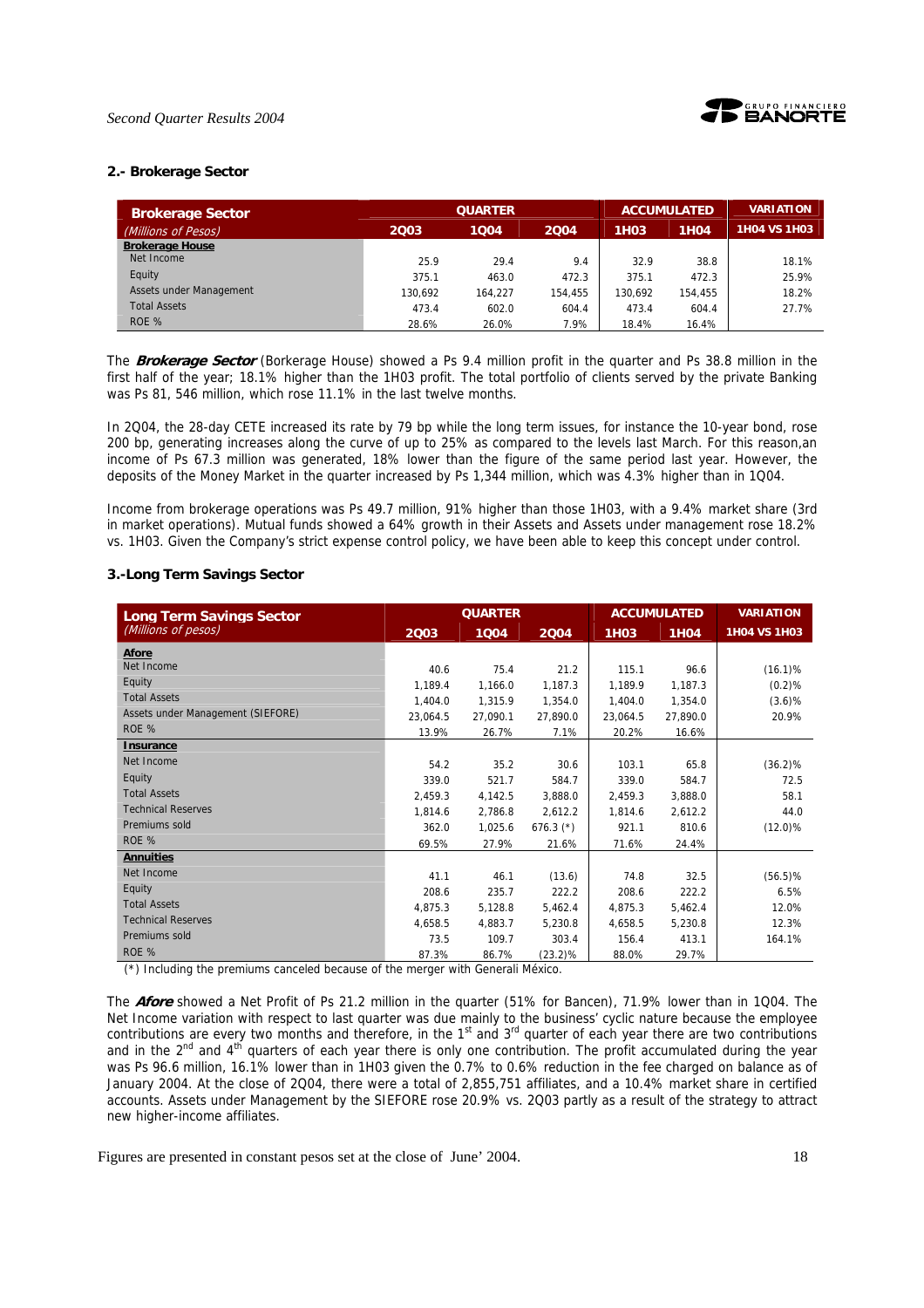

#### **2.- Brokerage Sector**

| <b>Brokerage Sector</b> |         | <b>QUARTER</b> |         |             | <b>ACCUMULATED</b> | <b>VARIATION</b> |
|-------------------------|---------|----------------|---------|-------------|--------------------|------------------|
| (Millions of Pesos)     | 2003    | 1004           | 2004    | <b>1H03</b> | <b>1H04</b>        | 1H04 VS 1H03     |
| <b>Brokerage House</b>  |         |                |         |             |                    |                  |
| Net Income              | 25.9    | 29.4           | 9.4     | 32.9        | 38.8               | 18.1%            |
| Equity                  | 375.1   | 463.0          | 472.3   | 375.1       | 472.3              | 25.9%            |
| Assets under Management | 130.692 | 164.227        | 154,455 | 130.692     | 154.455            | 18.2%            |
| <b>Total Assets</b>     | 473.4   | 602.0          | 604.4   | 473.4       | 604.4              | 27.7%            |
| ROE %                   | 28.6%   | 26.0%          | 7.9%    | 18.4%       | 16.4%              |                  |

The **Brokerage Sector** (Borkerage House) showed a Ps 9.4 million profit in the quarter and Ps 38.8 million in the first half of the year; 18.1% higher than the 1H03 profit. The total portfolio of clients served by the private Banking was Ps 81, 546 million, which rose 11.1% in the last twelve months.

In 2Q04, the 28-day CETE increased its rate by 79 bp while the long term issues, for instance the 10-year bond, rose 200 bp, generating increases along the curve of up to 25% as compared to the levels last March. For this reason,an income of Ps 67.3 million was generated, 18% lower than the figure of the same period last year. However, the deposits of the Money Market in the quarter increased by Ps 1,344 million, which was 4.3% higher than in 1Q04.

Income from brokerage operations was Ps 49.7 million, 91% higher than those 1H03, with a 9.4% market share (3rd in market operations). Mutual funds showed a 64% growth in their Assets and Assets under management rose 18.2% vs. 1H03. Given the Company's strict expense control policy, we have been able to keep this concept under control.

#### **3.-Long Term Savings Sector**

| <b>Long Term Savings Sector</b>   |          | <b>QUARTER</b> |             |             | <b>ACCUMULATED</b> | <b>VARIATION</b> |
|-----------------------------------|----------|----------------|-------------|-------------|--------------------|------------------|
| (Millions of pesos)               | 2003     | 1004           | 2004        | <b>1H03</b> | <b>1H04</b>        | 1H04 VS 1H03     |
| Afore                             |          |                |             |             |                    |                  |
| Net Income                        | 40.6     | 75.4           | 21.2        | 115.1       | 96.6               | $(16.1)\%$       |
| Equity                            | 1,189.4  | 1,166.0        | 1,187.3     | 1,189.9     | 1,187.3            | (0.2)%           |
| <b>Total Assets</b>               | 1,404.0  | 1,315.9        | 1,354.0     | 1,404.0     | 1,354.0            | (3.6)%           |
| Assets under Management (SIEFORE) | 23,064.5 | 27,090.1       | 27,890.0    | 23.064.5    | 27,890.0           | 20.9%            |
| ROE %                             | 13.9%    | 26.7%          | 7.1%        | 20.2%       | 16.6%              |                  |
| <b>Insurance</b>                  |          |                |             |             |                    |                  |
| Net Income                        | 54.2     | 35.2           | 30.6        | 103.1       | 65.8               | $(36.2)\%$       |
| Equity                            | 339.0    | 521.7          | 584.7       | 339.0       | 584.7              | 72.5             |
| <b>Total Assets</b>               | 2,459.3  | 4,142.5        | 3,888.0     | 2,459.3     | 3,888.0            | 58.1             |
| <b>Technical Reserves</b>         | 1,814.6  | 2,786.8        | 2,612.2     | 1,814.6     | 2,612.2            | 44.0             |
| Premiums sold                     | 362.0    | 1,025.6        | $676.3$ (*) | 921.1       | 810.6              | $(12.0)\%$       |
| ROE %                             | 69.5%    | 27.9%          | 21.6%       | 71.6%       | 24.4%              |                  |
| <b>Annuities</b>                  |          |                |             |             |                    |                  |
| Net Income                        | 41.1     | 46.1           | (13.6)      | 74.8        | 32.5               | $(56.5)\%$       |
| Equity                            | 208.6    | 235.7          | 222.2       | 208.6       | 222.2              | 6.5%             |
| <b>Total Assets</b>               | 4,875.3  | 5,128.8        | 5,462.4     | 4,875.3     | 5,462.4            | 12.0%            |
| <b>Technical Reserves</b>         | 4,658.5  | 4,883.7        | 5,230.8     | 4,658.5     | 5,230.8            | 12.3%            |
| Premiums sold                     | 73.5     | 109.7          | 303.4       | 156.4       | 413.1              | 164.1%           |
| ROE %                             | 87.3%    | 86.7%          | $(23.2)\%$  | 88.0%       | 29.7%              |                  |

(\*) Including the premiums canceled because of the merger with Generali México.

The **Afore** showed a Net Profit of Ps 21.2 million in the quarter (51% for Bancen), 71.9% lower than in 1Q04. The Net Income variation with respect to last quarter was due mainly to the business' cyclic nature because the employee contributions are every two months and therefore, in the  $1<sup>st</sup>$  and  $3<sup>rd</sup>$  quarter of each year there are two contributions and in the  $2^{nd}$  and  $4^{th}$  quarters of each year there is only one contribution. The profit accumulated during the year was Ps 96.6 million, 16.1% lower than in 1H03 given the 0.7% to 0.6% reduction in the fee charged on balance as of January 2004. At the close of 2Q04, there were a total of 2,855,751 affiliates, and a 10.4% market share in certified accounts. Assets under Management by the SIEFORE rose 20.9% vs. 2Q03 partly as a result of the strategy to attract new higher-income affiliates.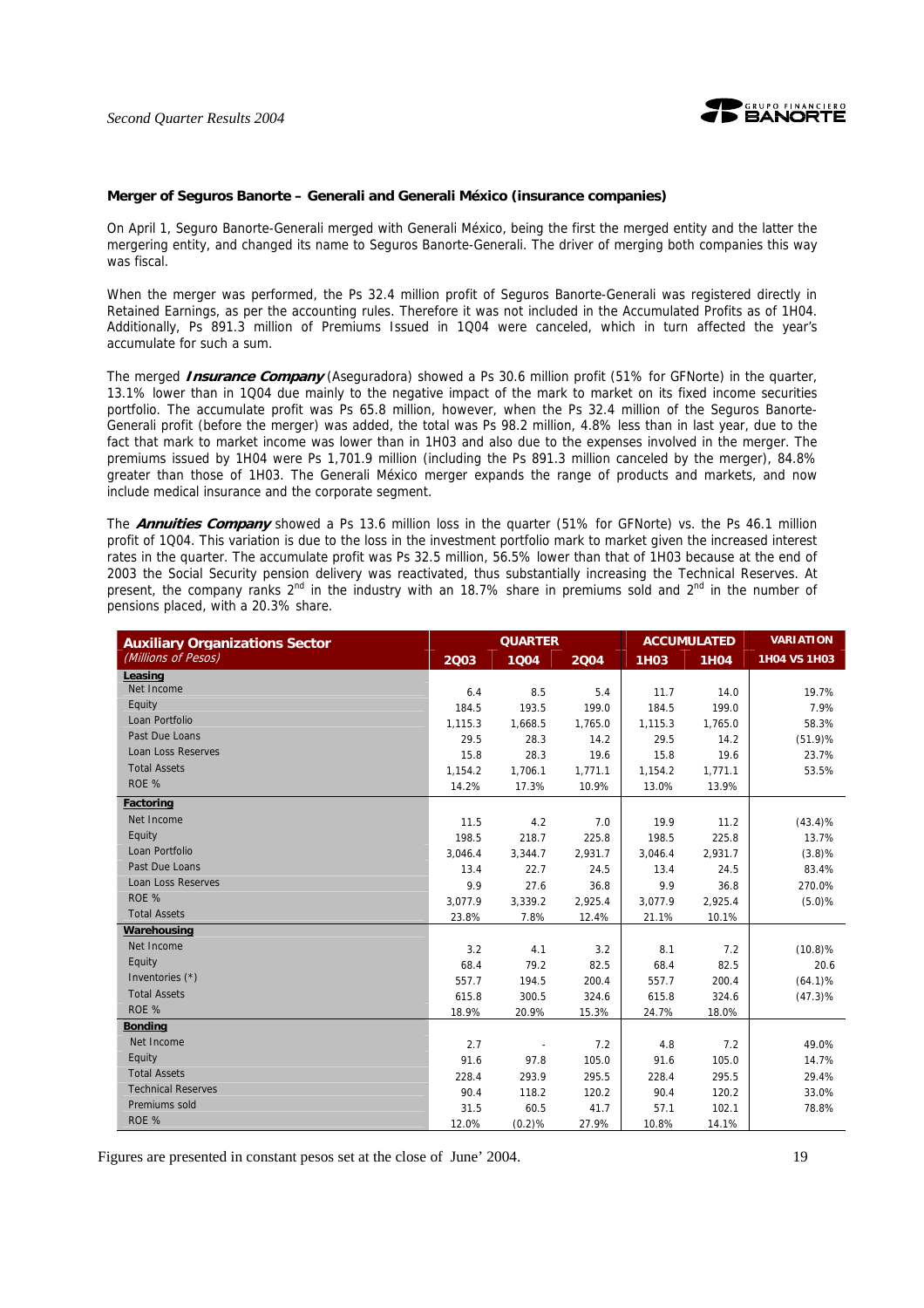

#### **Merger of Seguros Banorte – Generali and Generali México (insurance companies)**

On April 1, Seguro Banorte-Generali merged with Generali México, being the first the merged entity and the latter the mergering entity, and changed its name to Seguros Banorte-Generali. The driver of merging both companies this way was fiscal.

When the merger was performed, the Ps 32.4 million profit of Seguros Banorte-Generali was registered directly in Retained Earnings, as per the accounting rules. Therefore it was not included in the Accumulated Profits as of 1H04. Additionally, Ps 891.3 million of Premiums Issued in 1Q04 were canceled, which in turn affected the year's accumulate for such a sum.

The merged **Insurance Company** (Aseguradora) showed a Ps 30.6 million profit (51% for GFNorte) in the quarter, 13.1% lower than in 1Q04 due mainly to the negative impact of the mark to market on its fixed income securities portfolio. The accumulate profit was Ps 65.8 million, however, when the Ps 32.4 million of the Seguros Banorte-Generali profit (before the merger) was added, the total was Ps 98.2 million, 4.8% less than in last year, due to the fact that mark to market income was lower than in 1H03 and also due to the expenses involved in the merger. The premiums issued by 1H04 were Ps 1,701.9 million (including the Ps 891.3 million canceled by the merger), 84.8% greater than those of 1H03. The Generali México merger expands the range of products and markets, and now include medical insurance and the corporate segment.

The **Annuities Company** showed a Ps 13.6 million loss in the quarter (51% for GFNorte) vs. the Ps 46.1 million profit of 1Q04. This variation is due to the loss in the investment portfolio mark to market given the increased interest rates in the quarter. The accumulate profit was Ps 32.5 million, 56.5% lower than that of 1H03 because at the end of 2003 the Social Security pension delivery was reactivated, thus substantially increasing the Technical Reserves. At present, the company ranks 2<sup>nd</sup> in the industry with an 18.7% share in premiums sold and 2<sup>nd</sup> in the number of pensions placed, with a 20.3% share.

| <b>Auxiliary Organizations Sector</b> | <b>QUARTER</b> |         |         | <b>ACCUMULATED</b> |             | <b>VARIATION</b>    |
|---------------------------------------|----------------|---------|---------|--------------------|-------------|---------------------|
| (Millions of Pesos)                   | 2003           | 1004    | 2004    | <b>1H03</b>        | <b>1H04</b> | <b>1H04 VS 1H03</b> |
| Leasing                               |                |         |         |                    |             |                     |
| Net Income                            | 6.4            | 8.5     | 5.4     | 11.7               | 14.0        | 19.7%               |
| Equity                                | 184.5          | 193.5   | 199.0   | 184.5              | 199.0       | 7.9%                |
| Loan Portfolio                        | 1,115.3        | 1,668.5 | 1,765.0 | 1,115.3            | 1,765.0     | 58.3%               |
| Past Due Loans                        | 29.5           | 28.3    | 14.2    | 29.5               | 14.2        | (51.9)%             |
| <b>Loan Loss Reserves</b>             | 15.8           | 28.3    | 19.6    | 15.8               | 19.6        | 23.7%               |
| <b>Total Assets</b>                   | 1,154.2        | 1,706.1 | 1,771.1 | 1,154.2            | 1,771.1     | 53.5%               |
| ROE %                                 | 14.2%          | 17.3%   | 10.9%   | 13.0%              | 13.9%       |                     |
| Factoring                             |                |         |         |                    |             |                     |
| Net Income                            | 11.5           | 4.2     | 7.0     | 19.9               | 11.2        | $(43.4)\%$          |
| Equity                                | 198.5          | 218.7   | 225.8   | 198.5              | 225.8       | 13.7%               |
| Loan Portfolio                        | 3,046.4        | 3,344.7 | 2,931.7 | 3,046.4            | 2,931.7     | (3.8)%              |
| Past Due Loans                        | 13.4           | 22.7    | 24.5    | 13.4               | 24.5        | 83.4%               |
| <b>Loan Loss Reserves</b>             | 9.9            | 27.6    | 36.8    | 9.9                | 36.8        | 270.0%              |
| ROE %                                 | 3,077.9        | 3,339.2 | 2,925.4 | 3,077.9            | 2,925.4     | (5.0)%              |
| <b>Total Assets</b>                   | 23.8%          | 7.8%    | 12.4%   | 21.1%              | 10.1%       |                     |
| Warehousing                           |                |         |         |                    |             |                     |
| Net Income                            | 3.2            | 4.1     | 3.2     | 8.1                | 7.2         | $(10.8)$ %          |
| Equity                                | 68.4           | 79.2    | 82.5    | 68.4               | 82.5        | 20.6                |
| Inventories (*)                       | 557.7          | 194.5   | 200.4   | 557.7              | 200.4       | $(64.1)\%$          |
| <b>Total Assets</b>                   | 615.8          | 300.5   | 324.6   | 615.8              | 324.6       | $(47.3)\%$          |
| ROE %                                 | 18.9%          | 20.9%   | 15.3%   | 24.7%              | 18.0%       |                     |
| <b>Bonding</b>                        |                |         |         |                    |             |                     |
| Net Income                            | 2.7            |         | 7.2     | 4.8                | 7.2         | 49.0%               |
| Equity                                | 91.6           | 97.8    | 105.0   | 91.6               | 105.0       | 14.7%               |
| <b>Total Assets</b>                   | 228.4          | 293.9   | 295.5   | 228.4              | 295.5       | 29.4%               |
| <b>Technical Reserves</b>             | 90.4           | 118.2   | 120.2   | 90.4               | 120.2       | 33.0%               |
| Premiums sold                         | 31.5           | 60.5    | 41.7    | 57.1               | 102.1       | 78.8%               |
| ROE %                                 | 12.0%          | (0.2)%  | 27.9%   | 10.8%              | 14.1%       |                     |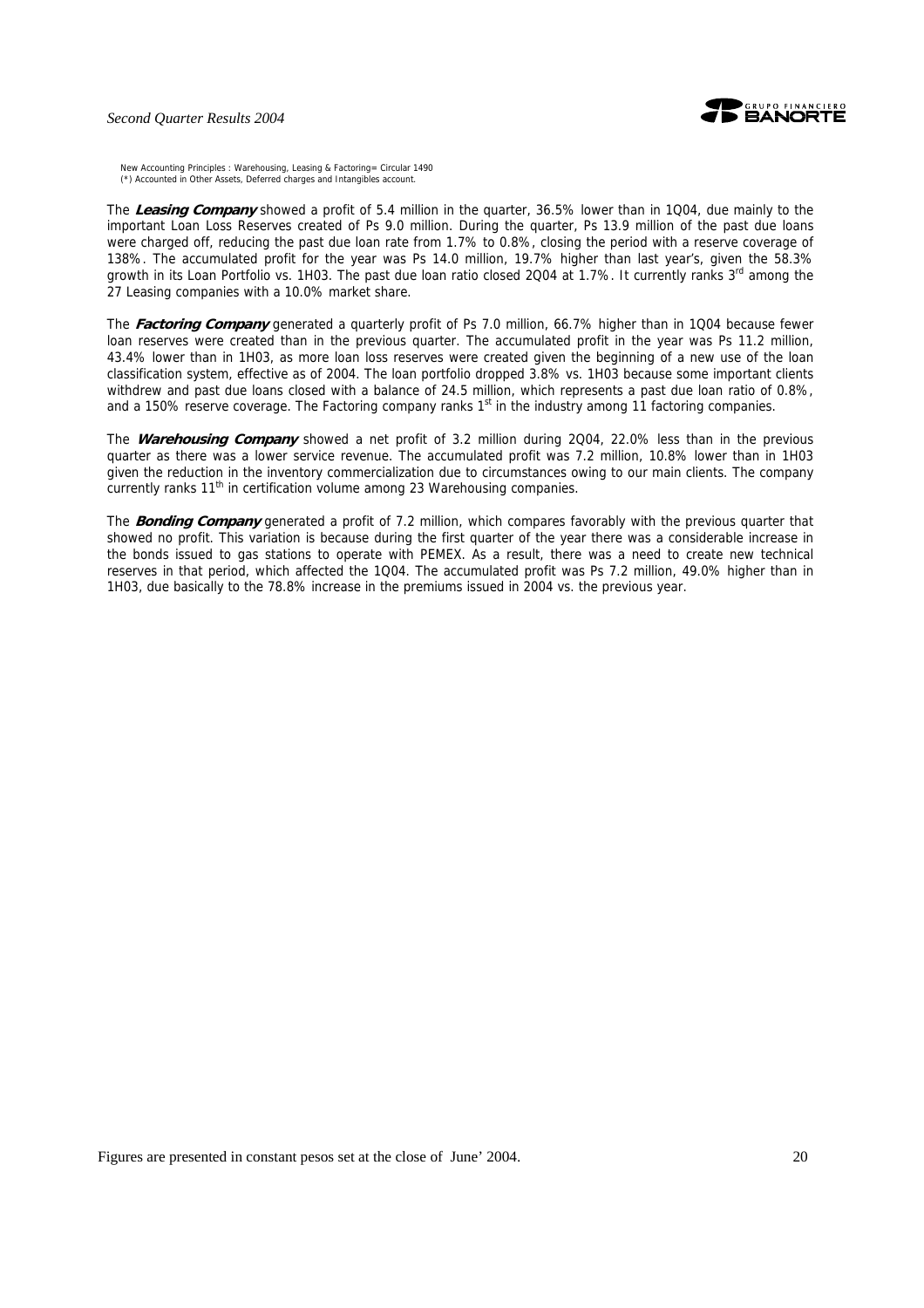#### *Second Quarter Results 2004*



New Accounting Principles : Warehousing, Leasing & Factoring= Circular 1490 (\*) Accounted in Other Assets, Deferred charges and Intangibles account.

The **Leasing Company** showed a profit of 5.4 million in the quarter, 36.5% lower than in 1Q04, due mainly to the important Loan Loss Reserves created of Ps 9.0 million. During the quarter, Ps 13.9 million of the past due loans were charged off, reducing the past due loan rate from 1.7% to 0.8%, closing the period with a reserve coverage of 138%. The accumulated profit for the year was Ps 14.0 million, 19.7% higher than last year's, given the 58.3% growth in its Loan Portfolio vs. 1H03. The past due loan ratio closed 2Q04 at 1.7%. It currently ranks 3rd among the 27 Leasing companies with a 10.0% market share.

The **Factoring Company** generated a quarterly profit of Ps 7.0 million, 66.7% higher than in 1Q04 because fewer loan reserves were created than in the previous quarter. The accumulated profit in the year was Ps 11.2 million, 43.4% lower than in 1H03, as more loan loss reserves were created given the beginning of a new use of the loan classification system, effective as of 2004. The loan portfolio dropped 3.8% vs. 1H03 because some important clients withdrew and past due loans closed with a balance of 24.5 million, which represents a past due loan ratio of 0.8%, and a 150% reserve coverage. The Factoring company ranks  $1<sup>st</sup>$  in the industry among 11 factoring companies.

The **Warehousing Company** showed a net profit of 3.2 million during 2Q04, 22.0% less than in the previous quarter as there was a lower service revenue. The accumulated profit was 7.2 million, 10.8% lower than in 1H03 given the reduction in the inventory commercialization due to circumstances owing to our main clients. The company currently ranks 11<sup>th</sup> in certification volume among 23 Warehousing companies.

The **Bonding Company** generated a profit of 7.2 million, which compares favorably with the previous quarter that showed no profit. This variation is because during the first quarter of the year there was a considerable increase in the bonds issued to gas stations to operate with PEMEX. As a result, there was a need to create new technical reserves in that period, which affected the 1Q04. The accumulated profit was Ps 7.2 million, 49.0% higher than in 1H03, due basically to the 78.8% increase in the premiums issued in 2004 vs. the previous year.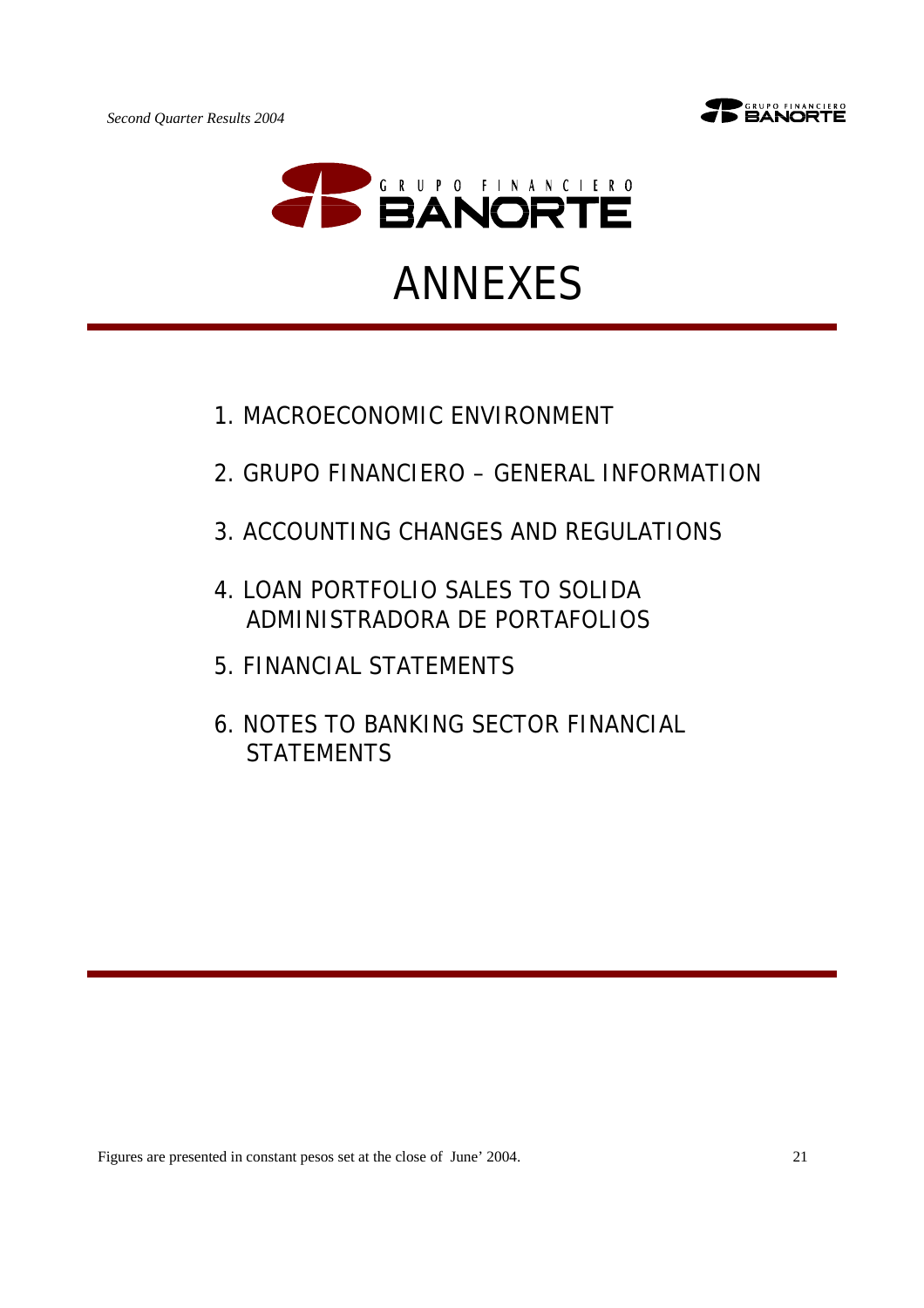



- 1.MACROECONOMIC ENVIRONMENT
- 2.GRUPO FINANCIERO GENERAL INFORMATION
- 3.ACCOUNTING CHANGES AND REGULATIONS
- 4.LOAN PORTFOLIO SALES TO SOLIDA ADMINISTRADORA DE PORTAFOLIOS
- 5.FINANCIAL STATEMENTS
- 6.NOTES TO BANKING SECTOR FINANCIAL **STATEMENTS**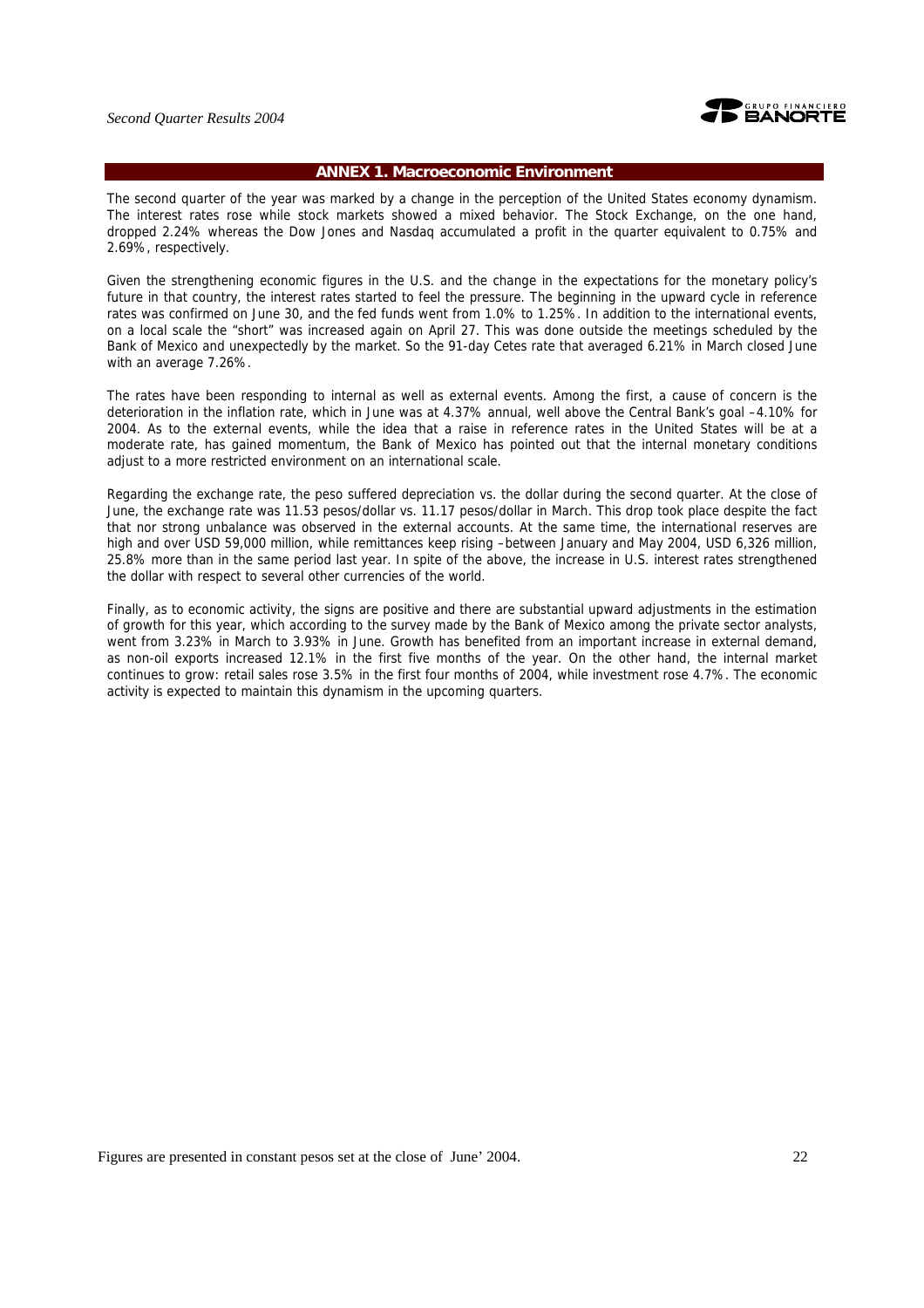

# **ANNEX 1. Macroeconomic Environment**

The second quarter of the year was marked by a change in the perception of the United States economy dynamism. The interest rates rose while stock markets showed a mixed behavior. The Stock Exchange, on the one hand, dropped 2.24% whereas the Dow Jones and Nasdaq accumulated a profit in the quarter equivalent to 0.75% and 2.69%, respectively.

Given the strengthening economic figures in the U.S. and the change in the expectations for the monetary policy's future in that country, the interest rates started to feel the pressure. The beginning in the upward cycle in reference rates was confirmed on June 30, and the fed funds went from 1.0% to 1.25%. In addition to the international events, on a local scale the "short" was increased again on April 27. This was done outside the meetings scheduled by the Bank of Mexico and unexpectedly by the market. So the 91-day Cetes rate that averaged 6.21% in March closed June with an average 7.26%.

The rates have been responding to internal as well as external events. Among the first, a cause of concern is the deterioration in the inflation rate, which in June was at 4.37% annual, well above the Central Bank's goal –4.10% for 2004. As to the external events, while the idea that a raise in reference rates in the United States will be at a moderate rate, has gained momentum, the Bank of Mexico has pointed out that the internal monetary conditions adjust to a more restricted environment on an international scale.

Regarding the exchange rate, the peso suffered depreciation vs. the dollar during the second quarter. At the close of June, the exchange rate was 11.53 pesos/dollar vs. 11.17 pesos/dollar in March. This drop took place despite the fact that nor strong unbalance was observed in the external accounts. At the same time, the international reserves are high and over USD 59,000 million, while remittances keep rising –between January and May 2004, USD 6,326 million, 25.8% more than in the same period last year. In spite of the above, the increase in U.S. interest rates strengthened the dollar with respect to several other currencies of the world.

Finally, as to economic activity, the signs are positive and there are substantial upward adjustments in the estimation of growth for this year, which according to the survey made by the Bank of Mexico among the private sector analysts, went from 3.23% in March to 3.93% in June. Growth has benefited from an important increase in external demand, as non-oil exports increased 12.1% in the first five months of the year. On the other hand, the internal market continues to grow: retail sales rose 3.5% in the first four months of 2004, while investment rose 4.7%. The economic activity is expected to maintain this dynamism in the upcoming quarters.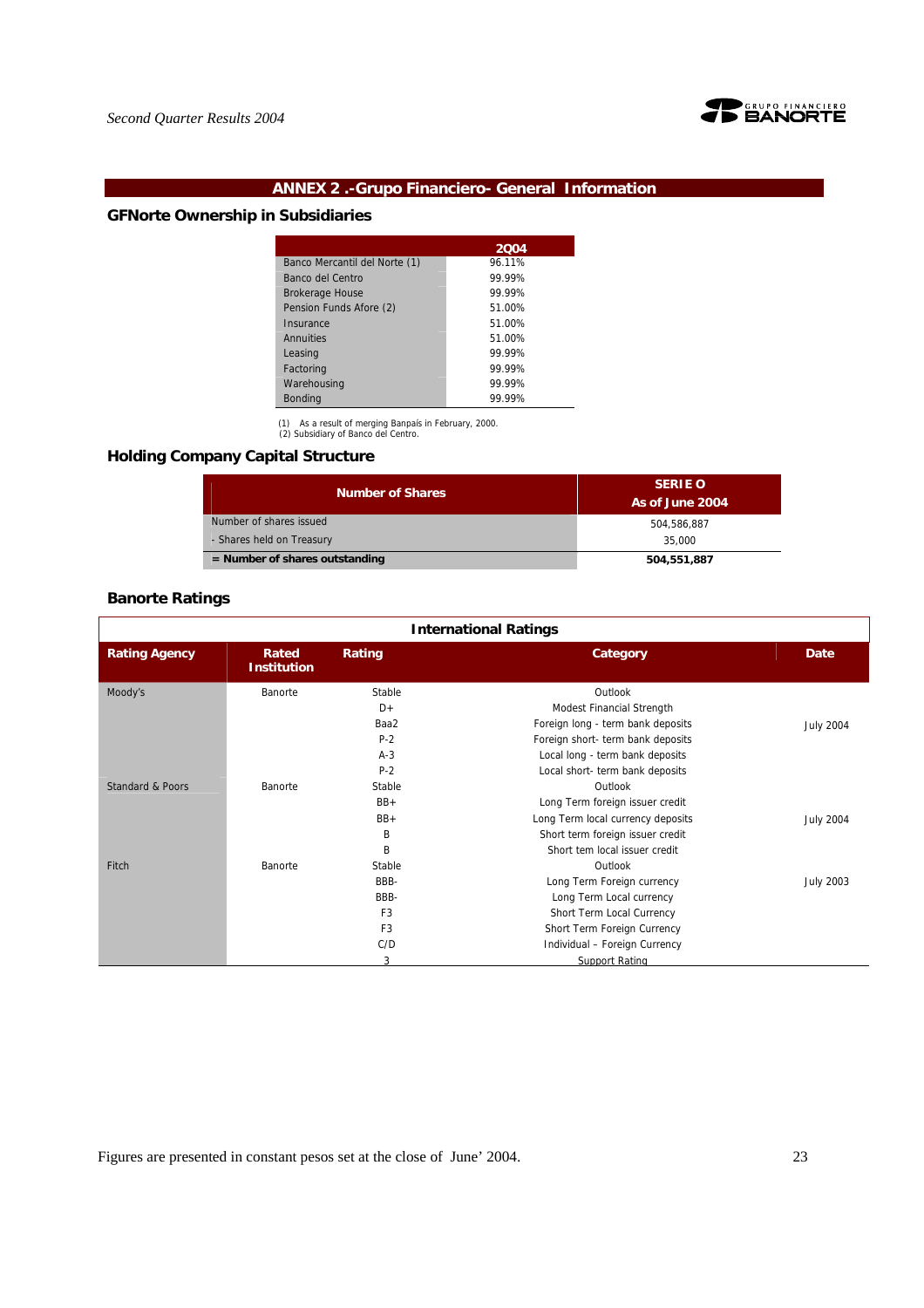

# **ANNEX 2 .-Grupo Financiero- General Information**

# **GFNorte Ownership in Subsidiaries**

|                               | 2004   |
|-------------------------------|--------|
| Banco Mercantil del Norte (1) | 96.11% |
| Banco del Centro              | 99.99% |
| <b>Brokerage House</b>        | 99.99% |
| Pension Funds Afore (2)       | 51.00% |
| Insurance                     | 51.00% |
| Annuities                     | 51.00% |
| Leasing                       | 99.99% |
| Factoring                     | 99.99% |
| Warehousing                   | 99.99% |
| <b>Bonding</b>                | 99.99% |

(1) As a result of merging Banpaís in February, 2000. (2) Subsidiary of Banco del Centro.

# **Holding Company Capital Structure**

| <b>Number of Shares</b>          | <b>SERIE O</b><br>As of June 2004 |
|----------------------------------|-----------------------------------|
| Number of shares issued          | 504.586.887                       |
| - Shares held on Treasury        | 35,000                            |
| $=$ Number of shares outstanding | 504,551,887                       |

# **Banorte Ratings**

| <b>International Ratings</b>                        |         |                |                                   |                  |  |  |
|-----------------------------------------------------|---------|----------------|-----------------------------------|------------------|--|--|
| <b>Rating Agency</b><br>Rated<br><b>Institution</b> |         | Rating         | Category                          | Date             |  |  |
| Moody's                                             | Banorte | Stable         | Outlook                           |                  |  |  |
|                                                     |         | D+             | Modest Financial Strength         |                  |  |  |
|                                                     |         | Baa2           | Foreign long - term bank deposits | <b>July 2004</b> |  |  |
|                                                     |         | $P-2$          | Foreign short- term bank deposits |                  |  |  |
|                                                     |         | $A-3$          | Local long - term bank deposits   |                  |  |  |
|                                                     |         | $P-2$          | Local short- term bank deposits   |                  |  |  |
| <b>Standard &amp; Poors</b>                         | Banorte | Stable         | Outlook                           |                  |  |  |
|                                                     |         | $BB+$          | Long Term foreign issuer credit   |                  |  |  |
|                                                     |         | $BB+$          | Long Term local currency deposits | <b>July 2004</b> |  |  |
|                                                     |         | B              | Short term foreign issuer credit  |                  |  |  |
|                                                     |         | B              | Short tem local issuer credit     |                  |  |  |
| Fitch                                               | Banorte | Stable         | Outlook                           |                  |  |  |
|                                                     |         | BBB-           | Long Term Foreign currency        | <b>July 2003</b> |  |  |
|                                                     |         | BBB-           | Long Term Local currency          |                  |  |  |
|                                                     |         | F <sub>3</sub> | Short Term Local Currency         |                  |  |  |
|                                                     |         | F <sub>3</sub> | Short Term Foreign Currency       |                  |  |  |
|                                                     |         | C/D            | Individual - Foreign Currency     |                  |  |  |
|                                                     |         | 3              | <b>Support Rating</b>             |                  |  |  |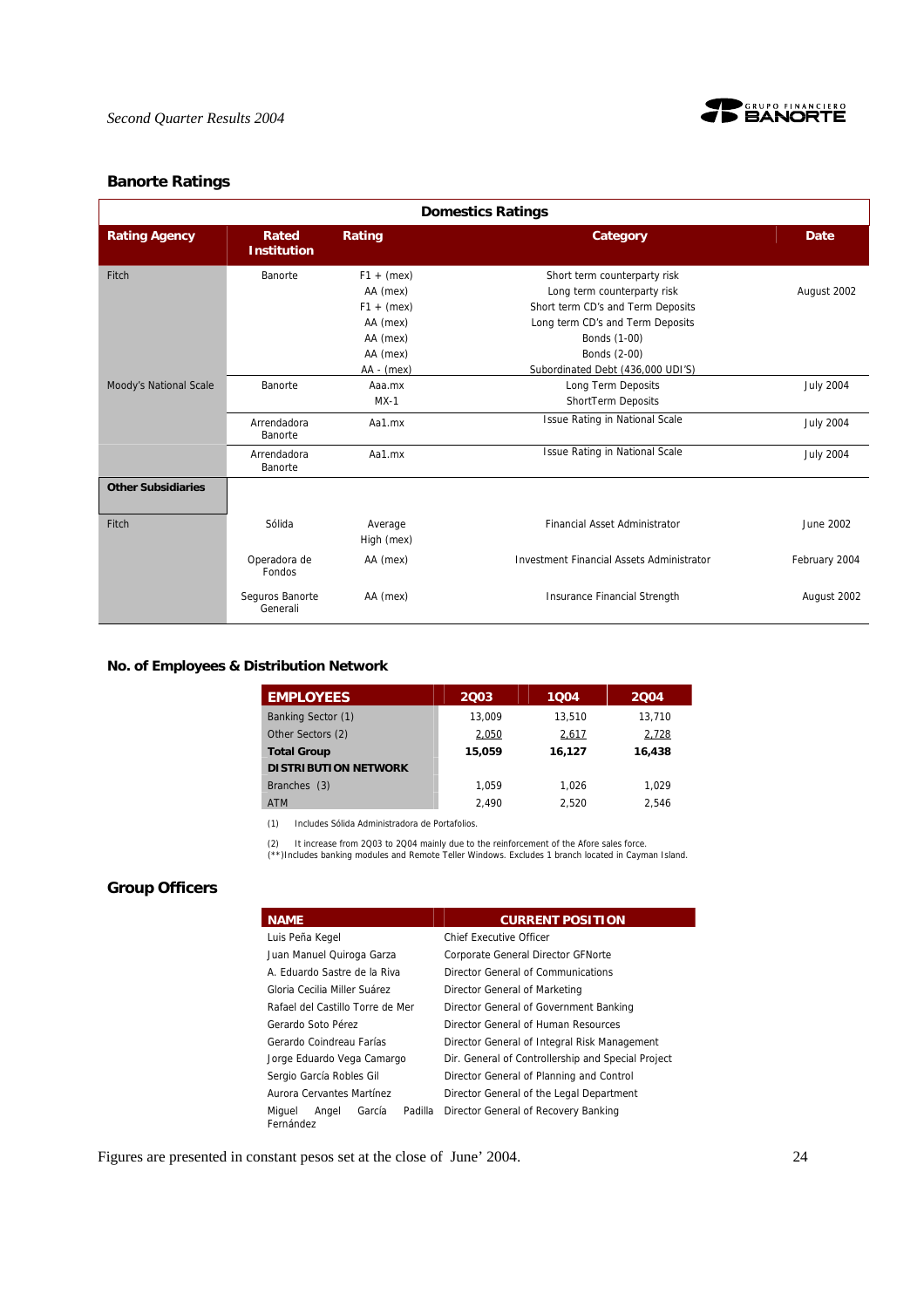

# **Banorte Ratings**

| <b>Domestics Ratings</b>  |                             |                       |                                                  |                  |  |  |
|---------------------------|-----------------------------|-----------------------|--------------------------------------------------|------------------|--|--|
| <b>Rating Agency</b>      | Rated<br><b>Institution</b> | Rating                | Category                                         | Date             |  |  |
| Fitch                     | Banorte                     | $F1 + (mex)$          | Short term counterparty risk                     |                  |  |  |
|                           |                             | AA (mex)              | Long term counterparty risk                      | August 2002      |  |  |
|                           |                             | $F1 + (mex)$          | Short term CD's and Term Deposits                |                  |  |  |
|                           |                             | AA (mex)              | Long term CD's and Term Deposits                 |                  |  |  |
|                           |                             | AA (mex)              | Bonds (1-00)                                     |                  |  |  |
|                           |                             | AA (mex)              | Bonds (2-00)                                     |                  |  |  |
|                           |                             | $AA - (mex)$          | Subordinated Debt (436,000 UDI'S)                |                  |  |  |
| Moody's National Scale    | Banorte                     | Aaa.mx                | Long Term Deposits                               | <b>July 2004</b> |  |  |
|                           |                             | $MX-1$                | ShortTerm Deposits                               |                  |  |  |
|                           | Arrendadora<br>Banorte      | Aa1.mx                | Issue Rating in National Scale                   | <b>July 2004</b> |  |  |
|                           | Arrendadora<br>Banorte      | Aa1.mx                | <b>Issue Rating in National Scale</b>            | <b>July 2004</b> |  |  |
| <b>Other Subsidiaries</b> |                             |                       |                                                  |                  |  |  |
| Fitch                     | Sólida                      | Average<br>High (mex) | <b>Financial Asset Administrator</b>             | June 2002        |  |  |
|                           | Operadora de<br>Fondos      | AA (mex)              | <b>Investment Financial Assets Administrator</b> | February 2004    |  |  |
|                           | Seguros Banorte<br>Generali | AA (mex)              | <b>Insurance Financial Strength</b>              | August 2002      |  |  |

# **No. of Employees & Distribution Network**

| <b>EMPLOYEES</b>            | 2003   | 1004   | 2004   |
|-----------------------------|--------|--------|--------|
| Banking Sector (1)          | 13.009 | 13.510 | 13.710 |
| Other Sectors (2)           | 2,050  | 2,617  | 2,728  |
| <b>Total Group</b>          | 15,059 | 16,127 | 16,438 |
| <b>DISTRIBUTION NETWORK</b> |        |        |        |
| Branches (3)                | 1.059  | 1.026  | 1.029  |
| <b>ATM</b>                  | 2.490  | 2.520  | 2.546  |

(1) Includes Sólida Administradora de Portafolios.

(2) It increase from 2Q03 to 2Q04 mainly due to the reinforcement of the Afore sales force. (\*\*)Includes banking modules and Remote Teller Windows. Excludes 1 branch located in Cayman Island.

# **Group Officers**

| <b>NAME</b>                                       | <b>CURRENT POSITION</b>                            |  |  |  |
|---------------------------------------------------|----------------------------------------------------|--|--|--|
| Luis Peña Kegel                                   | <b>Chief Executive Officer</b>                     |  |  |  |
| Juan Manuel Quiroga Garza                         | Corporate General Director GFNorte                 |  |  |  |
| A. Eduardo Sastre de la Riva                      | Director General of Communications                 |  |  |  |
| Gloria Cecilia Miller Suárez                      | Director General of Marketing                      |  |  |  |
| Rafael del Castillo Torre de Mer                  | Director General of Government Banking             |  |  |  |
| Gerardo Soto Pérez                                | Director General of Human Resources                |  |  |  |
| Gerardo Coindreau Farías                          | Director General of Integral Risk Management       |  |  |  |
| Jorge Eduardo Vega Camargo                        | Dir. General of Controllership and Special Project |  |  |  |
| Sergio García Robles Gil                          | Director General of Planning and Control           |  |  |  |
| Aurora Cervantes Martínez                         | Director General of the Legal Department           |  |  |  |
| Padilla<br>García<br>Miguel<br>Angel<br>Fernández | Director General of Recovery Banking               |  |  |  |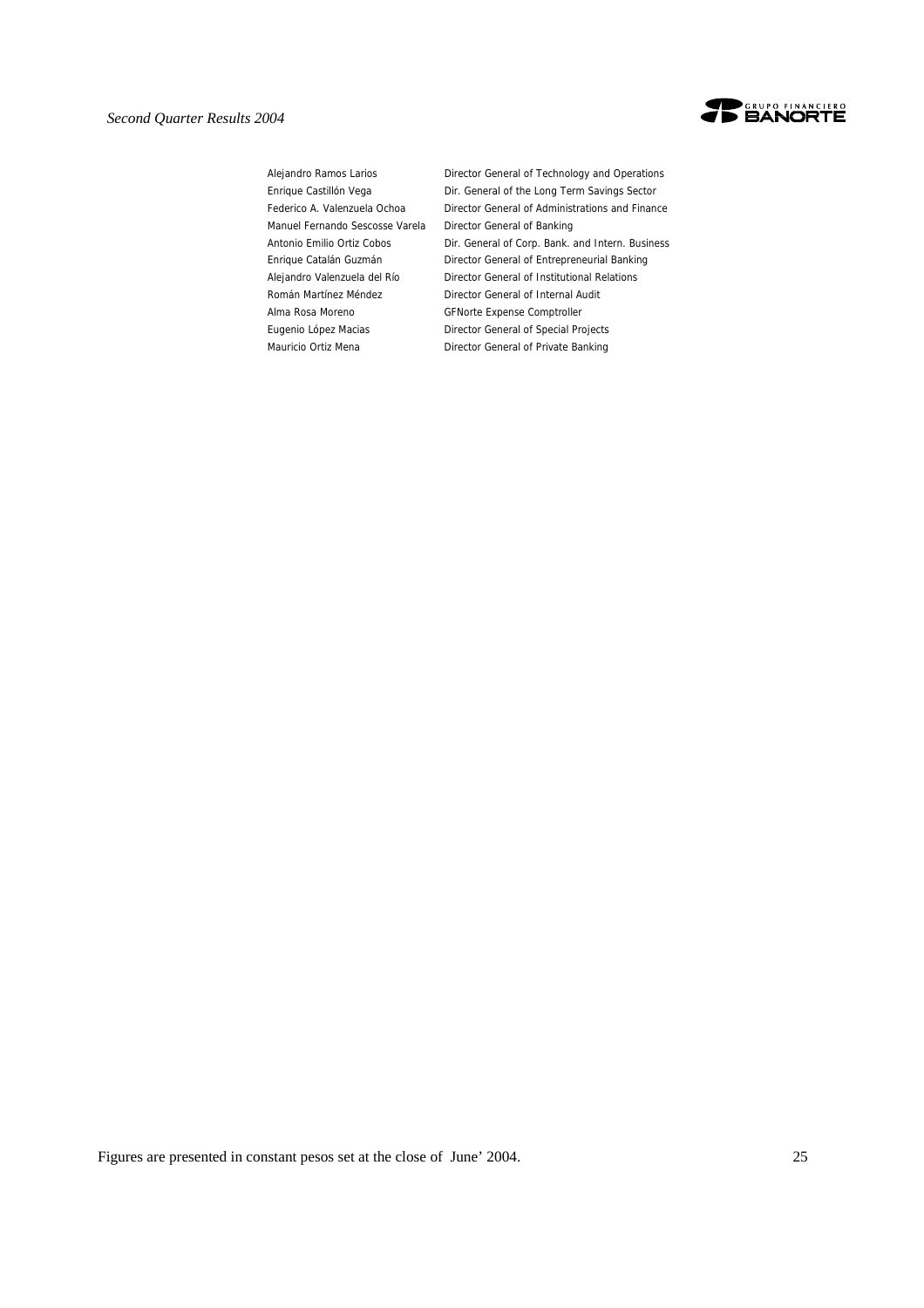

Manuel Fernando Sescosse Varela Director General of Banking Alma Rosa Moreno GFNorte Expense Comptroller

Alejandro Ramos Larios **Director General of Technology and Operations** Enrique Castillón Vega **Dir.** General of the Long Term Savings Sector Federico A. Valenzuela Ochoa Director General of Administrations and Finance Antonio Emilio Ortiz Cobos Dir. General of Corp. Bank. and Intern. Business Enrique Catalán Guzmán Director General of Entrepreneurial Banking Alejandro Valenzuela del Río Director General of Institutional Relations Román Martínez Méndez **Director General of Internal Audit** Eugenio López Macias Director General of Special Projects Mauricio Ortiz Mena<br>
Director General of Private Banking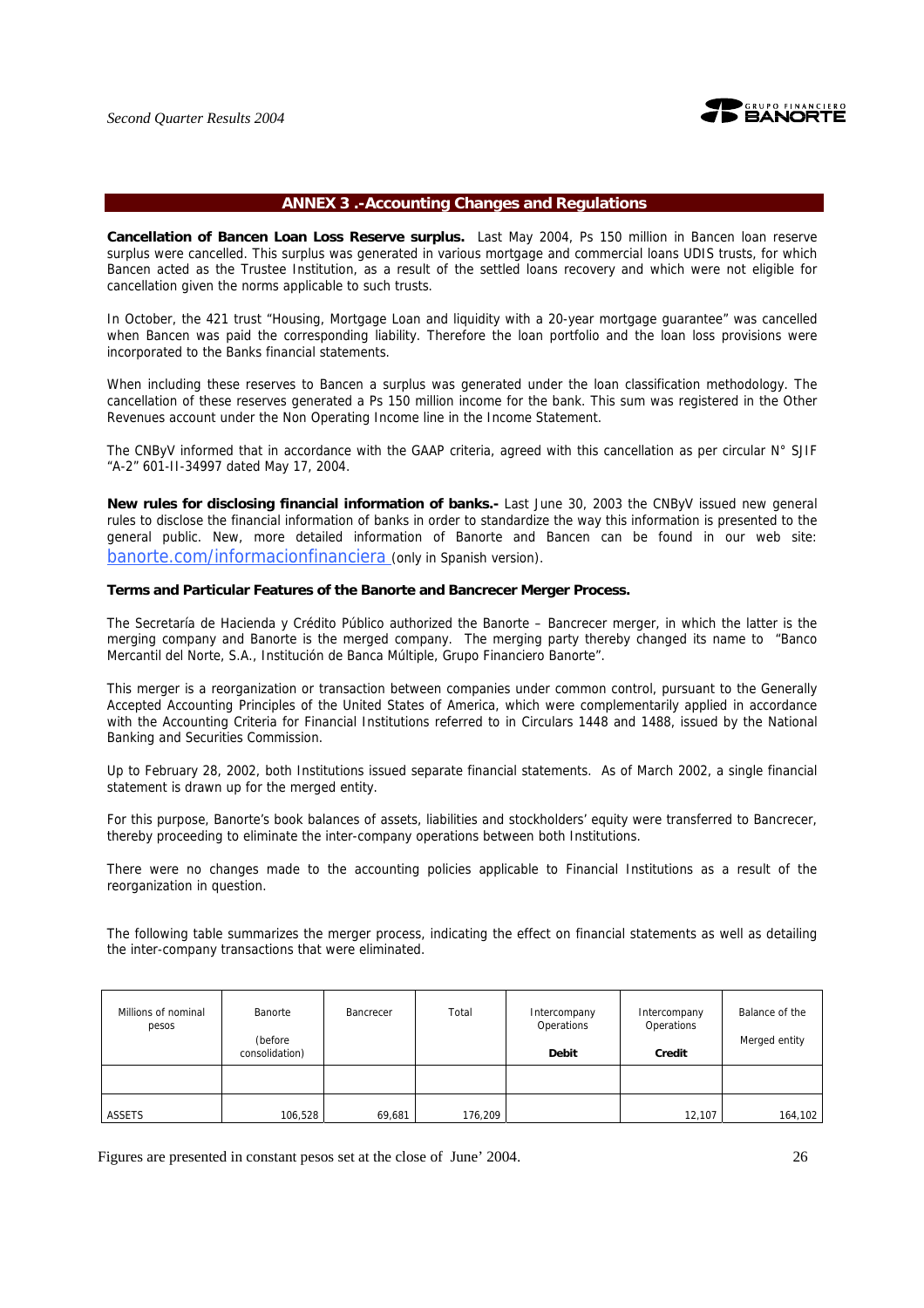

#### **ANNEX 3 .-Accounting Changes and Regulations**

**Cancellation of Bancen Loan Loss Reserve surplus.** Last May 2004, Ps 150 million in Bancen loan reserve surplus were cancelled. This surplus was generated in various mortgage and commercial loans UDIS trusts, for which Bancen acted as the Trustee Institution, as a result of the settled loans recovery and which were not eligible for cancellation given the norms applicable to such trusts.

In October, the 421 trust "Housing, Mortgage Loan and liquidity with a 20-year mortgage guarantee" was cancelled when Bancen was paid the corresponding liability. Therefore the loan portfolio and the loan loss provisions were incorporated to the Banks financial statements.

When including these reserves to Bancen a surplus was generated under the loan classification methodology. The cancellation of these reserves generated a Ps 150 million income for the bank. This sum was registered in the Other Revenues account under the Non Operating Income line in the Income Statement.

The CNByV informed that in accordance with the GAAP criteria, agreed with this cancellation as per circular  $N^{\circ}$  SJIF "A-2" 601-II-34997 dated May 17, 2004.

**New rules for disclosing financial information of banks.-** Last June 30, 2003 the CNByV issued new general rules to disclose the financial information of banks in order to standardize the way this information is presented to the general public. New, more detailed information of Banorte and Bancen can be found in our web site: banorte.com/informacionfinanciera (only in Spanish version).

#### **Terms and Particular Features of the Banorte and Bancrecer Merger Process.**

The Secretaría de Hacienda y Crédito Público authorized the Banorte – Bancrecer merger, in which the latter is the merging company and Banorte is the merged company. The merging party thereby changed its name to "Banco Mercantil del Norte, S.A., Institución de Banca Múltiple, Grupo Financiero Banorte".

This merger is a reorganization or transaction between companies under common control, pursuant to the Generally Accepted Accounting Principles of the United States of America, which were complementarily applied in accordance with the Accounting Criteria for Financial Institutions referred to in Circulars 1448 and 1488, issued by the National Banking and Securities Commission.

Up to February 28, 2002, both Institutions issued separate financial statements. As of March 2002, a single financial statement is drawn up for the merged entity.

For this purpose, Banorte's book balances of assets, liabilities and stockholders' equity were transferred to Bancrecer, thereby proceeding to eliminate the inter-company operations between both Institutions.

There were no changes made to the accounting policies applicable to Financial Institutions as a result of the reorganization in question.

The following table summarizes the merger process, indicating the effect on financial statements as well as detailing the inter-company transactions that were eliminated.

| Millions of nominal<br>pesos | Banorte<br>(before<br>consolidation) | Bancrecer | Total   | Intercompany<br>Operations<br><b>Debit</b> | Intercompany<br>Operations<br>Credit | Balance of the<br>Merged entity |
|------------------------------|--------------------------------------|-----------|---------|--------------------------------------------|--------------------------------------|---------------------------------|
|                              |                                      |           |         |                                            |                                      |                                 |
| ASSETS                       | 106,528                              | 69,681    | 176,209 |                                            | 12,107                               | 164,102                         |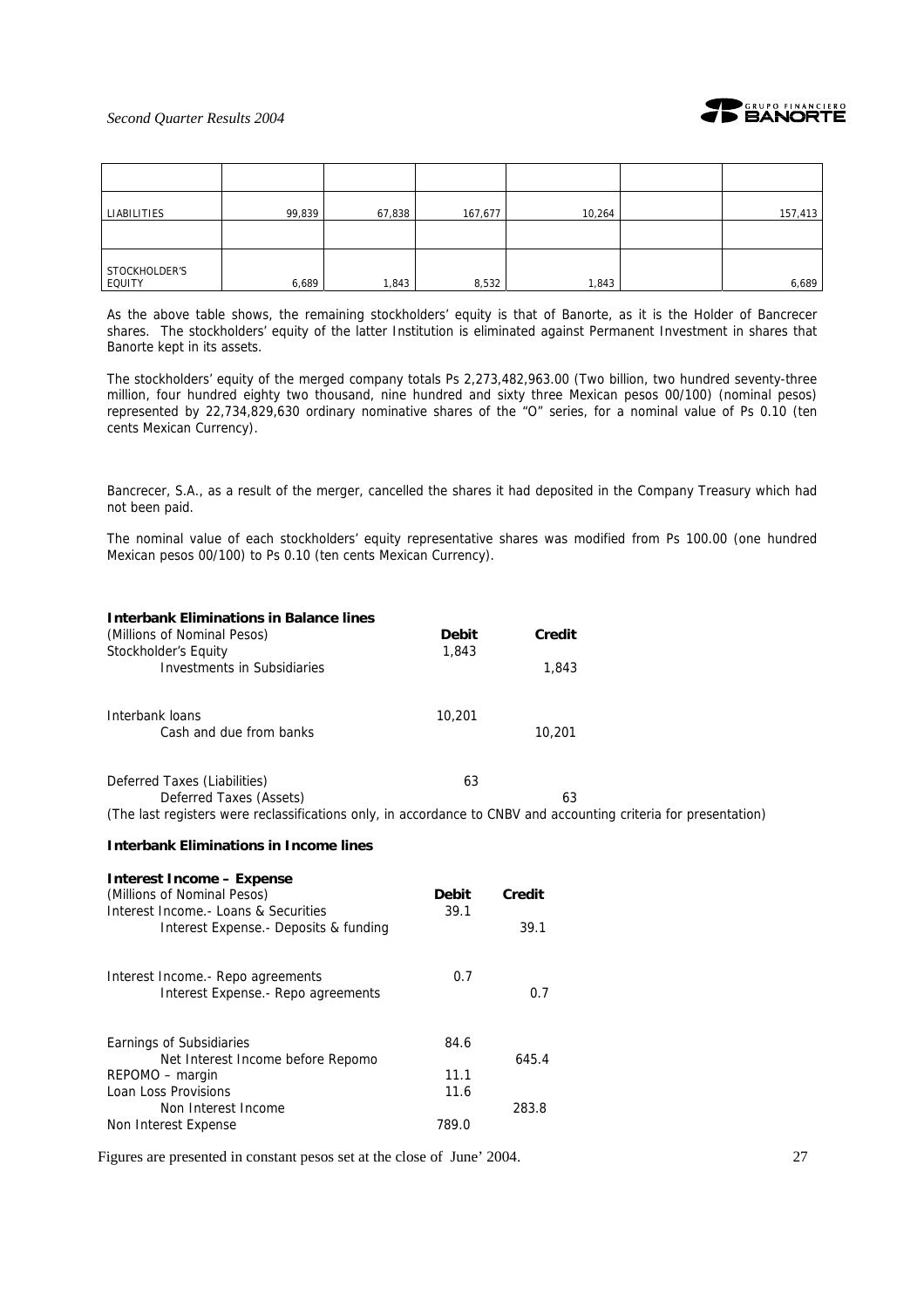

| LIABILITIES             | 99,839 | 67,838 | 167,677 | 10,264 | 157,413 |
|-------------------------|--------|--------|---------|--------|---------|
|                         |        |        |         |        |         |
| STOCKHOLDER'S<br>EQUITY | 6,689  | 1,843  | 8,532   | 1,843  | 6,689   |

As the above table shows, the remaining stockholders' equity is that of Banorte, as it is the Holder of Bancrecer shares. The stockholders' equity of the latter Institution is eliminated against Permanent Investment in shares that Banorte kept in its assets.

The stockholders' equity of the merged company totals Ps 2,273,482,963.00 (Two billion, two hundred seventy-three million, four hundred eighty two thousand, nine hundred and sixty three Mexican pesos 00/100) (nominal pesos) represented by 22,734,829,630 ordinary nominative shares of the "O" series, for a nominal value of Ps 0.10 (ten cents Mexican Currency).

Bancrecer, S.A., as a result of the merger, cancelled the shares it had deposited in the Company Treasury which had not been paid.

The nominal value of each stockholders' equity representative shares was modified from Ps 100.00 (one hundred Mexican pesos 00/100) to Ps 0.10 (ten cents Mexican Currency).

| <b>Interbank Eliminations in Balance lines</b>                                                                   |              |        |  |
|------------------------------------------------------------------------------------------------------------------|--------------|--------|--|
| (Millions of Nominal Pesos)                                                                                      | <b>Debit</b> | Credit |  |
| Stockholder's Equity                                                                                             | 1,843        |        |  |
| Investments in Subsidiaries                                                                                      |              | 1,843  |  |
| Interbank loans                                                                                                  | 10,201       |        |  |
| Cash and due from banks                                                                                          |              | 10,201 |  |
| Deferred Taxes (Liabilities)                                                                                     | 63           |        |  |
| Deferred Taxes (Assets)                                                                                          |              | 63     |  |
| (The last registers were reclassifications only, in accordance to CNBV and accounting criteria for presentation) |              |        |  |

#### **Interbank Eliminations in Income lines**

| <b>Interest Income – Expense</b>       |              |        |
|----------------------------------------|--------------|--------|
| (Millions of Nominal Pesos)            | <b>Debit</b> | Credit |
| Interest Income. - Loans & Securities  | 39.1         |        |
| Interest Expense. - Deposits & funding |              | 39.1   |
| Interest Income. - Repo agreements     | 0.7          |        |
| Interest Expense. - Repo agreements    |              | 0.7    |
| Earnings of Subsidiaries               | 84.6         |        |
| Net Interest Income before Repomo      |              | 645.4  |
| REPOMO - margin                        | 11.1         |        |
| Loan Loss Provisions                   | 11.6         |        |
| Non Interest Income                    |              | 283.8  |
| Non Interest Expense                   | 789.0        |        |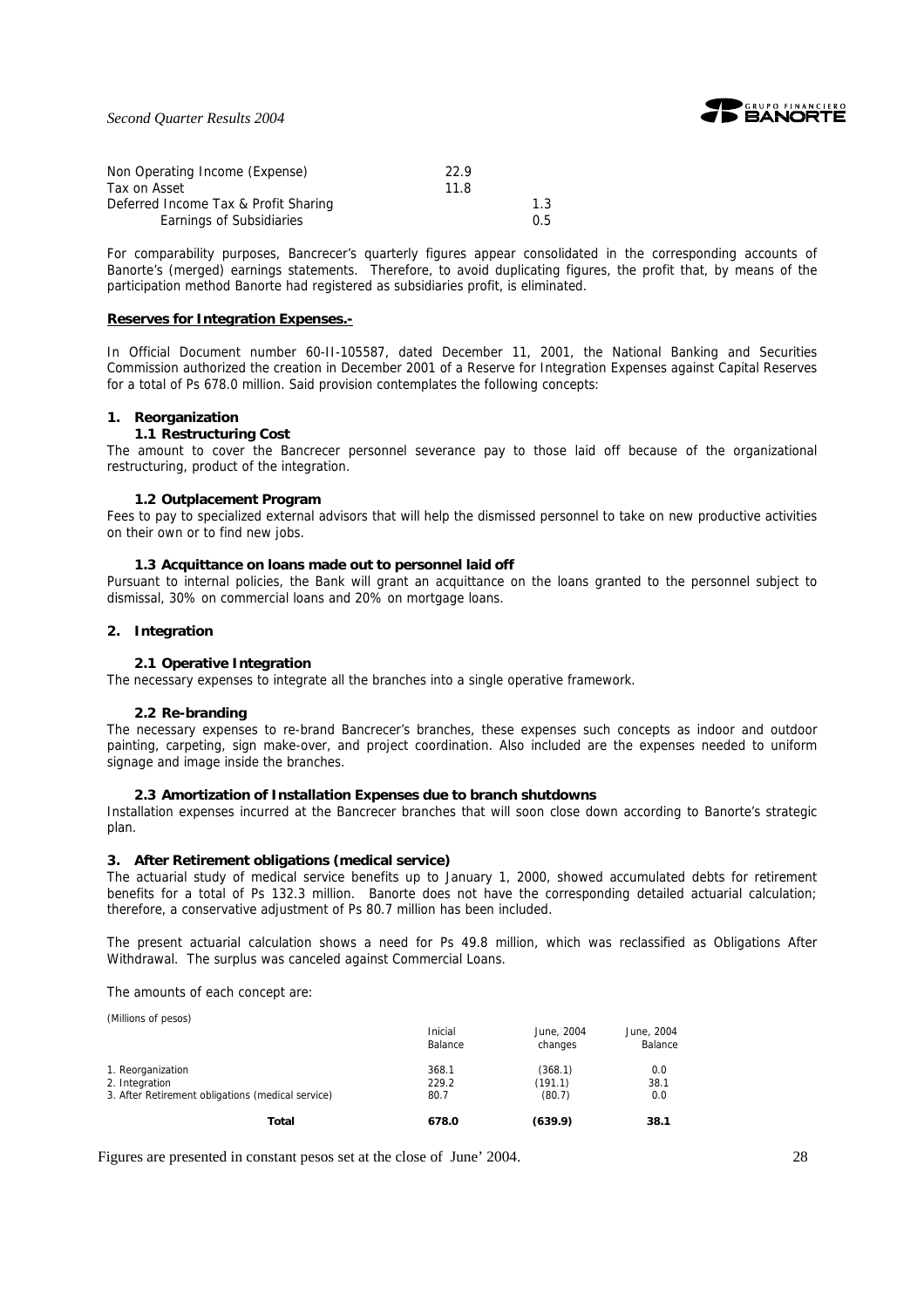

*Second Quarter Results 2004*

| Non Operating Income (Expense)       | 22.9 |               |
|--------------------------------------|------|---------------|
| Tax on Asset                         | 11 R |               |
| Deferred Income Tax & Profit Sharing |      | 1.3           |
| Earnings of Subsidiaries             |      | $0.5^{\circ}$ |

For comparability purposes, Bancrecer's quarterly figures appear consolidated in the corresponding accounts of Banorte's (merged) earnings statements. Therefore, to avoid duplicating figures, the profit that, by means of the participation method Banorte had registered as subsidiaries profit, is eliminated.

#### **Reserves for Integration Expenses.-**

In Official Document number 60-II-105587, dated December 11, 2001, the National Banking and Securities Commission authorized the creation in December 2001 of a Reserve for Integration Expenses against Capital Reserves for a total of Ps 678.0 million. Said provision contemplates the following concepts:

#### **1. Reorganization**

#### **1.1 Restructuring Cost**

The amount to cover the Bancrecer personnel severance pay to those laid off because of the organizational restructuring, product of the integration.

#### **1.2 Outplacement Program**

Fees to pay to specialized external advisors that will help the dismissed personnel to take on new productive activities on their own or to find new jobs.

#### **1.3 Acquittance on loans made out to personnel laid off**

Pursuant to internal policies, the Bank will grant an acquittance on the loans granted to the personnel subject to dismissal, 30% on commercial loans and 20% on mortgage loans.

#### **2. Integration**

#### **2.1 Operative Integration**

The necessary expenses to integrate all the branches into a single operative framework.

#### **2.2 Re-branding**

The necessary expenses to re-brand Bancrecer's branches, these expenses such concepts as indoor and outdoor painting, carpeting, sign make-over, and project coordination. Also included are the expenses needed to uniform signage and image inside the branches.

#### **2.3 Amortization of Installation Expenses due to branch shutdowns**

Installation expenses incurred at the Bancrecer branches that will soon close down according to Banorte's strategic plan.

#### **3. After Retirement obligations (medical service)**

The actuarial study of medical service benefits up to January 1, 2000, showed accumulated debts for retirement benefits for a total of Ps 132.3 million. Banorte does not have the corresponding detailed actuarial calculation; therefore, a conservative adjustment of Ps 80.7 million has been included.

The present actuarial calculation shows a need for Ps 49.8 million, which was reclassified as Obligations After Withdrawal. The surplus was canceled against Commercial Loans.

The amounts of each concept are:

(Millions of pesos)

|                                                   | Inicial<br>Balance | June, 2004<br>changes | June, 2004<br>Balance |
|---------------------------------------------------|--------------------|-----------------------|-----------------------|
| 1. Reorganization                                 | 368.1              | (368.1)               | 0.0                   |
| 2. Integration                                    | 229.2              | (191.1)               | 38.1                  |
| 3. After Retirement obligations (medical service) | 80.7               | (80.7)                | 0.0                   |
| Total                                             | 678.0              | (639.9)               | 38.1                  |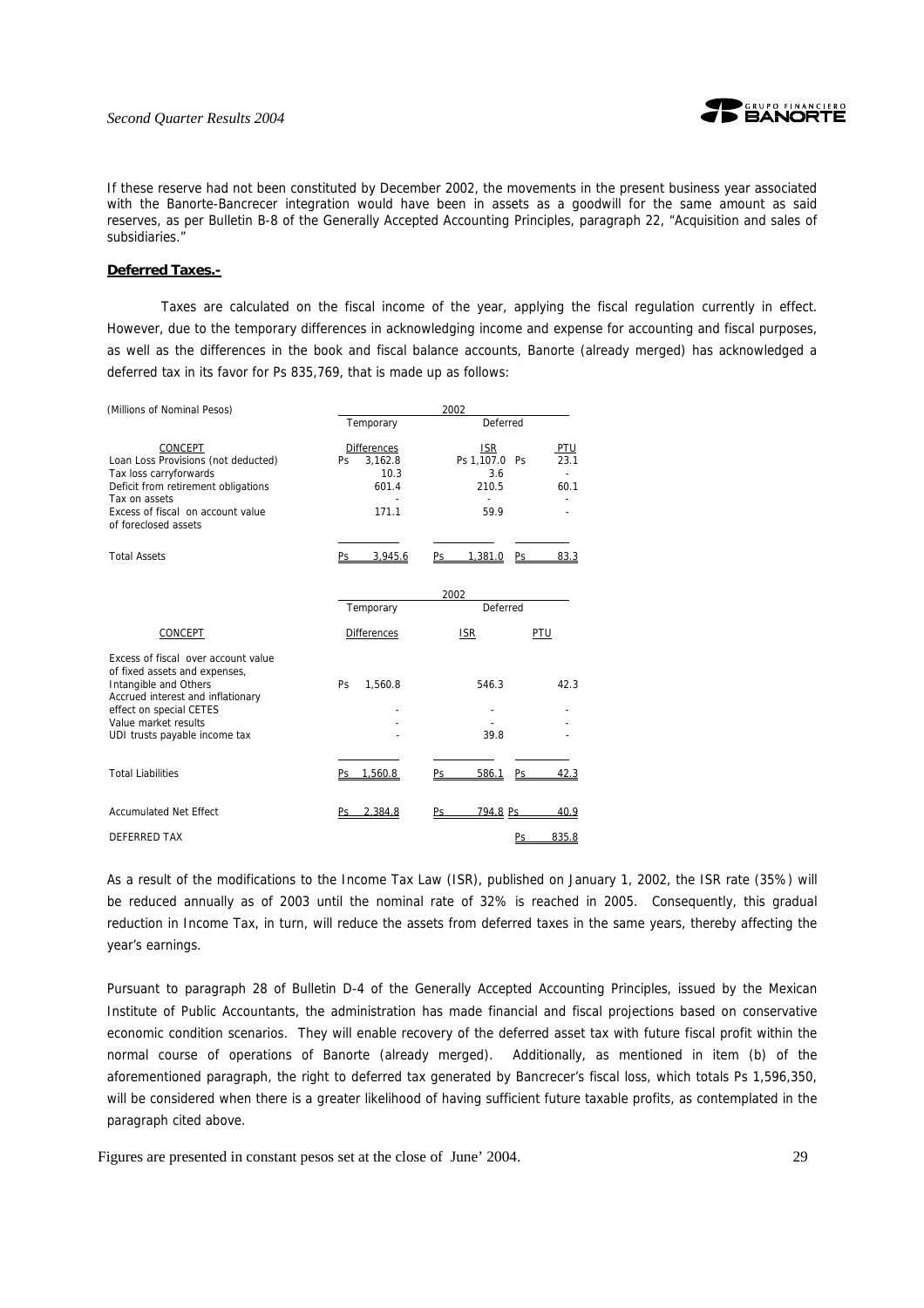

If these reserve had not been constituted by December 2002, the movements in the present business year associated with the Banorte-Bancrecer integration would have been in assets as a goodwill for the same amount as said reserves, as per Bulletin B-8 of the Generally Accepted Accounting Principles, paragraph 22, "Acquisition and sales of subsidiaries."

#### **Deferred Taxes.-**

Taxes are calculated on the fiscal income of the year, applying the fiscal regulation currently in effect. However, due to the temporary differences in acknowledging income and expense for accounting and fiscal purposes, as well as the differences in the book and fiscal balance accounts, Banorte (already merged) has acknowledged a deferred tax in its favor for Ps 835,769, that is made up as follows:

| (Millions of Nominal Pesos)                                                                                                                                                                                            | 2002                                                                 |                                                                                   |  |  |  |  |  |  |  |
|------------------------------------------------------------------------------------------------------------------------------------------------------------------------------------------------------------------------|----------------------------------------------------------------------|-----------------------------------------------------------------------------------|--|--|--|--|--|--|--|
|                                                                                                                                                                                                                        | Temporary                                                            | Deferred                                                                          |  |  |  |  |  |  |  |
| CONCEPT<br>Loan Loss Provisions (not deducted)<br>Tax loss carryforwards<br>Deficit from retirement obligations<br>Tax on assets<br>Excess of fiscal on account value<br>of foreclosed assets                          | <b>Differences</b><br>3,162.8<br><b>Ps</b><br>10.3<br>601.4<br>171.1 | <b>ISR</b><br><u>PTU</u><br>23.1<br>Ps 1,107.0 Ps<br>3.6<br>210.5<br>60.1<br>59.9 |  |  |  |  |  |  |  |
| <b>Total Assets</b>                                                                                                                                                                                                    | 3.945.6<br>Ps.                                                       | 1.381.0<br>83.3<br>Ps.<br>Ps                                                      |  |  |  |  |  |  |  |
|                                                                                                                                                                                                                        | 2002                                                                 |                                                                                   |  |  |  |  |  |  |  |
|                                                                                                                                                                                                                        | Temporary                                                            | Deferred                                                                          |  |  |  |  |  |  |  |
| CONCEPT                                                                                                                                                                                                                | <b>Differences</b>                                                   | <b>ISR</b><br>PTU                                                                 |  |  |  |  |  |  |  |
| Excess of fiscal over account value<br>of fixed assets and expenses,<br>Intangible and Others<br>Accrued interest and inflationary<br>effect on special CETES<br>Value market results<br>UDI trusts payable income tax | 1.560.8<br>Ps                                                        | 546.3<br>42.3<br>39.8                                                             |  |  |  |  |  |  |  |
| <b>Total Liabilities</b>                                                                                                                                                                                               | Ps 1.560.8                                                           | 586.1<br>Ps<br>Ps<br>42.3                                                         |  |  |  |  |  |  |  |
| <b>Accumulated Net Effect</b>                                                                                                                                                                                          | 2.384.8<br>Ps                                                        | 794.8 Ps<br>Ps<br>40.9                                                            |  |  |  |  |  |  |  |
| <b>DEFERRED TAX</b>                                                                                                                                                                                                    |                                                                      | 835.8<br><u>Ps</u>                                                                |  |  |  |  |  |  |  |

As a result of the modifications to the Income Tax Law (ISR), published on January 1, 2002, the ISR rate (35%) will be reduced annually as of 2003 until the nominal rate of 32% is reached in 2005. Consequently, this gradual reduction in Income Tax, in turn, will reduce the assets from deferred taxes in the same years, thereby affecting the year's earnings.

Pursuant to paragraph 28 of Bulletin D-4 of the Generally Accepted Accounting Principles, issued by the Mexican Institute of Public Accountants, the administration has made financial and fiscal projections based on conservative economic condition scenarios. They will enable recovery of the deferred asset tax with future fiscal profit within the normal course of operations of Banorte (already merged). Additionally, as mentioned in item (b) of the aforementioned paragraph, the right to deferred tax generated by Bancrecer's fiscal loss, which totals Ps 1,596,350, will be considered when there is a greater likelihood of having sufficient future taxable profits, as contemplated in the paragraph cited above.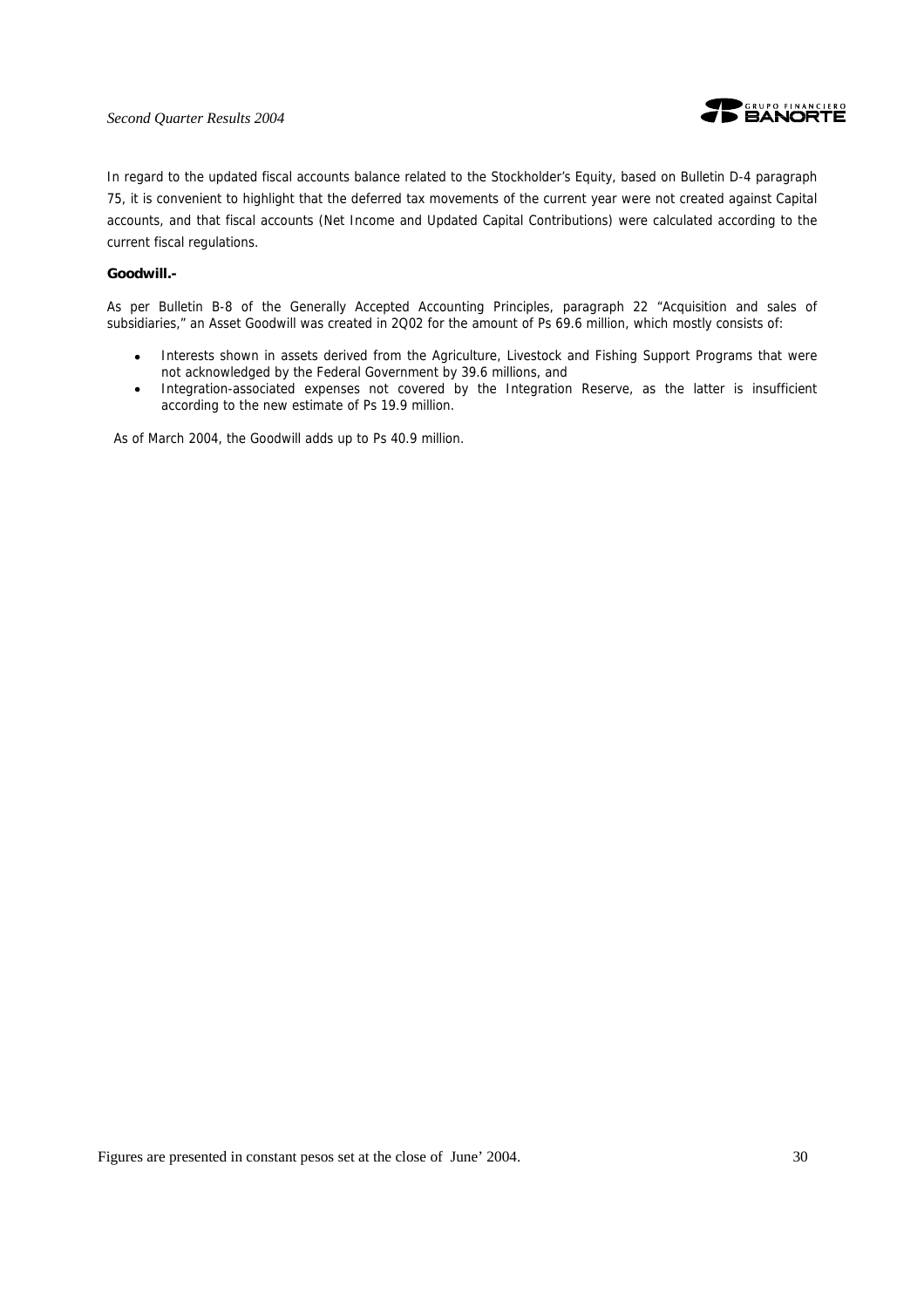#### *Second Quarter Results 2004*



In regard to the updated fiscal accounts balance related to the Stockholder's Equity, based on Bulletin D-4 paragraph 75, it is convenient to highlight that the deferred tax movements of the current year were not created against Capital accounts, and that fiscal accounts (Net Income and Updated Capital Contributions) were calculated according to the current fiscal regulations.

#### **Goodwill.-**

As per Bulletin B-8 of the Generally Accepted Accounting Principles, paragraph 22 "Acquisition and sales of subsidiaries," an Asset Goodwill was created in 2Q02 for the amount of Ps 69.6 million, which mostly consists of:

- Interests shown in assets derived from the Agriculture, Livestock and Fishing Support Programs that were not acknowledged by the Federal Government by 39.6 millions, and
- Integration-associated expenses not covered by the Integration Reserve, as the latter is insufficient according to the new estimate of Ps 19.9 million.

As of March 2004, the Goodwill adds up to Ps 40.9 million.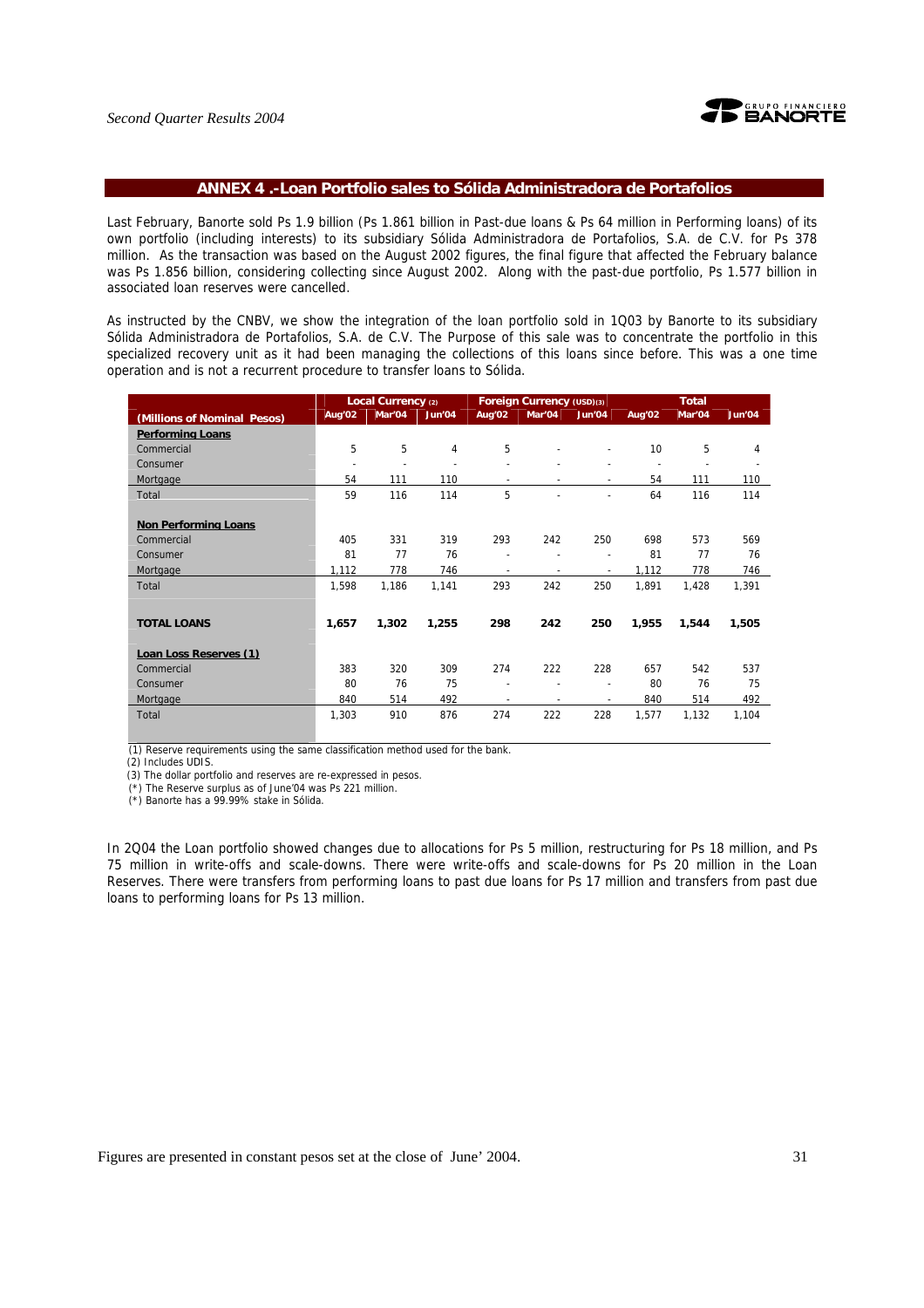

#### **ANNEX 4 .-Loan Portfolio sales to Sólida Administradora de Portafolios**

Last February, Banorte sold Ps 1.9 billion (Ps 1.861 billion in Past-due loans & Ps 64 million in Performing loans) of its own portfolio (including interests) to its subsidiary Sólida Administradora de Portafolios, S.A. de C.V. for Ps 378 million. As the transaction was based on the August 2002 figures, the final figure that affected the February balance was Ps 1.856 billion, considering collecting since August 2002. Along with the past-due portfolio, Ps 1.577 billion in associated loan reserves were cancelled.

As instructed by the CNBV, we show the integration of the loan portfolio sold in 1Q03 by Banorte to its subsidiary Sólida Administradora de Portafolios, S.A. de C.V. The Purpose of this sale was to concentrate the portfolio in this specialized recovery unit as it had been managing the collections of this loans since before. This was a one time operation and is not a recurrent procedure to transfer loans to Sólida.

|                             |                          | Local Currency (2) |        |                          | Foreign Currency (USD)(3) |                          |        | <b>Total</b> |        |
|-----------------------------|--------------------------|--------------------|--------|--------------------------|---------------------------|--------------------------|--------|--------------|--------|
| (Millions of Nominal Pesos) | Aug'02                   | Mar'04             | Jun'04 | Aug'02                   | Mar'04                    | Jun'04                   | Aug'02 | Mar'04       | Jun'04 |
| <b>Performing Loans</b>     |                          |                    |        |                          |                           |                          |        |              |        |
| Commercial                  | 5                        | 5                  | 4      | 5                        |                           |                          | 10     | 5            | 4      |
| Consumer                    | $\overline{\phantom{a}}$ |                    |        |                          |                           |                          |        |              |        |
| Mortgage                    | 54                       | 111                | 110    | ٠                        | $\blacksquare$            |                          | 54     | 111          | 110    |
| Total                       | 59                       | 116                | 114    | 5                        |                           |                          | 64     | 116          | 114    |
|                             |                          |                    |        |                          |                           |                          |        |              |        |
| <b>Non Performing Loans</b> |                          |                    |        |                          |                           |                          |        |              |        |
| Commercial                  | 405                      | 331                | 319    | 293                      | 242                       | 250                      | 698    | 573          | 569    |
| Consumer                    | 81                       | 77                 | 76     | ٠                        |                           |                          | 81     | 77           | 76     |
| Mortgage                    | 1,112                    | 778                | 746    | $\overline{\phantom{a}}$ | $\overline{\phantom{a}}$  | $\overline{\phantom{a}}$ | 1,112  | 778          | 746    |
| Total                       | 1,598                    | 1,186              | 1,141  | 293                      | 242                       | 250                      | 1,891  | 1,428        | 1,391  |
|                             |                          |                    |        |                          |                           |                          |        |              |        |
| <b>TOTAL LOANS</b>          | 1,657                    | 1,302              | 1,255  | 298                      | 242                       | 250                      | 1,955  | 1,544        | 1,505  |
|                             |                          |                    |        |                          |                           |                          |        |              |        |
| Loan Loss Reserves (1)      |                          |                    |        |                          |                           |                          |        |              |        |
| Commercial                  | 383                      | 320                | 309    | 274                      | 222                       | 228                      | 657    | 542          | 537    |
| Consumer                    | 80                       | 76                 | 75     | ٠                        | $\overline{\phantom{a}}$  |                          | 80     | 76           | 75     |
| Mortgage                    | 840                      | 514                | 492    | $\overline{\phantom{a}}$ | $\overline{\phantom{a}}$  |                          | 840    | 514          | 492    |
| Total                       | 1,303                    | 910                | 876    | 274                      | 222                       | 228                      | 1,577  | 1,132        | 1,104  |
|                             |                          |                    |        |                          |                           |                          |        |              |        |

(1) Reserve requirements using the same classification method used for the bank.

(2) Includes UDIS.

(3) The dollar portfolio and reserves are re-expressed in pesos.

(\*) The Reserve surplus as of June'04 was Ps 221 million.

(\*) Banorte has a 99.99% stake in Sólida.

In 2Q04 the Loan portfolio showed changes due to allocations for Ps 5 million, restructuring for Ps 18 million, and Ps 75 million in write-offs and scale-downs. There were write-offs and scale-downs for Ps 20 million in the Loan Reserves. There were transfers from performing loans to past due loans for Ps 17 million and transfers from past due loans to performing loans for Ps 13 million.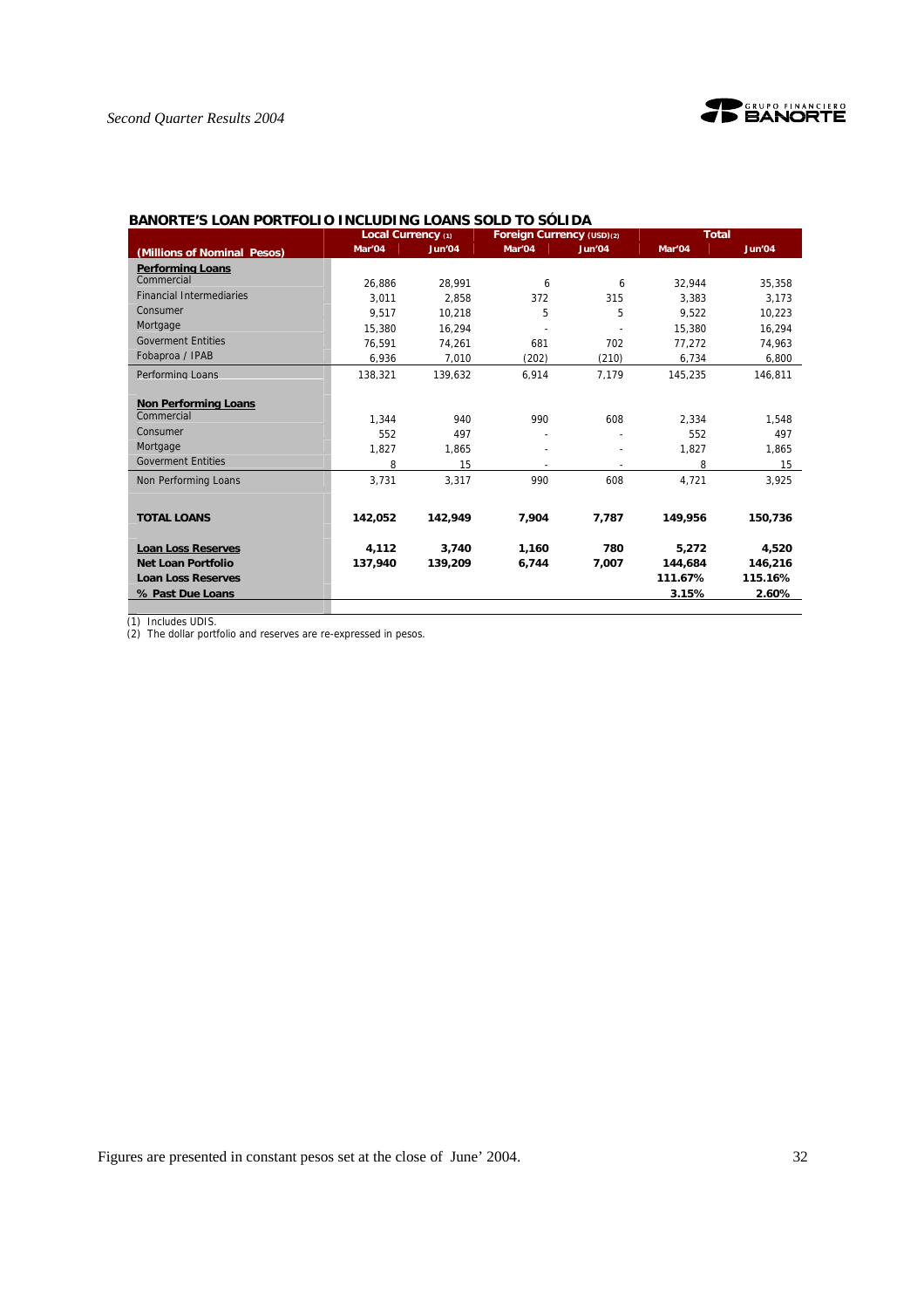

|                                 | Local Currency (1) |         | Foreign Currency (USD)(2) | DAINURTE 3 LUAN FURTI ULTU TINGLUDTING LUANG SULD TU SULTDA<br><b>Total</b><br>Jun'04<br>Mar'04<br>32,944<br>6<br>315<br>3.383 |         |         |
|---------------------------------|--------------------|---------|---------------------------|--------------------------------------------------------------------------------------------------------------------------------|---------|---------|
| (Millions of Nominal Pesos)     | Mar'04             | Jun'04  | Mar'04                    |                                                                                                                                |         | Jun'04  |
| <b>Performing Loans</b>         |                    |         |                           |                                                                                                                                |         |         |
| Commercial                      | 26,886             | 28.991  | 6                         |                                                                                                                                |         | 35.358  |
| <b>Financial Intermediaries</b> | 3.011              | 2.858   | 372                       |                                                                                                                                |         | 3.173   |
| Consumer                        | 9.517              | 10,218  | 5                         | 5                                                                                                                              | 9.522   | 10,223  |
| Mortgage                        | 15,380             | 16.294  |                           |                                                                                                                                | 15,380  | 16,294  |
| <b>Goverment Entities</b>       | 76,591             | 74,261  | 681                       | 702                                                                                                                            | 77,272  | 74,963  |
| Fobaproa / IPAB                 | 6,936              | 7.010   | (202)                     | (210)                                                                                                                          | 6,734   | 6,800   |
| Performing Loans                | 138,321            | 139.632 | 6,914                     | 7.179                                                                                                                          | 145,235 | 146.811 |
|                                 |                    |         |                           |                                                                                                                                |         |         |
| <b>Non Performing Loans</b>     |                    |         |                           |                                                                                                                                |         |         |
| Commercial                      | 1.344              | 940     | 990                       | 608                                                                                                                            | 2,334   | 1,548   |
| Consumer                        | 552                | 497     |                           |                                                                                                                                | 552     | 497     |
| Mortgage                        | 1.827              | 1.865   |                           |                                                                                                                                | 1.827   | 1.865   |
| <b>Goverment Entities</b>       | 8                  | 15      |                           |                                                                                                                                | 8       | 15      |
| Non Performing Loans            | 3.731              | 3.317   | 990                       | 608                                                                                                                            | 4,721   | 3,925   |
|                                 |                    |         |                           |                                                                                                                                |         |         |
| <b>TOTAL LOANS</b>              | 142.052            | 142.949 | 7,904                     | 7,787                                                                                                                          | 149.956 | 150,736 |
|                                 |                    |         |                           |                                                                                                                                |         |         |
| <b>Loan Loss Reserves</b>       | 4.112              | 3.740   | 1,160                     | 780                                                                                                                            | 5,272   | 4,520   |
| Net Loan Portfolio              | 137,940            | 139.209 | 6,744                     | 7,007                                                                                                                          | 144,684 | 146,216 |
| <b>Loan Loss Reserves</b>       |                    |         |                           |                                                                                                                                | 111.67% | 115.16% |
| % Past Due Loans                |                    |         |                           |                                                                                                                                | 3.15%   | 2.60%   |

**BANORTE'S LOAN PORTFOLIO INCLUDING LOANS SOLD TO SÓLIDA** 

(1) Includes UDIS.

(2) The dollar portfolio and reserves are re-expressed in pesos.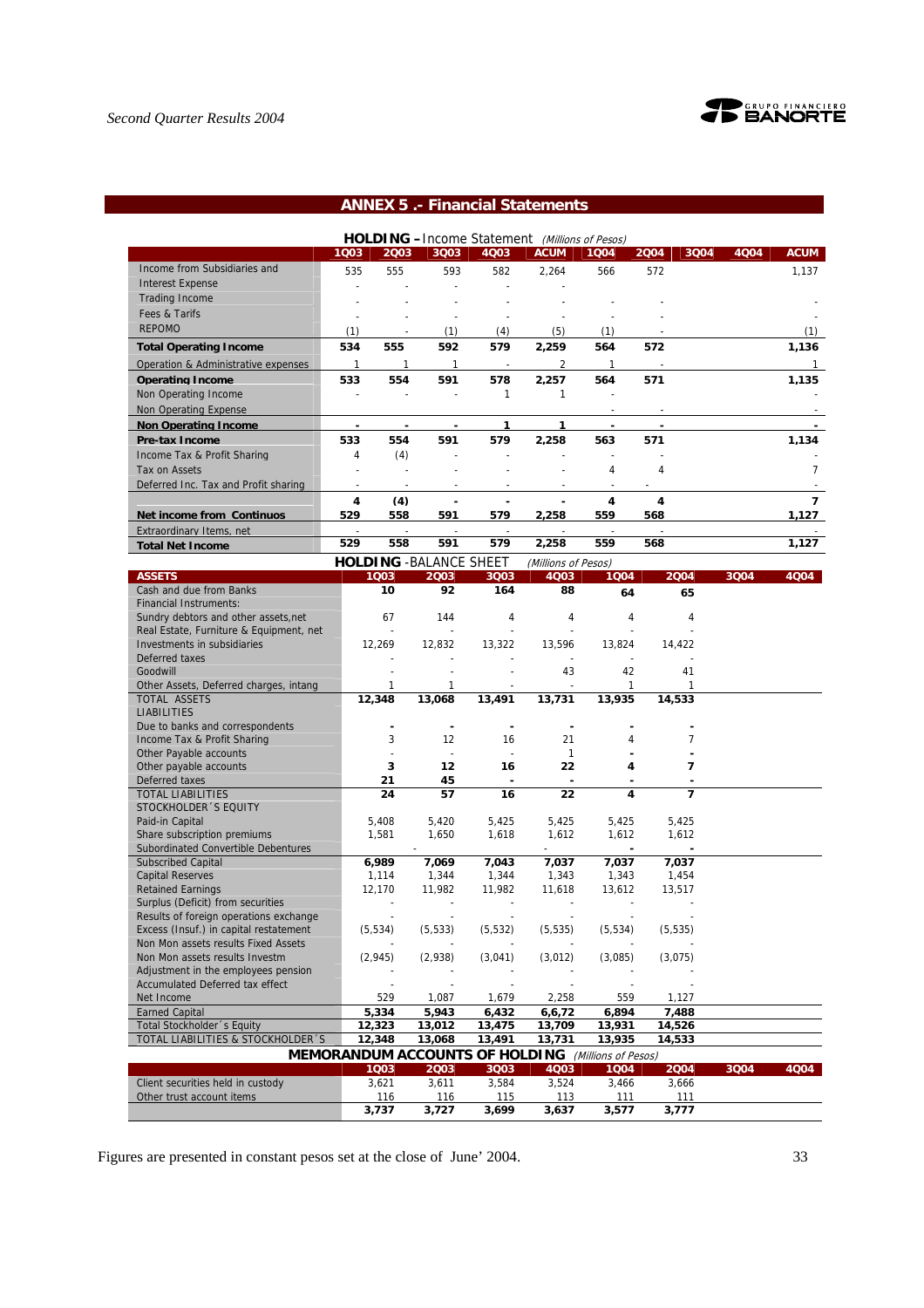

# **ANNEX 5 .- Financial Statements**

|                                      |      |      |                                |                          | HOLDING -Income Statement (Millions of Pesos) |      |      |      |      |             |
|--------------------------------------|------|------|--------------------------------|--------------------------|-----------------------------------------------|------|------|------|------|-------------|
|                                      | 1003 | 2003 | 3Q03                           | 4Q03                     | <b>ACUM</b>                                   | 1004 | 2004 | 3004 | 4004 | <b>ACUM</b> |
| Income from Subsidiaries and         | 535  | 555  | 593                            | 582                      | 2,264                                         | 566  | 572  |      |      | 1,137       |
| <b>Interest Expense</b>              |      |      |                                |                          |                                               |      |      |      |      |             |
| <b>Trading Income</b>                |      |      |                                |                          |                                               |      |      |      |      |             |
| Fees & Tarifs                        |      |      |                                |                          |                                               |      |      |      |      |             |
| <b>REPOMO</b>                        | (1)  |      | (1)                            | (4)                      | (5)                                           | (1)  |      |      |      | (1)         |
| <b>Total Operating Income</b>        | 534  | 555  | 592                            | 579                      | 2,259                                         | 564  | 572  |      |      | 1,136       |
| Operation & Administrative expenses  | 1    |      |                                |                          | 2                                             |      |      |      |      |             |
| <b>Operating Income</b>              | 533  | 554  | 591                            | 578                      | 2.257                                         | 564  | 571  |      |      | 1.135       |
| Non Operating Income                 |      |      |                                |                          |                                               |      |      |      |      |             |
| Non Operating Expense                |      |      |                                |                          |                                               |      |      |      |      |             |
| <b>Non Operating Income</b>          |      |      |                                |                          |                                               |      |      |      |      |             |
| <b>Pre-tax Income</b>                | 533  | 554  | 591                            | 579                      | 2,258                                         | 563  | 571  |      |      | 1,134       |
| Income Tax & Profit Sharing          | 4    | (4)  |                                |                          |                                               |      |      |      |      |             |
| Tax on Assets                        |      |      |                                |                          |                                               | 4    | 4    |      |      |             |
| Deferred Inc. Tax and Profit sharing |      |      |                                |                          |                                               |      |      |      |      |             |
|                                      | 4    | (4)  |                                |                          |                                               | Δ    | 4    |      |      | 7           |
| <b>Net income from Continuos</b>     | 529  | 558  | 591                            | 579                      | 2,258                                         | 559  | 568  |      |      | 1,127       |
| Extraordinary Items, net             |      |      |                                | $\overline{\phantom{a}}$ |                                               |      |      |      |      |             |
| <b>Total Net Income</b>              | 529  | 558  | 591                            | 579                      | 2,258                                         | 559  | 568  |      |      | 1,127       |
|                                      |      |      | <b>HOLDING - BALANCE SHEET</b> |                          | (Millions of Pesos)                           |      |      |      |      |             |

| <b>ASSETS</b>                           | 1003                                                      | 2003         | 3Q03           | 4Q03           | 1004     | 2004           | 3004 | 4Q04 |
|-----------------------------------------|-----------------------------------------------------------|--------------|----------------|----------------|----------|----------------|------|------|
| Cash and due from Banks                 | 10                                                        | 92           | 164            | 88             | 64       | 65             |      |      |
| <b>Financial Instruments:</b>           |                                                           |              |                |                |          |                |      |      |
| Sundry debtors and other assets, net    | 67                                                        | 144          | 4              | 4              | 4        | $\overline{4}$ |      |      |
| Real Estate, Furniture & Equipment, net |                                                           |              | $\overline{a}$ |                |          |                |      |      |
| Investments in subsidiaries             | 12,269                                                    | 12,832       | 13,322         | 13,596         | 13,824   | 14,422         |      |      |
| Deferred taxes                          |                                                           |              |                |                |          |                |      |      |
| Goodwill                                |                                                           |              |                | 43             | 42       | 41             |      |      |
| Other Assets, Deferred charges, intang  | 1                                                         | 1            |                |                | 1        | 1              |      |      |
| <b>TOTAL ASSETS</b>                     | 12,348                                                    | 13,068       | 13,491         | 13,731         | 13,935   | 14,533         |      |      |
| <b>LIABILITIES</b>                      |                                                           |              |                |                |          |                |      |      |
| Due to banks and correspondents         |                                                           | ٠            |                |                |          |                |      |      |
| Income Tax & Profit Sharing             | 3                                                         | 12           | 16             | 21             | 4        | 7              |      |      |
| Other Payable accounts                  |                                                           | $\mathbf{r}$ | $\sim$         | $\mathbf{1}$   |          |                |      |      |
| Other payable accounts                  | 3                                                         | 12           | 16             | 22             | 4        | 7              |      |      |
| Deferred taxes                          | 21                                                        | 45           | $\blacksquare$ | $\blacksquare$ |          |                |      |      |
| <b>TOTAL LIABILITIES</b>                | 24                                                        | 57           | 16             | 22             | 4        | $\overline{7}$ |      |      |
| STOCKHOLDER 'S EQUITY                   |                                                           |              |                |                |          |                |      |      |
| Paid-in Capital                         | 5,408                                                     | 5,420        | 5,425          | 5,425          | 5,425    | 5,425          |      |      |
| Share subscription premiums             | 1,581                                                     | 1,650        | 1,618          | 1,612          | 1,612    | 1,612          |      |      |
| Subordinated Convertible Debentures     |                                                           |              |                |                |          |                |      |      |
| <b>Subscribed Capital</b>               | 6,989                                                     | 7,069        | 7,043          | 7,037          | 7,037    | 7,037          |      |      |
| <b>Capital Reserves</b>                 | 1,114                                                     | 1,344        | 1,344          | 1,343          | 1,343    | 1,454          |      |      |
| <b>Retained Earnings</b>                | 12,170                                                    | 11,982       | 11,982         | 11,618         | 13,612   | 13,517         |      |      |
| Surplus (Deficit) from securities       |                                                           |              |                |                |          |                |      |      |
| Results of foreign operations exchange  |                                                           |              |                |                |          |                |      |      |
| Excess (Insuf.) in capital restatement  | (5, 534)                                                  | (5, 533)     | (5, 532)       | (5, 535)       | (5, 534) | (5, 535)       |      |      |
| Non Mon assets results Fixed Assets     |                                                           |              |                |                |          |                |      |      |
| Non Mon assets results Investm          | (2,945)                                                   | (2,938)      | (3,041)        | (3,012)        | (3,085)  | (3,075)        |      |      |
| Adjustment in the employees pension     |                                                           |              |                |                |          |                |      |      |
| Accumulated Deferred tax effect         |                                                           |              |                |                |          |                |      |      |
| Net Income                              | 529                                                       | 1,087        | 1,679          | 2,258          | 559      | 1,127          |      |      |
| <b>Earned Capital</b>                   | 5,334                                                     | 5,943        | 6,432          | 6,6,72         | 6,894    | 7,488          |      |      |
| Total Stockholder 's Equity             | 12,323                                                    | 13,012       | 13,475         | 13,709         | 13,931   | 14,526         |      |      |
| TOTAL LIABILITIES & STOCKHOLDER 'S      | 12,348                                                    | 13,068       | 13,491         | 13,731         | 13,935   | 14,533         |      |      |
|                                         | <b>MEMORANDUM ACCOUNTS OF HOLDING</b> (Millions of Pesos) |              |                |                |          |                |      |      |
|                                         | 1003                                                      | 2003         | 3003           | 4003           | 1004     | 2004           | 3004 | 4Q04 |
| Client securities held in custody       | 3,621                                                     | 3,611        | 3,584          | 3,524          | 3,466    | 3,666          |      |      |
| Other trust account items               | 116                                                       | 116          | 115            | 113            | 111      | 111            |      |      |
|                                         | 3,737                                                     | 3,727        | 3,699          | 3,637          | 3,577    | 3,777          |      |      |
|                                         |                                                           |              |                |                |          |                |      |      |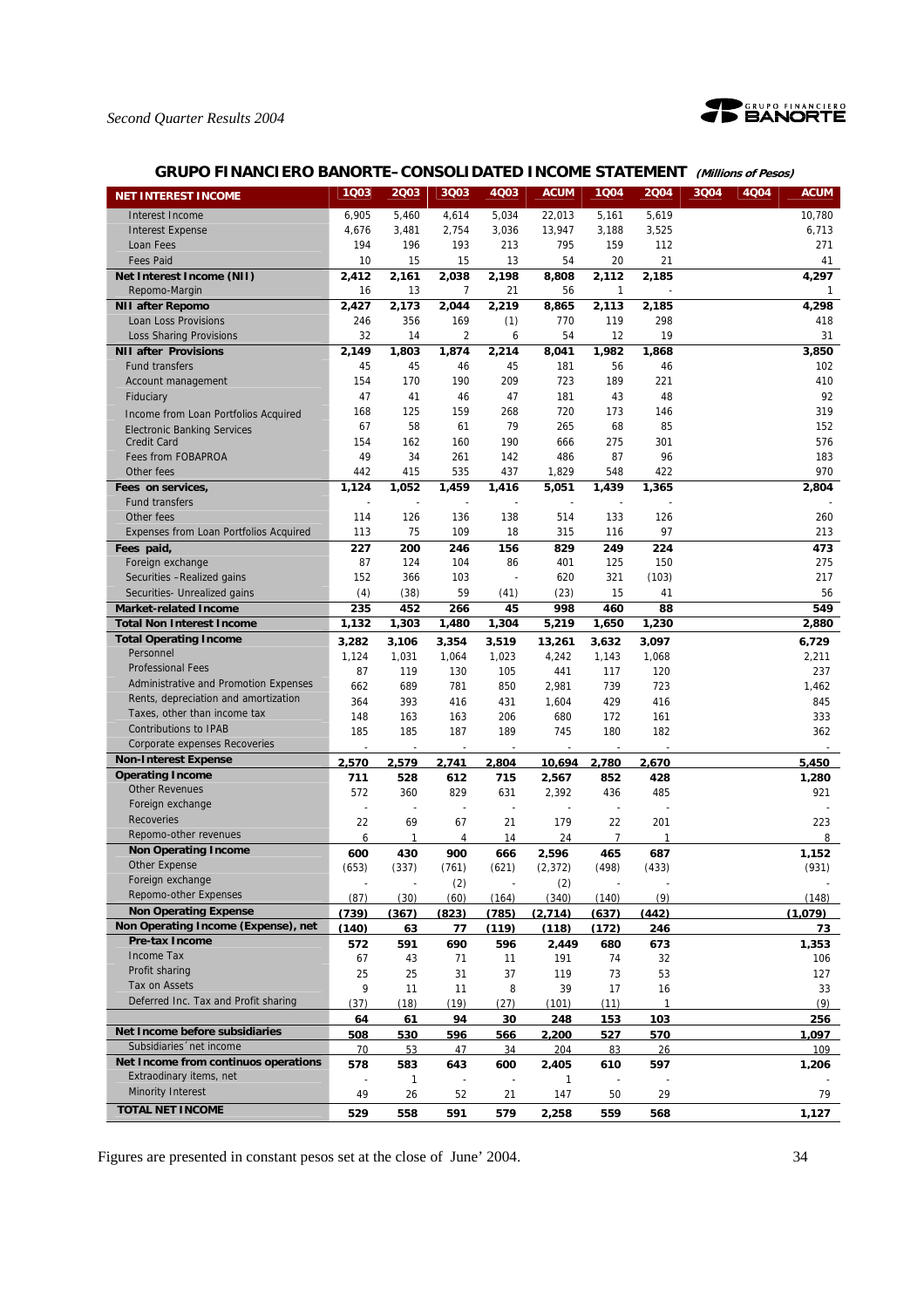

# **GRUPO FINANCIERO BANORTE–CONSOLIDATED INCOME STATEMENT (Millions of Pesos)**

| <b>NET INTEREST INCOME</b>                                       | 1Q03                     | 2003                     | 3Q03           | 4Q03                     | <b>ACUM</b>           | 1004                     | 2004  | 3004 | <b>4004</b> | <b>ACUM</b>  |
|------------------------------------------------------------------|--------------------------|--------------------------|----------------|--------------------------|-----------------------|--------------------------|-------|------|-------------|--------------|
| Interest Income                                                  | 6,905                    | 5,460                    | 4,614          | 5,034                    | 22,013                | 5,161                    | 5,619 |      |             | 10,780       |
| <b>Interest Expense</b>                                          | 4,676                    | 3,481                    | 2,754          | 3,036                    | 13,947                | 3,188                    | 3,525 |      |             | 6,713        |
| Loan Fees                                                        | 194                      | 196                      | 193            | 213                      | 795                   | 159                      | 112   |      |             | 271          |
| <b>Fees Paid</b>                                                 | 10                       | 15                       | 15             | 13                       | 54                    | 20                       | 21    |      |             | 41           |
| Net Interest Income (NII)                                        | 2,412                    | 2,161                    | 2,038          | 2,198                    | 8,808                 | 2,112                    | 2,185 |      |             | 4,297        |
| Repomo-Margin                                                    | 16                       | 13                       | $\overline{7}$ | 21                       | 56                    | 1                        |       |      |             | $\mathbf{1}$ |
| <b>NII after Repomo</b>                                          | 2,427                    | 2,173                    | 2,044          | 2,219                    | 8,865                 | 2,113                    | 2,185 |      |             | 4,298        |
| Loan Loss Provisions                                             | 246                      | 356                      | 169            | (1)                      | 770                   | 119                      | 298   |      |             | 418          |
| <b>Loss Sharing Provisions</b>                                   | 32                       | 14                       | $\overline{c}$ | 6                        | 54                    | 12                       | 19    |      |             | 31           |
| <b>NII after Provisions</b>                                      | 2,149                    | 1,803                    | 1,874          | 2,214                    | 8,041                 | 1,982                    | 1,868 |      |             | 3,850        |
| <b>Fund transfers</b>                                            | 45                       | 45                       | 46             | 45                       | 181                   | 56                       | 46    |      |             | 102          |
| Account management                                               | 154                      | 170                      | 190            | 209                      | 723                   | 189                      | 221   |      |             | 410          |
| Fiduciary                                                        | 47                       | 41                       | 46             | 47                       | 181                   | 43                       | 48    |      |             | 92           |
| Income from Loan Portfolios Acquired                             | 168                      | 125                      | 159            | 268                      | 720                   | 173                      | 146   |      |             | 319          |
| <b>Electronic Banking Services</b>                               | 67                       | 58                       | 61             | 79                       | 265                   | 68                       | 85    |      |             | 152          |
| <b>Credit Card</b>                                               | 154                      | 162                      | 160            | 190                      | 666                   | 275                      | 301   |      |             | 576          |
| Fees from FOBAPROA                                               | 49                       | 34                       | 261            | 142                      | 486                   | 87                       | 96    |      |             | 183          |
| Other fees                                                       | 442                      | 415                      | 535            | 437                      | 1,829                 | 548                      | 422   |      |             | 970          |
| Fees on services,                                                | 1,124                    | 1,052                    | 1,459          | 1,416                    | 5,051                 | 1,439                    | 1,365 |      |             | 2,804        |
| <b>Fund transfers</b>                                            | L,                       | ÷,                       | $\overline{a}$ |                          | ÷,                    | $\overline{\phantom{a}}$ |       |      |             |              |
| Other fees                                                       | 114                      | 126                      | 136            | 138                      | 514                   | 133                      | 126   |      |             | 260          |
| Expenses from Loan Portfolios Acquired                           | 113                      | 75                       | 109            | 18                       | 315                   | 116                      | 97    |      |             | 213          |
| Fees paid,                                                       | 227                      | 200                      | 246            | 156                      | 829                   | 249                      | 224   |      |             | 473          |
| Foreign exchange                                                 | 87                       | 124                      | 104            | 86                       | 401                   | 125                      | 150   |      |             | 275          |
| Securities -Realized gains                                       | 152                      | 366                      | 103            |                          | 620                   | 321                      | (103) |      |             | 217          |
| Securities- Unrealized gains                                     | (4)                      | (38)                     | 59             | (41)                     | (23)                  | 15                       | 41    |      |             | 56           |
| <b>Market-related Income</b>                                     | 235                      | 452                      | 266            | 45                       | 998                   | 460                      | 88    |      |             | 549          |
| <b>Total Non Interest Income</b>                                 | 1,132                    | 1,303                    | 1,480          | 1,304                    | 5,219                 | 1,650                    | 1,230 |      |             | 2,880        |
| <b>Total Operating Income</b><br>Personnel                       | 3,282                    | 3,106                    | 3,354          | 3,519                    | 13,261                | 3,632                    | 3,097 |      |             | 6,729        |
| <b>Professional Fees</b>                                         | 1,124                    | 1,031                    | 1,064          | 1,023                    | 4,242                 | 1,143                    | 1,068 |      |             | 2,211        |
| Administrative and Promotion Expenses                            | 87                       | 119                      | 130            | 105                      | 441                   | 117                      | 120   |      |             | 237          |
| Rents, depreciation and amortization                             | 662                      | 689                      | 781            | 850                      | 2,981                 | 739                      | 723   |      |             | 1,462        |
| Taxes, other than income tax                                     | 364                      | 393                      | 416            | 431                      | 1,604                 | 429                      | 416   |      |             | 845          |
| <b>Contributions to IPAB</b>                                     | 148                      | 163                      | 163            | 206                      | 680                   | 172                      | 161   |      |             | 333          |
| Corporate expenses Recoveries                                    | 185                      | 185<br>$\overline{a}$    | 187<br>L,      | 189                      | 745<br>$\overline{a}$ | 180                      | 182   |      |             | 362          |
| <b>Non-Interest Expense</b>                                      | 2.570                    | 2.579                    | 2.741          | 2.804                    | 10.694                | 2.780                    | 2.670 |      |             | 5.450        |
| <b>Operating Income</b>                                          | 711                      | 528                      | 612            | 715                      | 2,567                 | 852                      | 428   |      |             | 1,280        |
| <b>Other Revenues</b>                                            | 572                      | 360                      | 829            | 631                      | 2,392                 | 436                      | 485   |      |             | 921          |
| Foreign exchange                                                 | ÷,                       | ÷,                       | ÷,             | $\overline{\phantom{a}}$ | ÷,                    |                          |       |      |             |              |
| <b>Recoveries</b>                                                | 22                       | 69                       | 67             | 21                       | 179                   | 22                       | 201   |      |             | 223          |
| Repomo-other revenues                                            | 6                        | 1                        | 4              | 14                       | 24                    | $\overline{7}$           | 1     |      |             | 8            |
| <b>Non Operating Income</b>                                      | 600                      | 430                      | 900            | 666                      | 2,596                 | 465                      | 687   |      |             | 1,152        |
| Other Expense                                                    | (653)                    | (337)                    | (761)          | (621)                    | (2, 372)              | (498)                    | (433) |      |             | (931)        |
| Foreign exchange                                                 | $\overline{\phantom{a}}$ | $\overline{\phantom{a}}$ | (2)            |                          | (2)                   | $\overline{\phantom{a}}$ |       |      |             |              |
| Repomo-other Expenses                                            | (87)                     | (30)                     | (60)           | (164)                    | (340)                 | (140)                    | (9)   |      |             | (148)        |
| <b>Non Operating Expense</b>                                     | (739)                    | (367)                    | (823)          | (785)                    | (2.714)               | (637)                    | (442) |      |             | (1.079)      |
| Non Operating Income (Expense), net                              | (140)                    | 63                       | 77             | (119)                    | (118)                 | (172)                    | 246   |      |             | 73           |
| <b>Pre-tax Income</b>                                            | 572                      | 591                      | 690            | 596                      | 2.449                 | 680                      | 673   |      |             | 1.353        |
| Income Tax                                                       | 67                       | 43                       | 71             | 11                       | 191                   | 74                       | 32    |      |             | 106          |
| Profit sharing                                                   | 25                       | 25                       | 31             | 37                       | 119                   | 73                       | 53    |      |             | 127          |
| Tax on Assets                                                    | 9                        | 11                       | 11             | 8                        | 39                    | 17                       | 16    |      |             | 33           |
| Deferred Inc. Tax and Profit sharing                             | (37)                     | (18)                     | (19)           | (27)                     | (101)                 | (11)                     | 1     |      |             | (9)          |
|                                                                  | 64                       | 61                       | 94             | 30                       | 248                   | 153                      | 103   |      |             | 256          |
| Net Income before subsidiaries                                   | 508                      | 530                      | 596            | 566                      | 2,200                 | 527                      | 570   |      |             | 1,097        |
| Subsidiaries 'net income<br>Net Income from continuos operations | 70                       | 53                       | 47             | 34                       | 204                   | 83                       | 26    |      |             | 109          |
| Extraodinary items, net                                          | 578                      | 583                      | 643            | 600                      | 2,405                 | 610                      | 597   |      |             | 1,206        |
| <b>Minority Interest</b>                                         | 49                       | 1<br>26                  | 52             | 21                       | 1<br>147              | 50                       | 29    |      |             | 79           |
| <b>TOTAL NET INCOME</b>                                          |                          |                          |                |                          |                       |                          |       |      |             |              |
|                                                                  | 529                      | 558                      | 591            | 579                      | 2,258                 | 559                      | 568   |      |             | 1,127        |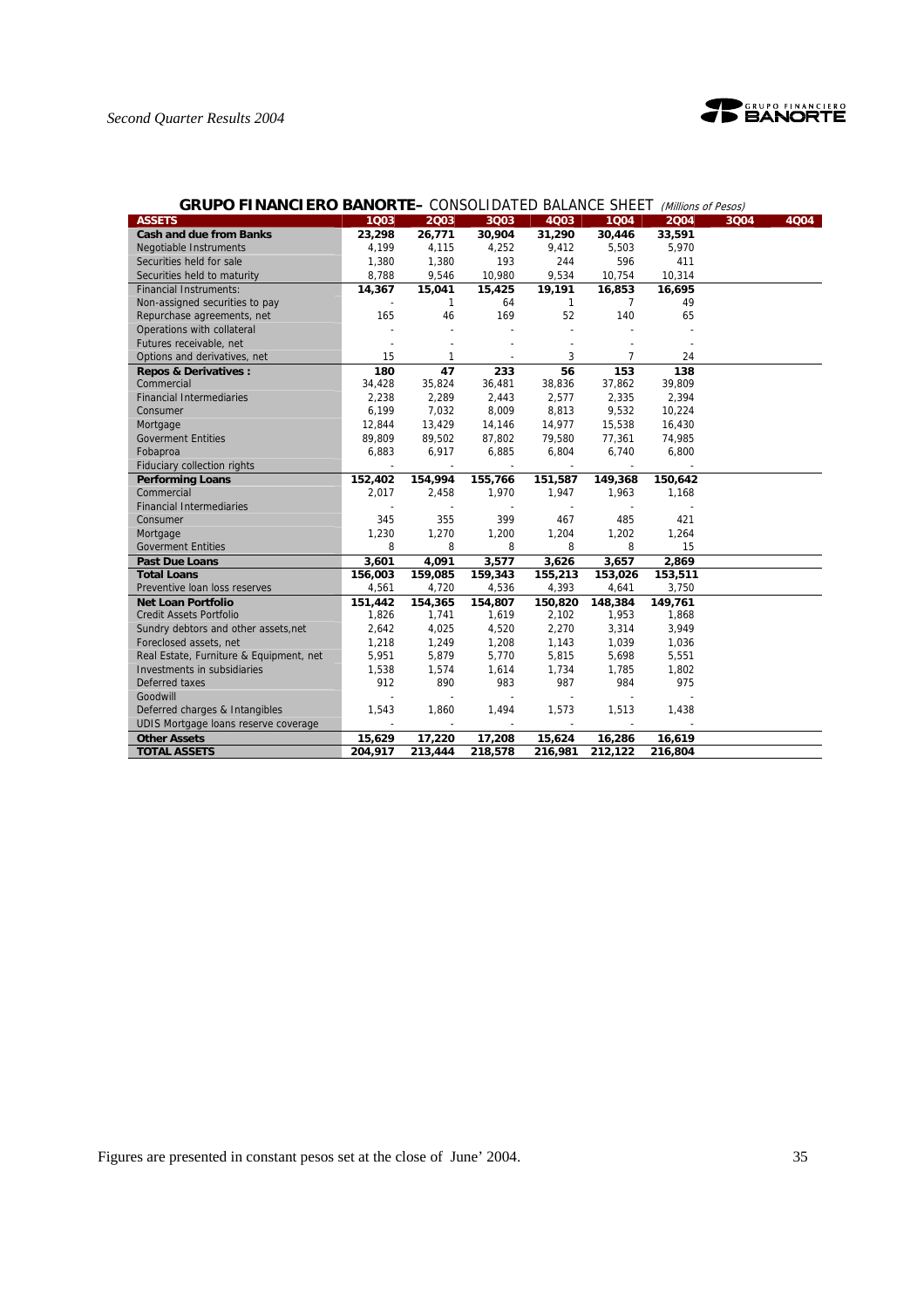

# *Second Quarter Results 2004*

| <b>GRUPO FINANCIERO BANORTE–</b> CONSOLIDATED BALANCE SHEET |                          |                          |                          |                          |                          | (Millions of Pesos) |      |      |
|-------------------------------------------------------------|--------------------------|--------------------------|--------------------------|--------------------------|--------------------------|---------------------|------|------|
| <b>ASSETS</b>                                               | 1Q03                     | 2003                     | 3Q03                     | 4Q03                     | 1004                     | 2004                | 3Q04 | 4Q04 |
| <b>Cash and due from Banks</b>                              | 23,298                   | 26,771                   | 30,904                   | 31,290                   | 30,446                   | 33,591              |      |      |
| Negotiable Instruments                                      | 4,199                    | 4,115                    | 4,252                    | 9,412                    | 5,503                    | 5,970               |      |      |
| Securities held for sale                                    | 1,380                    | 1,380                    | 193                      | 244                      | 596                      | 411                 |      |      |
| Securities held to maturity                                 | 8,788                    | 9,546                    | 10,980                   | 9,534                    | 10,754                   | 10,314              |      |      |
| <b>Financial Instruments:</b>                               | 14,367                   | 15,041                   | 15,425                   | 19,191                   | 16,853                   | 16,695              |      |      |
| Non-assigned securities to pay                              |                          | 1                        | 64                       | $\mathbf{1}$             | $\overline{7}$           | 49                  |      |      |
| Repurchase agreements, net                                  | 165                      | 46                       | 169                      | 52                       | 140                      | 65                  |      |      |
| Operations with collateral                                  |                          |                          |                          |                          |                          |                     |      |      |
| Futures receivable, net                                     |                          |                          |                          |                          |                          |                     |      |      |
| Options and derivatives, net                                | 15                       | $\mathbf{1}$             |                          | 3                        | $\overline{7}$           | 24                  |      |      |
| <b>Repos &amp; Derivatives:</b>                             | 180                      | 47                       | 233                      | 56                       | 153                      | 138                 |      |      |
| Commercial                                                  | 34,428                   | 35,824                   | 36,481                   | 38,836                   | 37,862                   | 39,809              |      |      |
| <b>Financial Intermediaries</b>                             | 2,238                    | 2,289                    | 2,443                    | 2,577                    | 2,335                    | 2,394               |      |      |
| Consumer                                                    | 6,199                    | 7,032                    | 8,009                    | 8,813                    | 9,532                    | 10,224              |      |      |
| Mortgage                                                    | 12,844                   | 13,429                   | 14,146                   | 14,977                   | 15,538                   | 16,430              |      |      |
| <b>Goverment Entities</b>                                   | 89,809                   | 89,502                   | 87,802                   | 79,580                   | 77,361                   | 74,985              |      |      |
| Fobaproa                                                    | 6,883                    | 6,917                    | 6,885                    | 6,804                    | 6,740                    | 6,800               |      |      |
| <b>Fiduciary collection rights</b>                          |                          | $\overline{\phantom{a}}$ | $\overline{\phantom{a}}$ | $\overline{\phantom{a}}$ | $\overline{\phantom{a}}$ |                     |      |      |
| <b>Performing Loans</b>                                     | 152,402                  | 154,994                  | 155,766                  | 151,587                  | 149,368                  | 150,642             |      |      |
| Commercial                                                  | 2.017                    | 2,458                    | 1,970                    | 1,947                    | 1,963                    | 1,168               |      |      |
| <b>Financial Intermediaries</b>                             |                          |                          |                          |                          |                          |                     |      |      |
| Consumer                                                    | 345                      | 355                      | 399                      | 467                      | 485                      | 421                 |      |      |
| Mortgage                                                    | 1,230                    | 1,270                    | 1,200                    | 1,204                    | 1,202                    | 1,264               |      |      |
| <b>Goverment Entities</b>                                   | 8                        | 8                        | 8                        | 8                        | 8                        | 15                  |      |      |
| <b>Past Due Loans</b>                                       | 3,601                    | 4,091                    | 3,577                    | 3,626                    | 3,657                    | 2,869               |      |      |
| <b>Total Loans</b>                                          | 156,003                  | 159,085                  | 159,343                  | 155,213                  | 153,026                  | 153,511             |      |      |
| Preventive Ioan loss reserves                               | 4,561                    | 4,720                    | 4,536                    | 4,393                    | 4,641                    | 3,750               |      |      |
| <b>Net Loan Portfolio</b>                                   | 151,442                  | 154,365                  | 154,807                  | 150,820                  | 148,384                  | 149,761             |      |      |
| <b>Credit Assets Portfolio</b>                              | 1,826                    | 1,741                    | 1,619                    | 2,102                    | 1,953                    | 1,868               |      |      |
| Sundry debtors and other assets, net                        | 2,642                    | 4,025                    | 4,520                    | 2,270                    | 3,314                    | 3,949               |      |      |
| Foreclosed assets, net                                      | 1,218                    | 1,249                    | 1,208                    | 1,143                    | 1,039                    | 1,036               |      |      |
| Real Estate, Furniture & Equipment, net                     | 5,951                    | 5,879                    | 5,770                    | 5,815                    | 5,698                    | 5,551               |      |      |
| Investments in subsidiaries                                 | 1,538                    | 1,574                    | 1,614                    | 1,734                    | 1,785                    | 1,802               |      |      |
| Deferred taxes                                              | 912                      | 890                      | 983                      | 987                      | 984                      | 975                 |      |      |
| Goodwill                                                    |                          |                          |                          |                          |                          |                     |      |      |
| Deferred charges & Intangibles                              | 1,543                    | 1,860                    | 1,494                    | 1,573                    | 1,513                    | 1,438               |      |      |
| UDIS Mortgage loans reserve coverage                        | $\overline{\phantom{a}}$ | $\overline{a}$           | $\blacksquare$           | $\overline{a}$           | $\sim$                   |                     |      |      |
| <b>Other Assets</b>                                         | 15,629                   | 17,220                   | 17,208                   | 15,624                   | 16,286                   | 16,619              |      |      |
| <b>TOTAL ASSETS</b>                                         | 204,917                  | 213,444                  | 218,578                  | 216,981                  | 212,122                  | 216,804             |      |      |

#### **GRUPO FINANCIERO BANORTE–** CONSOLIDATED BALANCE SHEET (Millions of Pesos)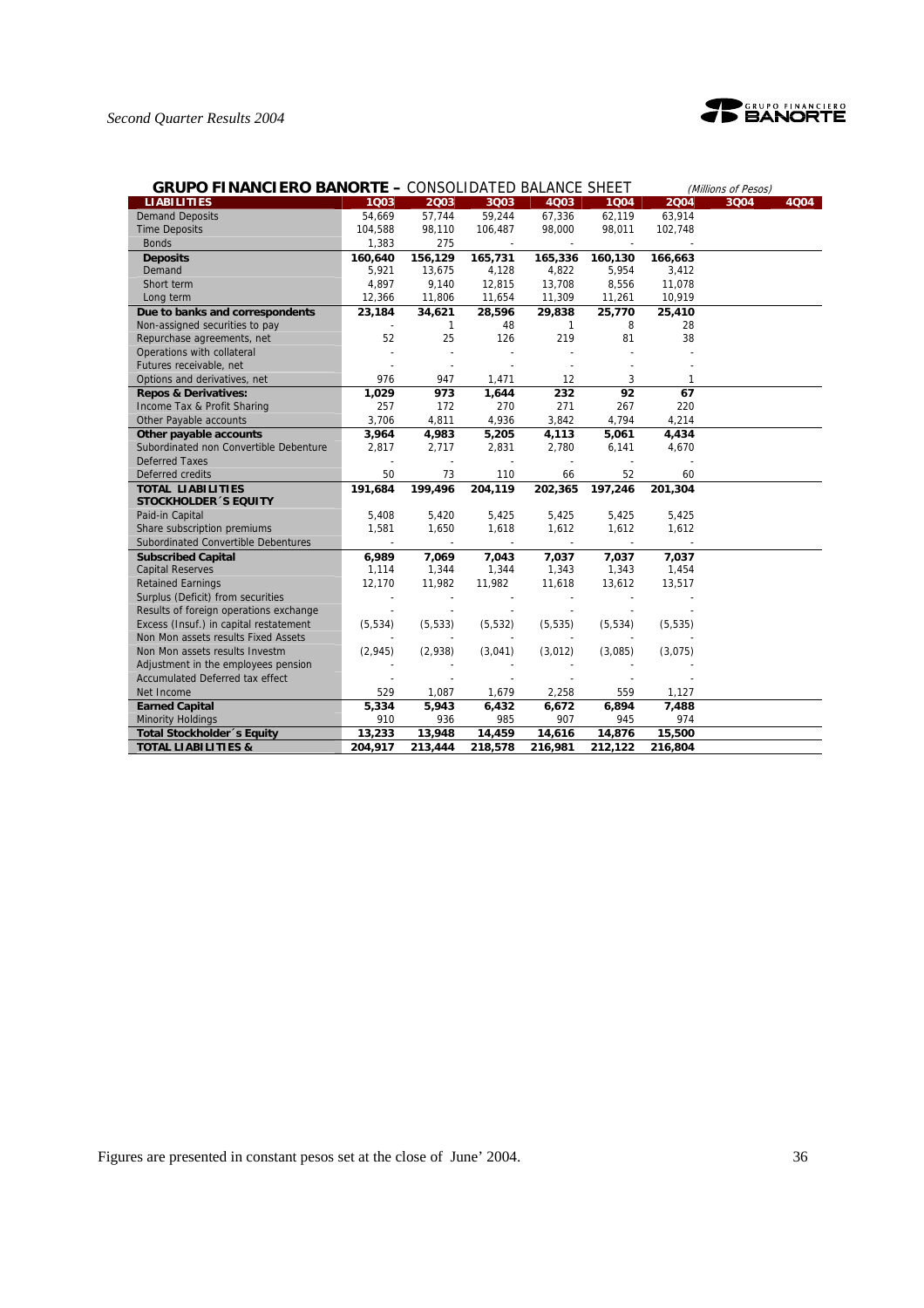

| <b>GRUPO FINANCIERO BANORTE - CONSOLIDATED BALANCE SHEET</b> |          |              |          |              |          |          | (Millions of Pesos) |      |
|--------------------------------------------------------------|----------|--------------|----------|--------------|----------|----------|---------------------|------|
| <b>LIABILITIES</b>                                           | 1003     | 2003         | 3Q03     | 4Q03         | 1004     | 2004     | 3Q04                | 4Q04 |
| <b>Demand Deposits</b>                                       | 54,669   | 57,744       | 59,244   | 67,336       | 62,119   | 63,914   |                     |      |
| <b>Time Deposits</b>                                         | 104,588  | 98,110       | 106,487  | 98,000       | 98,011   | 102,748  |                     |      |
| <b>Bonds</b>                                                 | 1,383    | 275          |          |              |          |          |                     |      |
| <b>Deposits</b>                                              | 160,640  | 156,129      | 165,731  | 165,336      | 160,130  | 166,663  |                     |      |
| Demand                                                       | 5,921    | 13,675       | 4,128    | 4,822        | 5,954    | 3,412    |                     |      |
| Short term                                                   | 4,897    | 9,140        | 12,815   | 13,708       | 8,556    | 11,078   |                     |      |
| Long term                                                    | 12,366   | 11,806       | 11,654   | 11,309       | 11,261   | 10,919   |                     |      |
| Due to banks and correspondents                              | 23,184   | 34,621       | 28,596   | 29.838       | 25,770   | 25,410   |                     |      |
| Non-assigned securities to pay                               |          | $\mathbf{1}$ | 48       | $\mathbf{1}$ | 8        | 28       |                     |      |
| Repurchase agreements, net                                   | 52       | 25           | 126      | 219          | 81       | 38       |                     |      |
| Operations with collateral                                   |          |              |          |              |          |          |                     |      |
| Futures receivable, net                                      |          |              |          |              |          |          |                     |      |
| Options and derivatives, net                                 | 976      | 947          | 1,471    | 12           | 3        | 1        |                     |      |
| <b>Repos &amp; Derivatives:</b>                              | 1,029    | 973          | 1,644    | 232          | 92       | 67       |                     |      |
| Income Tax & Profit Sharing                                  | 257      | 172          | 270      | 271          | 267      | 220      |                     |      |
| Other Payable accounts                                       | 3,706    | 4,811        | 4,936    | 3,842        | 4,794    | 4,214    |                     |      |
| Other payable accounts                                       | 3,964    | 4,983        | 5,205    | 4,113        | 5,061    | 4,434    |                     |      |
| Subordinated non Convertible Debenture                       | 2,817    | 2,717        | 2,831    | 2,780        | 6,141    | 4,670    |                     |      |
| <b>Deferred Taxes</b>                                        |          |              |          |              |          |          |                     |      |
| Deferred credits                                             | 50       | 73           | 110      | 66           | 52       | 60       |                     |      |
| <b>TOTAL LIABILITIES</b>                                     | 191,684  | 199,496      | 204,119  | 202,365      | 197,246  | 201,304  |                     |      |
| <b>STOCKHOLDER 'S EQUITY</b>                                 |          |              |          |              |          |          |                     |      |
| Paid-in Capital                                              | 5,408    | 5,420        | 5,425    | 5,425        | 5,425    | 5,425    |                     |      |
| Share subscription premiums                                  | 1,581    | 1,650        | 1,618    | 1,612        | 1,612    | 1,612    |                     |      |
| Subordinated Convertible Debentures                          |          |              |          |              |          |          |                     |      |
| <b>Subscribed Capital</b>                                    | 6,989    | 7,069        | 7,043    | 7,037        | 7,037    | 7,037    |                     |      |
| <b>Capital Reserves</b>                                      | 1,114    | 1,344        | 1,344    | 1,343        | 1,343    | 1,454    |                     |      |
| <b>Retained Earnings</b>                                     | 12,170   | 11,982       | 11,982   | 11,618       | 13,612   | 13,517   |                     |      |
| Surplus (Deficit) from securities                            |          |              |          |              |          |          |                     |      |
| Results of foreign operations exchange                       |          |              |          |              |          |          |                     |      |
| Excess (Insuf.) in capital restatement                       | (5, 534) | (5, 533)     | (5, 532) | (5, 535)     | (5, 534) | (5, 535) |                     |      |
| Non Mon assets results Fixed Assets                          |          |              |          |              |          |          |                     |      |
| Non Mon assets results Investm                               | (2, 945) | (2,938)      | (3,041)  | (3,012)      | (3,085)  | (3,075)  |                     |      |
| Adjustment in the employees pension                          |          |              |          |              |          |          |                     |      |
| <b>Accumulated Deferred tax effect</b>                       |          |              |          |              |          |          |                     |      |
| Net Income                                                   | 529      | 1,087        | 1,679    | 2,258        | 559      | 1,127    |                     |      |
| <b>Earned Capital</b>                                        | 5,334    | 5,943        | 6,432    | 6,672        | 6,894    | 7,488    |                     |      |
| <b>Minority Holdings</b>                                     | 910      | 936          | 985      | 907          | 945      | 974      |                     |      |
| Total Stockholder 's Equity                                  | 13,233   | 13,948       | 14,459   | 14,616       | 14,876   | 15,500   |                     |      |
| <b>TOTAL LIABILITIES &amp;</b>                               | 204,917  | 213,444      | 218,578  | 216,981      | 212,122  | 216,804  |                     |      |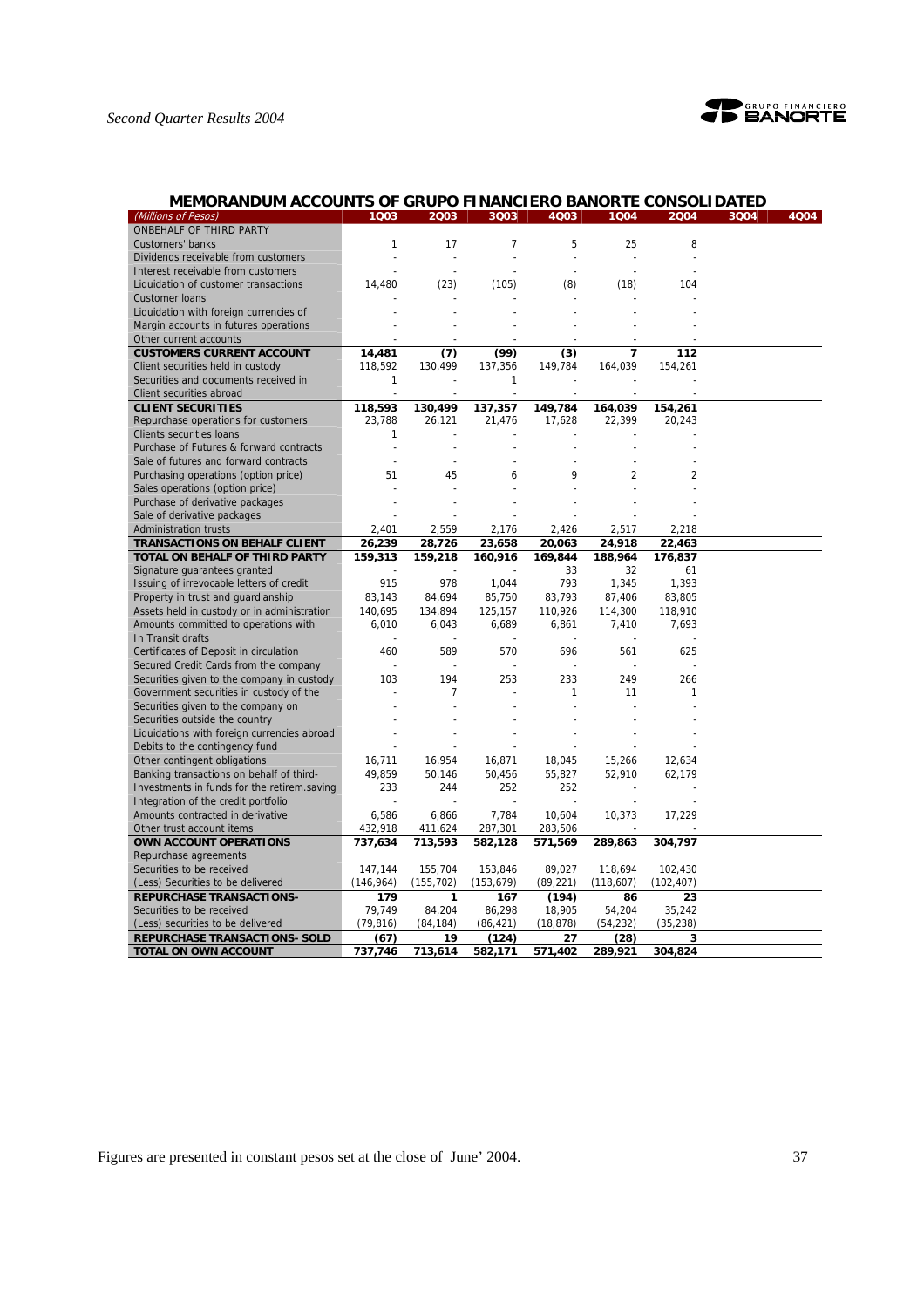# *Second Quarter Results 2004*



# **MEMORANDUM ACCOUNTS OF GRUPO FINANCIERO BANORTE CONSOLIDATED**

| (Millions of Pesos)                         | 1Q03         | 2003           | 3Q03       | 4Q03                     | 1Q04      | 2004       | 3Q04 | 4Q04 |
|---------------------------------------------|--------------|----------------|------------|--------------------------|-----------|------------|------|------|
| ONBEHALF OF THIRD PARTY                     |              |                |            |                          |           |            |      |      |
| Customers' banks                            | 1            | 17             | 7          | 5                        | 25        | 8          |      |      |
| Dividends receivable from customers         |              | ÷,             |            | $\overline{\phantom{a}}$ |           |            |      |      |
| Interest receivable from customers          |              |                |            |                          |           |            |      |      |
| Liquidation of customer transactions        | 14,480       | (23)           | (105)      | (8)                      | (18)      | 104        |      |      |
| <b>Customer loans</b>                       |              |                |            |                          |           |            |      |      |
| Liquidation with foreign currencies of      |              |                |            |                          |           |            |      |      |
| Margin accounts in futures operations       |              |                |            |                          |           |            |      |      |
| Other current accounts                      |              |                |            |                          |           |            |      |      |
| <b>CUSTOMERS CURRENT ACCOUNT</b>            | 14,481       | (7)            | (99)       | (3)                      | 7         | 112        |      |      |
| Client securities held in custody           | 118,592      | 130,499        | 137,356    | 149,784                  | 164,039   | 154,261    |      |      |
| Securities and documents received in        | 1            |                | 1          |                          |           |            |      |      |
| Client securities abroad                    |              |                |            |                          |           |            |      |      |
| <b>CLIENT SECURITIES</b>                    | 118,593      |                | 137,357    | 149,784                  |           |            |      |      |
|                                             | 23.788       | 130,499        |            |                          | 164,039   | 154,261    |      |      |
| Repurchase operations for customers         | $\mathbf{1}$ | 26,121         | 21,476     | 17,628                   | 22,399    | 20,243     |      |      |
| <b>Clients securities loans</b>             |              |                |            |                          |           |            |      |      |
| Purchase of Futures & forward contracts     |              |                |            |                          |           |            |      |      |
| Sale of futures and forward contracts       |              | $\overline{a}$ |            |                          |           |            |      |      |
| Purchasing operations (option price)        | 51           | 45             | 6          | 9                        | 2         | 2          |      |      |
| Sales operations (option price)             |              |                |            |                          |           |            |      |      |
| Purchase of derivative packages             |              |                |            |                          |           |            |      |      |
| Sale of derivative packages                 |              |                |            |                          |           |            |      |      |
| <b>Administration trusts</b>                | 2,401        | 2,559          | 2,176      | 2,426                    | 2,517     | 2,218      |      |      |
| <b>TRANSACTIONS ON BEHALF CLIENT</b>        | 26,239       | 28,726         | 23,658     | 20,063                   | 24,918    | 22,463     |      |      |
| TOTAL ON BEHALF OF THIRD PARTY              | 159,313      | 159,218        | 160,916    | 169,844                  | 188,964   | 176,837    |      |      |
| Signature guarantees granted                |              |                |            | 33                       | 32        | 61         |      |      |
| Issuing of irrevocable letters of credit    | 915          | 978            | 1,044      | 793                      | 1,345     | 1,393      |      |      |
| Property in trust and guardianship          | 83,143       | 84,694         | 85,750     | 83,793                   | 87,406    | 83,805     |      |      |
| Assets held in custody or in administration | 140,695      | 134,894        | 125,157    | 110,926                  | 114,300   | 118,910    |      |      |
| Amounts committed to operations with        | 6,010        | 6,043          | 6,689      | 6,861                    | 7,410     | 7,693      |      |      |
| In Transit drafts                           |              |                |            |                          |           |            |      |      |
| Certificates of Deposit in circulation      | 460          | 589            | 570        | 696                      | 561       | 625        |      |      |
| Secured Credit Cards from the company       |              |                |            |                          |           |            |      |      |
| Securities given to the company in custody  | 103          | 194            | 253        | 233                      | 249       | 266        |      |      |
| Government securities in custody of the     |              | 7              |            | 1                        | 11        | 1          |      |      |
| Securities given to the company on          |              |                |            |                          |           |            |      |      |
| Securities outside the country              |              |                |            |                          |           |            |      |      |
| Liquidations with foreign currencies abroad |              |                |            |                          |           |            |      |      |
| Debits to the contingency fund              |              |                |            |                          |           |            |      |      |
| Other contingent obligations                | 16,711       | 16,954         | 16,871     | 18,045                   | 15,266    | 12,634     |      |      |
| Banking transactions on behalf of third-    | 49,859       | 50,146         | 50,456     | 55,827                   | 52,910    | 62,179     |      |      |
| Investments in funds for the retirem saving | 233          | 244            | 252        | 252                      |           |            |      |      |
| Integration of the credit portfolio         |              |                |            |                          |           |            |      |      |
| Amounts contracted in derivative            | 6,586        | 6,866          | 7,784      | 10,604                   | 10,373    | 17,229     |      |      |
| Other trust account items                   | 432,918      | 411,624        | 287,301    | 283,506                  |           |            |      |      |
| OWN ACCOUNT OPERATIONS                      | 737,634      | 713,593        | 582,128    | 571,569                  | 289,863   | 304,797    |      |      |
| Repurchase agreements                       |              |                |            |                          |           |            |      |      |
| Securities to be received                   | 147,144      | 155,704        | 153,846    | 89,027                   | 118,694   | 102,430    |      |      |
| (Less) Securities to be delivered           | (146, 964)   | (155, 702)     | (153, 679) | (89, 221)                | (118,607) | (102, 407) |      |      |
| <b>REPURCHASE TRANSACTIONS-</b>             | 179          | 1              | 167        | (194)                    | 86        | 23         |      |      |
| Securities to be received                   | 79,749       | 84,204         | 86,298     | 18,905                   | 54,204    | 35,242     |      |      |
| (Less) securities to be delivered           | (79, 816)    | (84, 184)      | (86, 421)  | (18, 878)                | (54, 232) | (35, 238)  |      |      |
| <b>REPURCHASE TRANSACTIONS- SOLD</b>        | (67)         | 19             | (124)      | 27                       | (28)      | 3          |      |      |
| TOTAL ON OWN ACCOUNT                        | 737,746      | 713,614        | 582,171    | 571,402                  | 289,921   | 304,824    |      |      |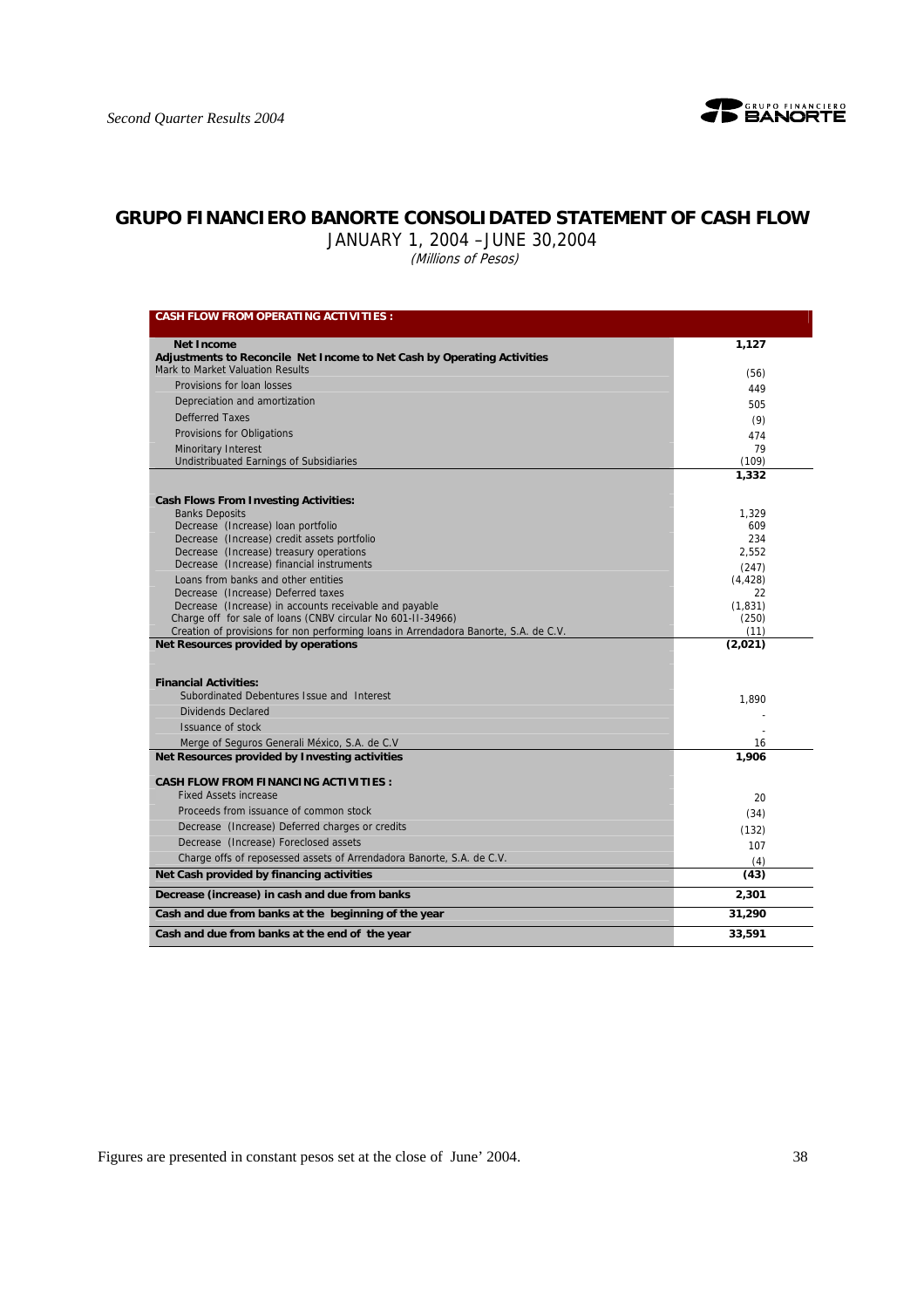

# **GRUPO FINANCIERO BANORTE CONSOLIDATED STATEMENT OF CASH FLOW**

JANUARY 1, 2004 –JUNE 30,2004

(Millions of Pesos)

| <b>CASH FLOW FROM OPERATING ACTIVITIES:</b>                                                                            |                |
|------------------------------------------------------------------------------------------------------------------------|----------------|
| <b>Net Income</b>                                                                                                      | 1,127          |
| Adjustments to Reconcile Net Income to Net Cash by Operating Activities                                                |                |
| Mark to Market Valuation Results                                                                                       | (56)           |
| Provisions for loan losses                                                                                             | 449            |
| Depreciation and amortization                                                                                          | 505            |
| <b>Defferred Taxes</b>                                                                                                 | (9)            |
| Provisions for Obligations                                                                                             | 474            |
| <b>Minoritary Interest</b>                                                                                             | 79             |
| Undistribuated Earnings of Subsidiaries                                                                                | (109)          |
|                                                                                                                        | 1,332          |
| <b>Cash Flows From Investing Activities:</b>                                                                           |                |
| <b>Banks Deposits</b>                                                                                                  | 1,329          |
| Decrease (Increase) loan portfolio                                                                                     | 609            |
| Decrease (Increase) credit assets portfolio                                                                            | 234            |
| Decrease (Increase) treasury operations                                                                                | 2,552          |
| Decrease (Increase) financial instruments                                                                              | (247)          |
| Loans from banks and other entities                                                                                    | (4, 428)       |
| Decrease (Increase) Deferred taxes                                                                                     | 22<br>(1, 831) |
| Decrease (Increase) in accounts receivable and payable<br>Charge off for sale of loans (CNBV circular No 601-II-34966) | (250)          |
| Creation of provisions for non performing loans in Arrendadora Banorte, S.A. de C.V.                                   | (11)           |
| Net Resources provided by operations                                                                                   | (2,021)        |
| <b>Financial Activities:</b><br>Subordinated Debentures Issue and Interest                                             | 1,890          |
| Dividends Declared                                                                                                     |                |
| Issuance of stock                                                                                                      |                |
| Merge of Seguros Generali México, S.A. de C.V.                                                                         | 16             |
| Net Resources provided by Investing activities                                                                         | 1,906          |
| <b>CASH FLOW FROM FINANCING ACTIVITIES:</b>                                                                            |                |
| <b>Fixed Assets increase</b>                                                                                           | 20             |
| Proceeds from issuance of common stock                                                                                 | (34)           |
| Decrease (Increase) Deferred charges or credits                                                                        | (132)          |
| Decrease (Increase) Foreclosed assets                                                                                  | 107            |
| Charge offs of reposessed assets of Arrendadora Banorte, S.A. de C.V.                                                  |                |
| Net Cash provided by financing activities                                                                              | (4)<br>(43)    |
| Decrease (increase) in cash and due from banks                                                                         | 2,301          |
| Cash and due from banks at the beginning of the year                                                                   | 31,290         |
|                                                                                                                        |                |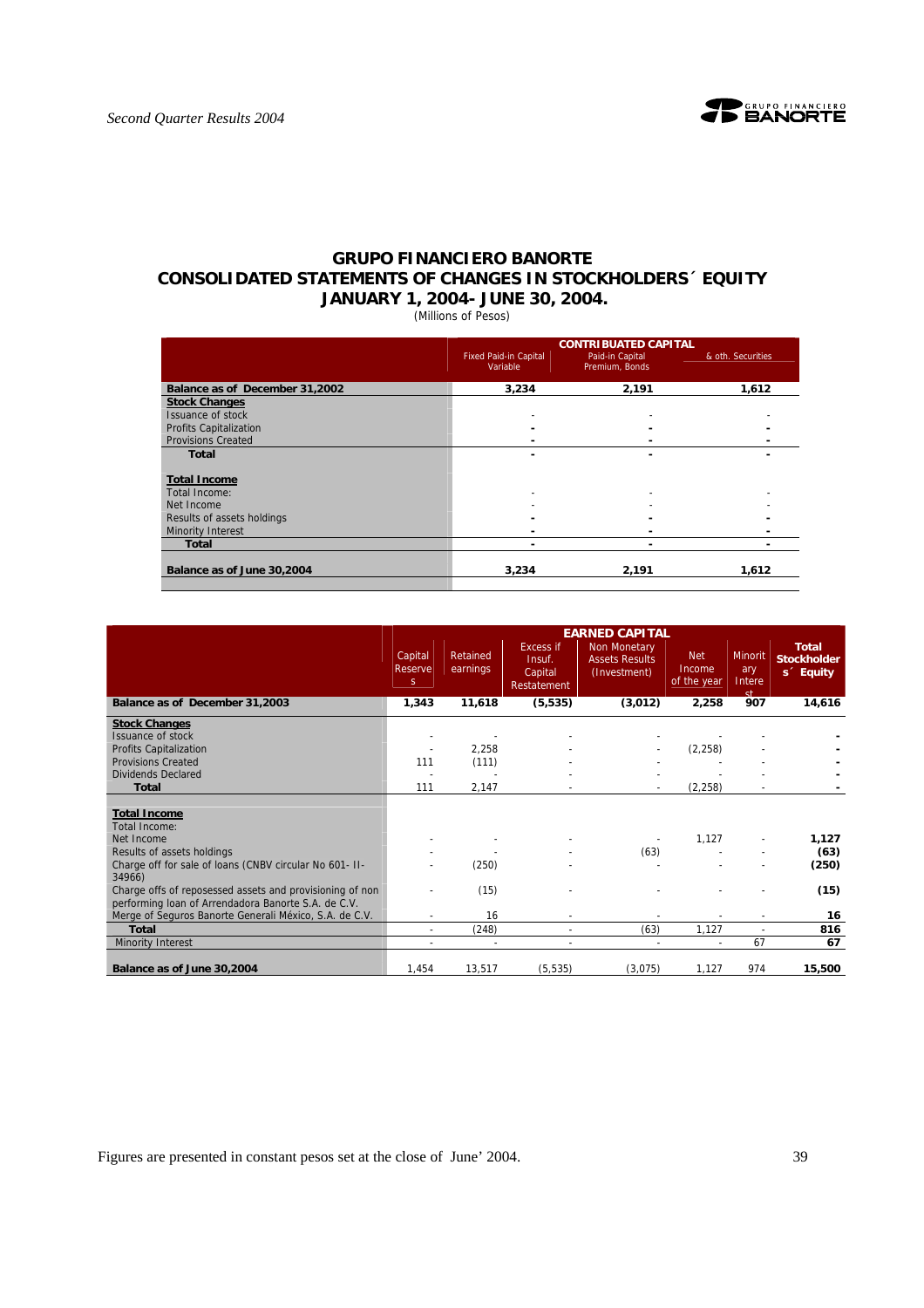

# **GRUPO FINANCIERO BANORTE CONSOLIDATED STATEMENTS OF CHANGES IN STOCKHOLDERS´ EQUITY JANUARY 1, 2004- JUNE 30, 2004.**

(Millions of Pesos)

|                                |                                          | <b>CONTRIBUATED CAPITAL</b>       |                   |
|--------------------------------|------------------------------------------|-----------------------------------|-------------------|
|                                | <b>Fixed Paid-in Capital</b><br>Variable | Paid-in Capital<br>Premium, Bonds | & oth. Securities |
| Balance as of December 31,2002 | 3,234                                    | 2,191                             | 1,612             |
| <b>Stock Changes</b>           |                                          |                                   |                   |
| Issuance of stock              |                                          |                                   |                   |
| <b>Profits Capitalization</b>  |                                          |                                   |                   |
| <b>Provisions Created</b>      |                                          |                                   |                   |
| <b>Total</b>                   |                                          | -                                 |                   |
|                                |                                          |                                   |                   |
| <b>Total Income</b>            |                                          |                                   |                   |
| Total Income:                  |                                          |                                   |                   |
| Net Income                     |                                          |                                   |                   |
| Results of assets holdings     |                                          |                                   |                   |
| <b>Minority Interest</b>       |                                          |                                   |                   |
| <b>Total</b>                   |                                          |                                   |                   |
| Balance as of June 30,2004     | 3,234                                    | 2.191                             | 1.612             |

|                                                          |                          |                       |                                                      | <b>EARNED CAPITAL</b>                                 |                                     |                                |                                                             |
|----------------------------------------------------------|--------------------------|-----------------------|------------------------------------------------------|-------------------------------------------------------|-------------------------------------|--------------------------------|-------------------------------------------------------------|
|                                                          | Capital<br>Reserve<br>S. | Retained<br>earnings  | <b>Excess if</b><br>Insuf.<br>Capital<br>Restatement | Non Monetary<br><b>Assets Results</b><br>(Investment) | <b>Net</b><br>Income<br>of the year | Minorit<br>ary<br>Intere<br>st | <b>Total</b><br><b>Stockholder</b><br>s <sup>2</sup> Equity |
| Balance as of December 31,2003                           | 1,343                    | 11,618                | (5, 535)                                             | (3,012)                                               | 2,258                               | 907                            | 14,616                                                      |
| <b>Stock Changes</b>                                     |                          |                       |                                                      |                                                       |                                     |                                |                                                             |
| Issuance of stock                                        |                          |                       |                                                      |                                                       |                                     |                                |                                                             |
| Profits Capitalization                                   |                          | 2,258                 |                                                      |                                                       | (2, 258)                            |                                |                                                             |
| <b>Provisions Created</b>                                | 111                      | (111)                 |                                                      |                                                       |                                     |                                |                                                             |
| <b>Dividends Declared</b>                                |                          |                       |                                                      |                                                       |                                     |                                |                                                             |
| <b>Total</b>                                             | 111                      | 2,147                 |                                                      |                                                       | (2, 258)                            |                                |                                                             |
|                                                          |                          |                       |                                                      |                                                       |                                     |                                |                                                             |
| <b>Total Income</b>                                      |                          |                       |                                                      |                                                       |                                     |                                |                                                             |
| <b>Total Income:</b>                                     |                          |                       |                                                      |                                                       |                                     |                                |                                                             |
| Net Income                                               |                          |                       |                                                      |                                                       | 1,127                               |                                | 1,127                                                       |
| Results of assets holdings                               |                          |                       |                                                      | (63)                                                  |                                     |                                | (63)                                                        |
| Charge off for sale of loans (CNBV circular No 601- II-  |                          | (250)                 |                                                      |                                                       |                                     |                                | (250)                                                       |
| 34966)                                                   |                          |                       |                                                      |                                                       |                                     |                                |                                                             |
| Charge offs of reposessed assets and provisioning of non |                          | (15)                  |                                                      |                                                       |                                     |                                | (15)                                                        |
| performing Ioan of Arrendadora Banorte S.A. de C.V.      |                          |                       |                                                      |                                                       |                                     |                                |                                                             |
| Merge of Seguros Banorte Generali México, S.A. de C.V.   |                          | 16                    |                                                      |                                                       |                                     |                                | 16                                                          |
| <b>Total</b>                                             |                          | (248)                 |                                                      | (63)                                                  | 1,127                               | ÷                              | 816                                                         |
| Minority Interest                                        |                          | $\tilde{\phantom{a}}$ | ٠                                                    |                                                       | $\overline{\phantom{a}}$            | 67                             | 67                                                          |
| Balance as of June 30,2004                               | 1,454                    | 13,517                | (5, 535)                                             | (3,075)                                               | 1,127                               | 974                            | 15,500                                                      |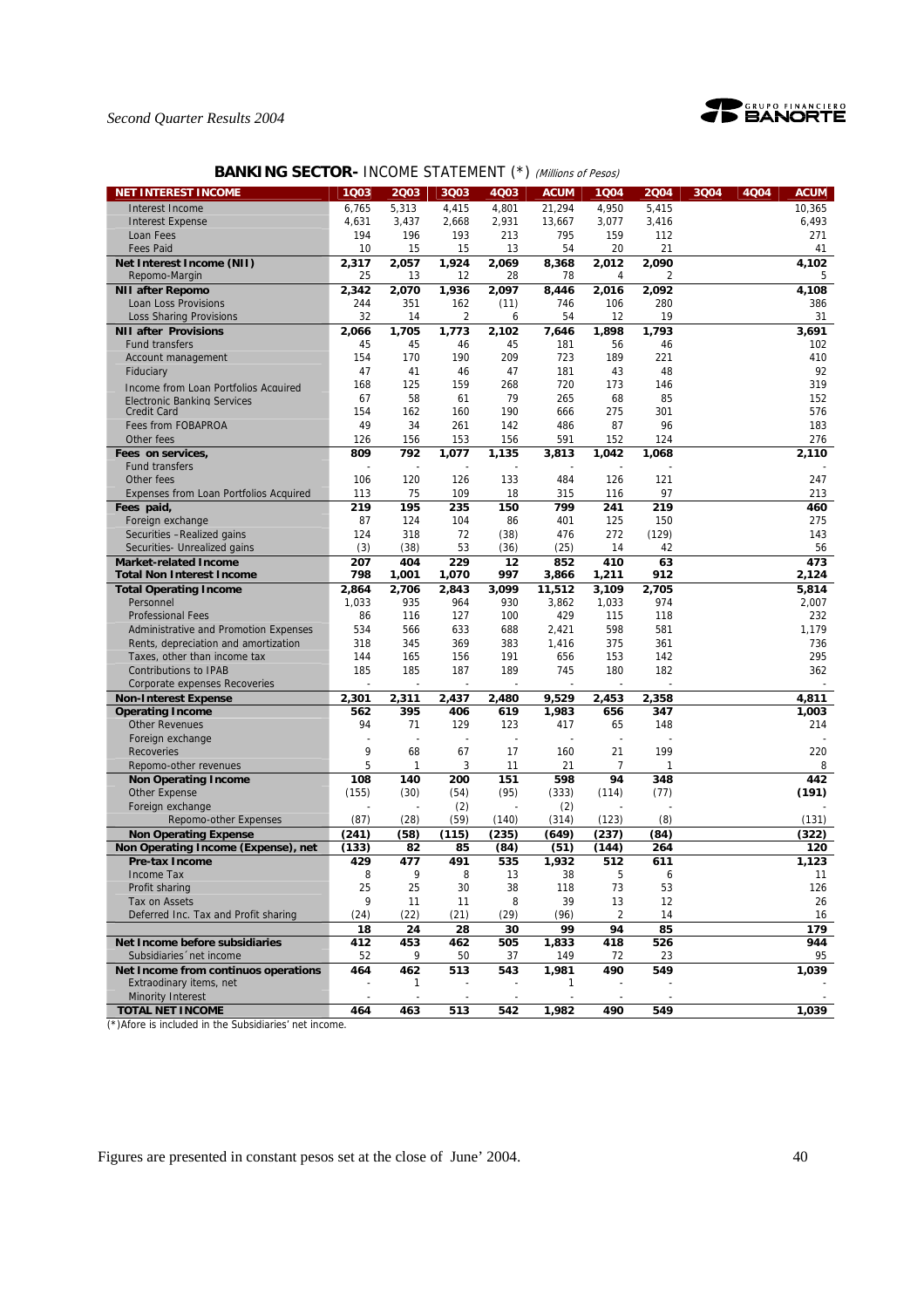

# **BANKING SECTOR- INCOME STATEMENT (\*) (Millions of Pesos)**

| <b>NET INTEREST INCOME</b>             | 1Q03  | 2003                     | 3Q03                     | 4Q03                     | <b>ACUM</b>              | 1Q04  | 2004  | 3Q04<br>4Q04 | <b>ACUM</b> |
|----------------------------------------|-------|--------------------------|--------------------------|--------------------------|--------------------------|-------|-------|--------------|-------------|
| Interest Income                        | 6,765 | 5,313                    | 4,415                    | 4,801                    | 21,294                   | 4,950 | 5,415 |              | 10,365      |
| <b>Interest Expense</b>                | 4,631 | 3,437                    | 2,668                    | 2,931                    | 13,667                   | 3,077 | 3,416 |              | 6,493       |
| Loan Fees                              | 194   | 196                      | 193                      | 213                      | 795                      | 159   | 112   |              | 271         |
| <b>Fees Paid</b>                       | 10    | 15                       | 15                       | 13                       | 54                       | 20    | 21    |              | 41          |
| Net Interest Income (NII)              | 2,317 | 2,057                    | 1,924                    | 2,069                    | 8,368                    | 2,012 | 2,090 |              | 4,102       |
| Repomo-Margin                          | 25    | 13                       | 12                       | 28                       | 78                       | 4     | 2     |              | 5           |
| <b>NII after Repomo</b>                | 2,342 | 2,070                    | 1,936                    | 2,097                    | 8,446                    | 2,016 | 2,092 |              | 4,108       |
| Loan Loss Provisions                   | 244   | 351                      | 162                      | (11)                     | 746                      | 106   | 280   |              | 386         |
| <b>Loss Sharing Provisions</b>         | 32    | 14                       | 2                        | 6                        | 54                       | 12    | 19    |              | 31          |
| <b>NII after Provisions</b>            | 2,066 | 1,705                    | 1,773                    | 2,102                    | 7,646                    | 1,898 | 1,793 |              | 3,691       |
| <b>Fund transfers</b>                  | 45    | 45                       | 46                       | 45                       | 181                      | 56    | 46    |              | 102         |
| Account management                     | 154   | 170                      | 190                      | 209                      | 723                      | 189   | 221   |              | 410         |
| Fiduciary                              | 47    | 41                       | 46                       | 47                       | 181                      | 43    | 48    |              | 92          |
| Income from Loan Portfolios Acquired   | 168   | 125                      | 159                      | 268                      | 720                      | 173   | 146   |              | 319         |
| Electronic Banking Services            | 67    | 58                       | 61                       | 79                       | 265                      | 68    | 85    |              | 152         |
| <b>Credit Card</b>                     | 154   | 162                      | 160                      | 190                      | 666                      | 275   | 301   |              | 576         |
| Fees from FOBAPROA                     | 49    | 34                       | 261                      | 142                      | 486                      | 87    | 96    |              | 183         |
| Other fees                             | 126   | 156                      | 153                      | 156                      | 591                      | 152   | 124   |              | 276         |
| Fees on services,                      | 809   | 792                      | 1,077                    | 1,135                    | 3,813                    | 1,042 | 1,068 |              | 2,110       |
| <b>Fund transfers</b>                  |       |                          |                          |                          |                          |       |       |              |             |
| Other fees                             | 106   | 120                      | 126                      | 133                      | 484                      | 126   | 121   |              | 247         |
| Expenses from Loan Portfolios Acquired | 113   | 75                       | 109                      | 18                       | 315                      | 116   | 97    |              | 213         |
| Fees paid.                             | 219   | 195                      | 235                      | 150                      | 799                      | 241   | 219   |              | 460         |
| Foreign exchange                       | 87    | 124                      | 104                      | 86                       | 401                      | 125   | 150   |              | 275         |
| Securities -Realized gains             | 124   | 318                      | 72                       | (38)                     | 476                      | 272   | (129) |              | 143         |
| Securities- Unrealized gains           | (3)   | (38)                     | 53                       | (36)                     | (25)                     | 14    | 42    |              | 56          |
| <b>Market-related Income</b>           | 207   | 404                      | 229                      | 12                       | 852                      | 410   | 63    |              | 473         |
| <b>Total Non Interest Income</b>       | 798   | 1,001                    | 1,070                    | 997                      | 3,866                    | 1,211 | 912   |              | 2,124       |
| <b>Total Operating Income</b>          | 2,864 | 2,706                    | 2.843                    | 3,099                    | 11,512                   | 3,109 | 2,705 |              | 5,814       |
| Personnel                              | 1,033 | 935                      | 964                      | 930                      | 3,862                    | 1.033 | 974   |              | 2,007       |
| <b>Professional Fees</b>               | 86    | 116                      | 127                      | 100                      | 429                      | 115   | 118   |              | 232         |
| Administrative and Promotion Expenses  | 534   | 566                      | 633                      | 688                      | 2,421                    | 598   | 581   |              | 1,179       |
| Rents, depreciation and amortization   | 318   | 345                      | 369                      | 383                      | 1,416                    | 375   | 361   |              | 736         |
| Taxes, other than income tax           | 144   | 165                      | 156                      | 191                      | 656                      | 153   | 142   |              | 295         |
| <b>Contributions to IPAB</b>           | 185   | 185                      | 187                      | 189                      | 745                      | 180   | 182   |              | 362         |
| Corporate expenses Recoveries          |       |                          |                          |                          |                          |       |       |              |             |
| <b>Non-Interest Expense</b>            | 2,301 | 2,311                    | 2,437                    | 2,480                    | 9,529                    | 2,453 | 2,358 |              | 4,811       |
| <b>Operating Income</b>                | 562   | 395                      | 406                      | 619                      | 1,983                    | 656   | 347   |              | 1,003       |
| <b>Other Revenues</b>                  | 94    | 71                       | 129                      | 123                      | 417                      | 65    | 148   |              | 214         |
| Foreign exchange                       | ÷     |                          |                          |                          |                          |       |       |              |             |
| Recoveries                             | 9     | 68                       | 67                       | 17                       | 160                      | 21    | 199   |              | 220         |
| Repomo-other revenues                  | 5     | $\mathbf{1}$             | 3                        | 11                       | 21                       | 7     | 1     |              | 8           |
| <b>Non Operating Income</b>            | 108   | 140                      | 200                      | 151                      | 598                      | 94    | 348   |              | 442         |
| <b>Other Expense</b>                   | (155) | (30)                     | (54)                     | (95)                     | (333)                    | (114) | (77)  |              | (191)       |
| Foreign exchange                       |       |                          | (2)                      |                          | (2)                      |       |       |              |             |
| Repomo-other Expenses                  | (87)  | (28)                     | (59)                     | (140)                    | (314)                    | (123) | (8)   |              | (131)       |
| <b>Non Operating Expense</b>           | (241) | (58)                     | (115)                    | (235)                    | (649)                    | (237) | (84)  |              | (322)       |
| Non Operating Income (Expense), net    | (133) | 82                       | 85                       | (84)                     | (51)                     | (144) | 264   |              | 120         |
| <b>Pre-tax Income</b>                  | 429   | 477                      | 491                      | 535                      | 1,932                    | 512   | 611   |              | 1,123       |
| Income Tax                             | 8     | 9                        | 8                        | 13                       | 38                       | 5     | 6     |              | 11          |
| Profit sharing                         | 25    | 25                       | 30                       | 38                       | 118                      | 73    | 53    |              | 126         |
| Tax on Assets                          | 9     | 11                       | 11                       | 8                        | 39                       | 13    | 12    |              | 26          |
| Deferred Inc. Tax and Profit sharing   | (24)  | (22)                     | (21)                     | (29)                     | (96)                     | 2     | 14    |              | 16          |
|                                        | 18    | 24                       | 28                       | 30                       | 99                       | 94    | 85    |              | 179         |
| Net Income before subsidiaries         | 412   | 453                      | 462                      | 505                      | 1,833                    | 418   | 526   |              | 944         |
| Subsidiaries 'net income               | 52    | 9                        | 50                       | 37                       | 149                      | 72    | 23    |              | 95          |
| Net Income from continuos operations   | 464   | 462                      | 513                      | 543                      | 1,981                    | 490   | 549   |              | 1,039       |
| Extraodinary items, net                |       | 1                        |                          |                          | 1                        |       |       |              |             |
| <b>Minority Interest</b>               | ÷,    | $\overline{\phantom{a}}$ | $\overline{\phantom{a}}$ | $\overline{\phantom{a}}$ | $\overline{\phantom{a}}$ |       |       |              |             |
| <b>TOTAL NET INCOME</b>                | 464   | 463                      | 513                      | 542                      | 1,982                    | 490   | 549   |              | 1,039       |

(\*)Afore is included in the Subsidiaries' net income.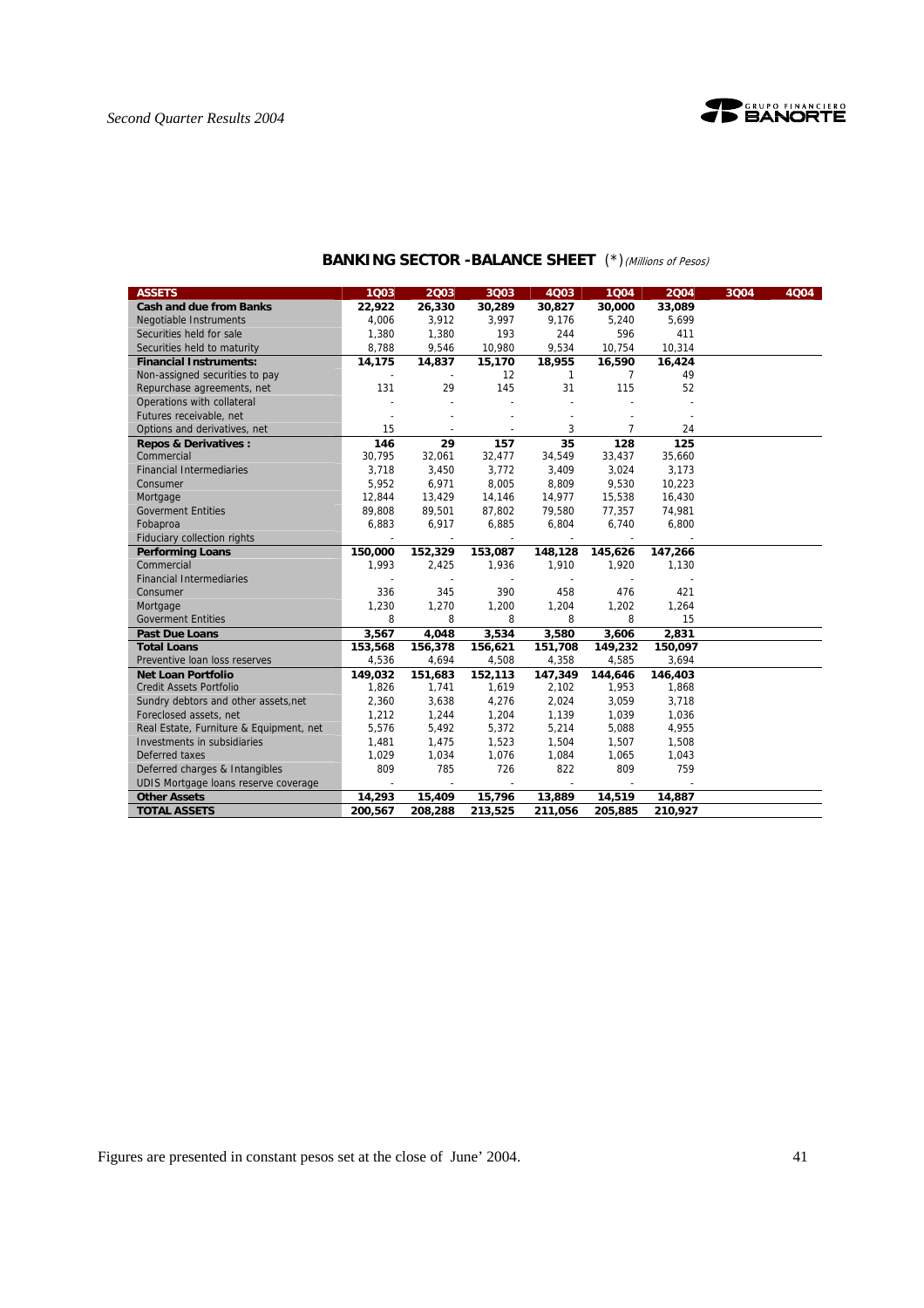

| <b>ASSETS</b>                           | 1Q03    | 2003                     | 3Q03                     | 4Q03                     | 1004                     | 2004    | 3Q04 | 4Q04 |
|-----------------------------------------|---------|--------------------------|--------------------------|--------------------------|--------------------------|---------|------|------|
| <b>Cash and due from Banks</b>          | 22,922  | 26,330                   | 30,289                   | 30,827                   | 30,000                   | 33,089  |      |      |
| <b>Negotiable Instruments</b>           | 4,006   | 3,912                    | 3,997                    | 9,176                    | 5,240                    | 5,699   |      |      |
| Securities held for sale                | 1,380   | 1,380                    | 193                      | 244                      | 596                      | 411     |      |      |
| Securities held to maturity             | 8,788   | 9,546                    | 10,980                   | 9,534                    | 10,754                   | 10,314  |      |      |
| <b>Financial Instruments:</b>           | 14,175  | 14,837                   | 15,170                   | 18,955                   | 16,590                   | 16,424  |      |      |
| Non-assigned securities to pay          |         |                          | 12                       | $\mathbf{1}$             | 7                        | 49      |      |      |
| Repurchase agreements, net              | 131     | 29                       | 145                      | 31                       | 115                      | 52      |      |      |
| Operations with collateral              |         |                          |                          |                          |                          |         |      |      |
| Futures receivable, net                 |         |                          |                          |                          |                          |         |      |      |
| Options and derivatives, net            | 15      |                          |                          | 3                        | $\overline{7}$           | 24      |      |      |
| <b>Repos &amp; Derivatives:</b>         | 146     | 29                       | 157                      | $\overline{35}$          | 128                      | 125     |      |      |
| Commercial                              | 30,795  | 32,061                   | 32,477                   | 34,549                   | 33,437                   | 35,660  |      |      |
| <b>Financial Intermediaries</b>         | 3,718   | 3,450                    | 3,772                    | 3,409                    | 3,024                    | 3,173   |      |      |
| Consumer                                | 5,952   | 6,971                    | 8,005                    | 8,809                    | 9,530                    | 10,223  |      |      |
| Mortgage                                | 12,844  | 13,429                   | 14,146                   | 14,977                   | 15,538                   | 16,430  |      |      |
| <b>Goverment Entities</b>               | 89,808  | 89,501                   | 87,802                   | 79,580                   | 77,357                   | 74,981  |      |      |
| Fobaproa                                | 6.883   | 6,917                    | 6,885                    | 6,804                    | 6,740                    | 6,800   |      |      |
| <b>Fiduciary collection rights</b>      |         | $\overline{\phantom{a}}$ | $\overline{\phantom{a}}$ | $\overline{\phantom{a}}$ | $\overline{\phantom{a}}$ |         |      |      |
| <b>Performing Loans</b>                 | 150,000 | 152,329                  | 153,087                  | 148,128                  | 145,626                  | 147,266 |      |      |
| Commercial                              | 1,993   | 2,425                    | 1,936                    | 1,910                    | 1,920                    | 1,130   |      |      |
| <b>Financial Intermediaries</b>         |         |                          |                          |                          |                          |         |      |      |
| Consumer                                | 336     | 345                      | 390                      | 458                      | 476                      | 421     |      |      |
| Mortgage                                | 1,230   | 1,270                    | 1,200                    | 1,204                    | 1,202                    | 1,264   |      |      |
| <b>Goverment Entities</b>               | 8       | 8                        | 8                        | 8                        | 8                        | 15      |      |      |
| <b>Past Due Loans</b>                   | 3,567   | 4,048                    | 3,534                    | 3,580                    | 3,606                    | 2,831   |      |      |
| <b>Total Loans</b>                      | 153,568 | 156,378                  | 156,621                  | 151,708                  | 149,232                  | 150,097 |      |      |
| Preventive Ioan loss reserves           | 4,536   | 4,694                    | 4,508                    | 4,358                    | 4,585                    | 3,694   |      |      |
| <b>Net Loan Portfolio</b>               | 149,032 | 151,683                  | 152,113                  | 147,349                  | 144,646                  | 146,403 |      |      |
| <b>Credit Assets Portfolio</b>          | 1,826   | 1,741                    | 1,619                    | 2,102                    | 1,953                    | 1,868   |      |      |
| Sundry debtors and other assets, net    | 2,360   | 3,638                    | 4,276                    | 2,024                    | 3,059                    | 3,718   |      |      |
| Foreclosed assets, net                  | 1,212   | 1,244                    | 1,204                    | 1,139                    | 1,039                    | 1,036   |      |      |
| Real Estate, Furniture & Equipment, net | 5,576   | 5,492                    | 5,372                    | 5,214                    | 5,088                    | 4,955   |      |      |
| Investments in subsidiaries             | 1,481   | 1,475                    | 1,523                    | 1,504                    | 1,507                    | 1,508   |      |      |
| Deferred taxes                          | 1,029   | 1,034                    | 1,076                    | 1,084                    | 1,065                    | 1,043   |      |      |
| Deferred charges & Intangibles          | 809     | 785                      | 726                      | 822                      | 809                      | 759     |      |      |
| UDIS Mortgage loans reserve coverage    |         |                          |                          |                          |                          |         |      |      |
| <b>Other Assets</b>                     | 14,293  | 15,409                   | 15,796                   | 13,889                   | 14,519                   | 14,887  |      |      |
| <b>TOTAL ASSETS</b>                     | 200.567 | 208,288                  | 213,525                  | 211,056                  | 205,885                  | 210,927 |      |      |

# **BANKING SECTOR -BALANCE SHEET** (\*)(Millions of Pesos)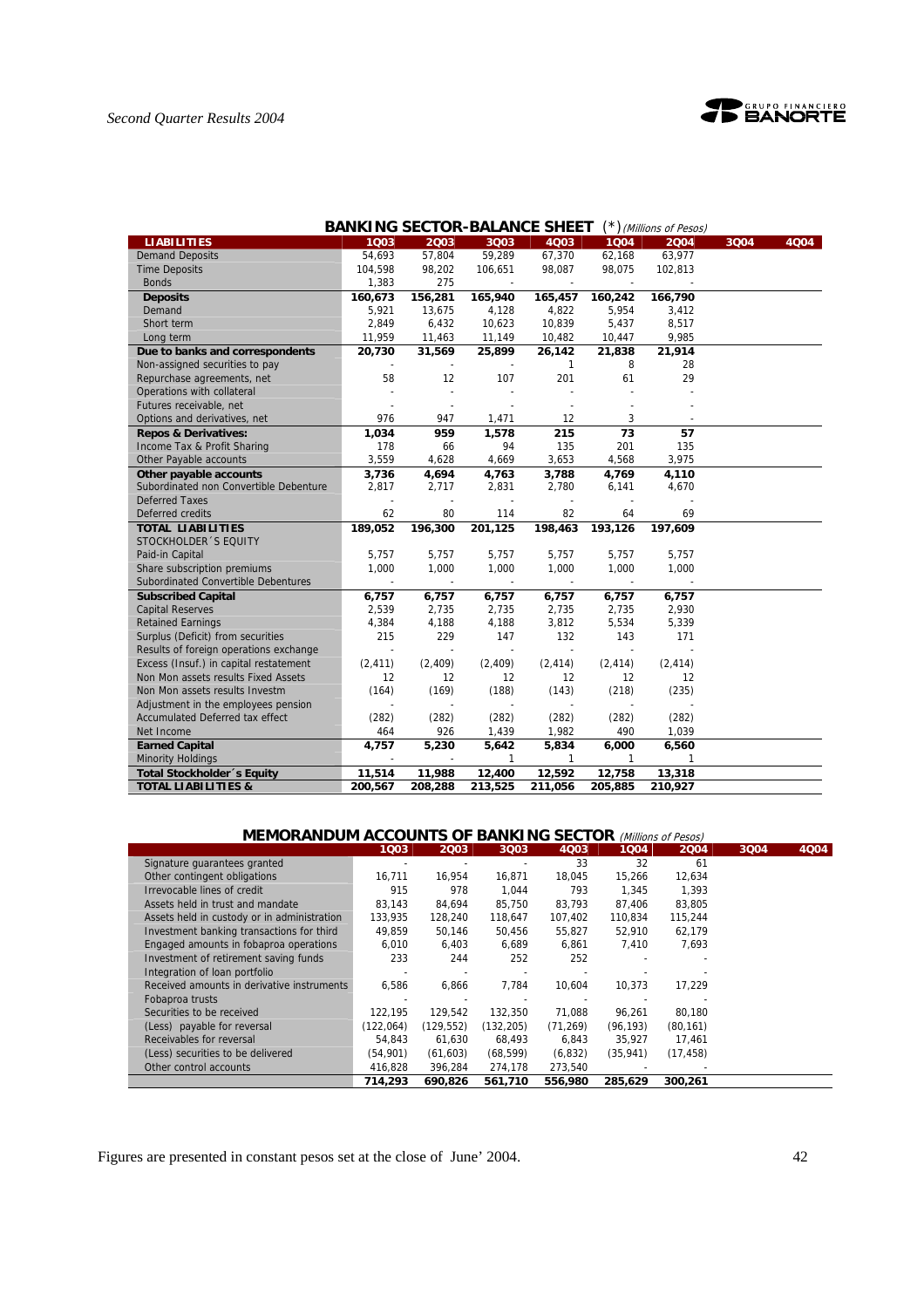



| <b>BANKING SECTOR-BALANCE SHEET</b><br>(*) (Millions of Pesos) |                |                |                          |              |          |              |      |      |  |  |
|----------------------------------------------------------------|----------------|----------------|--------------------------|--------------|----------|--------------|------|------|--|--|
| <b>LIABILITIES</b>                                             | 1003           | 2003           | 3003                     | 4Q03         | 1Q04     | 2004         | 3004 | 4004 |  |  |
| <b>Demand Deposits</b>                                         | 54.693         | 57,804         | 59,289                   | 67,370       | 62,168   | 63,977       |      |      |  |  |
| <b>Time Deposits</b>                                           | 104,598        | 98,202         | 106,651                  | 98,087       | 98,075   | 102,813      |      |      |  |  |
| <b>Bonds</b>                                                   | 1,383          | 275            |                          |              |          |              |      |      |  |  |
| <b>Deposits</b>                                                | 160,673        | 156,281        | 165,940                  | 165,457      | 160,242  | 166,790      |      |      |  |  |
| Demand                                                         | 5,921          | 13,675         | 4,128                    | 4,822        | 5,954    | 3,412        |      |      |  |  |
| Short term                                                     | 2,849          | 6,432          | 10,623                   | 10,839       | 5,437    | 8,517        |      |      |  |  |
| Long term                                                      | 11,959         | 11,463         | 11,149                   | 10,482       | 10,447   | 9,985        |      |      |  |  |
| Due to banks and correspondents                                | 20,730         | 31,569         | 25,899                   | 26,142       | 21,838   | 21,914       |      |      |  |  |
| Non-assigned securities to pay                                 |                |                |                          | $\mathbf{1}$ | 8        | 28           |      |      |  |  |
| Repurchase agreements, net                                     | 58             | 12             | 107                      | 201          | 61       | 29           |      |      |  |  |
| Operations with collateral                                     |                |                |                          |              |          |              |      |      |  |  |
| Futures receivable, net                                        |                | $\overline{a}$ |                          |              |          |              |      |      |  |  |
| Options and derivatives, net                                   | 976            | 947            | 1,471                    | 12           | 3        |              |      |      |  |  |
| <b>Repos &amp; Derivatives:</b>                                | 1,034          | 959            | 1,578                    | 215          | 73       | 57           |      |      |  |  |
| Income Tax & Profit Sharing                                    | 178            | 66             | 94                       | 135          | 201      | 135          |      |      |  |  |
| Other Payable accounts                                         | 3,559          | 4,628          | 4,669                    | 3,653        | 4,568    | 3,975        |      |      |  |  |
| Other payable accounts                                         | 3,736          | 4,694          | 4,763                    | 3,788        | 4,769    | 4,110        |      |      |  |  |
| Subordinated non Convertible Debenture                         | 2,817          | 2,717          | 2,831                    | 2,780        | 6,141    | 4,670        |      |      |  |  |
| <b>Deferred Taxes</b>                                          |                |                |                          |              |          |              |      |      |  |  |
| Deferred credits                                               | 62             | 80             | 114                      | 82           | 64       | 69           |      |      |  |  |
| <b>TOTAL LIABILITIES</b>                                       | 189,052        | 196,300        | 201,125                  | 198,463      | 193,126  | 197,609      |      |      |  |  |
| STOCKHOLDER 'S EQUITY                                          |                |                |                          |              |          |              |      |      |  |  |
| Paid-in Capital                                                | 5,757          | 5,757          | 5,757                    | 5,757        | 5,757    | 5,757        |      |      |  |  |
| Share subscription premiums                                    | 1,000          | 1,000          | 1,000                    | 1,000        | 1,000    | 1,000        |      |      |  |  |
| Subordinated Convertible Debentures                            |                |                | $\overline{\phantom{a}}$ |              |          |              |      |      |  |  |
| <b>Subscribed Capital</b>                                      | 6,757          | 6,757          | 6,757                    | 6,757        | 6,757    | 6,757        |      |      |  |  |
| <b>Capital Reserves</b>                                        | 2,539          | 2,735          | 2,735                    | 2,735        | 2,735    | 2,930        |      |      |  |  |
| <b>Retained Earnings</b>                                       | 4,384          | 4,188          | 4,188                    | 3,812        | 5,534    | 5,339        |      |      |  |  |
| Surplus (Deficit) from securities                              | 215            | 229            | 147                      | 132          | 143      | 171          |      |      |  |  |
| Results of foreign operations exchange                         | $\blacksquare$ |                | $\overline{\phantom{a}}$ |              |          |              |      |      |  |  |
| Excess (Insuf.) in capital restatement                         | (2, 411)       | (2, 409)       | (2, 409)                 | (2, 414)     | (2, 414) | (2, 414)     |      |      |  |  |
| Non Mon assets results Fixed Assets                            | 12             | 12             | 12                       | 12           | 12       | 12           |      |      |  |  |
| Non Mon assets results Investm                                 | (164)          | (169)          | (188)                    | (143)        | (218)    | (235)        |      |      |  |  |
| Adjustment in the employees pension                            |                |                |                          |              |          |              |      |      |  |  |
| <b>Accumulated Deferred tax effect</b>                         | (282)          | (282)          | (282)                    | (282)        | (282)    | (282)        |      |      |  |  |
| Net Income                                                     | 464            | 926            | 1,439                    | 1,982        | 490      | 1,039        |      |      |  |  |
| <b>Earned Capital</b>                                          | 4.757          | 5,230          | 5,642                    | 5,834        | 6,000    | 6,560        |      |      |  |  |
| <b>Minority Holdings</b>                                       |                |                | 1                        | $\mathbf{1}$ | 1        | $\mathbf{1}$ |      |      |  |  |
| <b>Total Stockholder</b> 's Equity                             | 11.514         | 11,988         | 12,400                   | 12,592       | 12,758   | 13,318       |      |      |  |  |
| <b>TOTAL LIABILITIES &amp;</b>                                 | 200,567        | 208,288        | 213,525                  | 211,056      | 205,885  | 210,927      |      |      |  |  |

# **MEMORANDUM ACCOUNTS OF BANKING SECTOR** (Millions of Pesos)

|                                             | 1Q03      | 2Q03       | 3Q03       | 4Q03      | 1Q04      | 2004      | 3004 | 4Q04 |
|---------------------------------------------|-----------|------------|------------|-----------|-----------|-----------|------|------|
| Signature guarantees granted                |           |            |            | 33        | 32        | 61        |      |      |
| Other contingent obligations                | 16,711    | 16,954     | 16,871     | 18,045    | 15,266    | 12,634    |      |      |
| Irrevocable lines of credit                 | 915       | 978        | 1,044      | 793       | 1,345     | 1,393     |      |      |
| Assets held in trust and mandate            | 83.143    | 84.694     | 85.750     | 83.793    | 87,406    | 83.805    |      |      |
| Assets held in custody or in administration | 133,935   | 128,240    | 118,647    | 107,402   | 110.834   | 115,244   |      |      |
| Investment banking transactions for third   | 49,859    | 50,146     | 50,456     | 55,827    | 52,910    | 62,179    |      |      |
| Engaged amounts in fobaproa operations      | 6,010     | 6,403      | 6,689      | 6,861     | 7,410     | 7,693     |      |      |
| Investment of retirement saving funds       | 233       | 244        | 252        | 252       |           |           |      |      |
| Integration of loan portfolio               |           |            |            |           |           |           |      |      |
| Received amounts in derivative instruments  | 6,586     | 6,866      | 7,784      | 10,604    | 10,373    | 17.229    |      |      |
| Fobaproa trusts                             |           |            |            |           |           |           |      |      |
| Securities to be received                   | 122.195   | 129.542    | 132,350    | 71.088    | 96.261    | 80.180    |      |      |
| (Less) payable for reversal                 | (122,064) | (129, 552) | (132, 205) | (71, 269) | (96, 193) | (80, 161) |      |      |
| Receivables for reversal                    | 54.843    | 61,630     | 68,493     | 6,843     | 35,927    | 17,461    |      |      |
| (Less) securities to be delivered           | (54,901)  | (61, 603)  | (68, 599)  | (6, 832)  | (35, 941) | (17, 458) |      |      |
| Other control accounts                      | 416,828   | 396,284    | 274,178    | 273,540   |           |           |      |      |
|                                             | 714.293   | 690.826    | 561,710    | 556,980   | 285.629   | 300.261   |      |      |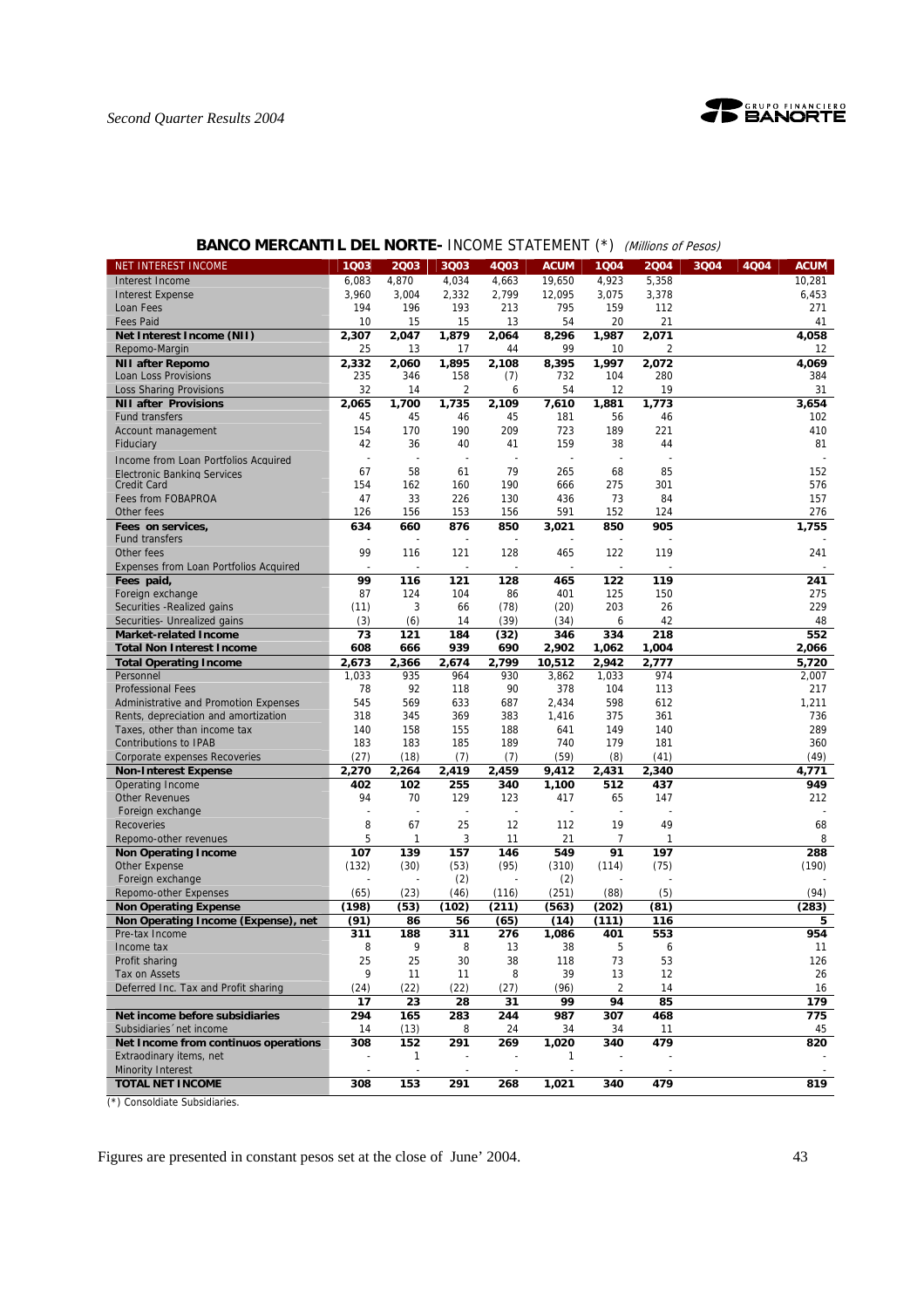

| NET INTEREST INCOME                                          | 1Q03                     | 2Q03                     | 3Q03                     | 4Q03       | <b>ACUM</b>  | 1Q04                     | 2004       | 4Q04<br>3Q04 | <b>ACUM</b>  |
|--------------------------------------------------------------|--------------------------|--------------------------|--------------------------|------------|--------------|--------------------------|------------|--------------|--------------|
| Interest Income                                              | 6,083                    | 4,870                    | 4,034                    | 4,663      | 19,650       | 4,923                    | 5,358      |              | 10,281       |
| <b>Interest Expense</b>                                      | 3,960                    | 3,004                    | 2,332                    | 2,799      | 12,095       | 3,075                    | 3,378      |              | 6,453        |
| Loan Fees                                                    | 194                      | 196                      | 193                      | 213        | 795          | 159                      | 112        |              | 271          |
| <b>Fees Paid</b>                                             | 10                       | 15                       | 15                       | 13         | 54           | 20                       | 21         |              | 41           |
| Net Interest Income (NII)                                    | 2,307                    | 2,047                    | 1,879                    | 2,064      | 8,296        | 1,987                    | 2,071      |              | 4,058        |
| Repomo-Margin                                                | 25                       | 13                       | 17                       | 44         | 99           | 10                       | 2          |              | 12           |
| <b>NII after Repomo</b>                                      | 2,332                    | 2,060                    | 1,895                    | 2,108      | 8,395        | 1,997                    | 2,072      |              | 4,069        |
| Loan Loss Provisions                                         | 235                      | 346                      | 158                      | (7)        | 732          | 104                      | 280        |              | 384          |
| <b>Loss Sharing Provisions</b>                               | 32                       | 14                       | 2                        | 6          | 54           | 12                       | 19         |              | 31           |
| <b>NII after Provisions</b>                                  | 2,065                    | 1,700                    | 1,735                    | 2,109      | 7,610        | 1,881                    | 1,773      |              | 3,654        |
| <b>Fund transfers</b>                                        | 45                       | 45                       | 46                       | 45         | 181          | 56                       | 46         |              | 102          |
| Account management                                           | 154                      | 170                      | 190                      | 209        | 723          | 189                      | 221        |              | 410          |
| Fiduciary                                                    | 42                       | 36                       | 40                       | 41         | 159          | 38                       | 44         |              | 81           |
| Income from Loan Portfolios Acquired                         | $\overline{a}$           | ÷,                       | $\overline{\phantom{a}}$ |            |              | ÷,                       |            |              |              |
| <b>Electronic Banking Services</b>                           | 67                       | 58                       | 61                       | 79         | 265          | 68                       | 85         |              | 152          |
| <b>Credit Card</b>                                           | 154                      | 162                      | 160                      | 190        | 666          | 275                      | 301        |              | 576          |
| Fees from FOBAPROA                                           | 47                       | 33                       | 226                      | 130        | 436          | 73                       | 84         |              | 157          |
| Other fees                                                   | 126                      | 156                      | 153                      | 156        | 591          | 152                      | 124        |              | 276          |
| Fees on services,                                            | 634                      | 660                      | 876                      | 850        | 3,021        | 850                      | 905        |              | 1,755        |
| <b>Fund transfers</b>                                        |                          |                          |                          |            |              |                          |            |              |              |
| Other fees                                                   | 99                       | 116                      | 121                      | 128        | 465          | 122                      | 119        |              | 241          |
| Expenses from Loan Portfolios Acquired                       |                          |                          |                          |            |              | $\overline{a}$           |            |              |              |
| Fees paid,                                                   | 99                       | 116                      | 121                      | 128        | 465          | 122                      | 119        |              | 241          |
| Foreign exchange                                             | 87                       | 124                      | 104                      | 86         | 401          | 125                      | 150        |              | 275          |
| Securities - Realized gains                                  | (11)                     | 3                        | 66                       | (78)       | (20)         | 203                      | 26         |              | 229          |
| Securities- Unrealized gains                                 | (3)                      | (6)                      | 14                       | (39)       | (34)         | 6                        | 42         |              | 48           |
| <b>Market-related Income</b>                                 | 73                       | 121                      | 184                      | (32)       | 346          | 334                      | 218        |              | 552          |
| <b>Total Non Interest Income</b>                             | 608                      | 666                      | 939                      | 690        | 2,902        | 1,062                    | 1,004      |              | 2,066        |
| <b>Total Operating Income</b>                                | 2,673                    | 2.366                    | 2,674                    | 2,799      | 10,512       | 2,942                    | 2,777      |              | 5,720        |
| Personnel                                                    | 1,033                    | 935                      | 964                      | 930        | 3,862        | 1,033                    | 974        |              | 2,007        |
| <b>Professional Fees</b>                                     | 78                       | 92                       | 118                      | 90         | 378          | 104                      | 113        |              | 217          |
| Administrative and Promotion Expenses                        | 545                      | 569                      | 633                      | 687        | 2,434        | 598                      | 612        |              | 1,211        |
| Rents, depreciation and amortization                         | 318                      | 345                      | 369                      | 383        | 1,416        | 375                      | 361        |              | 736          |
|                                                              | 140                      | 158                      | 155                      | 188        | 641          | 149                      | 140        |              | 289          |
| Taxes, other than income tax<br><b>Contributions to IPAB</b> | 183                      | 183                      | 185                      | 189        | 740          | 179                      | 181        |              | 360          |
|                                                              | (27)                     | (18)                     |                          |            | (59)         | (8)                      | (41)       |              | (49)         |
| Corporate expenses Recoveries                                |                          |                          | (7)                      | (7)        |              |                          |            |              |              |
| <b>Non-Interest Expense</b>                                  | 2,270<br>402             | 2,264<br>102             | 2,419                    | 2,459      | 9,412        | 2,431<br>512             | 2,340      |              | 4,771<br>949 |
| <b>Operating Income</b><br><b>Other Revenues</b>             | 94                       | 70                       | 255<br>129               | 340<br>123 | 1,100<br>417 | 65                       | 437<br>147 |              | 212          |
|                                                              | $\overline{\phantom{a}}$ | $\overline{\phantom{a}}$ | $\sim$                   | ÷,         |              | $\overline{\phantom{a}}$ |            |              |              |
| Foreign exchange<br><b>Recoveries</b>                        | 8                        | 67                       | 25                       | 12         | 112          | 19                       | 49         |              | 68           |
|                                                              | 5                        | 1                        |                          |            |              | 7                        |            |              | 8            |
| Repomo-other revenues                                        |                          |                          | 3                        | 11         | 21           |                          |            |              |              |
| <b>Non Operating Income</b>                                  | 107                      | 139                      | 157                      | 146        | 549          | 91                       | 197        |              | 288<br>(190) |
| Other Expense                                                | (132)                    | (30)                     | (53)                     | (95)       | (310)        | (114)                    | (75)       |              |              |
| Foreign exchange                                             |                          |                          | (2)                      |            | (2)          |                          |            |              |              |
| <b>Repomo-other Expenses</b>                                 | (65)                     | (23)                     | (46)                     | (116)      | (251)        | (88)                     | (5)        |              | (94)         |
| <b>Non Operating Expense</b>                                 | (198)                    | (53)                     | (102)                    | (211)      | (563)        | (202)                    | (81)       |              | (283)        |
| Non Operating Income (Expense), net                          | (91)                     | 86                       | 56                       | (65)       | (14)         | (111)                    | 116        |              | 5            |
| Pre-tax Income                                               | 311                      | 188                      | 311                      | 276        | 1,086        | 401                      | 553        |              | 954          |
| Income tax                                                   | 8                        | 9                        | 8                        | 13         | 38           | 5                        | 6          |              | 11           |
| Profit sharing                                               | 25                       | 25                       | $30\,$                   | 38         | 118          | 73                       | 53         |              | 126          |
| Tax on Assets                                                | 9                        | 11                       | 11                       | 8          | 39           | 13                       | 12         |              | 26           |
| Deferred Inc. Tax and Profit sharing                         | (24)                     | (22)                     | (22)                     | (27)       | (96)         | $\overline{2}$           | 14         |              | 16           |
|                                                              | 17                       | 23                       | 28                       | 31         | 99           | 94                       | 85         |              | 179          |
| Net income before subsidiaries                               | 294                      | 165                      | 283                      | 244        | 987          | 307                      | 468        |              | 775          |
| Subsidiaries 'net income                                     | 14                       | (13)                     | 8                        | 24         | 34           | 34                       | 11         |              | 45           |
| Net Income from continuos operations                         | 308                      | 152                      | 291                      | 269        | 1,020        | 340                      | 479        |              | 820          |
| Extraodinary items, net                                      |                          | 1                        |                          |            | 1            |                          |            |              |              |
| <b>Minority Interest</b>                                     |                          |                          |                          |            |              |                          |            |              |              |
| <b>TOTAL NET INCOME</b>                                      | 308                      | 153                      | 291                      | 268        | 1,021        | 340                      | 479        |              | 819          |

# **BANCO MERCANTIL DEL NORTE- INCOME STATEMENT (\*)** (Millions of Pesos)

(\*) Consoldiate Subsidiaries.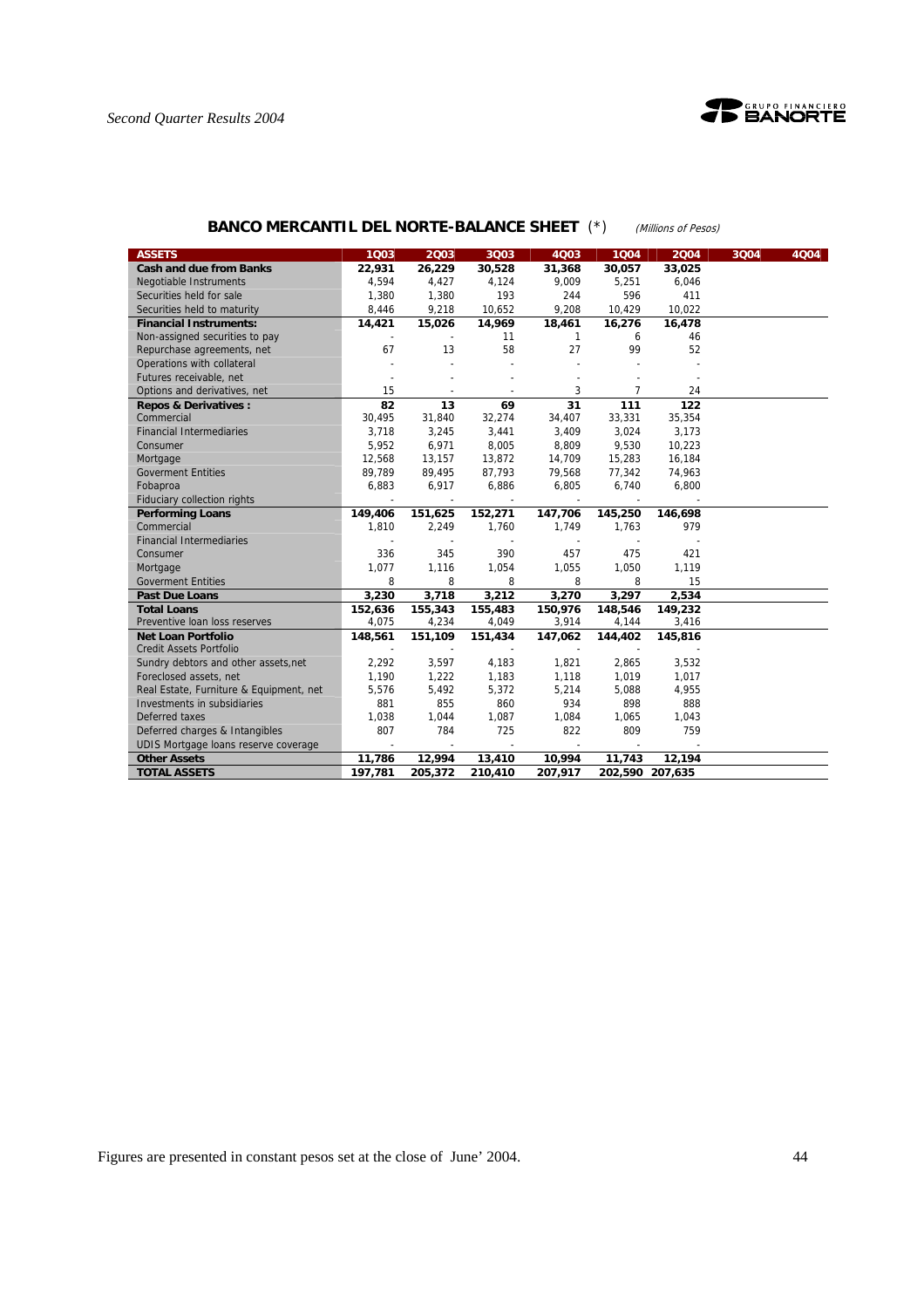



# **BANCO MERCANTIL DEL NORTE-BALANCE SHEET** (\*) (Millions of Pesos)

| <b>ASSETS</b>                           | 1Q03           | 2003           | 3Q03                     | 4003         | 1004    | 2004            | 3Q04 | 4004 |
|-----------------------------------------|----------------|----------------|--------------------------|--------------|---------|-----------------|------|------|
| <b>Cash and due from Banks</b>          | 22,931         | 26,229         | 30,528                   | 31,368       | 30,057  | 33,025          |      |      |
| Negotiable Instruments                  | 4,594          | 4,427          | 4,124                    | 9,009        | 5,251   | 6,046           |      |      |
| Securities held for sale                | 1,380          | 1,380          | 193                      | 244          | 596     | 411             |      |      |
| Securities held to maturity             | 8,446          | 9,218          | 10,652                   | 9,208        | 10,429  | 10,022          |      |      |
| <b>Financial Instruments:</b>           | 14,421         | 15,026         | 14,969                   | 18,461       | 16,276  | 16,478          |      |      |
| Non-assigned securities to pay          |                |                | 11                       | $\mathbf{1}$ | 6       | 46              |      |      |
| Repurchase agreements, net              | 67             | 13             | 58                       | 27           | 99      | 52              |      |      |
| Operations with collateral              |                |                |                          |              |         |                 |      |      |
| Futures receivable, net                 |                |                |                          |              |         |                 |      |      |
| Options and derivatives, net            | 15             |                |                          | 3            | 7       | 24              |      |      |
| <b>Repos &amp; Derivatives:</b>         | 82             | 13             | 69                       | 31           | 111     | 122             |      |      |
| Commercial                              | 30,495         | 31,840         | 32,274                   | 34,407       | 33,331  | 35,354          |      |      |
| <b>Financial Intermediaries</b>         | 3.718          | 3,245          | 3,441                    | 3,409        | 3,024   | 3,173           |      |      |
| Consumer                                | 5,952          | 6,971          | 8,005                    | 8,809        | 9,530   | 10,223          |      |      |
| Mortgage                                | 12,568         | 13,157         | 13,872                   | 14,709       | 15,283  | 16,184          |      |      |
| <b>Goverment Entities</b>               | 89,789         | 89,495         | 87,793                   | 79,568       | 77,342  | 74,963          |      |      |
| Fobaproa                                | 6,883          | 6,917          | 6,886                    | 6,805        | 6,740   | 6,800           |      |      |
| <b>Fiduciary collection rights</b>      |                | $\blacksquare$ | $\overline{\phantom{a}}$ | $\mathbf{r}$ |         |                 |      |      |
| <b>Performing Loans</b>                 | 149,406        | 151,625        | 152,271                  | 147,706      | 145,250 | 146,698         |      |      |
| Commercial                              | 1,810          | 2,249          | 1,760                    | 1.749        | 1,763   | 979             |      |      |
| <b>Financial Intermediaries</b>         |                |                |                          |              |         |                 |      |      |
| Consumer                                | 336            | 345            | 390                      | 457          | 475     | 421             |      |      |
| Mortgage                                | 1,077          | 1,116          | 1,054                    | 1,055        | 1,050   | 1,119           |      |      |
| <b>Goverment Entities</b>               | 8              | 8              | 8                        | 8            | 8       | 15              |      |      |
| <b>Past Due Loans</b>                   | 3,230          | 3,718          | 3,212                    | 3,270        | 3,297   | 2,534           |      |      |
| <b>Total Loans</b>                      | 152,636        | 155,343        | 155,483                  | 150,976      | 148,546 | 149,232         |      |      |
| Preventive Ioan loss reserves           | 4,075          | 4,234          | 4,049                    | 3,914        | 4,144   | 3,416           |      |      |
| <b>Net Loan Portfolio</b>               | 148,561        | 151,109        | 151,434                  | 147,062      | 144,402 | 145,816         |      |      |
| <b>Credit Assets Portfolio</b>          | $\overline{a}$ |                |                          |              | $\sim$  |                 |      |      |
| Sundry debtors and other assets, net    | 2,292          | 3,597          | 4,183                    | 1,821        | 2,865   | 3,532           |      |      |
| Foreclosed assets, net                  | 1,190          | 1,222          | 1,183                    | 1,118        | 1,019   | 1,017           |      |      |
| Real Estate, Furniture & Equipment, net | 5,576          | 5,492          | 5,372                    | 5,214        | 5,088   | 4,955           |      |      |
| Investments in subsidiaries             | 881            | 855            | 860                      | 934          | 898     | 888             |      |      |
| Deferred taxes                          | 1,038          | 1,044          | 1,087                    | 1,084        | 1,065   | 1,043           |      |      |
| Deferred charges & Intangibles          | 807            | 784            | 725                      | 822          | 809     | 759             |      |      |
| UDIS Mortgage loans reserve coverage    |                |                |                          |              |         |                 |      |      |
| <b>Other Assets</b>                     | 11,786         | 12,994         | 13,410                   | 10,994       | 11,743  | 12,194          |      |      |
| <b>TOTAL ASSETS</b>                     | 197,781        | 205,372        | 210,410                  | 207,917      |         | 202,590 207,635 |      |      |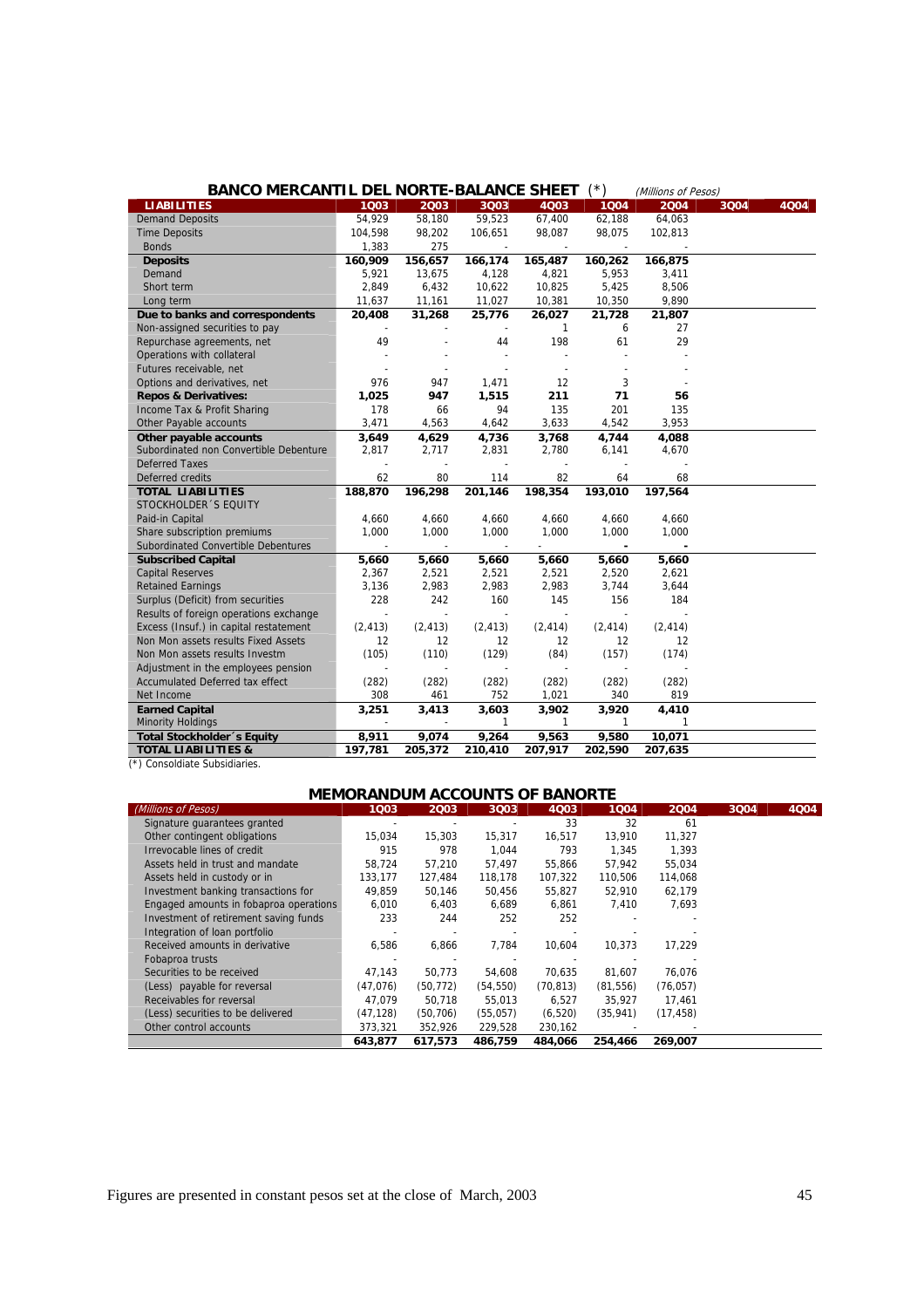| <b>BANCO MERCANTIL DEL NORTE-BALANCE SHEET</b> |          |                          |               |                          | (*)            | (Millions of Pesos) |      |      |
|------------------------------------------------|----------|--------------------------|---------------|--------------------------|----------------|---------------------|------|------|
| <b>LIABILITIES</b>                             | 1003     | 2003                     | 3Q03          | 4Q03                     | 1004           | 2004                | 3Q04 | 4Q04 |
| <b>Demand Deposits</b>                         | 54,929   | 58,180                   | 59,523        | 67,400                   | 62,188         | 64,063              |      |      |
| <b>Time Deposits</b>                           | 104,598  | 98,202                   | 106,651       | 98,087                   | 98,075         | 102,813             |      |      |
| <b>Bonds</b>                                   | 1,383    | 275                      |               |                          |                |                     |      |      |
| <b>Deposits</b>                                | 160,909  | 156,657                  | 166,174       | 165,487                  | 160,262        | 166,875             |      |      |
| Demand                                         | 5,921    | 13,675                   | 4,128         | 4,821                    | 5,953          | 3,411               |      |      |
| Short term                                     | 2,849    | 6,432                    | 10,622        | 10,825                   | 5,425          | 8,506               |      |      |
| Long term                                      | 11,637   | 11,161                   | 11,027        | 10,381                   | 10,350         | 9,890               |      |      |
| Due to banks and correspondents                | 20,408   | 31,268                   | 25,776        | 26,027                   | 21,728         | 21,807              |      |      |
| Non-assigned securities to pay                 |          |                          |               | $\mathbf{1}$             | 6              | 27                  |      |      |
| Repurchase agreements, net                     | 49       |                          | 44            | 198                      | 61             | 29                  |      |      |
| Operations with collateral                     |          |                          |               |                          |                |                     |      |      |
| Futures receivable, net                        |          |                          |               | $\sim$                   |                |                     |      |      |
| Options and derivatives, net                   | 976      | 947                      | 1,471         | 12                       | 3              |                     |      |      |
| <b>Repos &amp; Derivatives:</b>                | 1,025    | 947                      | 1,515         | 211                      | 71             | 56                  |      |      |
| Income Tax & Profit Sharing                    | 178      | 66                       | 94            | 135                      | 201            | 135                 |      |      |
| Other Payable accounts                         | 3.471    | 4,563                    | 4,642         | 3,633                    | 4,542          | 3.953               |      |      |
| Other payable accounts                         | 3,649    | 4,629                    | 4,736         | 3,768                    | 4,744          | 4,088               |      |      |
| Subordinated non Convertible Debenture         | 2,817    | 2,717                    | 2,831         | 2,780                    | 6,141          | 4,670               |      |      |
| <b>Deferred Taxes</b>                          |          | $\overline{a}$           |               | $\overline{a}$           |                |                     |      |      |
| Deferred credits                               | 62       | 80                       | 114           | 82                       | 64             | 68                  |      |      |
| <b>TOTAL LIABILITIES</b>                       | 188,870  | 196,298                  | 201, 146      | 198,354                  | 193,010        | 197,564             |      |      |
| STOCKHOLDER 'S EQUITY                          |          |                          |               |                          |                |                     |      |      |
| Paid-in Capital                                | 4,660    | 4,660                    | 4,660         | 4,660                    | 4,660          | 4,660               |      |      |
| Share subscription premiums                    | 1,000    | 1,000                    | 1,000         | 1,000                    | 1,000          | 1,000               |      |      |
| Subordinated Convertible Debentures            |          | $\overline{a}$           | $\frac{1}{2}$ |                          | $\blacksquare$ | ×,                  |      |      |
| <b>Subscribed Capital</b>                      | 5,660    | 5,660                    | 5,660         | 5,660                    | 5,660          | 5,660               |      |      |
| <b>Capital Reserves</b>                        | 2,367    | 2,521                    | 2,521         | 2,521                    | 2,520          | 2,621               |      |      |
| <b>Retained Earnings</b>                       | 3,136    | 2,983                    | 2,983         | 2,983                    | 3,744          | 3,644               |      |      |
| Surplus (Deficit) from securities              | 228      | 242                      | 160           | 145                      | 156            | 184                 |      |      |
| Results of foreign operations exchange         |          |                          |               |                          |                |                     |      |      |
| Excess (Insuf.) in capital restatement         | (2, 413) | (2, 413)                 | (2, 413)      | (2, 414)                 | (2, 414)       | (2, 414)            |      |      |
| Non Mon assets results Fixed Assets            | 12       | 12                       | 12            | 12                       | 12             | 12                  |      |      |
| Non Mon assets results Investm                 | (105)    | (110)                    | (129)         | (84)                     | (157)          | (174)               |      |      |
| Adjustment in the employees pension            |          |                          |               | $\overline{\phantom{a}}$ |                |                     |      |      |
| <b>Accumulated Deferred tax effect</b>         | (282)    | (282)                    | (282)         | (282)                    | (282)          | (282)               |      |      |
| Net Income                                     | 308      | 461                      | 752           | 1,021                    | 340            | 819                 |      |      |
| <b>Earned Capital</b>                          | 3,251    | 3,413                    | 3,603         | 3,902                    | 3,920          | 4,410               |      |      |
| <b>Minority Holdings</b>                       |          | $\overline{\phantom{a}}$ | $\mathbf{1}$  | $\mathbf{1}$             | $\mathbf{1}$   | $\mathbf{1}$        |      |      |
| <b>Total Stockholder</b> 's Equity             | 8,911    | 9,074                    | 9,264         | 9,563                    | 9,580          | 10,071              |      |      |
| <b>TOTAL LIABILITIES &amp;</b>                 | 197,781  | 205,372                  | 210,410       | 207,917                  | 202,590        | 207,635             |      |      |
| (*) Concoldiate Subcidiaries                   |          |                          |               |                          |                |                     |      |      |

(\*) Consoldiate Subsidiaries.

| <b>MEMORANDUM ACCOUNTS OF BANORTE</b>  |           |           |           |             |           |           |      |      |
|----------------------------------------|-----------|-----------|-----------|-------------|-----------|-----------|------|------|
| (Millions of Pesos)                    | 1003      | 2003      | 3Q03      | <b>4Q03</b> | 1004      | 2004      | 3004 | 4004 |
| Signature quarantees granted           |           |           |           | 33          | 32        | 61        |      |      |
| Other contingent obligations           | 15,034    | 15,303    | 15,317    | 16,517      | 13,910    | 11,327    |      |      |
| Irrevocable lines of credit            | 915       | 978       | 1.044     | 793         | 1.345     | 1.393     |      |      |
| Assets held in trust and mandate       | 58,724    | 57.210    | 57.497    | 55,866      | 57,942    | 55,034    |      |      |
| Assets held in custody or in           | 133.177   | 127,484   | 118.178   | 107,322     | 110,506   | 114,068   |      |      |
| Investment banking transactions for    | 49.859    | 50.146    | 50.456    | 55.827      | 52.910    | 62.179    |      |      |
| Engaged amounts in fobaproa operations | 6.010     | 6.403     | 6.689     | 6.861       | 7.410     | 7.693     |      |      |
| Investment of retirement saving funds  | 233       | 244       | 252       | 252         |           |           |      |      |
| Integration of loan portfolio          |           |           |           |             |           |           |      |      |
| Received amounts in derivative         | 6.586     | 6,866     | 7.784     | 10.604      | 10.373    | 17.229    |      |      |
| Fobaproa trusts                        |           |           |           |             |           |           |      |      |
| Securities to be received              | 47,143    | 50.773    | 54.608    | 70.635      | 81.607    | 76.076    |      |      |
| (Less) payable for reversal            | (47,076)  | (50, 772) | (54, 550) | (70, 813)   | (81, 556) | (76, 057) |      |      |
| Receivables for reversal               | 47.079    | 50.718    | 55.013    | 6.527       | 35.927    | 17.461    |      |      |
| (Less) securities to be delivered      | (47, 128) | (50, 706) | (55,057)  | (6, 520)    | (35, 941) | (17, 458) |      |      |
| Other control accounts                 | 373,321   | 352,926   | 229,528   | 230,162     |           |           |      |      |
|                                        | 643.877   | 617.573   | 486.759   | 484.066     | 254,466   | 269.007   |      |      |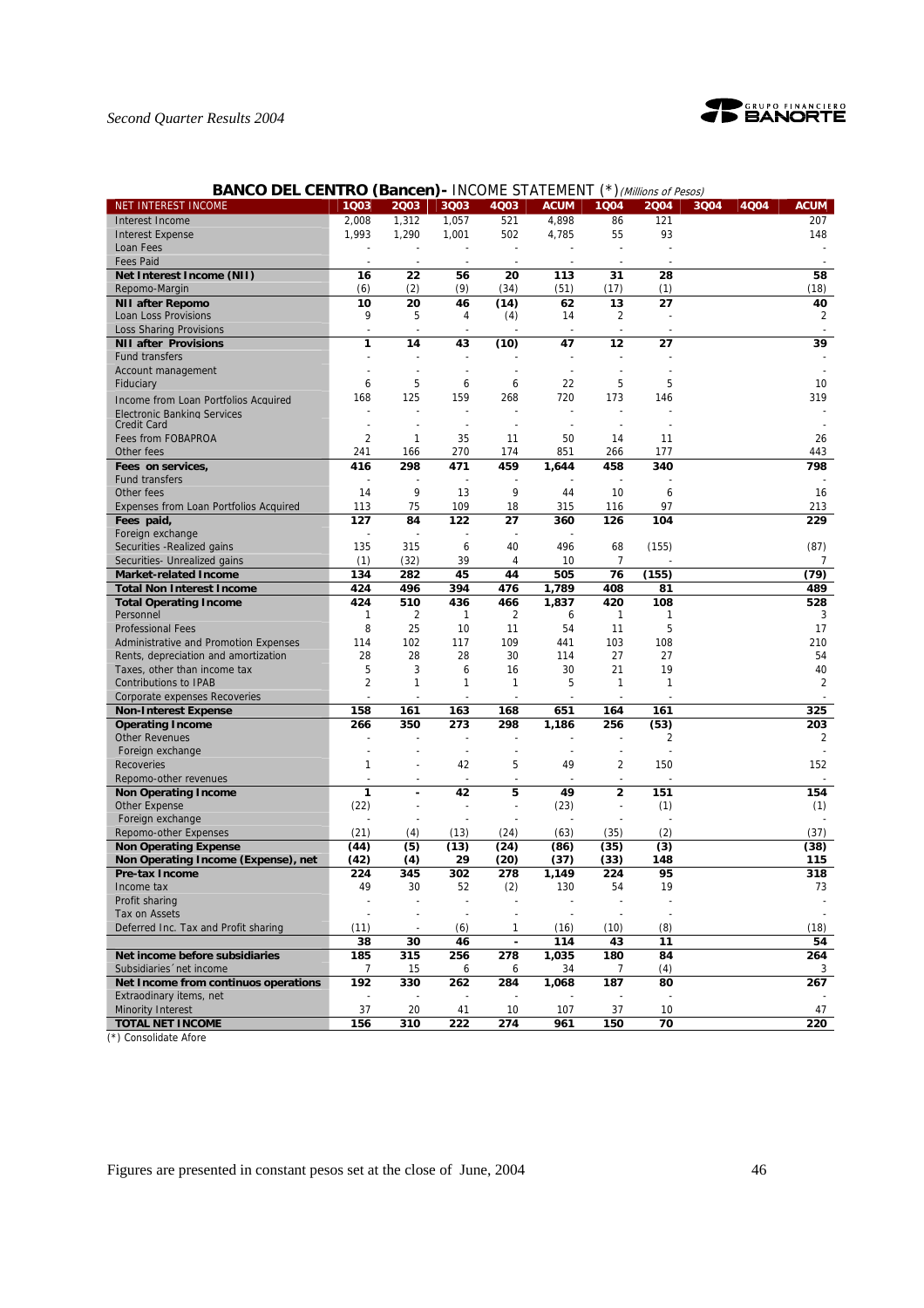

# *Second Quarter Results 2004*

# **BANCO DEL CENTRO (Bancen) - INCOME STATEMENT (\*) (Millions of Pesos)**

| NET INTEREST INCOME                                      | 1Q03           | 2Q03           | 3Q03                     | 4Q03                     | <b>ACUM</b>              | 1Q04                     | 2004  | 3Q04 | 4Q04 | <b>ACUM</b>    |
|----------------------------------------------------------|----------------|----------------|--------------------------|--------------------------|--------------------------|--------------------------|-------|------|------|----------------|
| Interest Income                                          | 2.008          | 1,312          | 1,057                    | 521                      | 4,898                    | 86                       | 121   |      |      | 207            |
| <b>Interest Expense</b>                                  | 1,993          | 1,290          | 1,001                    | 502                      | 4,785                    | 55                       | 93    |      |      | 148            |
| Loan Fees                                                |                |                |                          | $\overline{\phantom{a}}$ |                          |                          |       |      |      |                |
| <b>Fees Paid</b>                                         |                |                |                          |                          |                          |                          |       |      |      |                |
| Net Interest Income (NII)                                | 16             | 22             | 56                       | 20                       | 113                      | 31                       | 28    |      |      | 58             |
| Repomo-Margin                                            | (6)            | (2)            | (9)                      | (34)                     | (51)                     | (17)                     | (1)   |      |      | (18)           |
| <b>NII after Repomo</b>                                  | 10             | 20             | 46                       | (14)                     | 62                       | 13                       | 27    |      |      | 40             |
| Loan Loss Provisions                                     | 9              | 5              | 4                        | (4)                      | 14                       | 2                        |       |      |      | $\overline{2}$ |
| <b>Loss Sharing Provisions</b>                           | ÷,             |                |                          |                          |                          |                          |       |      |      |                |
| <b>NII after Provisions</b>                              | 1              | 14             | 43                       | (10)                     | 47                       | 12                       | 27    |      |      | 39             |
| <b>Fund transfers</b>                                    |                |                |                          |                          |                          |                          |       |      |      |                |
| Account management                                       |                |                |                          |                          |                          |                          |       |      |      |                |
| Fiduciary                                                | 6              | 5              | 6                        | 6                        | 22                       | 5                        | 5     |      |      | 10             |
|                                                          | 168            | 125            | 159                      | 268                      | 720                      | 173                      | 146   |      |      | 319            |
| Income from Loan Portfolios Acquired                     |                |                |                          |                          |                          |                          |       |      |      |                |
| <b>Electronic Banking Services</b><br><b>Credit Card</b> |                |                | $\overline{\phantom{a}}$ |                          |                          |                          |       |      |      |                |
| Fees from FOBAPROA                                       | $\overline{c}$ | $\mathbf{1}$   | 35                       | 11                       | 50                       | 14                       | 11    |      |      | 26             |
| Other fees                                               | 241            | 166            | 270                      | 174                      | 851                      | 266                      | 177   |      |      | 443            |
|                                                          | 416            | 298            | 471                      | 459                      |                          | 458                      | 340   |      |      | 798            |
| Fees on services,<br><b>Fund transfers</b>               |                |                |                          |                          | 1,644                    |                          |       |      |      |                |
| Other fees                                               | 14             | 9              | 13                       | 9                        | 44                       | 10                       | 6     |      |      | 16             |
|                                                          |                |                |                          |                          |                          |                          |       |      |      |                |
| <b>Expenses from Loan Portfolios Acquired</b>            | 113            | 75             | 109                      | 18                       | 315                      | 116                      | 97    |      |      | 213            |
| Fees paid,                                               | 127            | 84             | 122                      | 27                       | 360                      | 126                      | 104   |      |      | 229            |
| Foreign exchange                                         |                |                |                          |                          |                          |                          |       |      |      |                |
| Securities - Realized gains                              | 135            | 315            | 6                        | 40                       | 496                      | 68                       | (155) |      |      | (87)           |
| Securities- Unrealized gains                             | (1)            | (32)           | 39                       | 4                        | 10                       | $\overline{7}$           |       |      |      | 7              |
| <b>Market-related Income</b>                             | 134            | 282            | 45                       | 44                       | 505                      | 76                       | (155) |      |      | (79)           |
| <b>Total Non Interest Income</b>                         | 424            | 496            | 394                      | 476                      | 1,789                    | 408                      | 81    |      |      | 489            |
| <b>Total Operating Income</b>                            | 424            | 510            | 436                      | 466                      | 1,837                    | 420                      | 108   |      |      | 528            |
| Personnel                                                | 1              | $\overline{2}$ | 1                        | 2                        | 6                        | 1                        | 1     |      |      | 3              |
| <b>Professional Fees</b>                                 | 8              | 25             | 10                       | 11                       | 54                       | 11                       | 5     |      |      | 17             |
| Administrative and Promotion Expenses                    | 114            | 102            | 117                      | 109                      | 441                      | 103                      | 108   |      |      | 210            |
| Rents, depreciation and amortization                     | 28             | 28             | 28                       | 30                       | 114                      | 27                       | 27    |      |      | 54             |
| Taxes, other than income tax                             | 5              | 3              | 6                        | 16                       | 30                       | 21                       | 19    |      |      | 40             |
| <b>Contributions to IPAB</b>                             | 2              | $\mathbf{1}$   | 1                        | 1                        | 5                        | $\mathbf{1}$             | 1     |      |      | $\overline{2}$ |
| Corporate expenses Recoveries                            |                |                |                          |                          |                          |                          |       |      |      |                |
| <b>Non-Interest Expense</b>                              | 158            | 161            | 163                      | 168                      | 651                      | 164                      | 161   |      |      | 325            |
| <b>Operating Income</b>                                  | 266            | 350            | 273                      | 298                      | 1,186                    | 256                      | (53)  |      |      | 203            |
| <b>Other Revenues</b>                                    |                |                |                          | $\overline{\phantom{a}}$ |                          |                          | 2     |      |      | 2              |
| Foreign exchange                                         |                |                | $\overline{\phantom{a}}$ | $\overline{\phantom{a}}$ | $\overline{\phantom{a}}$ | $\overline{\phantom{a}}$ |       |      |      |                |
| <b>Recoveries</b>                                        | 1              |                | 42                       | 5                        | 49                       | 2                        | 150   |      |      | 152            |
| Repomo-other revenues                                    |                |                |                          |                          |                          |                          |       |      |      |                |
| <b>Non Operating Income</b>                              | 1              |                | 42                       | 5                        | 49                       | $\overline{\mathbf{c}}$  | 151   |      |      | 154            |
| Other Expense                                            | (22)           | $\overline{a}$ |                          | ÷,                       | (23)                     | ÷                        | (1)   |      |      | (1)            |
| Foreign exchange                                         |                |                |                          |                          |                          |                          |       |      |      |                |
| Repomo-other Expenses                                    | (21)           | (4)            | (13)                     | (24)                     | (63)                     | (35)                     | (2)   |      |      | (37)           |
| <b>Non Operating Expense</b>                             | (44)           | (5)            | (13)                     | (24)                     | (86)                     | (35)                     | (3)   |      |      | (38)           |
| Non Operating Income (Expense), net                      | (42)           | (4)            | 29                       | (20)                     | (37)                     | (33)                     | 148   |      |      | 115            |
| <b>Pre-tax Income</b>                                    | 224            | 345            | 302                      | 278                      | 1,149                    | 224                      | 95    |      |      | 318            |
| Income tax                                               | 49             | 30             | 52                       | (2)                      | 130                      | 54                       | 19    |      |      | 73             |
| Profit sharing                                           |                |                |                          |                          |                          |                          |       |      |      |                |
| Tax on Assets                                            |                |                |                          |                          |                          |                          |       |      |      |                |
| Deferred Inc. Tax and Profit sharing                     | (11)           |                | (6)                      | 1                        | (16)                     | (10)                     | (8)   |      |      | (18)           |
|                                                          | 38             | 30             | 46                       |                          | 114                      | 43                       | 11    |      |      | 54             |
| Net income before subsidiaries                           | 185            | 315            | 256                      | 278                      | 1,035                    | 180                      | 84    |      |      | 264            |
| Subsidiaries 'net income                                 | 7              | 15             | 6                        | 6                        | 34                       | 7                        | (4)   |      |      | 3              |
| Net Income from continuos operations                     | 192            | 330            | 262                      | 284                      | 1,068                    | 187                      | 80    |      |      | 267            |
| Extraodinary items, net                                  |                |                |                          |                          |                          |                          |       |      |      |                |
| <b>Minority Interest</b>                                 | 37             | 20             | 41                       | 10                       | 107                      | 37                       | 10    |      |      | 47             |
| <b>TOTAL NET INCOME</b>                                  | 156            | 310            | 222                      | 274                      | 961                      | 150                      | 70    |      |      | 220            |

(\*) Consolidate Afore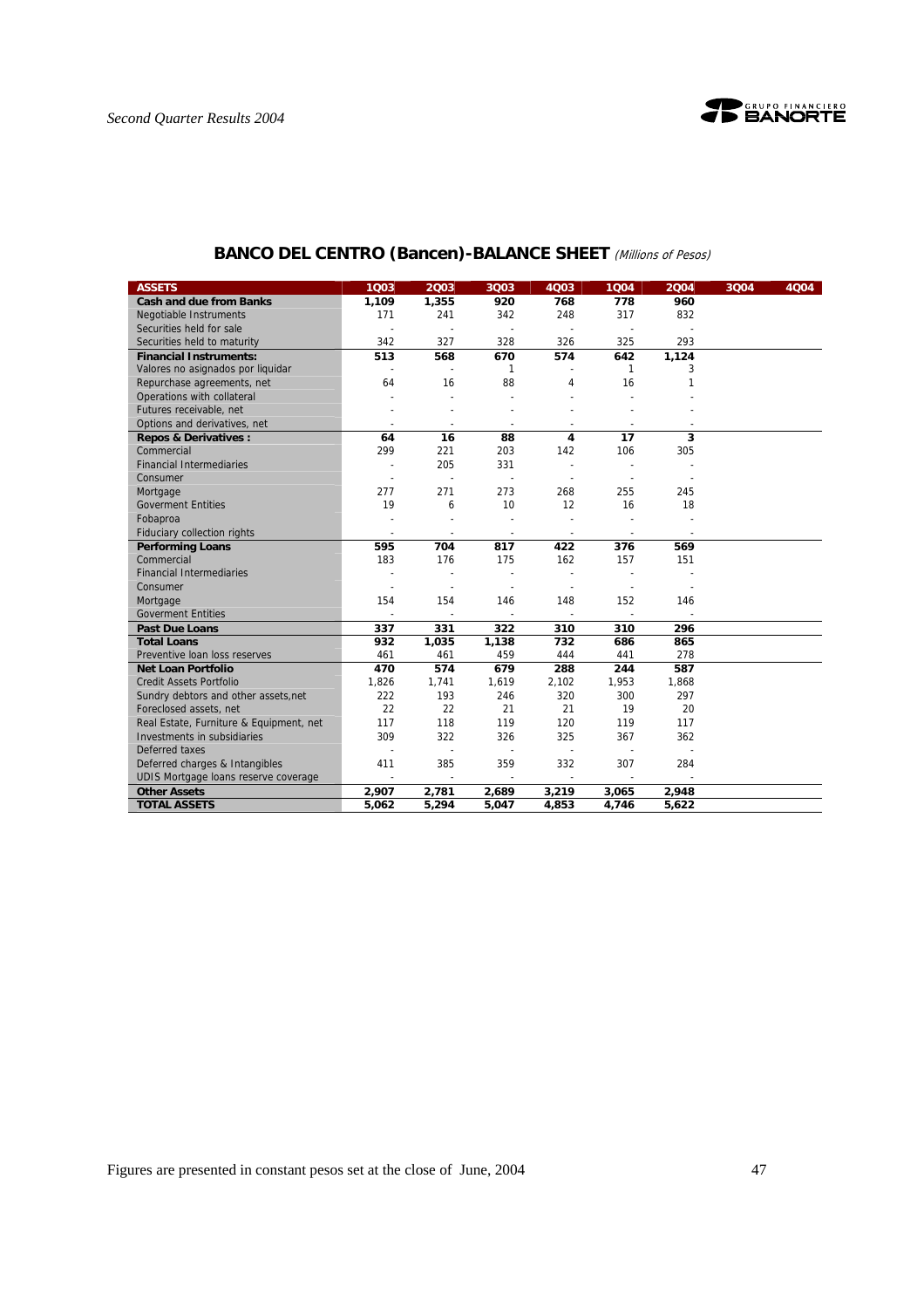

| <b>ASSETS</b>                           | 1Q03           | 2003                     | 3Q03                     | 4Q03                     | 1004                     | 2004                     | 3Q04 | 4Q04 |
|-----------------------------------------|----------------|--------------------------|--------------------------|--------------------------|--------------------------|--------------------------|------|------|
| <b>Cash and due from Banks</b>          | 1,109          | 1,355                    | 920                      | 768                      | 778                      | 960                      |      |      |
| <b>Negotiable Instruments</b>           | 171            | 241                      | 342                      | 248                      | 317                      | 832                      |      |      |
| Securities held for sale                |                |                          | $\blacksquare$           |                          | $\blacksquare$           |                          |      |      |
| Securities held to maturity             | 342            | 327                      | 328                      | 326                      | 325                      | 293                      |      |      |
| <b>Financial Instruments:</b>           | 513            | 568                      | 670                      | 574                      | 642                      | 1,124                    |      |      |
| Valores no asignados por liquidar       | $\sim$         | $\sim$                   | 1                        |                          | 1                        | 3                        |      |      |
| Repurchase agreements, net              | 64             | 16                       | 88                       | 4                        | 16                       | 1                        |      |      |
| Operations with collateral              |                |                          |                          |                          |                          |                          |      |      |
| Futures receivable, net                 |                |                          |                          |                          |                          |                          |      |      |
| Options and derivatives, net            |                |                          | $\overline{a}$           |                          |                          |                          |      |      |
| <b>Repos &amp; Derivatives:</b>         | 64             | 16                       | 88                       | 4                        | 17                       | 3                        |      |      |
| Commercial                              | 299            | 221                      | 203                      | 142                      | 106                      | 305                      |      |      |
| <b>Financial Intermediaries</b>         | $\overline{a}$ | 205                      | 331                      |                          |                          |                          |      |      |
| Consumer                                |                |                          | $\blacksquare$           |                          |                          |                          |      |      |
| Mortgage                                | 277            | 271                      | 273                      | 268                      | 255                      | 245                      |      |      |
| <b>Goverment Entities</b>               | 19             | 6                        | 10                       | 12                       | 16                       | 18                       |      |      |
| Fobaproa                                |                |                          |                          |                          |                          |                          |      |      |
| Fiduciary collection rights             | $\blacksquare$ | $\overline{\phantom{a}}$ | $\overline{\phantom{a}}$ | $\overline{\phantom{a}}$ | $\overline{\phantom{a}}$ | $\overline{\phantom{a}}$ |      |      |
| <b>Performing Loans</b>                 | 595            | 704                      | 817                      | 422                      | 376                      | 569                      |      |      |
| Commercial                              | 183            | 176                      | 175                      | 162                      | 157                      | 151                      |      |      |
| <b>Financial Intermediaries</b>         |                |                          |                          |                          |                          |                          |      |      |
| Consumer                                |                |                          |                          |                          |                          |                          |      |      |
| Mortgage                                | 154            | 154                      | 146                      | 148                      | 152                      | 146                      |      |      |
| <b>Goverment Entities</b>               | $\overline{a}$ | $\blacksquare$           |                          |                          | $\overline{\phantom{a}}$ |                          |      |      |
| <b>Past Due Loans</b>                   | 337            | 331                      | 322                      | 310                      | 310                      | 296                      |      |      |
| <b>Total Loans</b>                      | 932            | 1,035                    | 1,138                    | 732                      | 686                      | 865                      |      |      |
| Preventive Ioan loss reserves           | 461            | 461                      | 459                      | 444                      | 441                      | 278                      |      |      |
| Net Loan Portfolio                      | 470            | 574                      | 679                      | 288                      | 244                      | 587                      |      |      |
| <b>Credit Assets Portfolio</b>          | 1,826          | 1,741                    | 1,619                    | 2,102                    | 1,953                    | 1,868                    |      |      |
| Sundry debtors and other assets, net    | 222            | 193                      | 246                      | 320                      | 300                      | 297                      |      |      |
| Foreclosed assets, net                  | 22             | 22                       | 21                       | 21                       | 19                       | 20                       |      |      |
| Real Estate, Furniture & Equipment, net | 117            | 118                      | 119                      | 120                      | 119                      | 117                      |      |      |
| Investments in subsidiaries             | 309            | 322                      | 326                      | 325                      | 367                      | 362                      |      |      |
| Deferred taxes                          |                | $\overline{a}$           | L.                       |                          |                          |                          |      |      |
| Deferred charges & Intangibles          | 411            | 385                      | 359                      | 332                      | 307                      | 284                      |      |      |
| UDIS Mortgage loans reserve coverage    | $\mathbf{r}$   | $\blacksquare$           | $\mathbf{r}$             | $\mathbf{r}$             | $\sim$                   | $\sim$                   |      |      |
| <b>Other Assets</b>                     | 2,907          | 2,781                    | 2,689                    | 3,219                    | 3,065                    | 2,948                    |      |      |
| <b>TOTAL ASSETS</b>                     | 5,062          | 5,294                    | 5,047                    | 4,853                    | 4,746                    | 5,622                    |      |      |

# **BANCO DEL CENTRO (Bancen)-BALANCE SHEET** (Millions of Pesos)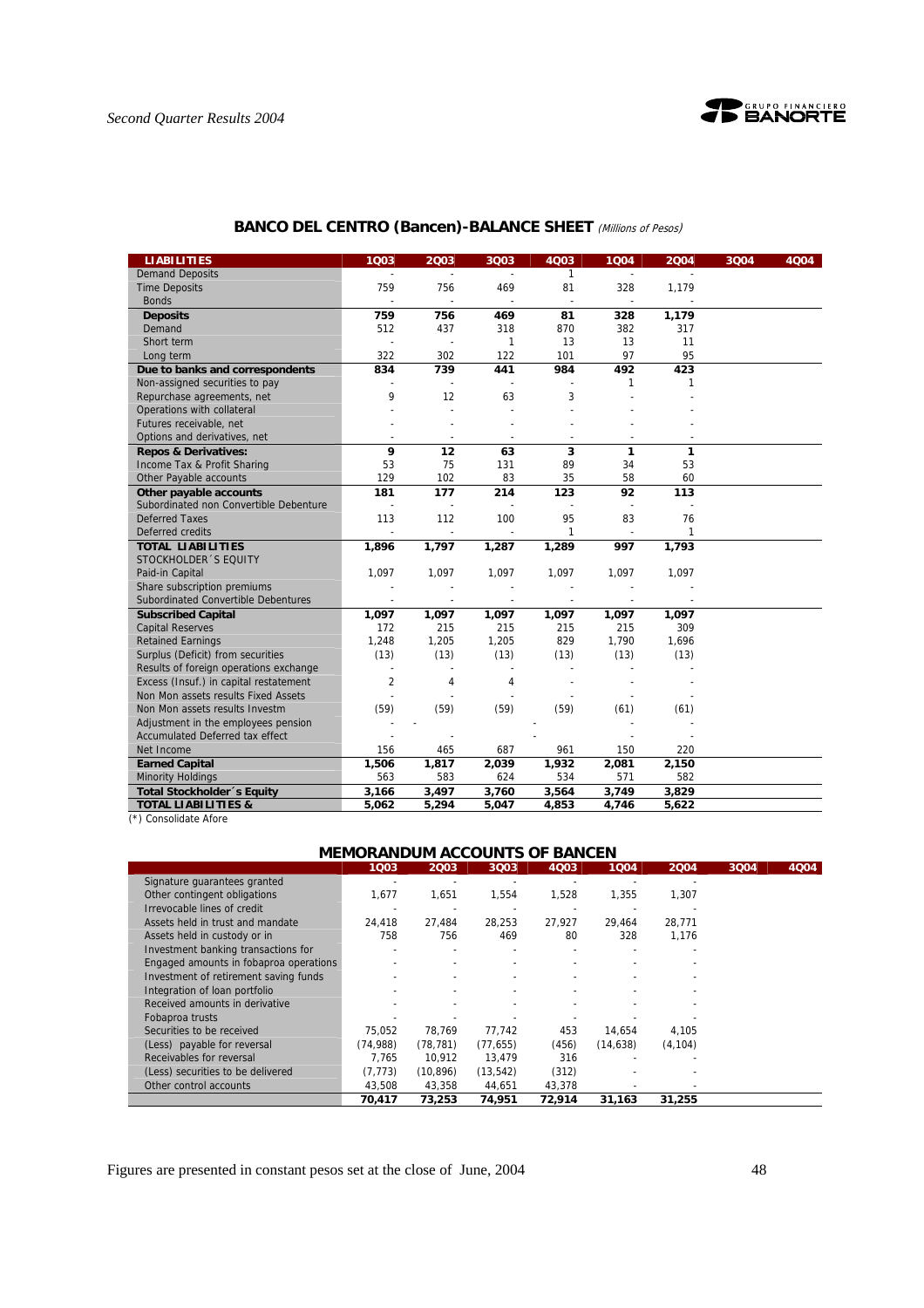

| <b>LIABILITIES</b>                     | 1Q03           | 2003           | 3Q03                     | 4Q03                     | 1Q04           | 2004  | 3Q04 | 4Q04 |
|----------------------------------------|----------------|----------------|--------------------------|--------------------------|----------------|-------|------|------|
| <b>Demand Deposits</b>                 |                |                |                          | $\mathbf{1}$             | $\blacksquare$ |       |      |      |
| <b>Time Deposits</b>                   | 759            | 756            | 469                      | 81                       | 328            | 1,179 |      |      |
| <b>Bonds</b>                           |                |                |                          |                          | L.             |       |      |      |
| <b>Deposits</b>                        | 759            | 756            | 469                      | 81                       | 328            | 1,179 |      |      |
| Demand                                 | 512            | 437            | 318                      | 870                      | 382            | 317   |      |      |
| Short term                             |                |                | 1                        | 13                       | 13             | 11    |      |      |
| Long term                              | 322            | 302            | 122                      | 101                      | 97             | 95    |      |      |
| Due to banks and correspondents        | 834            | 739            | 441                      | 984                      | 492            | 423   |      |      |
| Non-assigned securities to pay         |                |                |                          |                          | 1              | 1     |      |      |
| Repurchase agreements, net             | 9              | 12             | 63                       | 3                        |                |       |      |      |
| Operations with collateral             |                |                |                          |                          |                |       |      |      |
| Futures receivable, net                |                |                |                          |                          |                |       |      |      |
| Options and derivatives, net           | $\sim$         | $\sim$         | $\overline{\phantom{a}}$ | $\overline{\phantom{a}}$ | $\blacksquare$ |       |      |      |
| <b>Repos &amp; Derivatives:</b>        | 9              | 12             | 63                       | 3                        | $\mathbf{1}$   | 1     |      |      |
| Income Tax & Profit Sharing            | 53             | 75             | 131                      | 89                       | 34             | 53    |      |      |
| Other Payable accounts                 | 129            | 102            | 83                       | 35                       | 58             | 60    |      |      |
| Other payable accounts                 | 181            | 177            | 214                      | 123                      | 92             | 113   |      |      |
| Subordinated non Convertible Debenture | J.             |                |                          |                          |                |       |      |      |
| <b>Deferred Taxes</b>                  | 113            | 112            | 100                      | 95                       | 83             | 76    |      |      |
| Deferred credits                       |                |                |                          | 1                        |                | 1     |      |      |
| <b>TOTAL LIABILITIES</b>               | 1,896          | 1,797          | 1,287                    | 1,289                    | 997            | 1,793 |      |      |
| STOCKHOLDER 'S EQUITY                  |                |                |                          |                          |                |       |      |      |
| Paid-in Capital                        | 1,097          | 1,097          | 1,097                    | 1,097                    | 1,097          | 1,097 |      |      |
| Share subscription premiums            |                |                |                          |                          |                |       |      |      |
| Subordinated Convertible Debentures    |                | $\blacksquare$ | $\overline{\phantom{a}}$ | $\overline{\phantom{a}}$ |                |       |      |      |
| <b>Subscribed Capital</b>              | 1,097          | 1,097          | 1,097                    | 1,097                    | 1,097          | 1,097 |      |      |
| <b>Capital Reserves</b>                | 172            | 215            | 215                      | 215                      | 215            | 309   |      |      |
| <b>Retained Earnings</b>               | 1,248          | 1,205          | 1,205                    | 829                      | 1,790          | 1,696 |      |      |
| Surplus (Deficit) from securities      | (13)           | (13)           | (13)                     | (13)                     | (13)           | (13)  |      |      |
| Results of foreign operations exchange |                |                |                          |                          |                |       |      |      |
| Excess (Insuf.) in capital restatement | $\overline{2}$ | 4              | 4                        |                          |                |       |      |      |
| Non Mon assets results Fixed Assets    |                |                |                          |                          |                |       |      |      |
| Non Mon assets results Investm         | (59)           | (59)           | (59)                     | (59)                     | (61)           | (61)  |      |      |
| Adjustment in the employees pension    |                |                |                          |                          |                |       |      |      |
| Accumulated Deferred tax effect        |                |                |                          |                          |                |       |      |      |
| Net Income                             | 156            | 465            | 687                      | 961                      | 150            | 220   |      |      |
| <b>Earned Capital</b>                  | 1,506          | 1,817          | 2,039                    | 1,932                    | 2,081          | 2,150 |      |      |
| <b>Minority Holdings</b>               | 563            | 583            | 624                      | 534                      | 571            | 582   |      |      |
| Total Stockholder 's Equity            | 3,166          | 3,497          | 3,760                    | 3,564                    | 3,749          | 3,829 |      |      |
| <b>TOTAL LIABILITIES &amp;</b>         | 5,062          | 5,294          | 5,047                    | 4,853                    | 4,746          | 5,622 |      |      |

# **BANCO DEL CENTRO (Bancen)-BALANCE SHEET** (Millions of Pesos)

(\*) Consolidate Afore

# **MEMORANDUM ACCOUNTS OF BANCEN**

|                                        | 1003.     | 2003      | 3003                     | 4003   | 1004.     | 2004     | 3004 | 4Q04 |
|----------------------------------------|-----------|-----------|--------------------------|--------|-----------|----------|------|------|
| Signature quarantees granted           |           |           |                          |        |           |          |      |      |
| Other contingent obligations           | 1,677     | 1,651     | 1,554                    | 1,528  | 1,355     | 1,307    |      |      |
| Irrevocable lines of credit            |           |           |                          |        |           |          |      |      |
| Assets held in trust and mandate       | 24,418    | 27,484    | 28,253                   | 27.927 | 29,464    | 28,771   |      |      |
| Assets held in custody or in           | 758       | 756       | 469                      | 80     | 328       | 1.176    |      |      |
| Investment banking transactions for    |           |           |                          |        |           |          |      |      |
| Engaged amounts in fobaproa operations |           |           |                          |        |           |          |      |      |
| Investment of retirement saving funds  |           |           | $\overline{\phantom{a}}$ |        |           |          |      |      |
| Integration of loan portfolio          |           |           | ٠                        |        |           |          |      |      |
| Received amounts in derivative         |           |           |                          |        |           |          |      |      |
| Fobaproa trusts                        |           |           |                          |        |           |          |      |      |
| Securities to be received              | 75.052    | 78.769    | 77.742                   | 453    | 14.654    | 4,105    |      |      |
| (Less) payable for reversal            | (74, 988) | (78, 781) | (77, 655)                | (456)  | (14, 638) | (4, 104) |      |      |
| Receivables for reversal               | 7.765     | 10.912    | 13.479                   | 316    |           |          |      |      |
| (Less) securities to be delivered      | (7, 773)  | (10, 896) | (13, 542)                | (312)  |           |          |      |      |
| Other control accounts                 | 43,508    | 43,358    | 44,651                   | 43,378 |           |          |      |      |
|                                        | 70.417    | 73.253    | 74.951                   | 72.914 | 31.163    | 31,255   |      |      |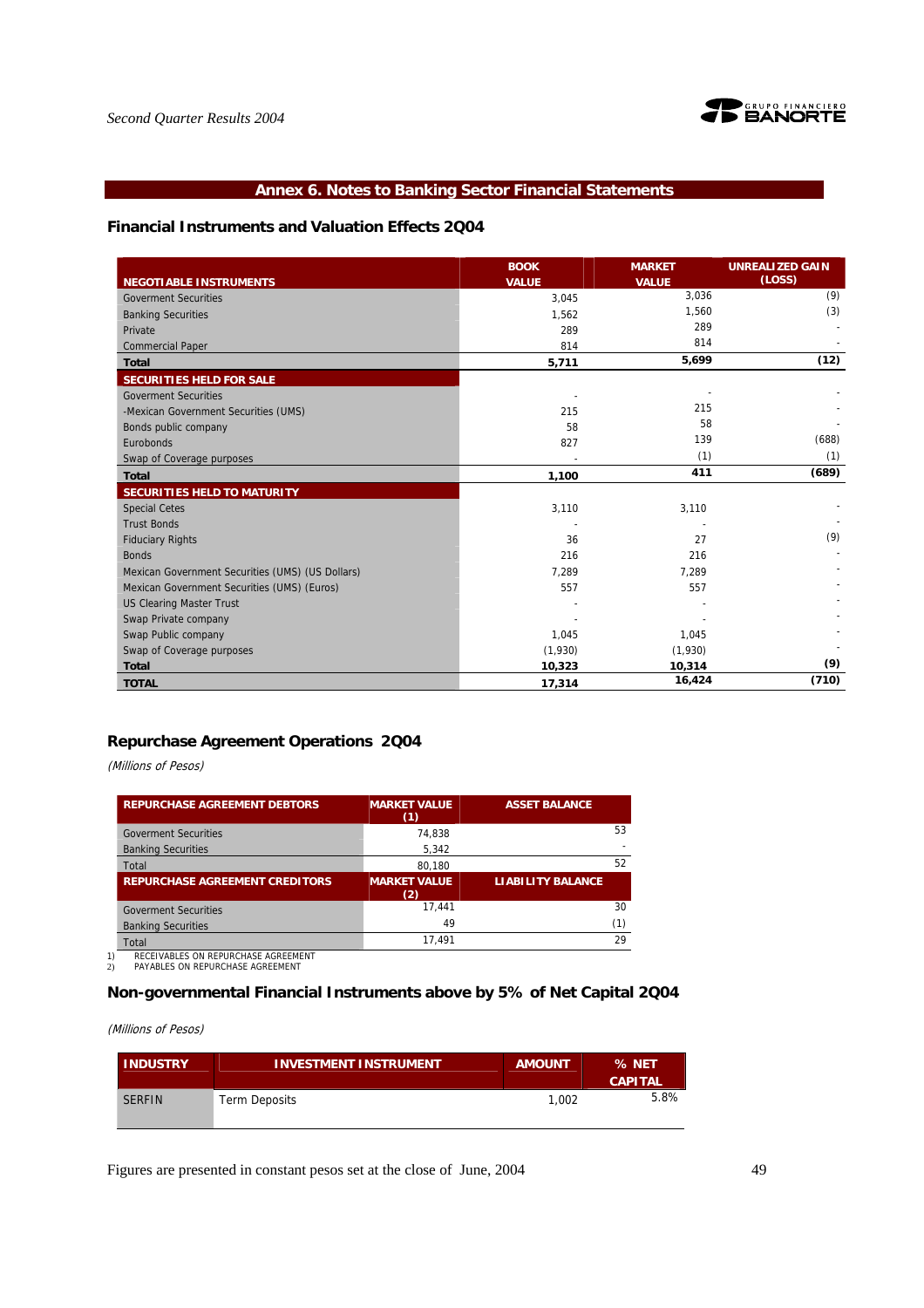

# **Annex 6. Notes to Banking Sector Financial Statements**

### **Financial Instruments and Valuation Effects 2Q04**

|                                                  | <b>BOOK</b>  | <b>MARKET</b> | <b>UNREALIZED GAIN</b> |
|--------------------------------------------------|--------------|---------------|------------------------|
| <b>NEGOTIABLE INSTRUMENTS</b>                    | <b>VALUE</b> | <b>VALUE</b>  | (LOSS)                 |
| <b>Goverment Securities</b>                      | 3,045        | 3,036         | (9)                    |
| <b>Banking Securities</b>                        | 1,562        | 1,560         | (3)                    |
| Private                                          | 289          | 289           |                        |
| <b>Commercial Paper</b>                          | 814          | 814           |                        |
| <b>Total</b>                                     | 5,711        | 5,699         | (12)                   |
| SECURITIES HELD FOR SALE                         |              |               |                        |
| <b>Goverment Securities</b>                      |              |               |                        |
| -Mexican Government Securities (UMS)             | 215          | 215           |                        |
| Bonds public company                             | 58           | 58            |                        |
| Eurobonds                                        | 827          | 139           | (688)                  |
| Swap of Coverage purposes                        |              | (1)           | (1)                    |
| <b>Total</b>                                     | 1,100        | 411           | (689)                  |
| SECURITIES HELD TO MATURITY                      |              |               |                        |
| <b>Special Cetes</b>                             | 3,110        | 3,110         |                        |
| <b>Trust Bonds</b>                               |              |               |                        |
| <b>Fiduciary Rights</b>                          | 36           | 27            | (9)                    |
| <b>Bonds</b>                                     | 216          | 216           |                        |
| Mexican Government Securities (UMS) (US Dollars) | 7,289        | 7,289         |                        |
| Mexican Government Securities (UMS) (Euros)      | 557          | 557           |                        |
| <b>US Clearing Master Trust</b>                  |              |               |                        |
| Swap Private company                             |              |               |                        |
| Swap Public company                              | 1,045        | 1,045         |                        |
| Swap of Coverage purposes                        | (1,930)      | (1,930)       |                        |
| <b>Total</b>                                     | 10,323       | 10,314        | (9)                    |
| <b>TOTAL</b>                                     | 17,314       | 16,424        | (710)                  |

# **Repurchase Agreement Operations 2Q04**

(Millions of Pesos)

| <b>REPURCHASE AGREEMENT DEBTORS</b>   | <b>MARKET VALUE</b><br>(1) | <b>ASSET BALANCE</b>     |
|---------------------------------------|----------------------------|--------------------------|
| <b>Goverment Securities</b>           | 74.838                     | 53                       |
| <b>Banking Securities</b>             | 5,342                      |                          |
| Total                                 | 80,180                     | 52                       |
| <b>REPURCHASE AGREEMENT CREDITORS</b> | <b>MARKET VALUE</b><br>(2) | <b>LIABILITY BALANCE</b> |
| <b>Goverment Securities</b>           | 17.441                     | 30                       |
| <b>Banking Securities</b>             | 49                         | (1)                      |
| Total                                 | 17.491                     | 29                       |

1) RECEIVABLES ON REPURCHASE AGREEMENT 2) PAYABLES ON REPURCHASE AGREEMENT

# **Non-governmental Financial Instruments above by 5% of Net Capital 2Q04**

(Millions of Pesos)

| <b>INDUSTRY</b> | <b>INVESTMENT INSTRUMENT</b> | <b>AMOUNT</b> | % NET<br><b>CAPITAL</b> |
|-----------------|------------------------------|---------------|-------------------------|
| <b>SERFIN</b>   | Term Deposits                | 1.002         | 5.8%                    |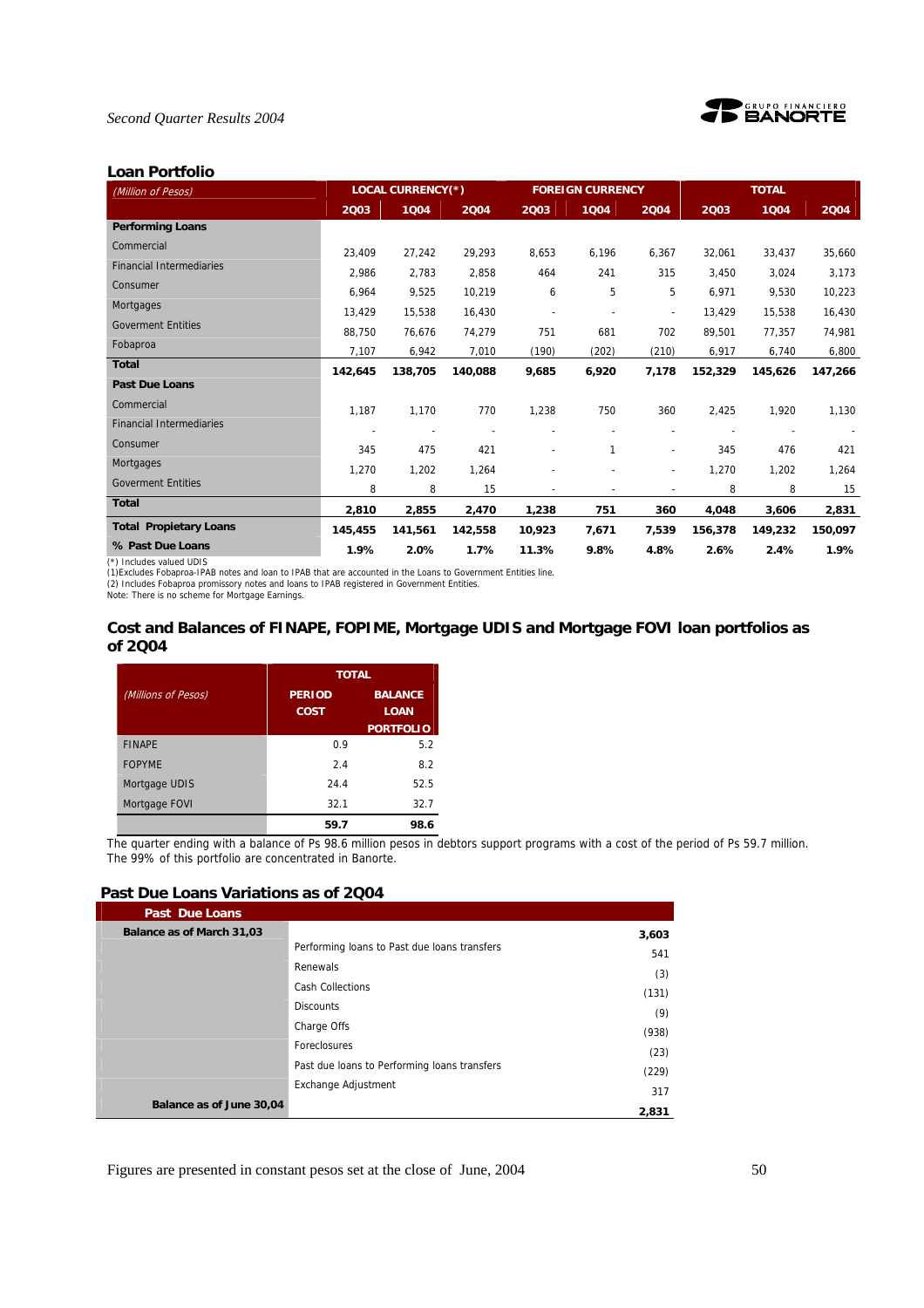



#### **Loan Portfolio**

| (Million of Pesos)              |         | <b>LOCAL CURRENCY(*)</b> |         |        | <b>FOREIGN CURRENCY</b> |                          |         | <b>TOTAL</b> |         |  |
|---------------------------------|---------|--------------------------|---------|--------|-------------------------|--------------------------|---------|--------------|---------|--|
|                                 | 2003    | 1004                     | 2004    | 2003   | 1004                    | 2004                     | 2003    | 1004         | 2004    |  |
| <b>Performing Loans</b>         |         |                          |         |        |                         |                          |         |              |         |  |
| Commercial                      | 23.409  | 27,242                   | 29,293  | 8,653  | 6,196                   | 6,367                    | 32,061  | 33,437       | 35,660  |  |
| <b>Financial Intermediaries</b> | 2,986   | 2,783                    | 2,858   | 464    | 241                     | 315                      | 3,450   | 3,024        | 3,173   |  |
| Consumer                        | 6,964   | 9,525                    | 10,219  | 6      | 5                       | 5                        | 6,971   | 9,530        | 10,223  |  |
| Mortgages                       | 13,429  | 15,538                   | 16,430  |        |                         | ä,                       | 13,429  | 15,538       | 16,430  |  |
| <b>Goverment Entities</b>       | 88,750  | 76,676                   | 74,279  | 751    | 681                     | 702                      | 89,501  | 77,357       | 74,981  |  |
| Fobaproa                        | 7,107   | 6,942                    | 7,010   | (190)  | (202)                   | (210)                    | 6,917   | 6,740        | 6,800   |  |
| <b>Total</b>                    | 142.645 | 138,705                  | 140,088 | 9,685  | 6,920                   | 7,178                    | 152,329 | 145,626      | 147,266 |  |
| <b>Past Due Loans</b>           |         |                          |         |        |                         |                          |         |              |         |  |
| Commercial                      | 1,187   | 1,170                    | 770     | 1,238  | 750                     | 360                      | 2,425   | 1,920        | 1,130   |  |
| <b>Financial Intermediaries</b> |         | $\overline{\phantom{a}}$ |         |        |                         |                          |         |              |         |  |
| Consumer                        | 345     | 475                      | 421     |        | 1                       | $\blacksquare$           | 345     | 476          | 421     |  |
| Mortgages                       | 1,270   | 1,202                    | 1,264   |        |                         | $\overline{\phantom{a}}$ | 1,270   | 1,202        | 1,264   |  |
| <b>Goverment Entities</b>       | 8       | 8                        | 15      |        |                         |                          | 8       | 8            | 15      |  |
| <b>Total</b>                    | 2,810   | 2,855                    | 2,470   | 1,238  | 751                     | 360                      | 4,048   | 3,606        | 2,831   |  |
| <b>Total Propietary Loans</b>   | 145,455 | 141,561                  | 142,558 | 10,923 | 7,671                   | 7,539                    | 156,378 | 149,232      | 150,097 |  |
| % Past Due Loans                | 1.9%    | 2.0%                     | 1.7%    | 11.3%  | 9.8%                    | 4.8%                     | 2.6%    | 2.4%         | 1.9%    |  |
| (*) Includes valued UDIS        |         |                          |         |        |                         |                          |         |              |         |  |

(\*) Includes valued UDIS<br>(1)Excludes Fobaproa-IPAB notes and Ioan to IPAB that are accounted in the Loans to Government Entities line.<br>(2) Includes Fobaproa promissory notes and Ioans to IPAB registered in Government Entit

### **Cost and Balances of FINAPE, FOPIME, Mortgage UDIS and Mortgage FOVI loan portfolios as of 2Q04**

|                     | <b>TOTAL</b>                 |                               |
|---------------------|------------------------------|-------------------------------|
| (Millions of Pesos) | <b>PERIOD</b><br><b>COST</b> | <b>BALANCE</b><br><b>LOAN</b> |
|                     |                              | <b>PORTFOLIO</b>              |
| <b>FINAPE</b>       | 0.9                          | 5.2                           |
| <b>FOPYME</b>       | 24                           | 8.2                           |
| Mortgage UDIS       | 24.4                         | 52.5                          |
| Mortgage FOVI       | 32.1                         | 32.7                          |
|                     | 59.7                         | 98.6                          |

The quarter ending with a balance of Ps 98.6 million pesos in debtors support programs with a cost of the period of Ps 59.7 million. The 99% of this portfolio are concentrated in Banorte.

#### **Past Due Loans Variations as of 2Q04**

| <b>Past Due Loans</b>     |                                              |       |
|---------------------------|----------------------------------------------|-------|
| Balance as of March 31,03 |                                              | 3,603 |
|                           | Performing loans to Past due loans transfers | 541   |
|                           | Renewals                                     | (3)   |
|                           | <b>Cash Collections</b>                      | (131) |
|                           | <b>Discounts</b>                             | (9)   |
|                           | Charge Offs                                  | (938) |
|                           | Foreclosures                                 | (23)  |
|                           | Past due loans to Performing loans transfers |       |
|                           | Exchange Adjustment                          | (229) |
| Balance as of June 30,04  |                                              | 317   |
|                           |                                              | 2,831 |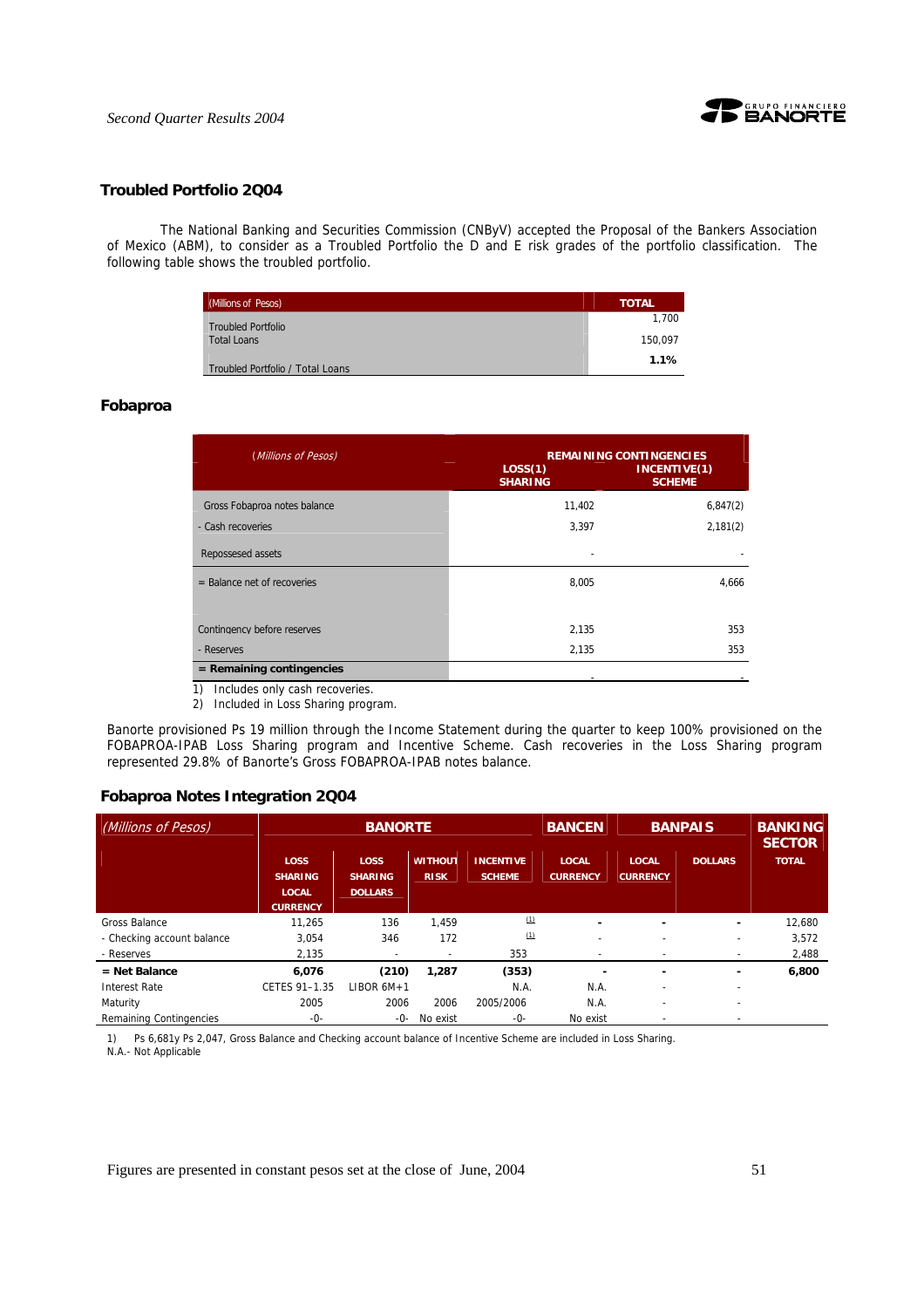

#### **Troubled Portfolio 2Q04**

 The National Banking and Securities Commission (CNByV) accepted the Proposal of the Bankers Association of Mexico (ABM), to consider as a Troubled Portfolio the D and E risk grades of the portfolio classification. The following table shows the troubled portfolio.

| (Millions of Pesos)              | <b>TOTAL</b> |
|----------------------------------|--------------|
| <b>Troubled Portfolio</b>        | 1.700        |
| <b>Total Loans</b>               | 150.097      |
| Troubled Portfolio / Total Loans | 1.1%         |

#### **Fobaproa**

| (Millions of Pesos)           | LOS(1)<br><b>SHARING</b> | <b>REMAINING CONTINGENCIES</b><br>INCENTIVE(1)<br><b>SCHEME</b> |
|-------------------------------|--------------------------|-----------------------------------------------------------------|
| Gross Fobaproa notes balance  | 11,402                   | 6,847(2)                                                        |
| - Cash recoveries             | 3,397                    | 2,181(2)                                                        |
| Repossesed assets             |                          |                                                                 |
| $=$ Balance net of recoveries | 8,005                    | 4,666                                                           |
| Contingency before reserves   | 2.135                    | 353                                                             |
| - Reserves                    | 2,135                    | 353                                                             |
| $=$ Remaining contingencies   |                          |                                                                 |

1) Includes only cash recoveries.

2) Included in Loss Sharing program.

Banorte provisioned Ps 19 million through the Income Statement during the quarter to keep 100% provisioned on the FOBAPROA-IPAB Loss Sharing program and Incentive Scheme. Cash recoveries in the Loss Sharing program represented 29.8% of Banorte's Gross FOBAPROA-IPAB notes balance.

#### **Fobaproa Notes Integration 2Q04**

| (Millions of Pesos)        |                                                                  | <b>BANORTE</b>                                  |                               |                                   |                                 |                                 | <b>BANPAIS</b>           | <b>BANKING</b><br><b>SECTOR</b> |
|----------------------------|------------------------------------------------------------------|-------------------------------------------------|-------------------------------|-----------------------------------|---------------------------------|---------------------------------|--------------------------|---------------------------------|
|                            | <b>LOSS</b><br><b>SHARING</b><br><b>LOCAL</b><br><b>CURRENCY</b> | <b>LOSS</b><br><b>SHARING</b><br><b>DOLLARS</b> | <b>WITHOUT</b><br><b>RISK</b> | <b>INCENTIVE</b><br><b>SCHEME</b> | <b>LOCAL</b><br><b>CURRENCY</b> | <b>LOCAL</b><br><b>CURRENCY</b> | <b>DOLLARS</b>           | <b>TOTAL</b>                    |
| Gross Balance              | 11.265                                                           | 136                                             | 1.459                         | (1)                               |                                 | -                               | ٠                        | 12.680                          |
| - Checking account balance | 3,054                                                            | 346                                             | 172                           | (1)                               | $\overline{\phantom{0}}$        | $\overline{\phantom{0}}$        | ٠                        | 3,572                           |
| - Reserves                 | 2,135                                                            | -                                               |                               | 353                               | ٠                               |                                 | $\overline{\phantom{a}}$ | 2,488                           |
| $=$ Net Balance            | 6.076                                                            | (210)                                           | 1,287                         | (353)                             | ۰                               | -                               |                          | 6,800                           |
| <b>Interest Rate</b>       | CETES 91-1.35                                                    | LIBOR $6M+1$                                    |                               | N.A.                              | N.A.                            |                                 |                          |                                 |
| Maturity                   | 2005                                                             | 2006                                            | 2006                          | 2005/2006                         | N.A.                            | $\overline{\phantom{a}}$        | $\overline{\phantom{a}}$ |                                 |
| Remaining Contingencies    | $-0-$                                                            | -0-                                             | No exist                      | $-0-$                             | No exist                        |                                 |                          |                                 |

1) Ps 6,681y Ps 2,047, Gross Balance and Checking account balance of Incentive Scheme are included in Loss Sharing. N.A.- Not Applicable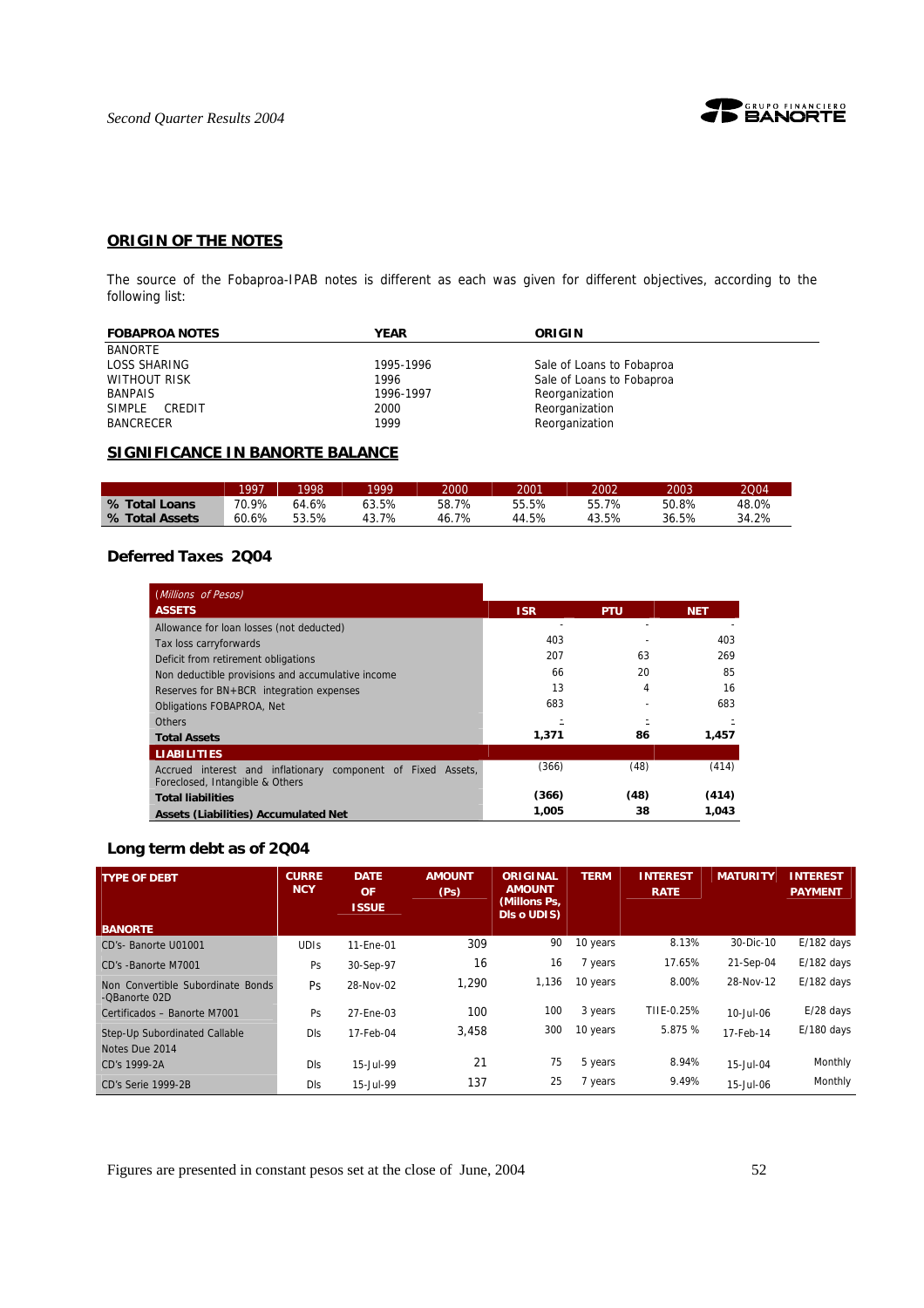

# **ORIGIN OF THE NOTES**

The source of the Fobaproa-IPAB notes is different as each was given for different objectives, according to the following list:

| <b>FOBAPROA NOTES</b> | YEAR      | ORIGIN                    |
|-----------------------|-----------|---------------------------|
| <b>BANORTE</b>        |           |                           |
| LOSS SHARING          | 1995-1996 | Sale of Loans to Fobaproa |
| WITHOUT RISK          | 1996      | Sale of Loans to Fobaproa |
| <b>BANPAIS</b>        | 1996-1997 | Reorganization            |
| SIMPLE<br>CREDIT      | 2000      | Reorganization            |
| <b>BANCRECER</b>      | 1999      | Reorganization            |

# **SIGNIFICANCE IN BANORTE BALANCE**

|                | 1997  | 19981 | 1999      | 2000      | 2001  | 2002  | 2003  | 2004  |
|----------------|-------|-------|-----------|-----------|-------|-------|-------|-------|
| % Total Loans  | 70.9% | 64.6% | 63.5%     | 58.7%     | 55.5% | 55.7% | 50.8% | 48.0% |
| % Total Assets | 60.6% | 53.5% | 7%<br>43. | 7%<br>46. | 44.5% | 43.5% | 36.5% | 34.2% |

# **Deferred Taxes 2Q04**

| (Millions of Pesos)                                                                             |            |            |            |
|-------------------------------------------------------------------------------------------------|------------|------------|------------|
| <b>ASSETS</b>                                                                                   | <b>ISR</b> | <b>PTU</b> | <b>NET</b> |
| Allowance for loan losses (not deducted)                                                        |            |            |            |
| Tax loss carryforwards                                                                          | 403        |            | 403        |
| Deficit from retirement obligations                                                             | 207        | 63         | 269        |
| Non deductible provisions and accumulative income                                               | 66         | 20         | 85         |
| Reserves for BN+BCR integration expenses                                                        | 13         | 4          | 16         |
| <b>Obligations FOBAPROA, Net</b>                                                                | 683        |            | 683        |
| <b>Others</b>                                                                                   |            |            |            |
| <b>Total Assets</b>                                                                             | 1,371      | 86         | 1.457      |
| <b>LIABILITIES</b>                                                                              |            |            |            |
| Accrued interest and inflationary component of Fixed Assets,<br>Foreclosed, Intangible & Others | (366)      | (48)       | (414)      |
| <b>Total liabilities</b>                                                                        | (366)      | (48)       | (414)      |
| <b>Assets (Liabilities) Accumulated Net</b>                                                     | 1.005      | 38         | 1.043      |

# **Long term debt as of 2Q04**

| <b>TYPE OF DEBT</b>                                | <b>CURRE</b><br><b>NCY</b> | <b>DATE</b><br><b>OF</b><br><b>ISSUE</b> | <b>AMOUNT</b><br>(P <sub>S</sub> ) | <b>ORIGINAL</b><br><b>AMOUNT</b><br>(Millons Ps,<br>Dis o UDIS) | <b>TERM</b> | <b>INTEREST</b><br><b>RATE</b> | <b>MATURITY</b> | <b>INTEREST</b><br><b>PAYMENT</b> |
|----------------------------------------------------|----------------------------|------------------------------------------|------------------------------------|-----------------------------------------------------------------|-------------|--------------------------------|-----------------|-----------------------------------|
| <b>BANORTE</b>                                     |                            |                                          |                                    |                                                                 |             |                                |                 |                                   |
| CD's-Banorte U01001                                | <b>UDIS</b>                | 11-Ene-01                                | 309                                | 90                                                              | 10 years    | 8.13%                          | 30-Dic-10       | $E/182$ days                      |
| CD's -Banorte M7001                                | Ps                         | 30-Sep-97                                | 16                                 | 16                                                              | 7 years     | 17.65%                         | 21-Sep-04       | $E/182$ days                      |
| Non Convertible Subordinate Bonds<br>-OBanorte 02D | <b>Ps</b>                  | 28-Nov-02                                | 1.290                              | 1,136                                                           | 10 years    | 8.00%                          | 28-Nov-12       | $E/182$ days                      |
| Certificados - Banorte M7001                       | Ps                         | 27-Ene-03                                | 100                                | 100                                                             | 3 years     | TIIE-0.25%                     | 10-Jul-06       | $E/28$ days                       |
| Step-Up Subordinated Callable<br>Notes Due 2014    | <b>DIS</b>                 | 17-Feb-04                                | 3.458                              | 300                                                             | 10 years    | 5.875 %                        | 17-Feb-14       | $E/180$ days                      |
| CD's 1999-2A                                       | <b>DIS</b>                 | 15-Jul-99                                | 21                                 | 75                                                              | 5 years     | 8.94%                          | 15-Jul-04       | Monthly                           |
| CD's Serie 1999-2B                                 | <b>DIS</b>                 | 15-Jul-99                                | 137                                | 25                                                              | 7 years     | 9.49%                          | 15-Jul-06       | Monthly                           |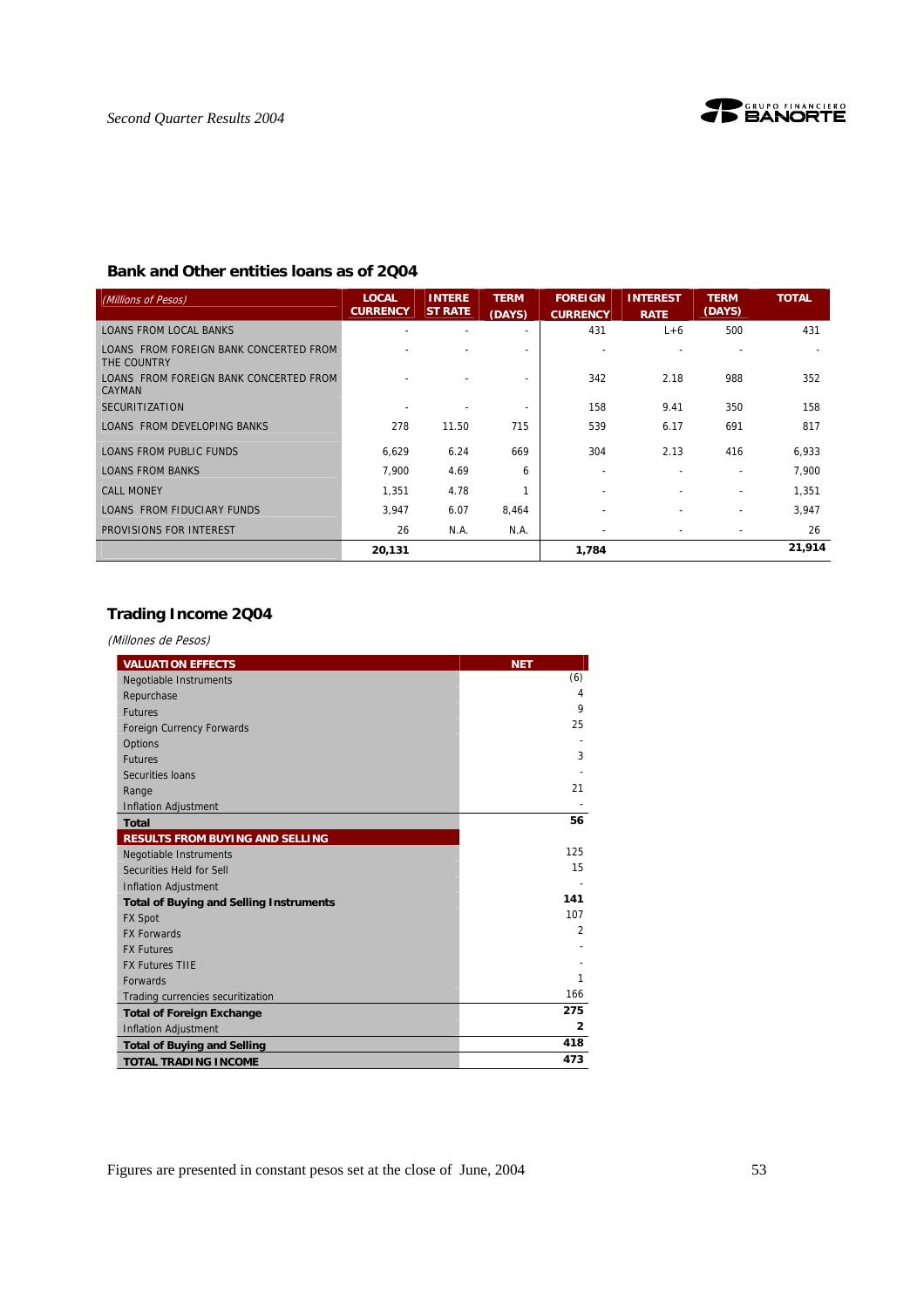

# **Bank and Other entities loans as of 2Q04**

| (Millions of Pesos)                                   | <b>LOCAL</b><br><b>CURRENCY</b> | <b>INTERE</b><br><b>ST RATE</b> | <b>TERM</b><br>(DAYS) | <b>FOREIGN</b><br><b>CURRENCY</b> | <b>INTEREST</b><br><b>RATE</b> | <b>TERM</b><br>(DAYS)    | <b>TOTAL</b> |
|-------------------------------------------------------|---------------------------------|---------------------------------|-----------------------|-----------------------------------|--------------------------------|--------------------------|--------------|
| <b>LOANS FROM LOCAL BANKS</b>                         |                                 |                                 |                       | 431                               | $L+6$                          | 500                      | 431          |
| LOANS FROM FOREIGN BANK CONCERTED FROM<br>THE COUNTRY |                                 |                                 |                       |                                   |                                |                          |              |
| LOANS FROM FOREIGN BANK CONCERTED FROM<br>CAYMAN      |                                 |                                 |                       | 342                               | 2.18                           | 988                      | 352          |
| <b>SECURITIZATION</b>                                 |                                 |                                 |                       | 158                               | 9.41                           | 350                      | 158          |
| LOANS FROM DEVELOPING BANKS                           | 278                             | 11.50                           | 715                   | 539                               | 6.17                           | 691                      | 817          |
| LOANS FROM PUBLIC FUNDS                               | 6.629                           | 6.24                            | 669                   | 304                               | 2.13                           | 416                      | 6.933        |
| <b>LOANS FROM BANKS</b>                               | 7.900                           | 4.69                            | 6                     |                                   | ٠                              | $\overline{\phantom{a}}$ | 7,900        |
| <b>CALL MONEY</b>                                     | 1,351                           | 4.78                            |                       |                                   |                                |                          | 1,351        |
| LOANS FROM FIDUCIARY FUNDS                            | 3.947                           | 6.07                            | 8.464                 |                                   | ٠                              |                          | 3.947        |
| PROVISIONS FOR INTEREST                               | 26                              | N.A.                            | N.A.                  |                                   | $\overline{\phantom{0}}$       | $\overline{\phantom{a}}$ | 26           |
|                                                       | 20,131                          |                                 |                       | 1,784                             |                                |                          | 21,914       |

# **Trading Income 2Q04**

(Millones de Pesos)

| <b>VALUATION EFFECTS</b>                       | <b>NET</b>     |
|------------------------------------------------|----------------|
| <b>Negotiable Instruments</b>                  | (6)            |
| Repurchase                                     | 4              |
| <b>Futures</b>                                 | 9              |
| <b>Foreign Currency Forwards</b>               | 25             |
| Options                                        |                |
| <b>Futures</b>                                 | 3              |
| Securities Ioans                               |                |
| Range                                          | 21             |
| <b>Inflation Adjustment</b>                    |                |
| <b>Total</b>                                   | 56             |
| <b>RESULTS FROM BUYING AND SELLING</b>         |                |
| <b>Negotiable Instruments</b>                  | 125            |
| Securities Held for Sell                       | 15             |
| <b>Inflation Adjustment</b>                    |                |
| <b>Total of Buying and Selling Instruments</b> | 141            |
| <b>FX Spot</b>                                 | 107            |
| <b>FX Forwards</b>                             | $\overline{2}$ |
| <b>FX Futures</b>                              |                |
| <b>FX Futures TIIE</b>                         |                |
| <b>Forwards</b>                                | 1              |
| Trading currencies securitization              | 166            |
| <b>Total of Foreign Exchange</b>               | 275            |
| <b>Inflation Adjustment</b>                    | $\overline{2}$ |
| <b>Total of Buying and Selling</b>             | 418            |
| <b>TOTAL TRADING INCOME</b>                    | 473            |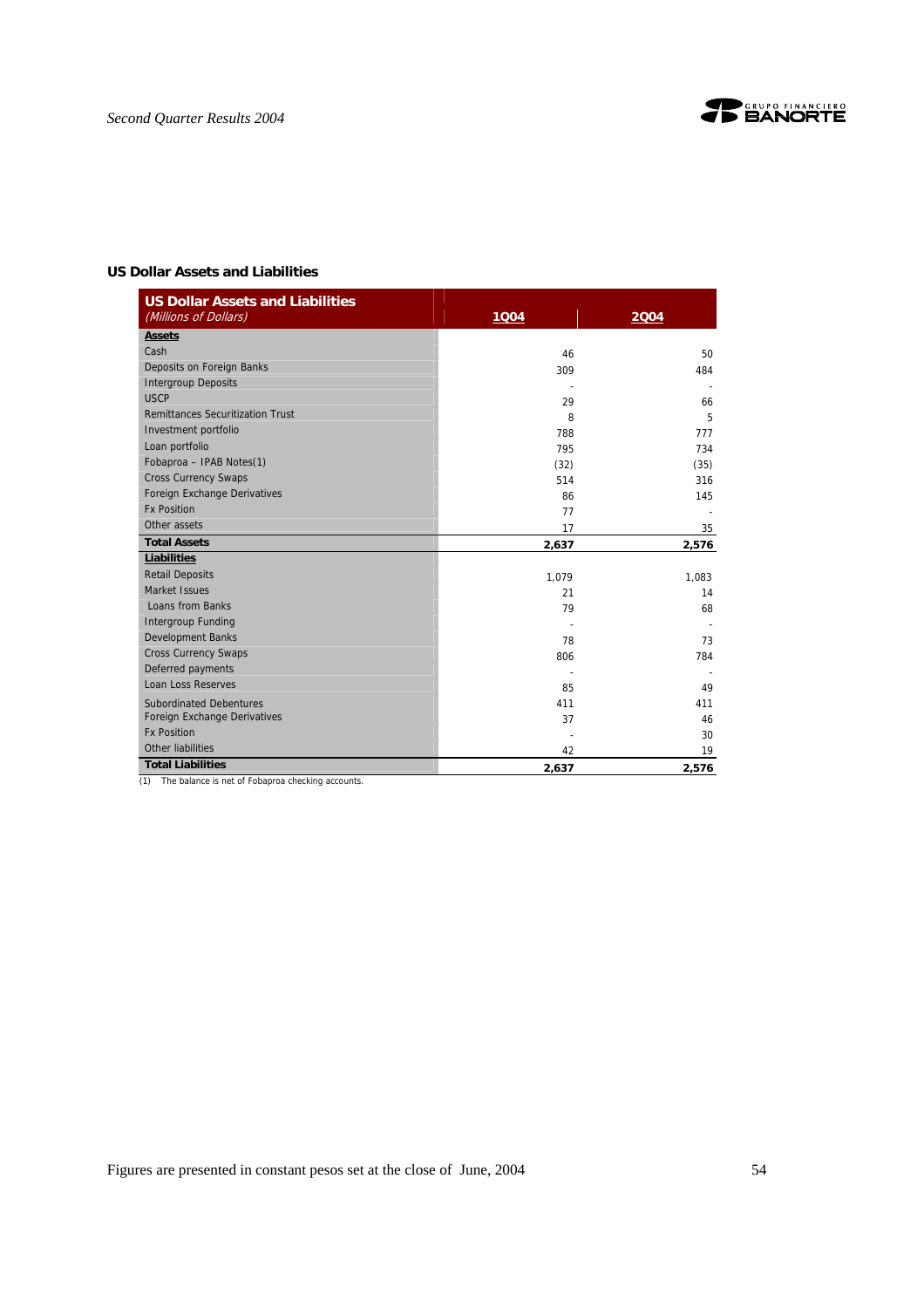

### **US Dollar Assets and Liabilities**

| <b>US Dollar Assets and Liabilities</b> |       |       |
|-----------------------------------------|-------|-------|
| (Millions of Dollars)                   | 1004  | 2004  |
| <b>Assets</b>                           |       |       |
| Cash                                    | 46    | 50    |
| Deposits on Foreign Banks               | 309   | 484   |
| <b>Intergroup Deposits</b>              |       |       |
| <b>USCP</b>                             | 29    | 66    |
| <b>Remittances Securitization Trust</b> | 8     | 5     |
| Investment portfolio                    | 788   | 777   |
| Loan portfolio                          | 795   | 734   |
| Fobaproa - IPAB Notes(1)                | (32)  | (35)  |
| <b>Cross Currency Swaps</b>             | 514   | 316   |
| Foreign Exchange Derivatives            | 86    | 145   |
| <b>Fx Position</b>                      | 77    |       |
| Other assets                            | 17    | 35    |
| <b>Total Assets</b>                     | 2,637 | 2,576 |
| <b>Liabilities</b>                      |       |       |
| <b>Retail Deposits</b>                  | 1,079 | 1.083 |
| Market Issues                           | 21    | 14    |
| Loans from Banks                        | 79    | 68    |
| <b>Intergroup Funding</b>               |       |       |
| <b>Development Banks</b>                | 78    | 73    |
| <b>Cross Currency Swaps</b>             | 806   | 784   |
| Deferred payments                       |       |       |
| <b>Loan Loss Reserves</b>               | 85    | 49    |
| <b>Subordinated Debentures</b>          | 411   | 411   |
| Foreign Exchange Derivatives            | 37    | 46    |
| <b>Fx Position</b>                      |       | 30    |
| Other liabilities                       | 42    | 19    |
| <b>Total Liabilities</b>                | 2,637 | 2,576 |

(1) The balance is net of Fobaproa checking accounts.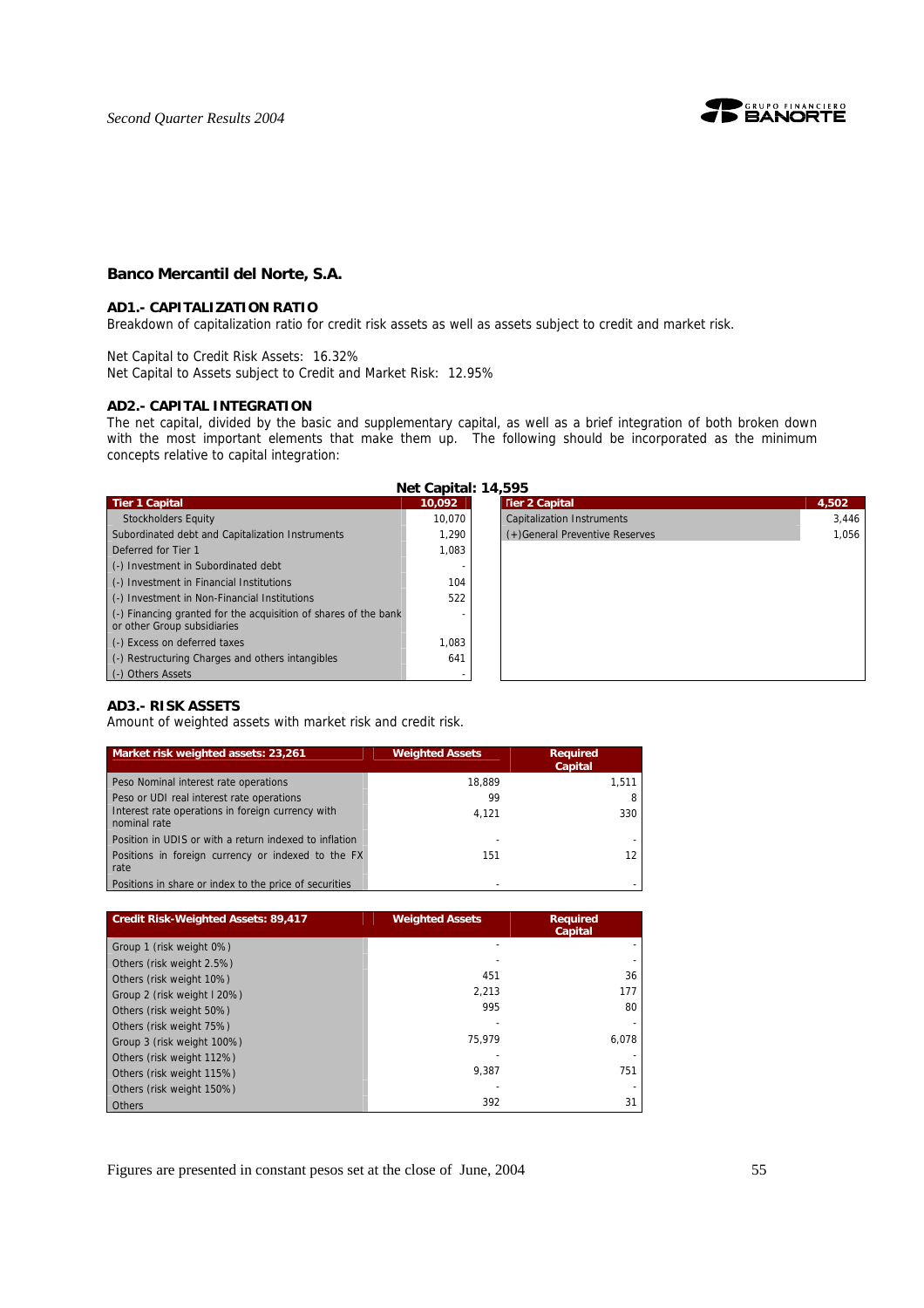

#### **Banco Mercantil del Norte, S.A.**

#### **AD1.- CAPITALIZATION RATIO**

Breakdown of capitalization ratio for credit risk assets as well as assets subject to credit and market risk.

Net Capital to Credit Risk Assets: 16.32% Net Capital to Assets subject to Credit and Market Risk: 12.95%

#### **AD2.- CAPITAL INTEGRATION**

The net capital, divided by the basic and supplementary capital, as well as a brief integration of both broken down with the most important elements that make them up. The following should be incorporated as the minimum concepts relative to capital integration:

**Net Capital: 14,595** 

| <b>Tier 1 Capital</b>                                                                                  | 10,092 | <b>Tier 2 Capital</b>             | 4,502 |
|--------------------------------------------------------------------------------------------------------|--------|-----------------------------------|-------|
| <b>Stockholders Equity</b>                                                                             | 10.070 | <b>Capitalization Instruments</b> | 3.446 |
| Subordinated debt and Capitalization Instruments                                                       | 1.290  | (+)General Preventive Reserves    | 1.056 |
| Deferred for Tier 1                                                                                    | 1,083  |                                   |       |
| (-) Investment in Subordinated debt                                                                    |        |                                   |       |
| (-) Investment in Financial Institutions                                                               | 104    |                                   |       |
| (-) Investment in Non-Financial Institutions                                                           | 522    |                                   |       |
| $\left($ .) Financing granted for the acquisition of shares of the bank<br>or other Group subsidiaries |        |                                   |       |
| (-) Excess on deferred taxes                                                                           | 1.083  |                                   |       |
| (-) Restructuring Charges and others intangibles                                                       | 641    |                                   |       |
| (-) Others Assets                                                                                      |        |                                   |       |
|                                                                                                        |        |                                   |       |

### **AD3.- RISK ASSETS**

Amount of weighted assets with market risk and credit risk.

| Market risk weighted assets: 23,261                               | <b>Weighted Assets</b> | <b>Required</b><br>Capital |
|-------------------------------------------------------------------|------------------------|----------------------------|
| Peso Nominal interest rate operations                             | 18.889                 | 1,511                      |
| Peso or UDI real interest rate operations                         | 99                     |                            |
| Interest rate operations in foreign currency with<br>nominal rate | 4.121                  | 330                        |
| Position in UDIS or with a return indexed to inflation            |                        |                            |
| Positions in foreign currency or indexed to the FX<br>rate        | 151                    | 12                         |
| Positions in share or index to the price of securities            |                        |                            |

| <b>Credit Risk-Weighted Assets: 89,417</b> | <b>Weighted Assets</b> | <b>Required</b><br>Capital |
|--------------------------------------------|------------------------|----------------------------|
| Group 1 (risk weight 0%)                   |                        |                            |
| Others (risk weight 2.5%)                  |                        |                            |
| Others (risk weight 10%)                   | 451                    | 36                         |
| Group 2 (risk weight I 20%)                | 2.213                  | 177                        |
| Others (risk weight 50%)                   | 995                    | 80                         |
| Others (risk weight 75%)                   |                        |                            |
| Group 3 (risk weight 100%)                 | 75.979                 | 6,078                      |
| Others (risk weight 112%)                  |                        |                            |
| Others (risk weight 115%)                  | 9.387                  | 751                        |
| Others (risk weight 150%)                  |                        |                            |
| Others                                     | 392                    | 31                         |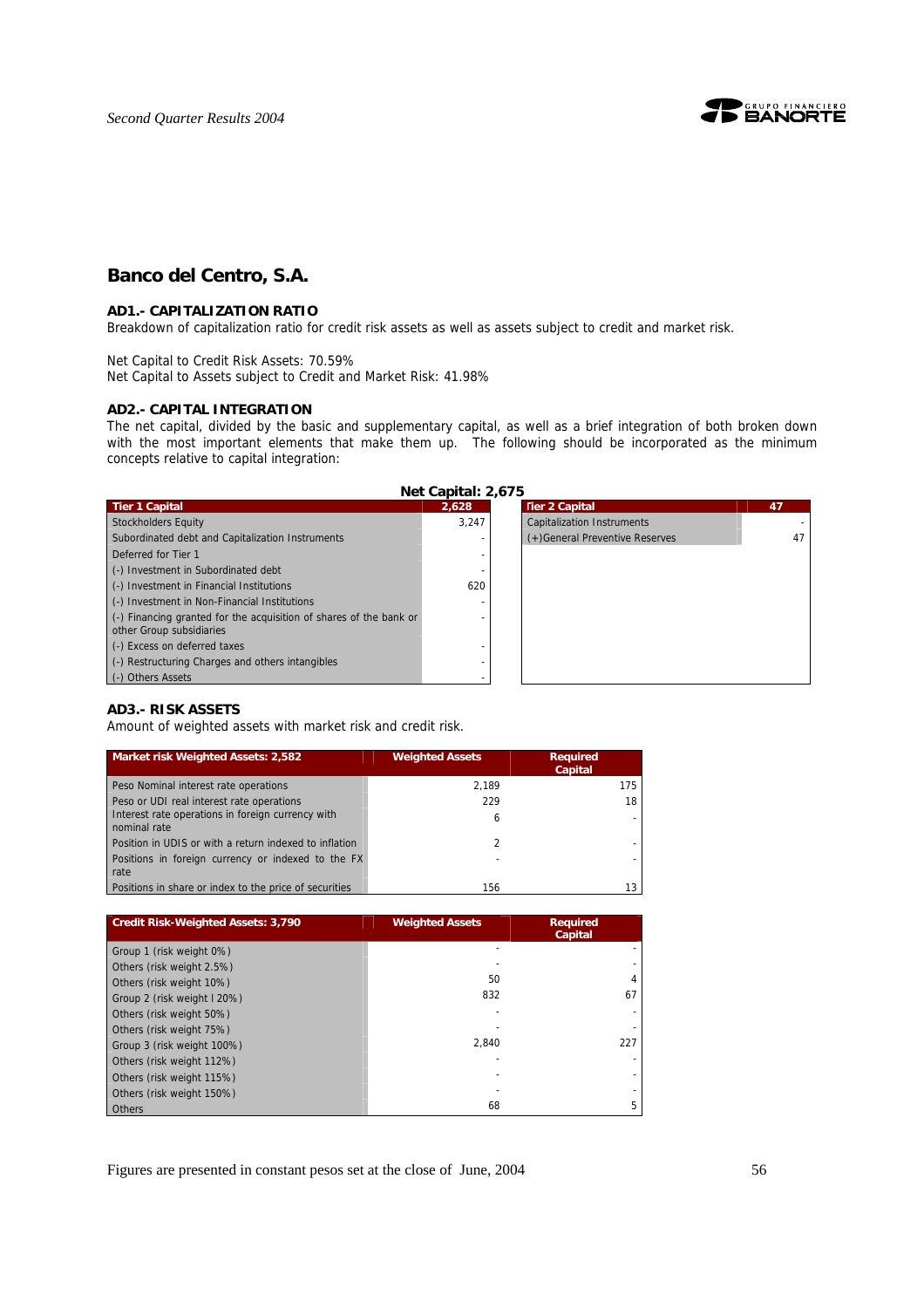

# **Banco del Centro, S.A.**

#### **AD1.- CAPITALIZATION RATIO**

Breakdown of capitalization ratio for credit risk assets as well as assets subject to credit and market risk.

Net Capital to Credit Risk Assets: 70.59% Net Capital to Assets subject to Credit and Market Risk: 41.98%

#### **AD2.- CAPITAL INTEGRATION**

The net capital, divided by the basic and supplementary capital, as well as a brief integration of both broken down with the most important elements that make them up. The following should be incorporated as the minimum concepts relative to capital integration:

**Net Capital: 2,675** 

| <b>Tier 1 Capital</b>                                              | 2.628 | <b>Tier 2 Capital</b>             | 47 |
|--------------------------------------------------------------------|-------|-----------------------------------|----|
| <b>Stockholders Equity</b>                                         | 3.247 | <b>Capitalization Instruments</b> |    |
| Subordinated debt and Capitalization Instruments                   |       | (+)General Preventive Reserves    | 47 |
| Deferred for Tier 1                                                |       |                                   |    |
| (-) Investment in Subordinated debt                                |       |                                   |    |
| (-) Investment in Financial Institutions                           | 620   |                                   |    |
| (-) Investment in Non-Financial Institutions                       |       |                                   |    |
| (-) Financing granted for the acquisition of shares of the bank or |       |                                   |    |
| other Group subsidiaries                                           |       |                                   |    |
| (-) Excess on deferred taxes                                       |       |                                   |    |
| (-) Restructuring Charges and others intangibles                   |       |                                   |    |
| (-) Others Assets                                                  |       |                                   |    |

### **AD3.- RISK ASSETS**

Amount of weighted assets with market risk and credit risk.

| Market risk Weighted Assets: 2,582                                | <b>Weighted Assets</b> | <b>Required</b><br>Capital |
|-------------------------------------------------------------------|------------------------|----------------------------|
| Peso Nominal interest rate operations                             | 2.189                  | 175                        |
| Peso or UDI real interest rate operations                         | 229                    | 18                         |
| Interest rate operations in foreign currency with<br>nominal rate | 6                      |                            |
| Position in UDIS or with a return indexed to inflation            | 2                      |                            |
| Positions in foreign currency or indexed to the FX<br>rate        |                        |                            |
| Positions in share or index to the price of securities            | 156                    |                            |

| <b>Credit Risk-Weighted Assets: 3,790</b> | <b>Weighted Assets</b> | <b>Required</b><br>Capital |  |
|-------------------------------------------|------------------------|----------------------------|--|
| Group 1 (risk weight 0%)                  |                        |                            |  |
| Others (risk weight 2.5%)                 |                        |                            |  |
| Others (risk weight 10%)                  | 50                     | 4                          |  |
| Group 2 (risk weight I 20%)               | 832                    | 67                         |  |
| Others (risk weight 50%)                  |                        |                            |  |
| Others (risk weight 75%)                  |                        |                            |  |
| Group 3 (risk weight 100%)                | 2.840                  | 227                        |  |
| Others (risk weight 112%)                 |                        |                            |  |
| Others (risk weight 115%)                 |                        |                            |  |
| Others (risk weight 150%)                 |                        |                            |  |
| Others                                    | 68                     | 5                          |  |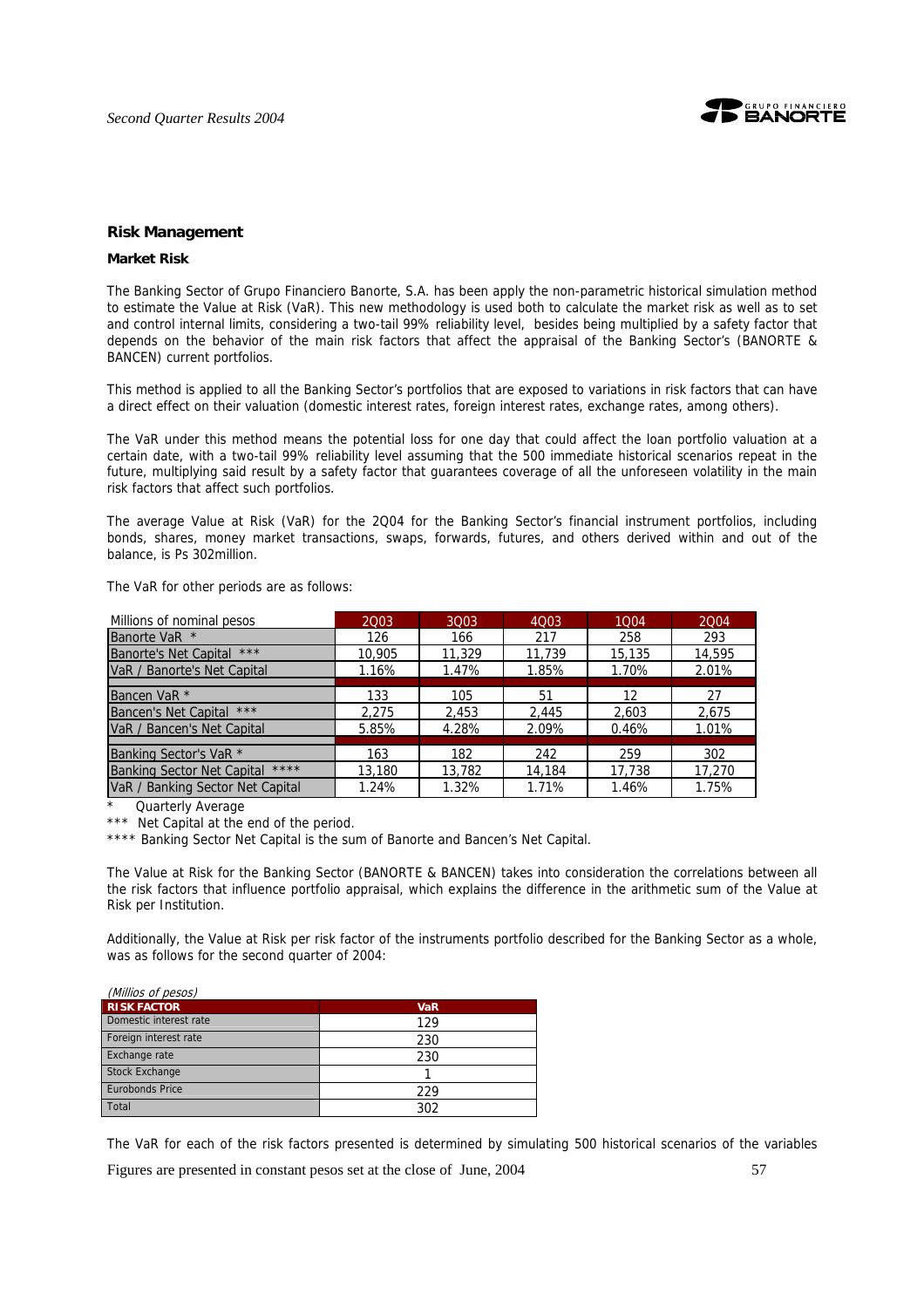

#### **Risk Management**

#### **Market Risk**

The Banking Sector of Grupo Financiero Banorte, S.A. has been apply the non-parametric historical simulation method to estimate the Value at Risk (VaR). This new methodology is used both to calculate the market risk as well as to set and control internal limits, considering a two-tail 99% reliability level, besides being multiplied by a safety factor that depends on the behavior of the main risk factors that affect the appraisal of the Banking Sector's (BANORTE & BANCEN) current portfolios.

This method is applied to all the Banking Sector's portfolios that are exposed to variations in risk factors that can have a direct effect on their valuation (domestic interest rates, foreign interest rates, exchange rates, among others).

The VaR under this method means the potential loss for one day that could affect the loan portfolio valuation at a certain date, with a two-tail 99% reliability level assuming that the 500 immediate historical scenarios repeat in the future, multiplying said result by a safety factor that guarantees coverage of all the unforeseen volatility in the main risk factors that affect such portfolios.

The average Value at Risk (VaR) for the 2Q04 for the Banking Sector's financial instrument portfolios, including bonds, shares, money market transactions, swaps, forwards, futures, and others derived within and out of the balance, is Ps 302million.

The VaR for other periods are as follows:

| Millions of nominal pesos         | 2003   | 3003   | 4Q03   | 1004   | 2004   |
|-----------------------------------|--------|--------|--------|--------|--------|
| Banorte VaR *                     | 126    | 166    | 217    | 258    | 293    |
| Banorte's Net Capital ***         | 10,905 | 11,329 | 11.739 | 15,135 | 14,595 |
| VaR / Banorte's Net Capital       | 1.16%  | 1.47%  | 1.85%  | 1.70%  | 2.01%  |
|                                   |        |        |        |        |        |
| Bancen VaR <sup>*</sup>           | 133    | 105    | 51     | 12     | 27     |
| Bancen's Net Capital ***          | 2.275  | 2.453  | 2.445  | 2.603  | 2.675  |
| VaR / Bancen's Net Capital        | 5.85%  | 4.28%  | 2.09%  | 0.46%  | 1.01%  |
|                                   |        |        |        |        |        |
| Banking Sector's VaR <sup>*</sup> | 163    | 182    | 242    | 259    | 302    |
| Banking Sector Net Capital ****   | 13,180 | 13,782 | 14,184 | 17,738 | 17,270 |
| VaR / Banking Sector Net Capital  | 1.24%  | 1.32%  | 1.71%  | 1.46%  | 1.75%  |

Quarterly Average

\*\*\* Net Capital at the end of the period.

\*\*\*\* Banking Sector Net Capital is the sum of Banorte and Bancen's Net Capital.

The Value at Risk for the Banking Sector (BANORTE & BANCEN) takes into consideration the correlations between all the risk factors that influence portfolio appraisal, which explains the difference in the arithmetic sum of the Value at Risk per Institution.

Additionally, the Value at Risk per risk factor of the instruments portfolio described for the Banking Sector as a whole, was as follows for the second quarter of 2004:

| (Millios of pesos)     |            |
|------------------------|------------|
| <b>RISK FACTOR</b>     | <b>VaR</b> |
| Domestic interest rate | 129        |
| Foreign interest rate  | 230        |
| Exchange rate          | 230        |
| <b>Stock Exchange</b>  |            |
| <b>Eurobonds Price</b> | 229        |
| Total                  | 302        |

The VaR for each of the risk factors presented is determined by simulating 500 historical scenarios of the variables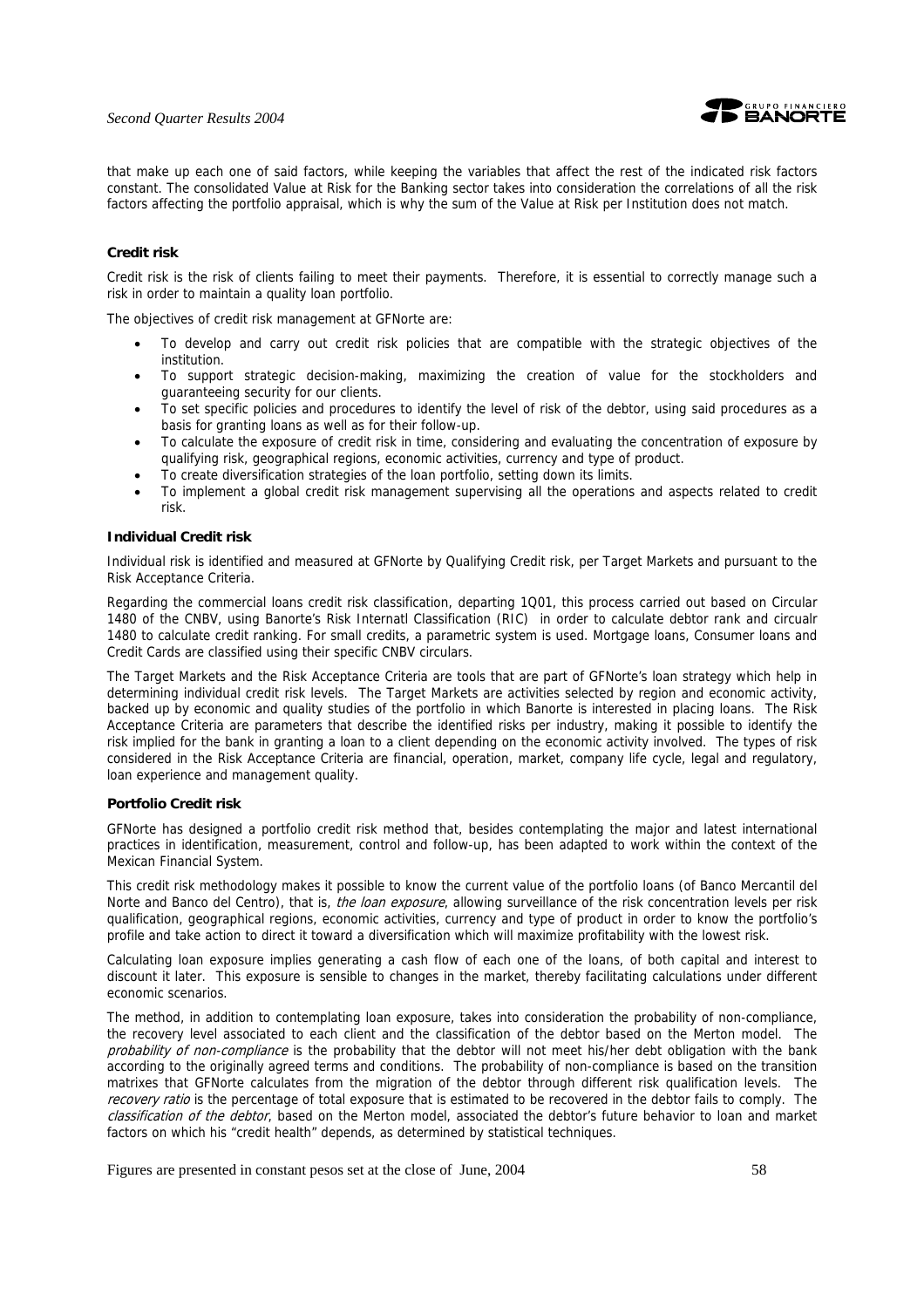

that make up each one of said factors, while keeping the variables that affect the rest of the indicated risk factors constant. The consolidated Value at Risk for the Banking sector takes into consideration the correlations of all the risk factors affecting the portfolio appraisal, which is why the sum of the Value at Risk per Institution does not match.

#### **Credit risk**

Credit risk is the risk of clients failing to meet their payments. Therefore, it is essential to correctly manage such a risk in order to maintain a quality loan portfolio.

The objectives of credit risk management at GFNorte are:

- To develop and carry out credit risk policies that are compatible with the strategic objectives of the institution.
- To support strategic decision-making, maximizing the creation of value for the stockholders and guaranteeing security for our clients.
- To set specific policies and procedures to identify the level of risk of the debtor, using said procedures as a basis for granting loans as well as for their follow-up.
- To calculate the exposure of credit risk in time, considering and evaluating the concentration of exposure by qualifying risk, geographical regions, economic activities, currency and type of product.
- To create diversification strategies of the loan portfolio, setting down its limits.
- To implement a global credit risk management supervising all the operations and aspects related to credit risk.

#### **Individual Credit risk**

Individual risk is identified and measured at GFNorte by Qualifying Credit risk, per Target Markets and pursuant to the Risk Acceptance Criteria.

Regarding the commercial loans credit risk classification, departing 1Q01, this process carried out based on Circular 1480 of the CNBV, using Banorte's Risk Internatl Classification (RIC) in order to calculate debtor rank and circualr 1480 to calculate credit ranking. For small credits, a parametric system is used. Mortgage loans, Consumer loans and Credit Cards are classified using their specific CNBV circulars.

The Target Markets and the Risk Acceptance Criteria are tools that are part of GFNorte's loan strategy which help in determining individual credit risk levels. The Target Markets are activities selected by region and economic activity, backed up by economic and quality studies of the portfolio in which Banorte is interested in placing loans. The Risk Acceptance Criteria are parameters that describe the identified risks per industry, making it possible to identify the risk implied for the bank in granting a loan to a client depending on the economic activity involved. The types of risk considered in the Risk Acceptance Criteria are financial, operation, market, company life cycle, legal and regulatory, loan experience and management quality.

#### **Portfolio Credit risk**

GFNorte has designed a portfolio credit risk method that, besides contemplating the major and latest international practices in identification, measurement, control and follow-up, has been adapted to work within the context of the Mexican Financial System.

This credit risk methodology makes it possible to know the current value of the portfolio loans (of Banco Mercantil del Norte and Banco del Centro), that is, the loan exposure, allowing surveillance of the risk concentration levels per risk qualification, geographical regions, economic activities, currency and type of product in order to know the portfolio's profile and take action to direct it toward a diversification which will maximize profitability with the lowest risk.

Calculating loan exposure implies generating a cash flow of each one of the loans, of both capital and interest to discount it later. This exposure is sensible to changes in the market, thereby facilitating calculations under different economic scenarios.

The method, in addition to contemplating loan exposure, takes into consideration the probability of non-compliance, the recovery level associated to each client and the classification of the debtor based on the Merton model. The probability of non-compliance is the probability that the debtor will not meet his/her debt obligation with the bank according to the originally agreed terms and conditions. The probability of non-compliance is based on the transition matrixes that GFNorte calculates from the migration of the debtor through different risk qualification levels. The recovery ratio is the percentage of total exposure that is estimated to be recovered in the debtor fails to comply. The classification of the debtor, based on the Merton model, associated the debtor's future behavior to loan and market factors on which his "credit health" depends, as determined by statistical techniques.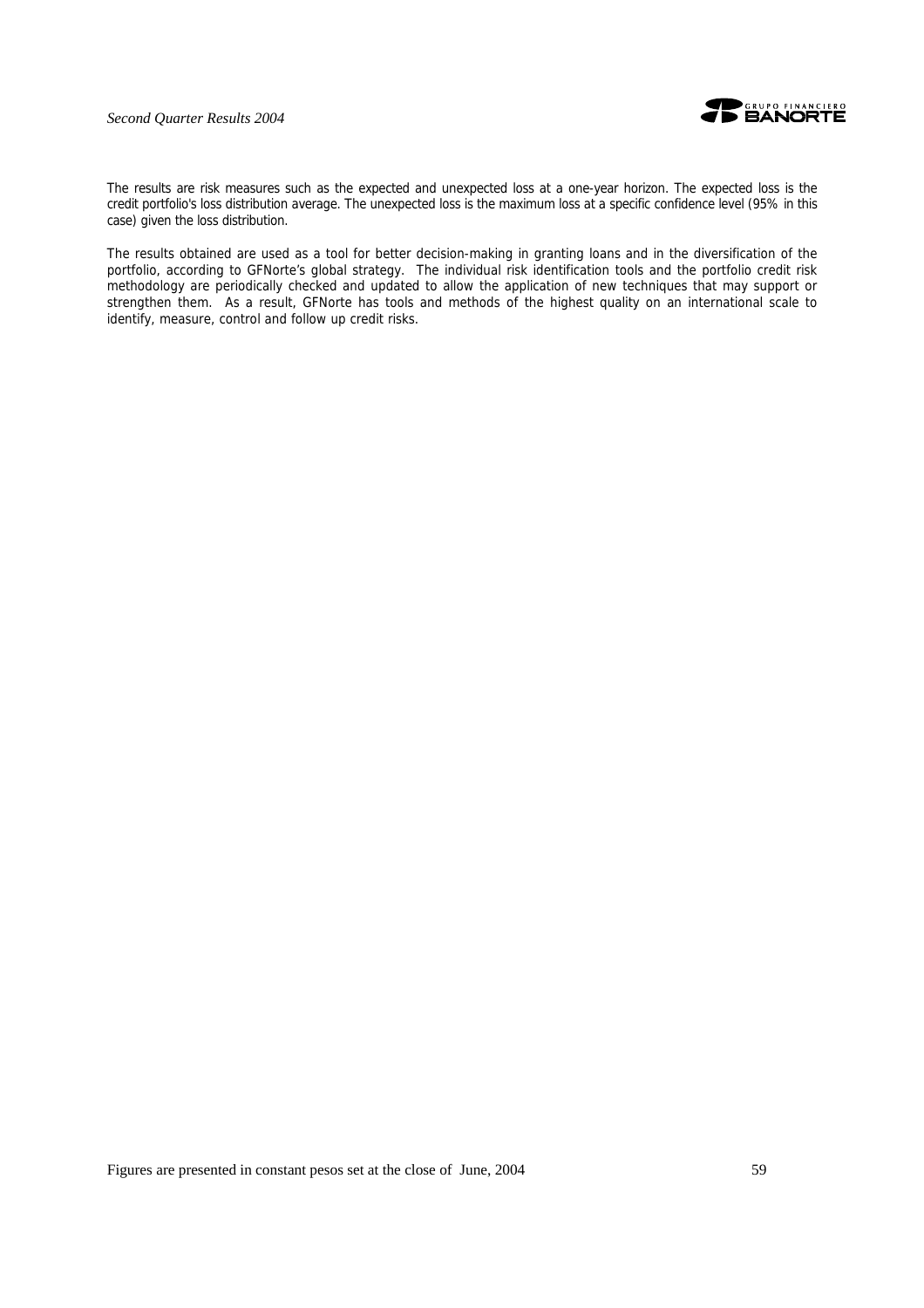

The results are risk measures such as the expected and unexpected loss at a one-year horizon. The expected loss is the credit portfolio's loss distribution average. The unexpected loss is the maximum loss at a specific confidence level (95% in this case) given the loss distribution.

The results obtained are used as a tool for better decision-making in granting loans and in the diversification of the portfolio, according to GFNorte's global strategy. The individual risk identification tools and the portfolio credit risk methodology are periodically checked and updated to allow the application of new techniques that may support or strengthen them. As a result, GFNorte has tools and methods of the highest quality on an international scale to identify, measure, control and follow up credit risks.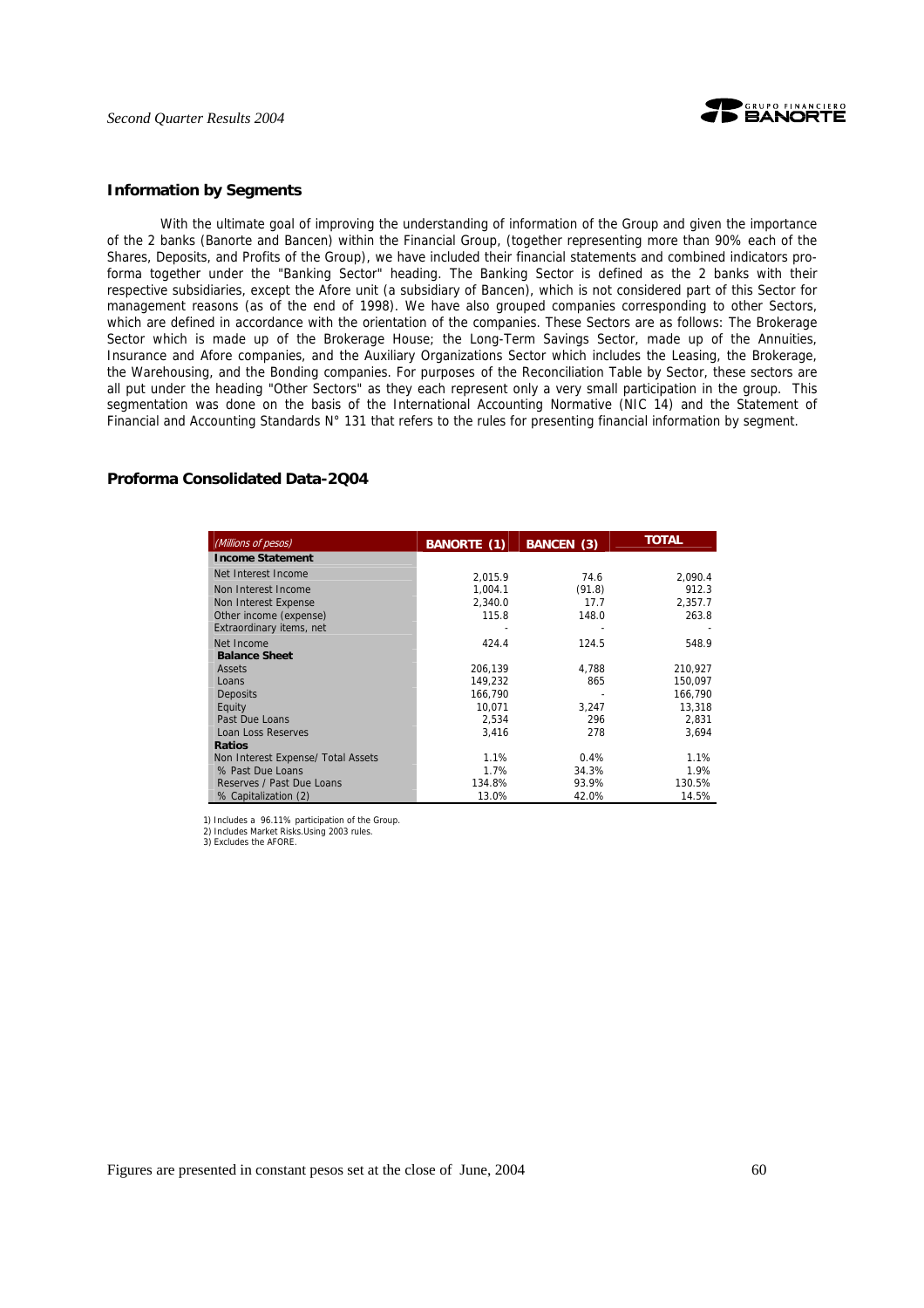

#### **Information by Segments**

With the ultimate goal of improving the understanding of information of the Group and given the importance of the 2 banks (Banorte and Bancen) within the Financial Group, (together representing more than 90% each of the Shares, Deposits, and Profits of the Group), we have included their financial statements and combined indicators proforma together under the "Banking Sector" heading. The Banking Sector is defined as the 2 banks with their respective subsidiaries, except the Afore unit (a subsidiary of Bancen), which is not considered part of this Sector for management reasons (as of the end of 1998). We have also grouped companies corresponding to other Sectors, which are defined in accordance with the orientation of the companies. These Sectors are as follows: The Brokerage Sector which is made up of the Brokerage House; the Long-Term Savings Sector, made up of the Annuities, Insurance and Afore companies, and the Auxiliary Organizations Sector which includes the Leasing, the Brokerage, the Warehousing, and the Bonding companies. For purposes of the Reconciliation Table by Sector, these sectors are all put under the heading "Other Sectors" as they each represent only a very small participation in the group. This segmentation was done on the basis of the International Accounting Normative (NIC 14) and the Statement of Financial and Accounting Standards N° 131 that refers to the rules for presenting financial information by segment.

#### **Proforma Consolidated Data-2Q04**

| (Millions of pesos)                | <b>BANORTE (1)</b> | <b>BANCEN</b> (3) | <b>TOTAL</b> |
|------------------------------------|--------------------|-------------------|--------------|
| <b>Income Statement</b>            |                    |                   |              |
| Net Interest Income                | 2.015.9            | 74.6              | 2,090.4      |
| Non Interest Income                | 1,004.1            | (91.8)            | 912.3        |
| Non Interest Expense               | 2.340.0            | 17.7              | 2.357.7      |
| Other income (expense)             | 115.8              | 148.0             | 263.8        |
| Extraordinary items, net           |                    |                   |              |
| Net Income                         | 424.4              | 124.5             | 548.9        |
| <b>Balance Sheet</b>               |                    |                   |              |
| Assets                             | 206,139            | 4,788             | 210,927      |
| Loans                              | 149,232            | 865               | 150,097      |
| <b>Deposits</b>                    | 166,790            |                   | 166,790      |
| Equity                             | 10,071             | 3,247             | 13,318       |
| Past Due Loans                     | 2,534              | 296               | 2,831        |
| Loan Loss Reserves                 | 3.416              | 278               | 3.694        |
| <b>Ratios</b>                      |                    |                   |              |
| Non Interest Expense/ Total Assets | 1.1%               | 0.4%              | 1.1%         |
| % Past Due Loans                   | 1.7%               | 34.3%             | 1.9%         |
| Reserves / Past Due Loans          | 134.8%             | 93.9%             | 130.5%       |
| % Capitalization (2)               | 13.0%              | 42.0%             | 14.5%        |

1) Includes a 96.11% participation of the Group.

2) Includes Market Risks.Using 2003 rules. 3) Excludes the AFORE.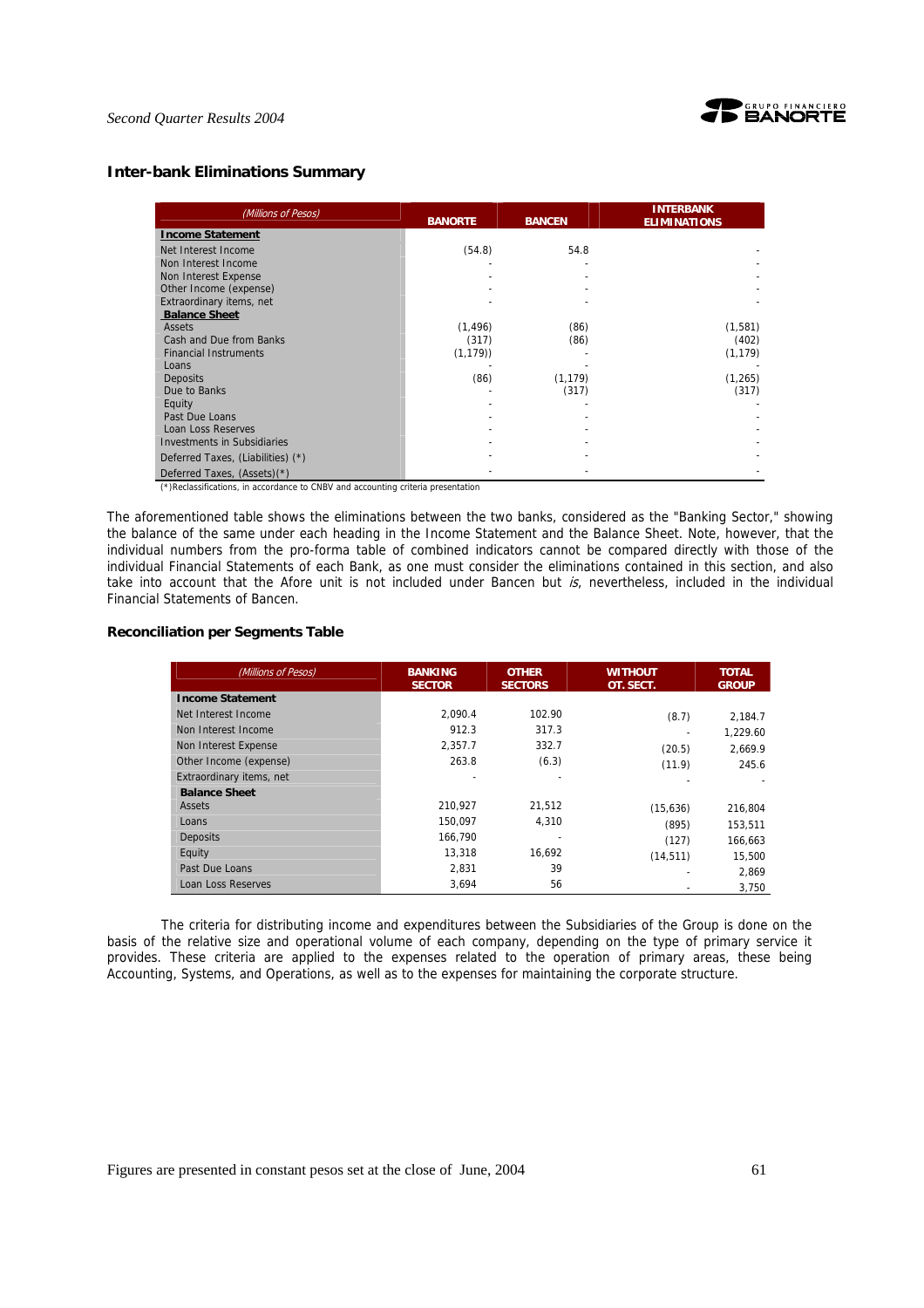

### **Inter-bank Eliminations Summary**

| (Millions of Pesos)                                                                                                                                                                              | <b>BANORTE</b> | <b>BANCEN</b> | <b>INTERBANK</b><br><b>ELIMINATIONS</b> |  |
|--------------------------------------------------------------------------------------------------------------------------------------------------------------------------------------------------|----------------|---------------|-----------------------------------------|--|
| <b>Income Statement</b>                                                                                                                                                                          |                |               |                                         |  |
| Net Interest Income                                                                                                                                                                              | (54.8)         | 54.8          |                                         |  |
| Non Interest Income                                                                                                                                                                              |                |               |                                         |  |
| Non Interest Expense                                                                                                                                                                             |                |               |                                         |  |
| Other Income (expense)                                                                                                                                                                           |                |               |                                         |  |
| Extraordinary items, net                                                                                                                                                                         |                |               |                                         |  |
| <b>Balance Sheet</b>                                                                                                                                                                             |                |               |                                         |  |
| Assets                                                                                                                                                                                           | (1, 496)       | (86)          | (1,581)                                 |  |
| Cash and Due from Banks                                                                                                                                                                          | (317)          | (86)          | (402)                                   |  |
| <b>Financial Instruments</b>                                                                                                                                                                     | (1, 179)       |               | (1, 179)                                |  |
| Loans                                                                                                                                                                                            |                |               |                                         |  |
| <b>Deposits</b>                                                                                                                                                                                  | (86)           | (1, 179)      | (1, 265)                                |  |
| Due to Banks                                                                                                                                                                                     |                | (317)         | (317)                                   |  |
| Equity                                                                                                                                                                                           |                |               |                                         |  |
| Past Due Loans                                                                                                                                                                                   |                |               |                                         |  |
| Loan Loss Reserves                                                                                                                                                                               |                |               |                                         |  |
| <b>Investments in Subsidiaries</b>                                                                                                                                                               |                |               |                                         |  |
| Deferred Taxes, (Liabilities) (*)                                                                                                                                                                |                |               |                                         |  |
| Deferred Taxes, (Assets)(*)<br>$\overline{a}$ , and $\overline{a}$ , and $\overline{a}$ , and $\overline{a}$ , and $\overline{a}$ , and $\overline{a}$ , and $\overline{a}$ , and $\overline{a}$ |                |               |                                         |  |

(\*)Reclassifications, in accordance to CNBV and accounting criteria presentation

The aforementioned table shows the eliminations between the two banks, considered as the "Banking Sector," showing the balance of the same under each heading in the Income Statement and the Balance Sheet. Note, however, that the individual numbers from the pro-forma table of combined indicators cannot be compared directly with those of the individual Financial Statements of each Bank, as one must consider the eliminations contained in this section, and also take into account that the Afore unit is not included under Bancen but is, nevertheless, included in the individual Financial Statements of Bancen.

#### **Reconciliation per Segments Table**

| (Millions of Pesos)      | <b>BANKING</b><br><b>SECTOR</b> | <b>OTHER</b><br><b>SECTORS</b> | <b>WITHOUT</b><br>OT. SECT. | <b>TOTAL</b><br><b>GROUP</b> |
|--------------------------|---------------------------------|--------------------------------|-----------------------------|------------------------------|
| <b>Income Statement</b>  |                                 |                                |                             |                              |
| Net Interest Income      | 2.090.4                         | 102.90                         | (8.7)                       | 2,184.7                      |
| Non Interest Income      | 912.3                           | 317.3                          |                             | 1.229.60                     |
| Non Interest Expense     | 2,357.7                         | 332.7                          | (20.5)                      | 2.669.9                      |
| Other Income (expense)   | 263.8                           | (6.3)                          | (11.9)                      | 245.6                        |
| Extraordinary items, net |                                 |                                |                             |                              |
| <b>Balance Sheet</b>     |                                 |                                |                             |                              |
| <b>Assets</b>            | 210.927                         | 21.512                         | (15,636)                    | 216,804                      |
| Loans                    | 150.097                         | 4.310                          | (895)                       | 153,511                      |
| <b>Deposits</b>          | 166.790                         |                                | (127)                       | 166.663                      |
| Equity                   | 13,318                          | 16.692                         | (14, 511)                   | 15,500                       |
| Past Due Loans           | 2.831                           | 39                             |                             | 2.869                        |
| Loan Loss Reserves       | 3,694                           | 56                             |                             | 3,750                        |

The criteria for distributing income and expenditures between the Subsidiaries of the Group is done on the basis of the relative size and operational volume of each company, depending on the type of primary service it provides. These criteria are applied to the expenses related to the operation of primary areas, these being Accounting, Systems, and Operations, as well as to the expenses for maintaining the corporate structure.